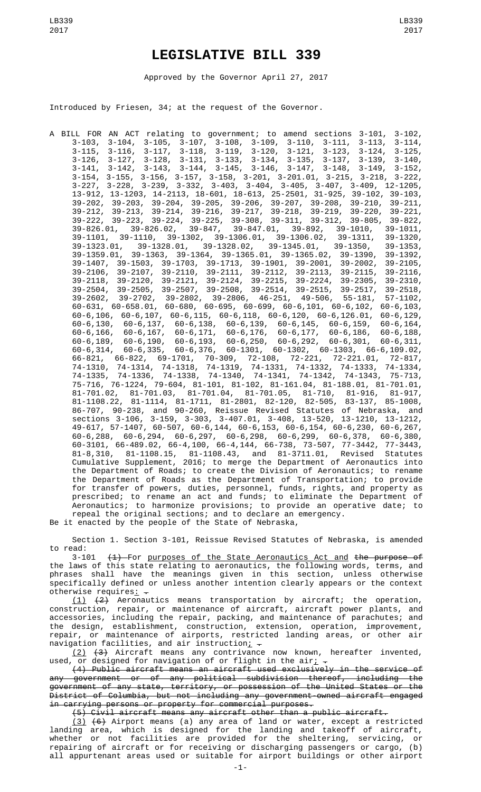## **LEGISLATIVE BILL 339**

Approved by the Governor April 27, 2017

Introduced by Friesen, 34; at the request of the Governor.

A BILL FOR AN ACT relating to government; to amend sections 3-101, 3-102, 3-103, 3-104, 3-105, 3-107, 3-108, 3-109, 3-110, 3-111, 3-113, 3-114, 3-115, 3-116, 3-117, 3-118, 3-119, 3-120, 3-121, 3-123, 3-124, 3-125, 3-126, 3-127, 3-128, 3-131, 3-133, 3-134, 3-135, 3-137, 3-139, 3-140, 3-141, 3-142, 3-143, 3-144, 3-145, 3-146, 3-147, 3-148, 3-149, 3-152, 3-154, 3-155, 3-156, 3-157, 3-158, 3-201, 3-201.01, 3-215, 3-218, 3-222, 3-227, 3-228, 3-239, 3-332, 3-403, 3-404, 3-405, 3-407, 3-409, 12-1205, 13-912, 13-1203, 14-2113, 18-601, 18-613, 25-2501, 31-925, 39-102, 39-103, 39-202, 39-203, 39-204, 39-205, 39-206, 39-207, 39-208, 39-210, 39-211, 39-212, 39-213, 39-214, 39-216, 39-217, 39-218, 39-219, 39-220, 39-221, 39-222, 39-223, 39-224, 39-225, 39-308, 39-311, 39-312, 39-805, 39-822, 39-826.01, 39-826.02, 39-847, 39-847.01, 39-892, 39-1010, 39-1011, 39-1101, 39-1110, 39-1302, 39-1306.01, 39-1306.02, 39-1311, 39-1320, 39-1323.01, 39-1328.01, 39-1328.02, 39-1345.01, 39-1350, 39-1353, 39-1359.01, 39-1363, 39-1364, 39-1365.01, 39-1365.02, 39-1390, 39-1392, 39-1407, 39-1503, 39-1703, 39-1713, 39-1901, 39-2001, 39-2002, 39-2105, 39-2106, 39-2107, 39-2110, 39-2111, 39-2112, 39-2113, 39-2115, 39-2116, 39-2118, 39-2120, 39-2121, 39-2124, 39-2215, 39-2224, 39-2305, 39-2310, 39-2504, 39-2505, 39-2507, 39-2508, 39-2514, 39-2515, 39-2517, 39-2518, 39-2602, 39-2702, 39-2802, 39-2806, 46-251, 49-506, 55-181, 57-1102, 60-631, 60-658.01, 60-680, 60-695, 60-699, 60-6,101, 60-6,102, 60-6,103, 60-6,106, 60-6,107, 60-6,115, 60-6,118, 60-6,120, 60-6,126.01, 60-6,129, 60-6,130, 60-6,137, 60-6,138, 60-6,139, 60-6,145, 60-6,159, 60-6,164, 60-6,166, 60-6,167, 60-6,171, 60-6,176, 60-6,177, 60-6,186, 60-6,188, 60-6,189, 60-6,190, 60-6,193, 60-6,250, 60-6,292, 60-6,301, 60-6,311, 60-6,314, 60-6,335, 60-6,376, 60-1301, 60-1302, 60-1303, 66-6,109.02, 66-821, 66-822, 69-1701, 70-309, 72-108, 72-221, 72-221.01, 72-817, 74-1310, 74-1314, 74-1318, 74-1319, 74-1331, 74-1332, 74-1333, 74-1334, 74-1335, 74-1336, 74-1338, 74-1340, 74-1341, 74-1342, 74-1343, 75-713, 75-716, 76-1224, 79-604, 81-101, 81-102, 81-161.04, 81-188.01, 81-701.01, 81-701.02, 81-701.03, 81-701.04, 81-701.05, 81-710, 81-916, 81-917, 81-1108.22, 81-1114, 81-1711, 81-2801, 82-120, 82-505, 83-137, 85-1008, 86-707, 90-238, and 90-260, Reissue Revised Statutes of Nebraska, and sections 3-106, 3-159, 3-303, 3-407.01, 3-408, 13-520, 13-1210, 13-1212, 49-617, 57-1407, 60-507, 60-6,144, 60-6,153, 60-6,154, 60-6,230, 60-6,267, 60-6,288, 60-6,294, 60-6,297, 60-6,298, 60-6,299, 60-6,378, 60-6,380, 60-3101, 66-489.02, 66-4,100, 66-4,144, 66-738, 73-507, 77-3442, 77-3443, 81-8,310, 81-1108.15, 81-1108.43, and 81-3711.01, Revised Statutes Cumulative Supplement, 2016; to merge the Department of Aeronautics into the Department of Roads; to create the Division of Aeronautics; to rename the Department of Roads as the Department of Transportation; to provide for transfer of powers, duties, personnel, funds, rights, and property as prescribed; to rename an act and funds; to eliminate the Department of Aeronautics; to harmonize provisions; to provide an operative date; to repeal the original sections; and to declare an emergency. Be it enacted by the people of the State of Nebraska,

Section 1. Section 3-101, Reissue Revised Statutes of Nebraska, is amended

to read:<br>3-101 3-101 (1) For purposes of the State Aeronautics Act and the purpose of the laws of this state relating to aeronautics, the following words, terms, and phrases shall have the meanings given in this section, unless otherwise specifically defined or unless another intention clearly appears or the context otherwise requires $\frac{1}{x}$  -

 $(1)$   $(2)$  Aeronautics means transportation by aircraft; the operation, construction, repair, or maintenance of aircraft, aircraft power plants, and accessories, including the repair, packing, and maintenance of parachutes; and the design, establishment, construction, extension, operation, improvement, repair, or maintenance of airports, restricted landing areas, or other air navigation facilities, and air instruction<u>;</u>  $\overline{\cdot}$ 

(2) (3) Aircraft means any contrivance now known, hereafter invented, used, or designed for navigation of or flight in the air<u>;</u>  $\overline{\cdot}$ 

(4) Public aircraft means an aircraft used exclusively in the service of any government or of any political subdivision thereof, including the government of any state, territory, or possession of the United States or the District of Columbia, but not including any government-owned aircraft engaged in carrying persons or property for commercial purposes.

(5) Civil aircraft means any aircraft other than a public aircraft.

(3) (6) Airport means (a) any area of land or water, except a restricted landing area, which is designed for the landing and takeoff of aircraft, whether or not facilities are provided for the sheltering, servicing, or repairing of aircraft or for receiving or discharging passengers or cargo, (b) all appurtenant areas used or suitable for airport buildings or other airport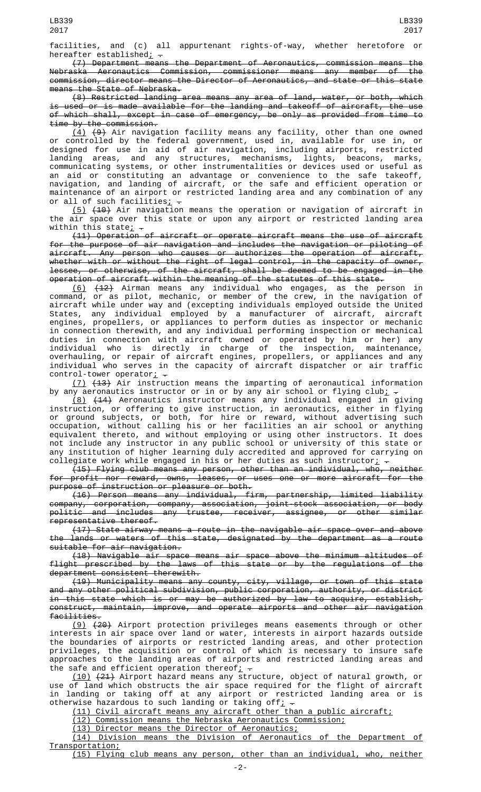facilities, and (c) all appurtenant rights-of-way, whether heretofore or hereafter established $\frac{1}{r}$ .

(7) Department means the Department of Aeronautics, commission means the Nebraska Aeronautics Commission, commissioner means any member of the commission, director means the Director of Aeronautics, and state or this state means the State of Nebraska.

(8) Restricted landing area means any area of land, water, or both, which is used or is made available for the landing and takeoff of aircraft, the use of which shall, except in case of emergency, be only as provided from time to time by the commission.

(4) (9) Air navigation facility means any facility, other than one owned or controlled by the federal government, used in, available for use in, or designed for use in aid of air navigation, including airports, restricted landing areas, and any structures, mechanisms, lights, beacons, marks, communicating systems, or other instrumentalities or devices used or useful as an aid or constituting an advantage or convenience to the safe takeoff, navigation, and landing of aircraft, or the safe and efficient operation or maintenance of an airport or restricted landing area and any combination of any or all of such facilities<u>;</u>  $-$ 

(5) (10) Air navigation means the operation or navigation of aircraft in the air space over this state or upon any airport or restricted landing area within this state;  $-$ 

(11) Operation of aircraft or operate aircraft means the use of aircraft for the purpose of air navigation and includes the navigation or piloting of aircraft. Any person who causes or authorizes the operation of aircraft, whether with or without the right of legal control, in the capacity of owner, lessee, or otherwise, of the aircraft, shall be deemed to be engaged in the operation of aircraft within the meaning of the statutes of this state.

(6) (12) Airman means any individual who engages, as the person in command, or as pilot, mechanic, or member of the crew, in the navigation of aircraft while under way and (excepting individuals employed outside the United States, any individual employed by a manufacturer of aircraft, aircraft engines, propellers, or appliances to perform duties as inspector or mechanic in connection therewith, and any individual performing inspection or mechanical duties in connection with aircraft owned or operated by him or her) any individual who is directly in charge of the inspection, maintenance, overhauling, or repair of aircraft engines, propellers, or appliances and any individual who serves in the capacity of aircraft dispatcher or air traffic control-tower operator:  $\frac{1}{2}$ 

(7) (13) Air instruction means the imparting of aeronautical information by any aeronautics instructor or in or by any air school or flying club<u>;</u>  $\hbox{\large -}$ 

(8) (14) Aeronautics instructor means any individual engaged in giving instruction, or offering to give instruction, in aeronautics, either in flying or ground subjects, or both, for hire or reward, without advertising such occupation, without calling his or her facilities an air school or anything equivalent thereto, and without employing or using other instructors. It does not include any instructor in any public school or university of this state or any institution of higher learning duly accredited and approved for carrying on collegiate work while engaged in his or her duties as such instructor<u>;</u>  $\hbox{\large -}$ 

(15) Flying club means any person, other than an individual, who, neither for profit nor reward, owns, leases, or uses one or more aircraft for the purpose of instruction or pleasure or both.

(16) Person means any individual, firm, partnership, limited liability company, corporation, company, association, joint-stock association, or body politic and includes any trustee, receiver, assignee, or other similar representative thereof.

(17) State airway means a route in the navigable air space over and above the lands or waters of this state, designated by the department as a route suitable for air navigation.

(18) Navigable air space means air space above the minimum altitudes of flight prescribed by the laws of this state or by the regulations of the department consistent therewith.

(19) Municipality means any county, city, village, or town of this state and any other political subdivision, public corporation, authority, or district in this state which is or may be authorized by law to acquire, establish, construct, maintain, improve, and operate airports and other air navigation facilities.

(9) (20) Airport protection privileges means easements through or other interests in air space over land or water, interests in airport hazards outside the boundaries of airports or restricted landing areas, and other protection privileges, the acquisition or control of which is necessary to insure safe approaches to the landing areas of airports and restricted landing areas and the safe and efficient operation thereof<sub>i</sub> -

(10) (21) Airport hazard means any structure, object of natural growth, or use of land which obstructs the air space required for the flight of aircraft in landing or taking off at any airport or restricted landing area or is otherwise hazardous to such landing or taking off<u>;</u>  $\texttt{-}$ 

(11) Civil aircraft means any aircraft other than a public aircraft;

(12) Commission means the Nebraska Aeronautics Commission;

(13) Director means the Director of Aeronautics;

(14) Division means the Division of Aeronautics of the Department of Transportation;

(15) Flying club means any person, other than an individual, who, neither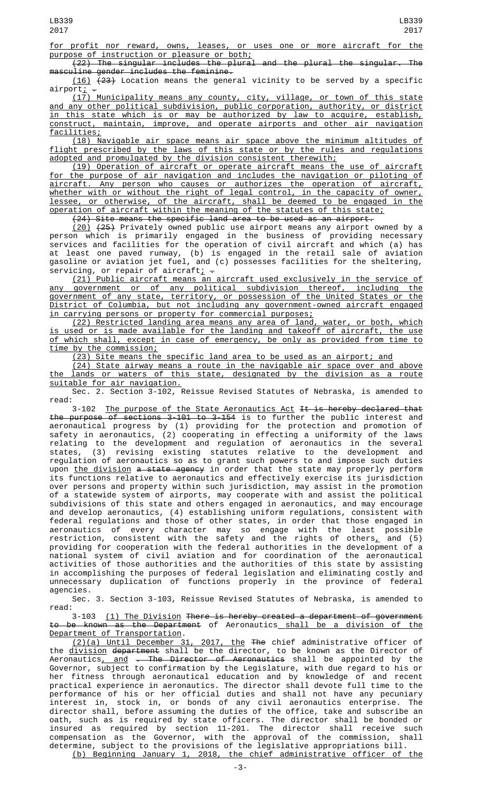for profit nor reward, owns, leases, or uses one or more aircraft for the purpose of instruction or pleasure or both;

(22) The singular includes the plural and the plural the singular. The masculine gender includes the feminine.

 $(16)$   $(23)$  Location means the general vicinity to be served by a specific airport; -

(17) Municipality means any county, city, village, or town of this state and any other political subdivision, public corporation, authority, or district in this state which is or may be authorized by law to acquire, establish, construct, maintain, improve, and operate airports and other air navigation facilities;

(18) Navigable air space means air space above the minimum altitudes of flight prescribed by the laws of this state or by the rules and regulations adopted and promulgated by the division consistent therewith;

(19) Operation of aircraft or operate aircraft means the use of aircraft for the purpose of air navigation and includes the navigation or piloting of aircraft. Any person who causes or authorizes the operation of aircraft, whether with or without the right of legal control, in the capacity of owner, lessee, or otherwise, of the aircraft, shall be deemed to be engaged in the operation of aircraft within the meaning of the statutes of this state;

(24) Site means the specific land area to be used as an airport.

(20) (25) Privately owned public use airport means any airport owned by a person which is primarily engaged in the business of providing necessary services and facilities for the operation of civil aircraft and which (a) has at least one paved runway, (b) is engaged in the retail sale of aviation gasoline or aviation jet fuel, and (c) possesses facilities for the sheltering, servicing, or repair of aircraft<u>;</u>  $\overline{\phantom{a}}$ 

(21) Public aircraft means an aircraft used exclusively in the service of any government or of any political subdivision thereof, including the government of any state, territory, or possession of the United States or the District of Columbia, but not including any government-owned aircraft engaged in carrying persons or property for commercial purposes;

(22) Restricted landing area means any area of land, water, or both, which is used or is made available for the landing and takeoff of aircraft, the use of which shall, except in case of emergency, be only as provided from time to time by the commission;

(23) Site means the specific land area to be used as an airport; and

(24) State airway means a route in the navigable air space over and above the lands or waters of this state, designated by the division as a route suitable for air navigation.

Sec. 2. Section 3-102, Reissue Revised Statutes of Nebraska, is amended to read:

3-102 The purpose of the State Aeronautics Act It is hereby declared that the purpose of sections 3-101 to 3-154 is to further the public interest and aeronautical progress by (1) providing for the protection and promotion of safety in aeronautics, (2) cooperating in effecting a uniformity of the laws relating to the development and regulation of aeronautics in the several states, (3) revising existing statutes relative to the development and regulation of aeronautics so as to grant such powers to and impose such duties upon <u>the division</u> <del>a state agency</del> in order that the state may properly perform its functions relative to aeronautics and effectively exercise its jurisdiction over persons and property within such jurisdiction, may assist in the promotion of a statewide system of airports, may cooperate with and assist the political subdivisions of this state and others engaged in aeronautics, and may encourage and develop aeronautics, (4) establishing uniform regulations, consistent with federal regulations and those of other states, in order that those engaged in aeronautics of every character may so engage with the least possible restriction, consistent with the safety and the rights of others $_{\rm L}$  and (5) providing for cooperation with the federal authorities in the development of a national system of civil aviation and for coordination of the aeronautical activities of those authorities and the authorities of this state by assisting in accomplishing the purposes of federal legislation and eliminating costly and unnecessary duplication of functions properly in the province of federal agencies.

Sec. 3. Section 3-103, Reissue Revised Statutes of Nebraska, is amended to read:

3-103 (1) The Division There is hereby created a department of government to be known as the Department of Aeronautics shall be a division of the Department of Transportation.

(2)(a) Until December 31, 2017, the The chief administrative officer of the <u>division</u> <del>department</del> shall be the director, to be known as the Director of Aeronautics<u>, and</u> <del>. The Director of Aeronautics</del> shall be appointed by the Governor, subject to confirmation by the Legislature, with due regard to his or her fitness through aeronautical education and by knowledge of and recent practical experience in aeronautics. The director shall devote full time to the performance of his or her official duties and shall not have any pecuniary interest in, stock in, or bonds of any civil aeronautics enterprise. The director shall, before assuming the duties of the office, take and subscribe an oath, such as is required by state officers. The director shall be bonded or insured as required by section 11-201. The director shall receive such compensation as the Governor, with the approval of the commission, shall determine, subject to the provisions of the legislative appropriations bill. (b) Beginning January 1, 2018, the chief administrative officer of the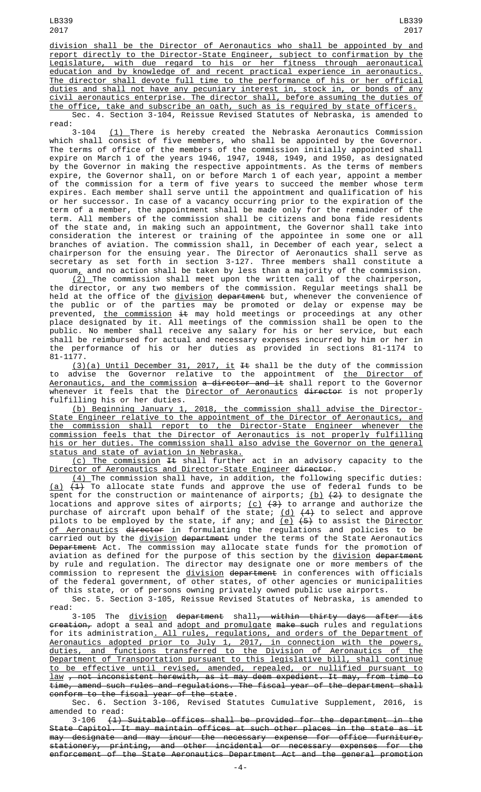LB339 2017

division shall be the Director of Aeronautics who shall be appointed by and report directly to the Director-State Engineer, subject to confirmation by the Legislature, with due regard to his or her fitness through aeronautical education and by knowledge of and recent practical experience in aeronautics. The director shall devote full time to the performance of his or her official duties and shall not have any pecuniary interest in, stock in, or bonds of any civil aeronautics enterprise. The director shall, before assuming the duties of the office, take and subscribe an oath, such as is required by state officers. Sec. 4. Section 3-104, Reissue Revised Statutes of Nebraska, is amended to read:

3-104 <u>(1)</u> There is hereby created the Nebraska Aeronautics Commission which shall consist of five members, who shall be appointed by the Governor. The terms of office of the members of the commission initially appointed shall expire on March 1 of the years 1946, 1947, 1948, 1949, and 1950, as designated by the Governor in making the respective appointments. As the terms of members expire, the Governor shall, on or before March 1 of each year, appoint a member of the commission for a term of five years to succeed the member whose term expires. Each member shall serve until the appointment and qualification of his or her successor. In case of a vacancy occurring prior to the expiration of the term of a member, the appointment shall be made only for the remainder of the term. All members of the commission shall be citizens and bona fide residents of the state and, in making such an appointment, the Governor shall take into consideration the interest or training of the appointee in some one or all branches of aviation. The commission shall, in December of each year, select a chairperson for the ensuing year. The Director of Aeronautics shall serve as secretary as set forth in section 3-127. Three members shall constitute a quorum $_{\rm L}$  and no action shall be taken by less than a majority of the commission.

 $(2)$  The commission shall meet upon the written call of the chairperson, the director, or any two members of the commission. Regular meetings shall be held at the office of the <u>division</u> <del>department</del> but, whenever the convenience of the public or of the parties may be promoted or delay or expense may be prevented, <u>the commission</u> <del>it</del> may hold meetings or proceedings at any other place designated by it. All meetings of the commission shall be open to the public. No member shall receive any salary for his or her service, but each shall be reimbursed for actual and necessary expenses incurred by him or her in the performance of his or her duties as provided in sections 81-1174 to 81-1177.

(3)(a) Until December 31, 2017, it It shall be the duty of the commission to advise the Governor relative to the appointment of <u>the Director of</u> Aeronautics, and the commission a director and it shall report to the Governor whenever it feels that the <u>Director of Aeronautics</u> director is not properly fulfilling his or her duties.

(b) Beginning January 1, 2018, the commission shall advise the Director-State Engineer relative to the appointment of the Director of Aeronautics, and the commission shall report to the Director-State Engineer whenever the commission feels that the Director of Aeronautics is not properly fulfilling his or her duties. The commission shall also advise the Governor on the general status and state of aviation in Nebraska.

(c) The commission It shall further act in an advisory capacity to the Director of Aeronautics and Director-State Engineer director.

(4) The commission shall have, in addition, the following specific duties:  $\overline{{\bf (a)}}$   $\overline{{\bf (+1)}}$  To allocate state funds and approve the use of federal funds to be spent for the construction or maintenance of airports; <u>(b)</u> <del>(2)</del> to designate the locations and approve sites of airports; <u>(c)</u> <del>(3)</del> to arrange and authorize the purchase of aircraft upon behalf of the state; <u>(d)</u> <del>(4)</del> to select and approve pilots to be employed by the state, if any; and <u>(e)</u> <del>(5)</del> to assist the <u>Director</u> <u>of Aeronautics</u> <del>director</del> in formulating the regulations and policies to be carried out by the <u>division</u> <del>department</del> under the terms of the State Aeronautics <del>Department</del> Act. The commission may allocate state funds for the promotion of aviation as defined for the purpose of this section by the <u>division</u> <del>department</del> by rule and regulation. The director may designate one or more members of the commission to represent the <u>division</u> <del>department</del> in conferences with officials of the federal government, of other states, of other agencies or municipalities of this state, or of persons owning privately owned public use airports.

Sec. 5. Section 3-105, Reissue Revised Statutes of Nebraska, is amended to read:

3-105 The <u>division</u> <del>department</del> shall<del>, within thirty days after its</del> <del>creation,</del> adopt a seal and <u>adopt and promulgate</u> <del>make such</del> rules and regulations for its administration. All rules, regulations, and orders of the Department of Aeronautics adopted prior to July 1, 2017, in connection with the powers, duties, and functions transferred to the Division of Aeronautics of the Department of Transportation pursuant to this legislative bill, shall continue to be effective until revised, amended, repealed, or nullified pursuant to law , not inconsistent herewith, as it may deem expedient. It may, from time to time, amend such rules and regulations. The fiscal year of the department shall conform to the fiscal year of the state.

Sec. 6. Section 3-106, Revised Statutes Cumulative Supplement, 2016, is amended to read:<br> $3-106$   $(1)$ 

 $(1)$  Suitable offices shall be provided for the department in the State Capitol. It may maintain offices at such other places in the state as it may designate and may incur the necessary expense for office furniture, stationery, printing, and other incidental or necessary expenses for the enforcement of the State Aeronautics Department Act and the general promotion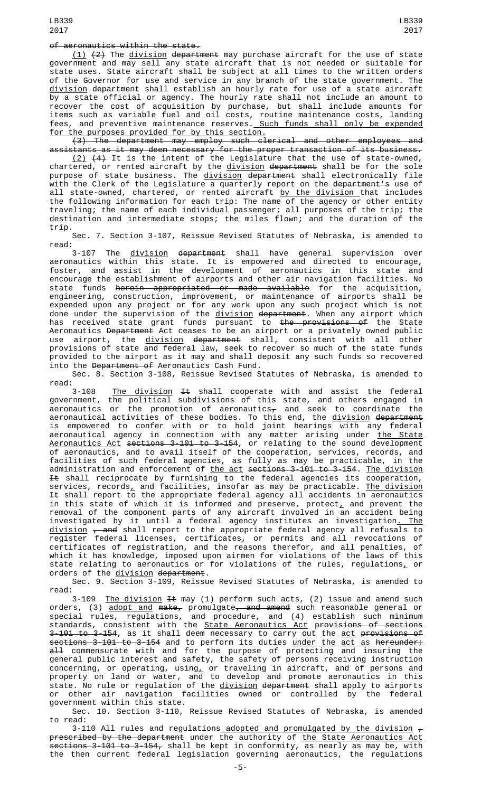## of aeronautics within the state.

(1) (2) The division department may purchase aircraft for the use of state government and may sell any state aircraft that is not needed or suitable for state uses. State aircraft shall be subject at all times to the written orders of the Governor for use and service in any branch of the state government. The division department shall establish an hourly rate for use of a state aircraft by a state official or agency. The hourly rate shall not include an amount to recover the cost of acquisition by purchase, but shall include amounts for items such as variable fuel and oil costs, routine maintenance costs, landing fees, and preventive maintenance reserves. Such funds shall only be expended for the purposes provided for by this section.

(3) The department may employ such clerical and other employees and  $s$ tants as it may deem necessary for the proper transaction of its business.

 $(2)$   $(4)$  It is the intent of the Legislature that the use of state-owned, chartered, or rented aircraft by the <u>division</u> <del>department</del> shall be for the sole purpose of state business. The <u>division</u> <del>department</del> shall electronically file with the Clerk of the Legislature a quarterly report on the <del>department's</del> use of all state-owned, chartered, or rented aircraft by the division that includes the following information for each trip: The name of the agency or other entity traveling; the name of each individual passenger; all purposes of the trip; the destination and intermediate stops; the miles flown; and the duration of the trip.

Sec. 7. Section 3-107, Reissue Revised Statutes of Nebraska, is amended to read:

3-107 The <u>division</u> <del>department</del> shall have general supervision over aeronautics within this state. It is empowered and directed to encourage, foster, and assist in the development of aeronautics in this state and encourage the establishment of airports and other air navigation facilities. No state funds <del>herein appropriated or made available</del> for the acquisition, engineering, construction, improvement, or maintenance of airports shall be expended upon any project or for any work upon any such project which is not done under the supervision of the <u>division</u> <del>department</del>. When any airport which has received state grant funds pursuant to <del>the provisions of</del> the State Aeronautics <del>Department</del> Act ceases to be an airport or a privately owned public use airport, the <u>division</u> <del>department</del> shall, consistent with all other provisions of state and federal law, seek to recover so much of the state funds provided to the airport as it may and shall deposit any such funds so recovered into the Department of Aeronautics Cash Fund.

Sec. 8. Section 3-108, Reissue Revised Statutes of Nebraska, is amended to read:

3-108 <u>The division</u> <del>It</del> shall cooperate with and assist the federal government, the political subdivisions of this state, and others engaged in aeronautics or the promotion of aeronautics $_\mathcal{T}$  and seek to coordinate the aeronautical activities of these bodies. To this end, the <u>division</u> <del>department</del> is empowered to confer with or to hold joint hearings with any federal aeronautical agency in connection with any matter arising under <u>the State</u> Aeronautics Act sections 3-101 to 3-154, or relating to the sound development of aeronautics, and to avail itself of the cooperation, services, records, and facilities of such federal agencies, as fully as may be practicable, in the administration and enforcement of <u>the act</u> <del>sections 3-101 to 3-154</del>. <u>The division</u>  $\textnormal{\texttt{I-t}}$  shall reciprocate by furnishing to the federal agencies its cooperation, services, records<u>,</u> and facilities, insofar as may be practicable. <u>The division</u> <del>It</del> shall report to the appropriate federal agency all accidents in aeronautics in this state of which it is informed and preserve, protect $_{\rm \bot}$  and prevent the removal of the component parts of any aircraft involved in an accident being investigated by it until a federal agency institutes an investigation<u>. The</u> <u>division</u> <del>, and</del> shall report to the appropriate federal agency all refusals to register federal licenses, certificates $_{L}$  or permits and all revocations of certificates of registration, and the reasons therefor, and all penalties, of which it has knowledge, imposed upon airmen for violations of the laws of this state relating to aeronautics or for violations of the rules, regulations, or orders of the division department.

Sec. 9. Section 3-109, Reissue Revised Statutes of Nebraska, is amended to read:

3-109 <u>The division</u> <del>It</del> may (1) perform such acts, (2) issue and amend such orders, (3) <u>adopt and</u> <del>make,</del> promulgate<del>, and amend</del> such reasonable general or special rules, regulations, and procedure, and (4) establish such minimum standards, consistent with the <u>State Aeronautics Act</u> <del>provisions of sections</del> 3-<del>101 to 3-154</del>, as it shall deem necessary to carry out the <u>act</u> <del>provisions of</del> sections 3-101 to 3-154 and to perform its duties under the act as hereunder; <del>all</del> commensurate with and for the purpose of protecting and insuring the general public interest and safety, the safety of persons receiving instruction concerning, or operating, using<u>,</u> or traveling in aircraft, and of persons and property on land or water, and to develop and promote aeronautics in this state. No rule or regulation of the <u>division</u> <del>department</del> shall apply to airports or other air navigation facilities owned or controlled by the federal government within this state.

Sec. 10. Section 3-110, Reissue Revised Statutes of Nebraska, is amended to read:

3-110 All rules and regulations<u> adopted and promulgated by the division</u>  $_\tau$ prescribed by the department under the authority of the State Aeronautics Act sections 3-101 to 3-154, shall be kept in conformity, as nearly as may be, with the then current federal legislation governing aeronautics, the regulations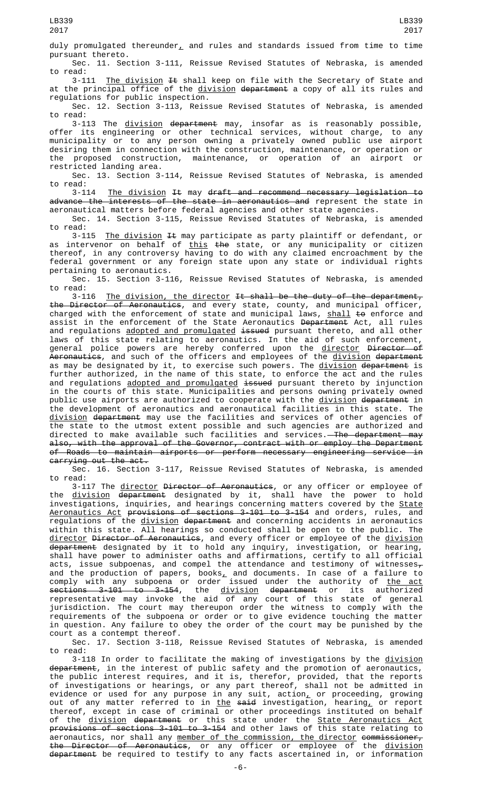duly promulgated thereunder<sub> $L$ </sub> and rules and standards issued from time to time pursuant thereto.

Sec. 11. Section 3-111, Reissue Revised Statutes of Nebraska, is amended to read:

3-111 <u>The division</u> <del>It</del> shall keep on file with the Secretary of State and at the principal office of the <u>division</u> <del>department</del> a copy of all its rules and regulations for public inspection.

Sec. 12. Section 3-113, Reissue Revised Statutes of Nebraska, is amended to read:

3-113 The division department may, insofar as is reasonably possible, offer its engineering or other technical services, without charge, to any municipality or to any person owning a privately owned public use airport desiring them in connection with the construction, maintenance, or operation or the proposed construction, maintenance, or operation of an airport or restricted landing area.

Sec. 13. Section 3-114, Reissue Revised Statutes of Nebraska, is amended

to read:<br>3-114 The division It may draft and recommend necessary legislation to advance the interests of the state in aeronautics and represent the state in aeronautical matters before federal agencies and other state agencies.

Sec. 14. Section 3-115, Reissue Revised Statutes of Nebraska, is amended to read:

3-115 <u>The division</u> <del>It</del> may participate as party plaintiff or defendant, or as intervenor on behalf of <u>this</u> <del>the</del> state, or any municipality or citizen thereof, in any controversy having to do with any claimed encroachment by the federal government or any foreign state upon any state or individual rights pertaining to aeronautics.

Sec. 15. Section 3-116, Reissue Revised Statutes of Nebraska, is amended to read:

The division, the director It shall be the duty of the department, the Director of Aeronautics, and every state, county, and municipal officer, charged with the enforcement of state and municipal laws, shall to enforce and assist in the enforcement of the State Aeronautics <del>Department</del> Act, all rules and regulations <u>adopted and promulgated</u> <del>issued</del> pursuant thereto, and all other laws of this state relating to aeronautics. In the aid of such enforcement, general police powers are hereby conferred upon the <u>director</u> <del>Director of</del> Aeronautics, and such of the officers and employees of the division department as may be designated by it, to exercise such powers. The <u>division</u> <del>department</del> is further authorized, in the name of this state, to enforce the act and the rules and regulations adopted and promulgated issued pursuant thereto by injunction in the courts of this state. Municipalities and persons owning privately owned public use airports are authorized to cooperate with the <u>division</u> <del>department</del> in the development of aeronautics and aeronautical facilities in this state. The <u>division</u> <del>department</del> may use the facilities and services of other agencies of the state to the utmost extent possible and such agencies are authorized and directed to make available such facilities and services.<del> The department may</del> also, with the approval of the Governor, contract with or employ the Department<br>of Roads to maintain airports or perform pecessary engineering service in of Roads to maintain airports or perform necessary engineering service carrying out the act.

Sec. 16. Section 3-117, Reissue Revised Statutes of Nebraska, is amended to read:

3-117 The <u>director</u> <del>Director of Aeronautics</del>, or any officer or employee of the <u>division</u> <del>department</del> designated by it, shall have the power to hold investigations, inquiries, and hearings concerning matters covered by the State Aeronautics Act provisions of sections 3-101 to 3-154 and orders, rules, and regulations of the <u>division</u> <del>department</del> and concerning accidents in aeronautics within this state. All hearings so conducted shall be open to the public. The <u>director</u> <del>Director of Aeronautics</del>, and every officer or employee of the <u>division</u> <del>department</del> designated by it to hold any inquiry, investigation, or hearing, shall have power to administer oaths and affirmations, certify to all official acts, issue subpoenas, and compel the attendance and testimony of witnesses $_\tau$ and the production of papers, books $_{\rm {\mathcal L}}$  and documents. In case of a failure to comply with any subpoena or order issued under the authority of <u>the act</u> sections 3-101 to 3-154, the division department or its authorized representative may invoke the aid of any court of this state of general jurisdiction. The court may thereupon order the witness to comply with the requirements of the subpoena or order or to give evidence touching the matter in question. Any failure to obey the order of the court may be punished by the court as a contempt thereof.

Sec. 17. Section 3-118, Reissue Revised Statutes of Nebraska, is amended to read:

3-118 In order to facilitate the making of investigations by the division department, in the interest of public safety and the promotion of aeronautics, the public interest requires, and it is, therefor, provided, that the reports of investigations or hearings, or any part thereof, shall not be admitted in evidence or used for any purpose in any suit,  $\arctan_\perp$  or proceeding, growing out of any matter referred to in <u>the</u> <del>said</del> investigation, hearing<u>,</u> or report thereof, except in case of criminal or other proceedings instituted on behalf of the <u>division</u> <del>department</del> or this state under the <u>State Aeronautics Act</u> provisions of sections 3-101 to 3-154 and other laws of this state relating to aeronautics, nor shall any <u>member of the commission, the director</u> <del>commissioner,</del> the Director of Aeronautics, or any officer or employee of the <u>division</u> <del>department</del> be required to testify to any facts ascertained in, or information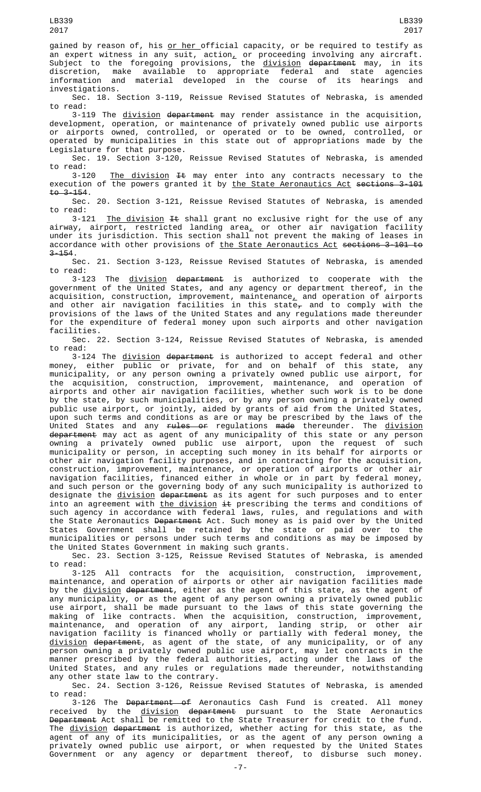gained by reason of, his <u>or her official capacity</u>, or be required to testify as an expert witness in any suit, action $_+$  or proceeding involving any aircraft. Subject to the foregoing provisions, the <u>division</u> <del>department</del> may, in its discretion, make available to appropriate federal and state agencies information and material developed in the course of its hearings and investigations.

Sec. 18. Section 3-119, Reissue Revised Statutes of Nebraska, is amended to read:

3-119 The division department may render assistance in the acquisition, development, operation, or maintenance of privately owned public use airports or airports owned, controlled, or operated or to be owned, controlled, or operated by municipalities in this state out of appropriations made by the Legislature for that purpose.

Sec. 19. Section 3-120, Reissue Revised Statutes of Nebraska, is amended read:<br>3-120

The division  $H$  may enter into any contracts necessary to the execution of the powers granted it by the State Aeronautics Act sections 3-101  $t_0$  3-154.

Sec. 20. Section 3-121, Reissue Revised Statutes of Nebraska, is amended to read:

3-121 The division  $H$  shall grant no exclusive right for the use of any airway, airport, restricted landing area<u>,</u> or other air navigation facility under its jurisdiction. This section shall not prevent the making of leases in accordance with other provisions of the State Aeronautics Act sections 3-101 to 3-154.

Sec. 21. Section 3-123, Reissue Revised Statutes of Nebraska, is amended to read:

3-123 The division department is authorized to cooperate with the government of the United States, and any agency or department thereof, in the acquisition, construction, improvement, maintenance $_{L}$  and operation of airports and other air navigation facilities in this state<del>,</del> and to comply with the provisions of the laws of the United States and any regulations made thereunder for the expenditure of federal money upon such airports and other navigation facilities.

Sec. 22. Section 3-124, Reissue Revised Statutes of Nebraska, is amended to read:

3-124 The division department is authorized to accept federal and other money, either public or private, for and on behalf of this state, any municipality, or any person owning a privately owned public use airport, for the acquisition, construction, improvement, maintenance, and operation of airports and other air navigation facilities, whether such work is to be done by the state, by such municipalities, or by any person owning a privately owned public use airport, or jointly, aided by grants of aid from the United States, upon such terms and conditions as are or may be prescribed by the laws of the United States and any <del>rules or</del> regulations <del>made</del> thereunder. The <u>division</u> <del>department</del> may act as agent of any municipality of this state or any person owning a privately owned public use airport, upon the request of such municipality or person, in accepting such money in its behalf for airports or other air navigation facility purposes, and in contracting for the acquisition, construction, improvement, maintenance, or operation of airports or other air navigation facilities, financed either in whole or in part by federal money, and such person or the governing body of any such municipality is authorized to designate the <u>division</u> <del>department</del> as its agent for such purposes and to enter into an agreement with <u>the division</u> <del>it</del> prescribing the terms and conditions of such agency in accordance with federal laws, rules, and regulations and with the State Aeronautics <del>Department</del> Act. Such money as is paid over by the United States Government shall be retained by the state or paid over to the municipalities or persons under such terms and conditions as may be imposed by the United States Government in making such grants.

Sec. 23. Section 3-125, Reissue Revised Statutes of Nebraska, is amended to read:

3-125 All contracts for the acquisition, construction, improvement, maintenance, and operation of airports or other air navigation facilities made by the <u>division</u> <del>department</del>, either as the agent of this state, as the agent of any municipality, or as the agent of any person owning a privately owned public use airport, shall be made pursuant to the laws of this state governing the making of like contracts. When the acquisition, construction, improvement, maintenance, and operation of any airport, landing strip, or other air navigation facility is financed wholly or partially with federal money, the <u>division</u> <del>department</del>, as agent of the state, of any municipality, or of any person owning a privately owned public use airport, may let contracts in the manner prescribed by the federal authorities, acting under the laws of the United States, and any rules or regulations made thereunder, notwithstanding any other state law to the contrary.

Sec. 24. Section 3-126, Reissue Revised Statutes of Nebraska, is amended to read:

3-126 The <del>Department of</del> Aeronautics Cash Fund is created. All money received by the <u>division</u> <del>department</del> pursuant to the State Aeronautics Department Act shall be remitted to the State Treasurer for credit to the fund. The <u>division</u> <del>department</del> is authorized, whether acting for this state, as the agent of any of its municipalities, or as the agent of any person owning a privately owned public use airport, or when requested by the United States Government or any agency or department thereof, to disburse such money.

LB339 2017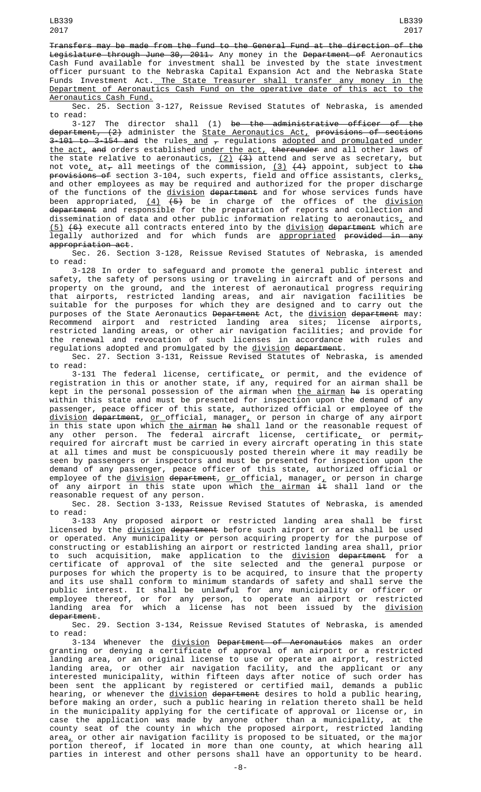Transfers may be made from the fund to the General Fund at the direction of the <del>Legislature through June 30, 2011.</del> Any money in the <del>Department of</del> Aeronautics Cash Fund available for investment shall be invested by the state investment officer pursuant to the Nebraska Capital Expansion Act and the Nebraska State Funds Investment Act.<u> The State Treasurer shall transfer any money in the</u> Department of Aeronautics Cash Fund on the operative date of this act to the Aeronautics Cash Fund.

Sec. 25. Section 3-127, Reissue Revised Statutes of Nebraska, is amended to read:

3-127 The director shall (1) be the administrative officer of the department, (2) administer the State Aeronautics Act, provisions of sections 3-<del>101 to 3-154 and</del> the rules\_<u>and</u>  $_{\mathcal{T}}$  regulations <u>adopted and promulgated under</u> the act, and orders established under the act, thereunder and all other laws of the state relative to aeronautics,  $(2)$   $(3)$  attend and serve as secretary, but not vote $_{\text{{\sf L}}}$  at $_{\text{{\sf \small \tau}}}$  all meetings of the commission, (3)  $(4)$  appoint, subject to <del>the</del> <del>provisions of</del> section 3-104, such experts, field and office assistants, clerks<u>,</u> and other employees as may be required and authorized for the proper discharge of the functions of the <u>division</u> <del>department</del> and for whose services funds have been appropriated, <u>(4)</u> <del>(5)</del> be in charge of the offices of the <u>division</u> <del>department</del> and responsible for the preparation of reports and collection and dissemination of data and other public information relating to aeronautics<u>,</u> and <u>(5)</u> <del>(6)</del> execute all contracts entered into by the <u>division</u> d<del>epartment</del> which are legally authorized and for which funds are <u>appropriated</u> <del>provided in any</del> appropriation act.

Sec. 26. Section 3-128, Reissue Revised Statutes of Nebraska, is amended to read:

3-128 In order to safeguard and promote the general public interest and safety, the safety of persons using or traveling in aircraft and of persons and property on the ground, and the interest of aeronautical progress requiring that airports, restricted landing areas, and air navigation facilities be suitable for the purposes for which they are designed and to carry out the purposes of the State Aeronautics <del>Department</del> Act, the <u>division</u> <del>department</del> may: Recommend airport and restricted landing area sites; license airports, restricted landing areas, or other air navigation facilities; and provide for the renewal and revocation of such licenses in accordance with rules and regulations adopted and promulgated by the <u>division</u> d<del>epartment</del>.

Sec. 27. Section 3-131, Reissue Revised Statutes of Nebraska, is amended to read:

3-131 The federal license, certificate $_{\rm \scriptscriptstyle L}$  or permit, and the evidence of registration in this or another state, if any, required for an airman shall be kept in the personal possession of the airman when <u>the airman</u> <del>he</del> is operating within this state and must be presented for inspection upon the demand of any passenger, peace officer of this state, authorized official or employee of the division department, or official, manager, or person in charge of any airport in this state upon which <u>the airman</u> <del>he</del> shall land or the reasonable request of any other person. The federal aircraft license, certificate<u>,</u> or permit $_\tau$ required for aircraft must be carried in every aircraft operating in this state at all times and must be conspicuously posted therein where it may readily be seen by passengers or inspectors and must be presented for inspection upon the demand of any passenger, peace officer of this state, authorized official or employee of the <u>division</u> <del>department</del>, <u>or official</u>, manager<u>,</u> or person in charge of any airport in this state upon which <u>the airman</u> <del>it</del> shall land or the reasonable request of any person.

Sec. 28. Section 3-133, Reissue Revised Statutes of Nebraska, is amended to read:

3-133 Any proposed airport or restricted landing area shall be first licensed by the <u>division</u> <del>department</del> before such airport or area shall be used or operated. Any municipality or person acquiring property for the purpose of constructing or establishing an airport or restricted landing area shall, prior to such acquisition, make application to the <u>division</u> <del>department</del> for a certificate of approval of the site selected and the general purpose or purposes for which the property is to be acquired, to insure that the property and its use shall conform to minimum standards of safety and shall serve the public interest. It shall be unlawful for any municipality or officer or employee thereof, or for any person, to operate an airport or restricted landing area for which a license has not been issued by the <u>division</u> department.

Sec. 29. Section 3-134, Reissue Revised Statutes of Nebraska, is amended to read:

3-134 Whenever the division Department of Aeronautics makes an order granting or denying a certificate of approval of an airport or a restricted landing area, or an original license to use or operate an airport, restricted landing area, or other air navigation facility, and the applicant or any interested municipality, within fifteen days after notice of such order has been sent the applicant by registered or certified mail, demands a public hearing, or whenever the division department desires to hold a public hearing, before making an order, such a public hearing in relation thereto shall be held in the municipality applying for the certificate of approval or license or, in case the application was made by anyone other than a municipality, at the county seat of the county in which the proposed airport, restricted landing area $_{\rm {\bf \mathcal{L}}}$  or other air navigation facility is proposed to be situated, or the major portion thereof, if located in more than one county, at which hearing all parties in interest and other persons shall have an opportunity to be heard.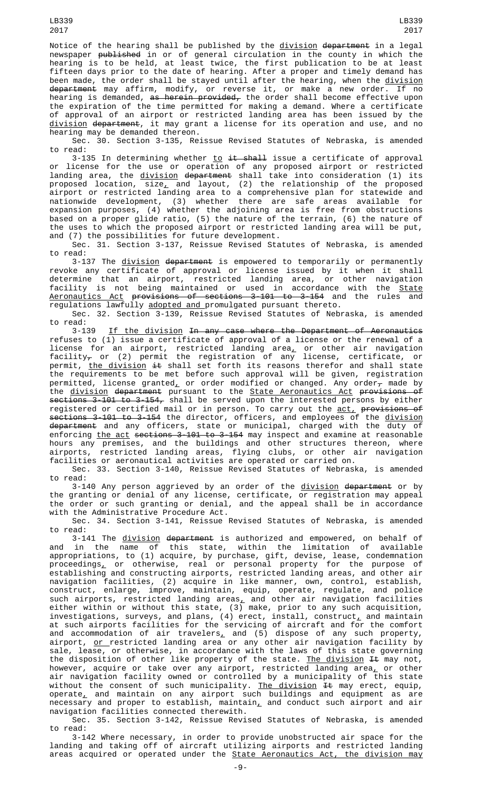Notice of the hearing shall be published by the division department in a legal newspaper <del>published</del> in or of general circulation in the county in which the hearing is to be held, at least twice, the first publication to be at least fifteen days prior to the date of hearing. After a proper and timely demand has been made, the order shall be stayed until after the hearing, when the <u>division</u> <del>department</del> may affirm, modify, or reverse it, or make a new order. If no hearing is demanded, <del>as herein provided,</del> the order shall become effective upon the expiration of the time permitted for making a demand. Where a certificate of approval of an airport or restricted landing area has been issued by the division department, it may grant a license for its operation and use, and no hearing may be demanded thereon.

Sec. 30. Section 3-135, Reissue Revised Statutes of Nebraska, is amended to read:

3-135 In determining whether <u>to</u> <del>it shall</del> issue a certificate of approval or license for the use or operation of any proposed airport or restricted landing area, the <u>division</u> <del>department</del> shall take into consideration (1) its proposed location, size $_{\rm \star}$  and layout, (2) the relationship of the proposed airport or restricted landing area to a comprehensive plan for statewide and nationwide development, (3) whether there are safe areas available for expansion purposes, (4) whether the adjoining area is free from obstructions based on a proper glide ratio, (5) the nature of the terrain, (6) the nature of the uses to which the proposed airport or restricted landing area will be put, and (7) the possibilities for future development.

Sec. 31. Section 3-137, Reissue Revised Statutes of Nebraska, is amended to read:

3-137 The <u>division</u> <del>department</del> is empowered to temporarily or permanently revoke any certificate of approval or license issued by it when it shall determine that an airport, restricted landing area, or other navigation facility is not being maintained or used in accordance with the <u>State</u> <u>Aeronautics Act</u> <del>provisions of sections 3-101 to 3-154</del> and the rules and regulations lawfully adopted and promulgated pursuant thereto.

Sec. 32. Section 3-139, Reissue Revised Statutes of Nebraska, is amended to read:<br> $3-139$ 

If the division In any case where the Department of Aeronautics refuses to (1) issue a certificate of approval of a license or the renewal of a license for an airport, restricted landing area, or other air navigation facility $_\tau$  or (2) permit the registration of any license, certificate, or permit, <u>the division</u> <del>it</del> shall set forth its reasons therefor and shall state the requirements to be met before such approval will be given, registration permitted, license granted<u>,</u> or order modified or changed. Any order $_{\mathcal{T}}$  made by the <u>division</u> <del>department</del> pursuant to the <u>State Aeronautics Act</u> <del>provisions of</del> sections 3-101 to 3-154, shall be served upon the interested persons by either registered or certified mail or in person. To carry out the <u>act,</u> <del>provisions of</del> sections 3-101 to 3-154 the director, officers, and employees of the division <del>department</del> and any officers, state or municipal, charged with the duty of enforcing <u>the act</u> <del>sections 3-101 to 3-154</del> may inspect and examine at reasonable hours any premises, and the buildings and other structures thereon, where airports, restricted landing areas, flying clubs, or other air navigation facilities or aeronautical activities are operated or carried on.

Sec. 33. Section 3-140, Reissue Revised Statutes of Nebraska, is amended to read:

3-140 Any person aggrieved by an order of the division department or by the granting or denial of any license, certificate, or registration may appeal the order or such granting or denial, and the appeal shall be in accordance with the Administrative Procedure Act.

Sec. 34. Section 3-141, Reissue Revised Statutes of Nebraska, is amended to read:

3-141 The <u>division</u> <del>department</del> is authorized and empowered, on behalf of and in the name of this state, within the limitation of available appropriations, to (1) acquire, by purchase, gift, devise, lease, condemnation <code>proceedings $\_$ </code> or <code>otherwise, real or personal property for the <code>purpose of</code></code> establishing and constructing airports, restricted landing areas, and other air navigation facilities, (2) acquire in like manner, own, control, establish, construct, enlarge, improve, maintain, equip, operate, regulate, and police such airports, restricted landing areas $_{\rm {\bf \mathcal{L}}}$  and other air navigation facilities either within or without this state, (3) make, prior to any such acquisition, investigations, surveys, and plans, (4) erect, install, construct $_{\perp}$  and maintain at such airports facilities for the servicing of aircraft and for the comfort and accommodation of air travelers, and (5) dispose of any such property, airport, <u>or </u>restricted landing area or any other air navigation facility by sale, lease, or otherwise, in accordance with the laws of this state governing the disposition of other like property of the state. <u>The division</u> <del>It</del> may not, however, acquire or take over any airport, restricted landing area, or other air navigation facility owned or controlled by a municipality of this state without the consent of such municipality. <u>The division</u> <del>It</del> may erect, equip, operate $_{\rm \scriptscriptstyle L}$  and maintain on any airport such buildings and equipment as are necessary and proper to establish, maintain<u>,</u> and conduct such airport and air navigation facilities connected therewith.

Sec. 35. Section 3-142, Reissue Revised Statutes of Nebraska, is amended to read:

3-142 Where necessary, in order to provide unobstructed air space for the landing and taking off of aircraft utilizing airports and restricted landing areas acquired or operated under the State Aeronautics Act, the division may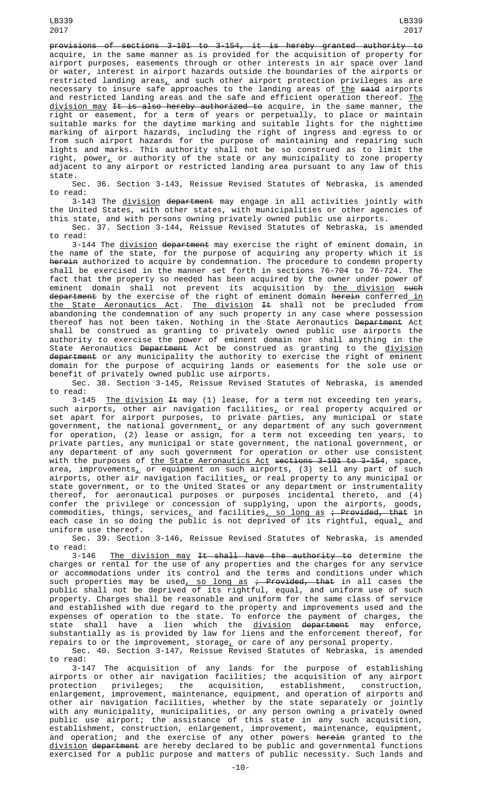LB339 2017

provisions of sections 3-101 to 3-154, it is hereby granted authority to acquire, in the same manner as is provided for the acquisition of property for airport purposes, easements through or other interests in air space over land or water, interest in airport hazards outside the boundaries of the airports or restricted landing areas $_{\rm \star}$  and such other airport protection privileges as are necessary to insure safe approaches to the landing areas of <u>the</u> <del>said</del> airports and restricted landing areas and the safe and efficient operation thereof. The <u>division may <del>It is also hereby authorized to</del> acquire, in the same manner, the</u> right or easement, for a term of years or perpetually, to place or maintain suitable marks for the daytime marking and suitable lights for the nighttime marking of airport hazards, including the right of ingress and egress to or from such airport hazards for the purpose of maintaining and repairing such lights and marks. This authority shall not be so construed as to limit the right, power $_{\scriptscriptstyle \perp}$  or authority of the state or any municipality to zone property adjacent to any airport or restricted landing area pursuant to any law of this state.

Sec. 36. Section 3-143, Reissue Revised Statutes of Nebraska, is amended to read:

3-143 The <u>division</u> <del>department</del> may engage in all activities jointly with the United States, with other states, with municipalities or other agencies of this state, and with persons owning privately owned public use airports.

Sec. 37. Section 3-144, Reissue Revised Statutes of Nebraska, is amended to read:

3-144 The <u>division</u> department may exercise the right of eminent domain, in the name of the state, for the purpose of acquiring any property which it is the name of the state, for the purpose of acquiring any property which it is <del>herein</del> authorized to acquire by condemnation. The procedure to condemn property shall be exercised in the manner set forth in sections 76-704 to 76-724. The fact that the property so needed has been acquired by the owner under power of eminent domain shall not prevent its acquisition by <u>the division</u> <del>such</del> <del>department</del> by the exercise of the right of eminent domain <del>herein</del> conferred<u> in</u> the State Aeronautics Act. The division It shall not be precluded from abandoning the condemnation of any such property in any case where possession thereof has not been taken. Nothing in the State Aeronautics Department Act shall be construed as granting to privately owned public use airports the authority to exercise the power of eminent domain nor shall anything in the State Aeronautics <del>Department</del> Act be construed as granting to the <u>division</u> department or any municipality the authority to exercise the right of eminent domain for the purpose of acquiring lands or easements for the sole use or benefit of privately owned public use airports.

Sec. 38. Section 3-145, Reissue Revised Statutes of Nebraska, is amended to read:<br>3-145

The division  $H$  may (1) lease, for a term not exceeding ten years, such airports, other air navigation facilities $_{{\scriptscriptstyle L}}$  or real property acquired or set apart for airport purposes, to private parties, any municipal or state government, the national government $_{\scriptscriptstyle \! L}$  or any department of any such government for operation, (2) lease or assign, for a term not exceeding ten years, to private parties, any municipal or state government, the national government, or any department of any such government for operation or other use consistent with the purposes of <u>the State Aeronautics Act</u> <del>sections 3-101 to 3-154</del>, space, area, improvements $_+$  or equipment on such airports, (3) sell any part of such airports, other air navigation facilities<u>,</u> or real property to any municipal or state government, or to the United States or any department or instrumentality thereof, for aeronautical purposes or purposes incidental thereto, and (4) confer the privilege or concession of supplying, upon the airports, goods, commodities, things, services<u>,</u> and facilities<u>, so long as</u> <del>; Provided, that</del> in each case in so doing the public is not deprived of its rightful, equal $_{\rm \scriptscriptstyle L}$  and uniform use thereof.

Sec. 39. Section 3-146, Reissue Revised Statutes of Nebraska, is amended to read:<br>3-146

The division may It shall have the authority to determine the charges or rental for the use of any properties and the charges for any service or accommodations under its control and the terms and conditions under which such properties may be used<u>, so long as</u> <del>; Provided, that</del> in all cases the public shall not be deprived of its rightful, equal, and uniform use of such property. Charges shall be reasonable and uniform for the same class of service and established with due regard to the property and improvements used and the expenses of operation to the state. To enforce the payment of charges, the state shall have a lien which the <u>division</u> <del>department</del> may enforce, substantially as is provided by law for liens and the enforcement thereof, for repairs to or the improvement, storage $_L$  or care of any personal property.

Sec. 40. Section 3-147, Reissue Revised Statutes of Nebraska, is amended to read:

3-147 The acquisition of any lands for the purpose of establishing airports or other air navigation facilities; the acquisition of any airport protection privileges; the acquisition, establishment, construction, enlargement, improvement, maintenance, equipment, and operation of airports and other air navigation facilities, whether by the state separately or jointly with any municipality, municipalities, or any person owning a privately owned public use airport; the assistance of this state in any such acquisition, establishment, construction, enlargement, improvement, maintenance, equipment, and operation; and the exercise of any other powers <del>herein</del> granted to the <u>division</u> <del>department</del> are hereby declared to be public and governmental functions exercised for a public purpose and matters of public necessity. Such lands and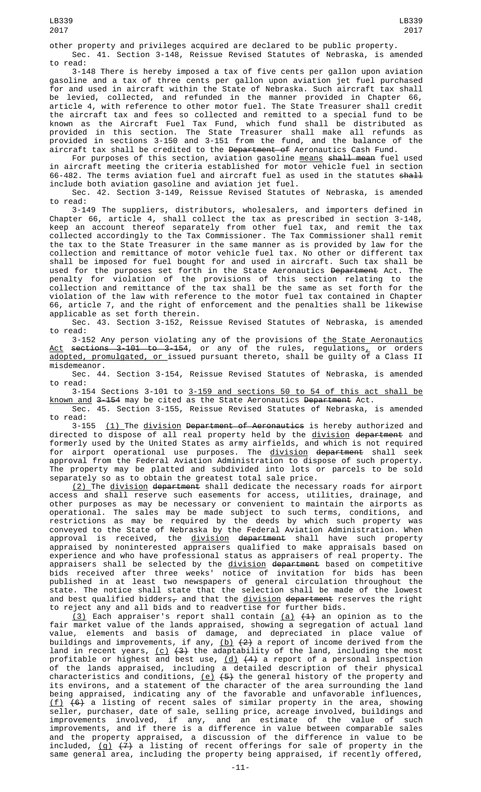LB339

other property and privileges acquired are declared to be public property. Sec. 41. Section 3-148, Reissue Revised Statutes of Nebraska, is amended to read:

3-148 There is hereby imposed a tax of five cents per gallon upon aviation gasoline and a tax of three cents per gallon upon aviation jet fuel purchased for and used in aircraft within the State of Nebraska. Such aircraft tax shall be levied, collected, and refunded in the manner provided in Chapter 66, article 4, with reference to other motor fuel. The State Treasurer shall credit the aircraft tax and fees so collected and remitted to a special fund to be known as the Aircraft Fuel Tax Fund, which fund shall be distributed as provided in this section. The State Treasurer shall make all refunds as provided in sections 3-150 and 3-151 from the fund, and the balance of the aircraft tax shall be credited to the Department of Aeronautics Cash Fund.

For purposes of this section, aviation gasoline means shall mean fuel used in aircraft meeting the criteria established for motor vehicle fuel in section 66-482. The terms aviation fuel and aircraft fuel as used in the statutes shall include both aviation gasoline and aviation jet fuel.

Sec. 42. Section 3-149, Reissue Revised Statutes of Nebraska, is amended to read:

3-149 The suppliers, distributors, wholesalers, and importers defined in Chapter 66, article 4, shall collect the tax as prescribed in section 3-148, keep an account thereof separately from other fuel tax, and remit the tax collected accordingly to the Tax Commissioner. The Tax Commissioner shall remit the tax to the State Treasurer in the same manner as is provided by law for the collection and remittance of motor vehicle fuel tax. No other or different tax shall be imposed for fuel bought for and used in aircraft. Such tax shall be used for the purposes set forth in the State Aeronautics <del>Department</del> Act. The penalty for violation of the provisions of this section relating to the collection and remittance of the tax shall be the same as set forth for the violation of the law with reference to the motor fuel tax contained in Chapter 66, article 7, and the right of enforcement and the penalties shall be likewise applicable as set forth therein.

Sec. 43. Section 3-152, Reissue Revised Statutes of Nebraska, is amended to read:

3-152 Any person violating any of the provisions of <u>the State Aeronautics</u> <u>Act</u> <del>sections 3-101 to 3-15</del>4, or any of the rules, regulations<u>,</u> or orders adopted, promulgated, or issued pursuant thereto, shall be guilty of a Class II misdemeanor.

Sec. 44. Section 3-154, Reissue Revised Statutes of Nebraska, is amended to read:

3-154 Sections 3-101 to 3-159 and sections 50 to 54 of this act shall be known and 3-154 may be cited as the State Aeronautics Department Act.

Sec. 45. Section 3-155, Reissue Revised Statutes of Nebraska, is amended to read:

3-155 (1) The division Department of Aeronautics is hereby authorized and directed to dispose of all real property held by the division department and formerly used by the United States as army airfields, and which is not required for airport operational use purposes. The <u>division</u> <del>department</del> shall seek approval from the Federal Aviation Administration to dispose of such property. The property may be platted and subdivided into lots or parcels to be sold separately so as to obtain the greatest total sale price.

<u>(2) </u>The <u>division</u> <del>department</del> shall dedicate the necessary roads for airport access and shall reserve such easements for access, utilities, drainage, and other purposes as may be necessary or convenient to maintain the airports as operational. The sales may be made subject to such terms, conditions, and restrictions as may be required by the deeds by which such property was conveyed to the State of Nebraska by the Federal Aviation Administration. When approval is received, the <u>division</u> <del>department</del> shall have such property appraised by noninterested appraisers qualified to make appraisals based on experience and who have professional status as appraisers of real property. The appraisers shall be selected by the <u>division</u> <del>department</del> based on competitive bids received after three weeks' notice of invitation for bids has been published in at least two newspapers of general circulation throughout the state. The notice shall state that the selection shall be made of the lowest and best qualified bidders $_\tau$  and that the <u>division</u> <del>department</del> reserves the right to reject any and all bids and to readvertise for further bids.

<u>(3)</u> Each appraiser's report shall contain <u>(a)</u> <del>(1)</del> an opinion as to the fair market value of the lands appraised, showing a segregation of actual land value, elements and basis of damage, and depreciated in place value of buildings and improvements, if any, <u>(b)</u> <del>(2)</del> a report of income derived from the land in recent years, <u>(c)</u> <del>(3)</del> the adaptability of the land, including the most profitable or highest and best use, <u>(d)</u> <del>(4)</del> a report of a personal inspection of the lands appraised, including a detailed description of their physical characteristics and conditions, <u>(e)</u> <del>(5)</del> the general history of the property and its environs, and a statement of the character of the area surrounding the land being appraised, indicating any of the favorable and unfavorable influences, (f) (6) a listing of recent sales of similar property in the area, showing seller, purchaser, date of sale, selling price, acreage involved, buildings and improvements involved, if any, and an estimate of the value of such improvements, and if there is a difference in value between comparable sales and the property appraised, a discussion of the difference in value to be included, <u>(g)</u> <del>(7)</del> a listing of recent offerings for sale of property in the same general area, including the property being appraised, if recently offered,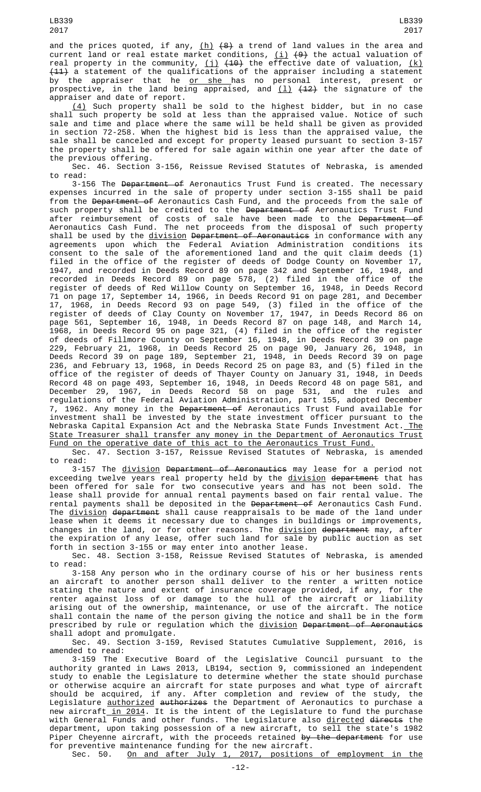and the prices quoted, if any, <u>(h)</u> <del>(8)</del> a trend of land values in the area and current land or real estate market conditions, <u>(i)</u> <del>(9)</del> the actual valuation of real property in the community,  $(i)$   $(40)$  the effective date of valuation,  $(k)$  $\textcolor{red}{\textbf{(11)}}$  a statement of the qualifications of the appraiser including a statement by the appraiser that he <u>or she </u>has no personal interest, present or prospective, in the land being appraised, and <u>(1)</u> <del>(12)</del> the signature of the

appraiser and date of report. (4) Such property shall be sold to the highest bidder, but in no case shall such property be sold at less than the appraised value. Notice of such sale and time and place where the same will be held shall be given as provided in section 72-258. When the highest bid is less than the appraised value, the sale shall be canceled and except for property leased pursuant to section 3-157 the property shall be offered for sale again within one year after the date of the previous offering.

Sec. 46. Section 3-156, Reissue Revised Statutes of Nebraska, is amended to read:

3-156 The Department of Aeronautics Trust Fund is created. The necessary expenses incurred in the sale of property under section 3-155 shall be paid from the Department of Aeronautics Cash Fund, and the proceeds from the sale of such property shall be credited to the <del>Department of</del> Aeronautics Trust Fund after reimbursement of costs of sale have been made to the <del>Department of</del> Aeronautics Cash Fund. The net proceeds from the disposal of such property shall be used by the <u>division</u> Department of Aeronautics in conformance with any agreements upon which the Federal Aviation Administration conditions its consent to the sale of the aforementioned land and the quit claim deeds (1) filed in the office of the register of deeds of Dodge County on November 17, 1947, and recorded in Deeds Record 89 on page 342 and September 16, 1948, and recorded in Deeds Record 89 on page 578, (2) filed in the office of the register of deeds of Red Willow County on September 16, 1948, in Deeds Record 71 on page 17, September 14, 1966, in Deeds Record 91 on page 281, and December 17, 1968, in Deeds Record 93 on page 549, (3) filed in the office of the register of deeds of Clay County on November 17, 1947, in Deeds Record 86 on page 561, September 16, 1948, in Deeds Record 87 on page 148, and March 14, 1968, in Deeds Record 95 on page 321, (4) filed in the office of the register of deeds of Fillmore County on September 16, 1948, in Deeds Record 39 on page 229, February 21, 1968, in Deeds Record 25 on page 90, January 26, 1948, in Deeds Record 39 on page 189, September 21, 1948, in Deeds Record 39 on page 236, and February 13, 1968, in Deeds Record 25 on page 83, and (5) filed in the office of the register of deeds of Thayer County on January 31, 1948, in Deeds Record 48 on page 493, September 16, 1948, in Deeds Record 48 on page 581, and December 29, 1967, in Deeds Record 58 on page 531, and the rules and regulations of the Federal Aviation Administration, part 155, adopted December 7, 1962. Any money in the Department of Aeronautics Trust Fund available for investment shall be invested by the state investment officer pursuant to the Nebraska Capital Expansion Act and the Nebraska State Funds Investment Act.<u> The</u> State Treasurer shall transfer any money in the Department of Aeronautics Trust Fund on the operative date of this act to the Aeronautics Trust Fund.

Sec. 47. Section 3-157, Reissue Revised Statutes of Nebraska, is amended to read:

3-157 The division Department of Aeronautics may lease for a period not exceeding twelve years real property held by the <u>division</u> <del>department</del> that has been offered for sale for two consecutive years and has not been sold. The lease shall provide for annual rental payments based on fair rental value. The rental payments shall be deposited in the Department of Aeronautics Cash Fund. The division department shall cause reappraisals to be made of the land under lease when it deems it necessary due to changes in buildings or improvements, changes in the land, or for other reasons. The <u>division</u> <del>department</del> may, after the expiration of any lease, offer such land for sale by public auction as set forth in section 3-155 or may enter into another lease.

Sec. 48. Section 3-158, Reissue Revised Statutes of Nebraska, is amended to read:

3-158 Any person who in the ordinary course of his or her business rents an aircraft to another person shall deliver to the renter a written notice stating the nature and extent of insurance coverage provided, if any, for the renter against loss of or damage to the hull of the aircraft or liability arising out of the ownership, maintenance, or use of the aircraft. The notice shall contain the name of the person giving the notice and shall be in the form prescribed by rule or regulation which the division Department of Aeronautics shall adopt and promulgate.

Sec. 49. Section 3-159, Revised Statutes Cumulative Supplement, 2016, is amended to read:

3-159 The Executive Board of the Legislative Council pursuant to the authority granted in Laws 2013, LB194, section 9, commissioned an independent study to enable the Legislature to determine whether the state should purchase or otherwise acquire an aircraft for state purposes and what type of aircraft should be acquired, if any. After completion and review of the study, the Legislature <u>authorized</u> <del>authorizes</del> the Department of Aeronautics to purchase a new aircraft<u> in 2014</u>. It is the intent of the Legislature to fund the purchase with General Funds and other funds. The Legislature also directed directs the department, upon taking possession of a new aircraft, to sell the state's 1982 Piper Cheyenne aircraft, with the proceeds retained <del>by the department</del> for use for preventive maintenance funding for the new aircraft.<br>Sec. 50. On and after July 1, 2017, positions

On and after July 1, 2017, positions of employment in the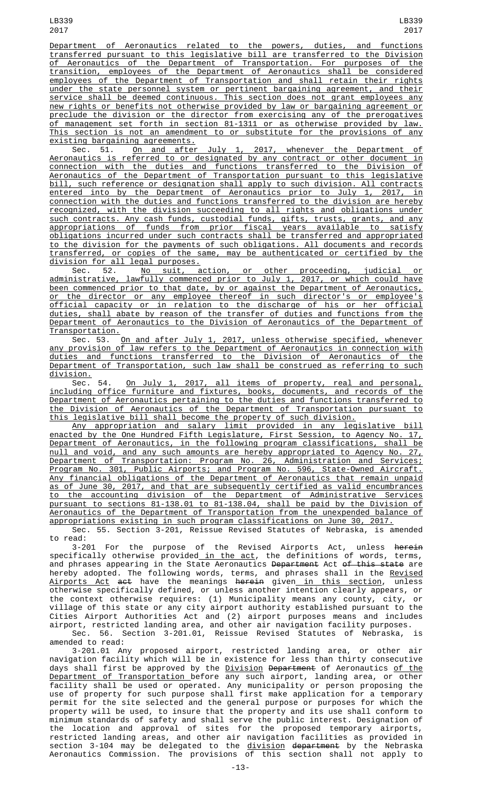Department of Aeronautics related to the powers, duties, and functions transferred pursuant to this legislative bill are transferred to the Division of Aeronautics of the Department of Transportation. For purposes of the transition, employees of the Department of Aeronautics shall be considered employees of the Department of Transportation and shall retain their rights under the state personnel system or pertinent bargaining agreement, and their service shall be deemed continuous. This section does not grant employees any new rights or benefits not otherwise provided by law or bargaining agreement or preclude the division or the director from exercising any of the prerogatives of management set forth in section 81-1311 or as otherwise provided by law. This section is not an amendment to or substitute for the provisions of any existing bargaining agreements.

Sec. 51. <u>On and after July 1, 2017, whenever the Department of</u> Aeronautics is referred to or designated by any contract or other document in connection with the duties and functions transferred to the Division of Aeronautics of the Department of Transportation pursuant to this legislative bill, such reference or designation shall apply to such division. All contracts entered into by the Department of Aeronautics prior to July 1, 2017, in connection with the duties and functions transferred to the division are hereby recognized, with the division succeeding to all rights and obligations under such contracts. Any cash funds, custodial funds, gifts, trusts, grants, and any appropriations of funds from prior fiscal years available to satisfy obligations incurred under such contracts shall be transferred and appropriated to the division for the payments of such obligations. All documents and records transferred, or copies of the same, may be authenticated or certified by the division for all legal purposes.<br>Sec. 52. No suit, a

Sec. 52. No suit, action, or other proceeding, judicial or administrative, lawfully commenced prior to July 1, 2017, or which could have been commenced prior to that date, by or against the Department of Aeronautics, or the director or any employee thereof in such director's or employee's official capacity or in relation to the discharge of his or her official duties, shall abate by reason of the transfer of duties and functions from the Department of Aeronautics to the Division of Aeronautics of the Department of Transportation.

Sec. 53. <u>On and after July 1, 2017, unless otherwise specified, whenever</u> any provision of law refers to the Department of Aeronautics in connection with duties and functions transferred to the Division of Aeronautics of the Department of Transportation, such law shall be construed as referring to such division.

Sec. 54. <u>On July 1, 2017, all items of property, real and personal,</u> including office furniture and fixtures, books, documents, and records of the Department of Aeronautics pertaining to the duties and functions transferred to the Division of Aeronautics of the Department of Transportation pursuant to this legislative bill shall become the property of such division.

Any appropriation and salary limit provided in any legislative bill enacted by the One Hundred Fifth Legislature, First Session, to Agency No. 17, Department of Aeronautics, in the following program classifications, shall be null and void, and any such amounts are hereby appropriated to Agency No. 27, Department of Transportation: Program No. 26, Administration and Services; Program No. 301, Public Airports; and Program No. 596, State-Owned Aircraft. Any financial obligations of the Department of Aeronautics that remain unpaid as of June 30, 2017, and that are subsequently certified as valid encumbrances to the accounting division of the Department of Administrative Services pursuant to sections 81-138.01 to 81-138.04, shall be paid by the Division of Aeronautics of the Department of Transportation from the unexpended balance of appropriations existing in such program classifications on June 30, 2017.

Sec. 55. Section 3-201, Reissue Revised Statutes of Nebraska, is amended to read:

3-201 For the purpose of the Revised Airports Act, unless <del>herein</del> specifically otherwise provided<u> in the act</u>, the definitions of words, terms, and phrases appearing in the State Aeronautics <del>Department</del> Act <del>of this state</del> are hereby adopted. The following words, terms, and phrases shall in the <u>Revised</u> <u>Airports Act</u> <del>act</del> have the meanings <del>herein</del> given<u> in this section</u>, unless otherwise specifically defined, or unless another intention clearly appears, or the context otherwise requires: (1) Municipality means any county, city, or village of this state or any city airport authority established pursuant to the Cities Airport Authorities Act and (2) airport purposes means and includes airport, restricted landing area, and other air navigation facility purposes.

Sec. 56. Section 3-201.01, Reissue Revised Statutes of Nebraska, is amended to read:

3-201.01 Any proposed airport, restricted landing area, or other air navigation facility which will be in existence for less than thirty consecutive days shall first be approved by the **Division Department** of Aeronautics of the Department of Transportation before any such airport, landing area, or other facility shall be used or operated. Any municipality or person proposing the use of property for such purpose shall first make application for a temporary permit for the site selected and the general purpose or purposes for which the property will be used, to insure that the property and its use shall conform to minimum standards of safety and shall serve the public interest. Designation of the location and approval of sites for the proposed temporary airports, restricted landing areas, and other air navigation facilities as provided in section 3-104 may be delegated to the <u>division</u> <del>department</del> by the Nebraska Aeronautics Commission. The provisions of this section shall not apply to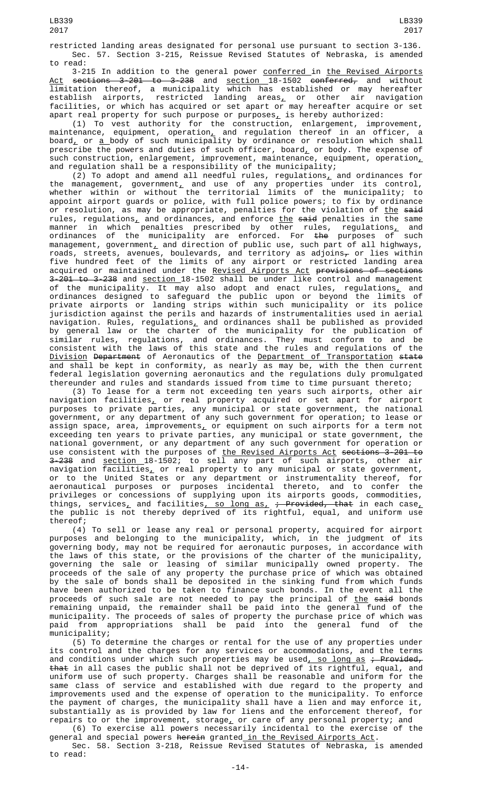restricted landing areas designated for personal use pursuant to section 3-136. Sec. 57. Section 3-215, Reissue Revised Statutes of Nebraska, is amended to read:

3-215 In addition to the general power conferred in the Revised Airports <u>Act</u> <del>sections 3-201 to 3-238</del> and <u>section </u>18-1502 <del>conferred,</del> and without limitation thereof, a municipality which has established or may hereafter establish airports, restricted landing areas<u>,</u> or other air navigation facilities, or which has acquired or set apart or may hereafter acquire or set apart real property for such purpose or purposes $_{{\scriptscriptstyle L}}$  is hereby authorized:

(1) To vest authority for the construction, enlargement, improvement, maintenance, equipment, operation<u>,</u> and regulation thereof in an officer, a board, or <u>a </u>body of such municipality by ordinance or resolution which shall prescribe the powers and duties of such officer, board $_{L}$  or body. The expense of such construction, enlargement, improvement, maintenance, equipment, operation $_{\scriptscriptstyle L}$ and regulation shall be a responsibility of the municipality;

(2) To adopt and amend all needful rules, regulations $_L$  and ordinances for the management, government, and use of any properties under its control, whether within or without the territorial limits of the municipality; to appoint airport guards or police, with full police powers; to fix by ordinance or resolution, as may be appropriate, penalties for the violation of <u>the</u> <del>said</del> rules, regulations<u>,</u> and ordinances, and enforce <u>the</u> <del>said</del> penalties in the same manner in which penalties prescribed by other rules, regulations<u>,</u> and ordinances of the municipality are enforced. For <del>the</del> purposes of such management, government $_{\rm \bot}$  and direction of public use, such part of all highways, roads, streets, avenues, boulevards, and territory as adjoins $_\tau$  or lies within five hundred feet of the limits of any airport or restricted landing area acquired or maintained under the <u>Revised Airports Act</u> <del>provisions of sections</del> 3-201 to 3-238 and section 18-1502 shall be under like control and management of the municipality. It may also adopt and enact rules, regulations $_{\text{{\bf L}}}$  and ordinances designed to safeguard the public upon or beyond the limits of private airports or landing strips within such municipality or its police jurisdiction against the perils and hazards of instrumentalities used in aerial navigation. Rules, regulations<u>,</u> and ordinances shall be published as provided by general law or the charter of the municipality for the publication of similar rules, regulations, and ordinances. They must conform to and be consistent with the laws of this state and the rules and regulations of the Division Department of Aeronautics of the Department of Transportation state and shall be kept in conformity, as nearly as may be, with the then current federal legislation governing aeronautics and the regulations duly promulgated thereunder and rules and standards issued from time to time pursuant thereto;

(3) To lease for a term not exceeding ten years such airports, other air navigation facilities, or real property acquired or set apart for airport purposes to private parties, any municipal or state government, the national government, or any department of any such government for operation; to lease or assign space, area, improvements $_{{\scriptscriptstyle\perp}}$  or equipment on such airports for a term not exceeding ten years to private parties, any municipal or state government, the national government, or any department of any such government for operation or use consistent with the purposes of <u>the Revised Airports Act</u> <del>sections 3-201 to</del> 3<del>-238</del> and <u>section </u>18-1502; to sell any part of such airports, other air navigation facilities $_{\rm \scriptscriptstyle L}$  or real property to any municipal or state government, or to the United States or any department or instrumentality thereof, for aeronautical purposes or purposes incidental thereto, and to confer the privileges or concessions of supplying upon its airports goods, commodities, things, services<u>,</u> and facilities<u>, so long as, <del>; Provided, that</del> in each case,</u> the public is not thereby deprived of its rightful, equal, and uniform use thereof;

(4) To sell or lease any real or personal property, acquired for airport purposes and belonging to the municipality, which, in the judgment of its governing body, may not be required for aeronautic purposes, in accordance with the laws of this state, or the provisions of the charter of the municipality, governing the sale or leasing of similar municipally owned property. The proceeds of the sale of any property the purchase price of which was obtained by the sale of bonds shall be deposited in the sinking fund from which funds have been authorized to be taken to finance such bonds. In the event all the proceeds of such sale are not needed to pay the principal of <u>the</u> <del>said</del> bonds remaining unpaid, the remainder shall be paid into the general fund of the municipality. The proceeds of sales of property the purchase price of which was paid from appropriations shall be paid into the general fund of the municipality;

(5) To determine the charges or rental for the use of any properties under its control and the charges for any services or accommodations, and the terms and conditions under which such properties may be used<u>, so long as</u> <del>; Provided,</del> that in all cases the public shall not be deprived of its rightful, equal, and uniform use of such property. Charges shall be reasonable and uniform for the same class of service and established with due regard to the property and improvements used and the expense of operation to the municipality. To enforce the payment of charges, the municipality shall have a lien and may enforce it, substantially as is provided by law for liens and the enforcement thereof, for repairs to or the improvement, storage, or care of any personal property; and

(6) To exercise all powers necessarily incidental to the exercise of the general and special powers <del>herein</del> granted<u> in the Revised Airports Act</u>.

Sec. 58. Section 3-218, Reissue Revised Statutes of Nebraska, is amended to read: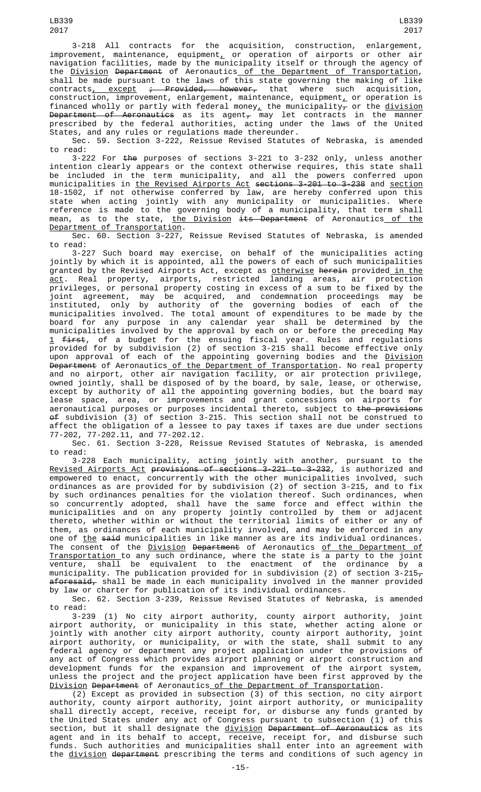3-218 All contracts for the acquisition, construction, enlargement,  $improvement$ , maintenance, equipment, or operation of airports or other air navigation facilities, made by the municipality itself or through the agency of the Division Department of Aeronautics of the Department of Transportation, shall be made pursuant to the laws of this state governing the making of like<br>contracts, except ; Provided, however, that where such acquisition, contracts<u>, except</u> <del>; Provided, however,</del> that where such acquisition, construction, improvement, enlargement, maintenance, equipment<u>,</u> or operation is financed wholly or partly with federal money, the municipality<del>,</del> or the <u>division</u> <del>Department of Aeronautics</del> as its agent $_{\mathcal{T}}$  may let contracts in the manner prescribed by the federal authorities, acting under the laws of the United States, and any rules or regulations made thereunder.

Sec. 59. Section 3-222, Reissue Revised Statutes of Nebraska, is amended to read:

3-222 For <del>the</del> purposes of sections 3-221 to 3-232 only, unless another intention clearly appears or the context otherwise requires, this state shall be included in the term municipality, and all the powers conferred upon municipalities in the Revised Airports Act sections 3-201 to 3-238 and section 18-1502, if not otherwise conferred by law, are hereby conferred upon this state when acting jointly with any municipality or municipalities. Where reference is made to the governing body of a municipality, that term shall mean, as to the state, <u>the Division</u> <del>its Department</del> of Aeronautics<u> of the</u> Department of Transportation.

Sec. 60. Section 3-227, Reissue Revised Statutes of Nebraska, is amended to read:

3-227 Such board may exercise, on behalf of the municipalities acting jointly by which it is appointed, all the powers of each of such municipalities granted by the Revised Airports Act, except as <u>otherwise</u> <del>herein</del> provided<u> in the</u> <u>act</u>. Real property, airports, restricted landing areas, air protection privileges, or personal property costing in excess of a sum to be fixed by the joint agreement, may be acquired, and condemnation proceedings may be instituted, only by authority of the governing bodies of each of the municipalities involved. The total amount of expenditures to be made by the board for any purpose in any calendar year shall be determined by the municipalities involved by the approval by each on or before the preceding May <u>1</u> <del>first</del>, of a budget for the ensuing fiscal year. Rules and regulations provided for by subdivision (2) of section 3-215 shall become effective only upon approval of each of the appointing governing bodies and the Division <del>Department</del> of Aeronautics<u> of the Department of Transportation</u>. No real property and no airport, other air navigation facility, or air protection privilege, owned jointly, shall be disposed of by the board, by sale, lease, or otherwise, except by authority of all the appointing governing bodies, but the board may lease space, area, or improvements and grant concessions on airports for aeronautical purposes or purposes incidental thereto, subject to <del>the provision</del>s  $\Theta$ f subdivision (3) of section 3-215. This section shall not be construed to affect the obligation of a lessee to pay taxes if taxes are due under sections 77-202, 77-202.11, and 77-202.12.

Sec. 61. Section 3-228, Reissue Revised Statutes of Nebraska, is amended to read:

3-228 Each municipality, acting jointly with another, pursuant to the Revised Airports Act provisions of sections 3-221 to 3-232, is authorized and empowered to enact, concurrently with the other municipalities involved, such ordinances as are provided for by subdivision (2) of section 3-215, and to fix by such ordinances penalties for the violation thereof. Such ordinances, when so concurrently adopted, shall have the same force and effect within the municipalities and on any property jointly controlled by them or adjacent thereto, whether within or without the territorial limits of either or any of them, as ordinances of each municipality involved, and may be enforced in any one of the said municipalities in like manner as are its individual ordinances. The consent of the <u>Division</u> <del>Department</del> of Aeronautics <u>of the Department of</u> Transportation to any such ordinance, where the state is a party to the joint venture, shall be equivalent to the enactment of the ordinance by a municipality. The publication provided for in subdivision (2) of section 3-215 $_\tau$ aforesaid, shall be made in each municipality involved in the manner provided by law or charter for publication of its individual ordinances.

Sec. 62. Section 3-239, Reissue Revised Statutes of Nebraska, is amended to read:

3-239 (1) No city airport authority, county airport authority, joint airport authority, or municipality in this state, whether acting alone or jointly with another city airport authority, county airport authority, joint airport authority, or municipality, or with the state, shall submit to any federal agency or department any project application under the provisions of any act of Congress which provides airport planning or airport construction and development funds for the expansion and improvement of the airport system, unless the project and the project application have been first approved by the Division Department of Aeronautics of the Department of Transportation.

 $\overline{(2)}$  Except as provided in subsection (3) of this section, no city airport authority, county airport authority, joint airport authority, or municipality shall directly accept, receive, receipt for, or disburse any funds granted by the United States under any act of Congress pursuant to subsection (1) of this section, but it shall designate the <u>division</u> <del>Department of Aeronautics</del> as its agent and in its behalf to accept, receive, receipt for, and disburse such funds. Such authorities and municipalities shall enter into an agreement with the division department prescribing the terms and conditions of such agency in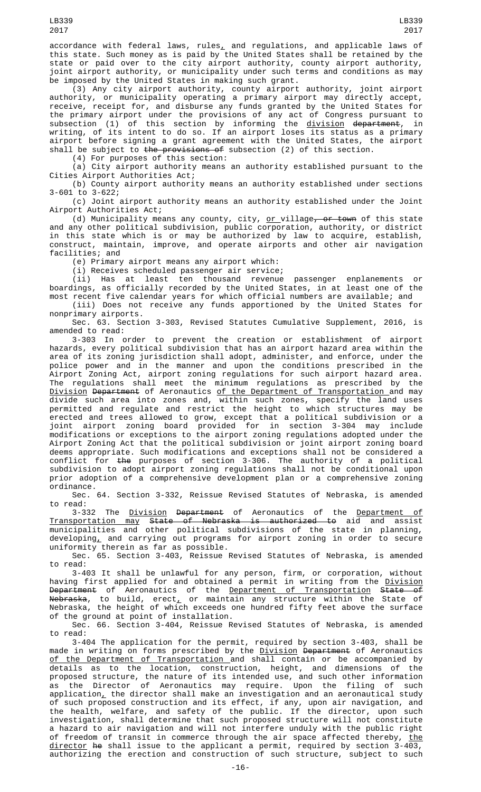accordance with federal laws, rules $_{\rm {\cal L}}$  and regulations, and applicable laws of this state. Such money as is paid by the United States shall be retained by the state or paid over to the city airport authority, county airport authority, joint airport authority, or municipality under such terms and conditions as may be imposed by the United States in making such grant.

(3) Any city airport authority, county airport authority, joint airport authority, or municipality operating a primary airport may directly accept, receive, receipt for, and disburse any funds granted by the United States for the primary airport under the provisions of any act of Congress pursuant to subsection (1) of this section by informing the <u>division</u> d<del>epartment</del>, in writing, of its intent to do so. If an airport loses its status as a primary airport before signing a grant agreement with the United States, the airport shall be subject to the provisions of subsection (2) of this section.

(4) For purposes of this section:

 $(a)$  City airport authority means an authority established pursuant to the Cities Airport Authorities Act;

(b) County airport authority means an authority established under sections 3-601 to 3-622;

(c) Joint airport authority means an authority established under the Joint Airport Authorities Act;

(d) Municipality means any county, city, <u>or village<del>, or town</del> of this state</u> and any other political subdivision, public corporation, authority, or district in this state which is or may be authorized by law to acquire, establish, construct, maintain, improve, and operate airports and other air navigation facilities; and

(e) Primary airport means any airport which:

(i) Receives scheduled passenger air service;

(ii) Has at least ten thousand revenue passenger enplanements or boardings, as officially recorded by the United States, in at least one of the most recent five calendar years for which official numbers are available; and

(iii) Does not receive any funds apportioned by the United States for nonprimary airports.

Sec. 63. Section 3-303, Revised Statutes Cumulative Supplement, 2016, is amended to read:

3-303 In order to prevent the creation or establishment of airport hazards, every political subdivision that has an airport hazard area within the area of its zoning jurisdiction shall adopt, administer, and enforce, under the police power and in the manner and upon the conditions prescribed in the Airport Zoning Act, airport zoning regulations for such airport hazard area. The regulations shall meet the minimum regulations as prescribed by the <u>Division</u> <del>Department</del> of Aeronautics <u>of the Department of Transportation a</u>nd may divide such area into zones and, within such zones, specify the land uses permitted and regulate and restrict the height to which structures may be erected and trees allowed to grow, except that a political subdivision or a joint airport zoning board provided for in section 3-304 may include modifications or exceptions to the airport zoning regulations adopted under the Airport Zoning Act that the political subdivision or joint airport zoning board deems appropriate. Such modifications and exceptions shall not be considered a conflict for the purposes of section 3-306. The authority of a political subdivision to adopt airport zoning regulations shall not be conditional upon prior adoption of a comprehensive development plan or a comprehensive zoning ordinance.

Sec. 64. Section 3-332, Reissue Revised Statutes of Nebraska, is amended to read:

3-332 The Division Department of Aeronautics of the Department of Transportation may State of Nebraska is authorized to aid and assist municipalities and other political subdivisions of the state in planning, developing, and carrying out programs for airport zoning in order to secure uniformity therein as far as possible.

Sec. 65. Section 3-403, Reissue Revised Statutes of Nebraska, is amended to read:

3-403 It shall be unlawful for any person, firm, or corporation, without having first applied for and obtained a permit in writing from the <u>Division</u> <del>Department</del> of Aeronautics of the <u>Department of Transportation</u> <del>State of</del> <del>Nebraska</del>, to build, erect<u>,</u> or maintain any structure within the State of Nebraska, the height of which exceeds one hundred fifty feet above the surface of the ground at point of installation.

Sec. 66. Section 3-404, Reissue Revised Statutes of Nebraska, is amended to read:

3-404 The application for the permit, required by section 3-403, shall be made in writing on forms prescribed by the Division Department of Aeronautics of the Department of Transportation and shall contain or be accompanied by details as to the location, construction, height, and dimensions of the proposed structure, the nature of its intended use, and such other information as the Director of Aeronautics may require. Upon the filing of such application $_{\scriptscriptstyle\! L}$  the director shall make an investigation and an aeronautical study of such proposed construction and its effect, if any, upon air navigation, and the health, welfare, and safety of the public. If the director, upon such investigation, shall determine that such proposed structure will not constitute a hazard to air navigation and will not interfere unduly with the public right of freedom of transit in commerce through the air space affected thereby, <u>the</u> <u>director</u> he shall issue to the applicant a permit, required by section 3-403, authorizing the erection and construction of such structure, subject to such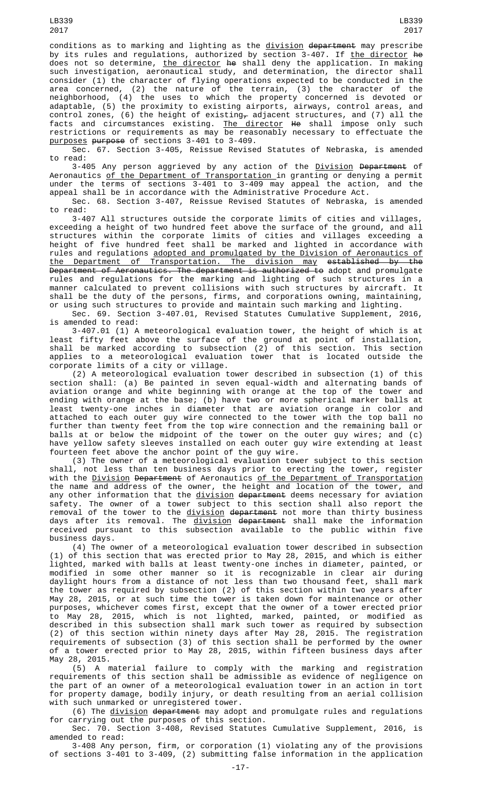LB339

consider (1) the character of flying operations expected to be conducted in the area concerned, (2) the nature of the terrain, (3) the character of the neighborhood, (4) the uses to which the property concerned is devoted or adaptable, (5) the proximity to existing airports, airways, control areas, and control zones, (6) the height of existing<del>,</del> adjacent structures, and (7) all the facts and circumstances existing. <u>The director</u> <del>He</del> shall impose only such restrictions or requirements as may be reasonably necessary to effectuate the purposes purpose of sections 3-401 to 3-409.

Sec. 67. Section 3-405, Reissue Revised Statutes of Nebraska, is amended to read:

3-405 Any person aggrieved by any action of the Division Department of Aeronautics of the Department of Transportation in granting or denying a permit under the terms of sections 3-401 to 3-409 may appeal the action, and the appeal shall be in accordance with the Administrative Procedure Act.

Sec. 68. Section 3-407, Reissue Revised Statutes of Nebraska, is amended to read:

3-407 All structures outside the corporate limits of cities and villages, exceeding a height of two hundred feet above the surface of the ground, and all structures within the corporate limits of cities and villages exceeding a height of five hundred feet shall be marked and lighted in accordance with rules and regulations adopted and promulgated by the Division of Aeronautics of the Department of Transportation. The division may established by the Department of Aeronautics. The department is authorized to adopt and promulgate rules and regulations for the marking and lighting of such structures in a manner calculated to prevent collisions with such structures by aircraft. It shall be the duty of the persons, firms, and corporations owning, maintaining, or using such structures to provide and maintain such marking and lighting.

Sec. 69. Section 3-407.01, Revised Statutes Cumulative Supplement, 2016, is amended to read:

3-407.01 (1) A meteorological evaluation tower, the height of which is at least fifty feet above the surface of the ground at point of installation, shall be marked according to subsection (2) of this section. This section applies to a meteorological evaluation tower that is located outside the corporate limits of a city or village.

(2) A meteorological evaluation tower described in subsection (1) of this section shall: (a) Be painted in seven equal-width and alternating bands of aviation orange and white beginning with orange at the top of the tower and ending with orange at the base; (b) have two or more spherical marker balls at least twenty-one inches in diameter that are aviation orange in color and attached to each outer guy wire connected to the tower with the top ball no further than twenty feet from the top wire connection and the remaining ball or balls at or below the midpoint of the tower on the outer guy wires; and (c) have yellow safety sleeves installed on each outer guy wire extending at least fourteen feet above the anchor point of the guy wire.

(3) The owner of a meteorological evaluation tower subject to this section shall, not less than ten business days prior to erecting the tower, register with the <u>Division</u> <del>Department</del> of Aeronautics <u>of the Department of Transportation</u> the name and address of the owner, the height and location of the tower, and any other information that the <u>division</u> <del>department</del> deems necessary for aviation safety. The owner of a tower subject to this section shall also report the removal of the tower to the <u>division</u> <del>department</del> not more than thirty business days after its removal. The <u>division</u> <del>department</del> shall make the information received pursuant to this subsection available to the public within five business days.

(4) The owner of a meteorological evaluation tower described in subsection (1) of this section that was erected prior to May 28, 2015, and which is either lighted, marked with balls at least twenty-one inches in diameter, painted, or modified in some other manner so it is recognizable in clear air during daylight hours from a distance of not less than two thousand feet, shall mark the tower as required by subsection (2) of this section within two years after May 28, 2015, or at such time the tower is taken down for maintenance or other purposes, whichever comes first, except that the owner of a tower erected prior to May 28, 2015, which is not lighted, marked, painted, or modified as described in this subsection shall mark such tower as required by subsection (2) of this section within ninety days after May 28, 2015. The registration requirements of subsection (3) of this section shall be performed by the owner of a tower erected prior to May 28, 2015, within fifteen business days after May 28, 2015.

(5) A material failure to comply with the marking and registration requirements of this section shall be admissible as evidence of negligence on the part of an owner of a meteorological evaluation tower in an action in tort for property damage, bodily injury, or death resulting from an aerial collision with such unmarked or unregistered tower.

(6) The <u>division</u> <del>department</del> may adopt and promulgate rules and regulations for carrying out the purposes of this section.

Sec. 70. Section 3-408, Revised Statutes Cumulative Supplement, 2016, is amended to read:

3-408 Any person, firm, or corporation (1) violating any of the provisions of sections 3-401 to 3-409, (2) submitting false information in the application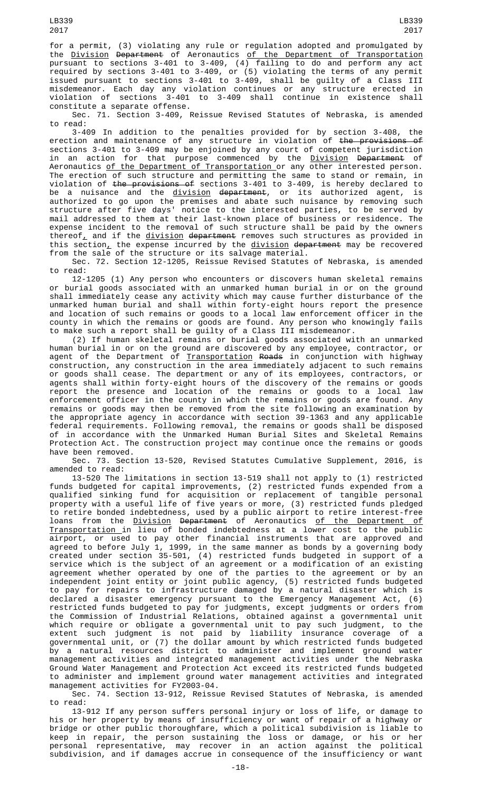for a permit, (3) violating any rule or regulation adopted and promulgated by the <u>Division</u> <del>Department</del> of Aeronautics <u>of the Department of Transportation</u> pursuant to sections 3-401 to 3-409, (4) failing to do and perform any act required by sections 3-401 to 3-409, or (5) violating the terms of any permit issued pursuant to sections 3-401 to 3-409, shall be guilty of a Class III misdemeanor. Each day any violation continues or any structure erected in violation of sections 3-401 to 3-409 shall continue in existence shall constitute a separate offense.

Sec. 71. Section 3-409, Reissue Revised Statutes of Nebraska, is amended to read:

3-409 In addition to the penalties provided for by section 3-408, the erection and maintenance of any structure in violation of <del>the provisions of</del> sections 3-401 to 3-409 may be enjoined by any court of competent jurisdiction in an action for that purpose commenced by the <u>Division</u> <del>Department</del> of Aeronautics <u>of the Department of Transportation </u>or any other interested person. The erection of such structure and permitting the same to stand or remain, in violation of <del>the provisions of</del> sections 3-401 to 3-409, is hereby declared to be a nuisance and the <u>division</u> <del>department</del>, or its authorized agent, is authorized to go upon the premises and abate such nuisance by removing such structure after five days' notice to the interested parties, to be served by mail addressed to them at their last-known place of business or residence. The expense incident to the removal of such structure shall be paid by the owners thereof<sub> $<sub>L</sub>$  and if the division department removes such structures as provided in</sub></sub> this section<u>,</u> the expense incurred by the <u>division</u> <del>department</del> may be recovered from the sale of the structure or its salvage material.

Sec. 72. Section 12-1205, Reissue Revised Statutes of Nebraska, is amended to read:

12-1205 (1) Any person who encounters or discovers human skeletal remains or burial goods associated with an unmarked human burial in or on the ground shall immediately cease any activity which may cause further disturbance of the unmarked human burial and shall within forty-eight hours report the presence and location of such remains or goods to a local law enforcement officer in the county in which the remains or goods are found. Any person who knowingly fails to make such a report shall be guilty of a Class III misdemeanor.

(2) If human skeletal remains or burial goods associated with an unmarked human burial in or on the ground are discovered by any employee, contractor, or agent of the Department of <u>Transportation</u> <del>Roads</del> in conjunction with highway construction, any construction in the area immediately adjacent to such remains or goods shall cease. The department or any of its employees, contractors, or agents shall within forty-eight hours of the discovery of the remains or goods report the presence and location of the remains or goods to a local law enforcement officer in the county in which the remains or goods are found. Any remains or goods may then be removed from the site following an examination by the appropriate agency in accordance with section 39-1363 and any applicable federal requirements. Following removal, the remains or goods shall be disposed of in accordance with the Unmarked Human Burial Sites and Skeletal Remains Protection Act. The construction project may continue once the remains or goods have been removed.

Sec. 73. Section 13-520, Revised Statutes Cumulative Supplement, 2016, is amended to read:

13-520 The limitations in section 13-519 shall not apply to (1) restricted funds budgeted for capital improvements, (2) restricted funds expended from a qualified sinking fund for acquisition or replacement of tangible personal property with a useful life of five years or more, (3) restricted funds pledged to retire bonded indebtedness, used by a public airport to retire interest-free loans from the <u>Division</u> <del>Department</del> of Aeronautics <u>of the Department of</u> Transportation in lieu of bonded indebtedness at a lower cost to the public airport, or used to pay other financial instruments that are approved and agreed to before July 1, 1999, in the same manner as bonds by a governing body created under section 35-501, (4) restricted funds budgeted in support of a service which is the subject of an agreement or a modification of an existing agreement whether operated by one of the parties to the agreement or by an independent joint entity or joint public agency, (5) restricted funds budgeted to pay for repairs to infrastructure damaged by a natural disaster which is declared a disaster emergency pursuant to the Emergency Management Act, (6) restricted funds budgeted to pay for judgments, except judgments or orders from the Commission of Industrial Relations, obtained against a governmental unit which require or obligate a governmental unit to pay such judgment, to the extent such judgment is not paid by liability insurance coverage of a governmental unit, or (7) the dollar amount by which restricted funds budgeted by a natural resources district to administer and implement ground water management activities and integrated management activities under the Nebraska Ground Water Management and Protection Act exceed its restricted funds budgeted to administer and implement ground water management activities and integrated management activities for FY2003-04.

Sec. 74. Section 13-912, Reissue Revised Statutes of Nebraska, is amended to read:

13-912 If any person suffers personal injury or loss of life, or damage to his or her property by means of insufficiency or want of repair of a highway or bridge or other public thoroughfare, which a political subdivision is liable to keep in repair, the person sustaining the loss or damage, or his or her personal representative, may recover in an action against the political subdivision, and if damages accrue in consequence of the insufficiency or want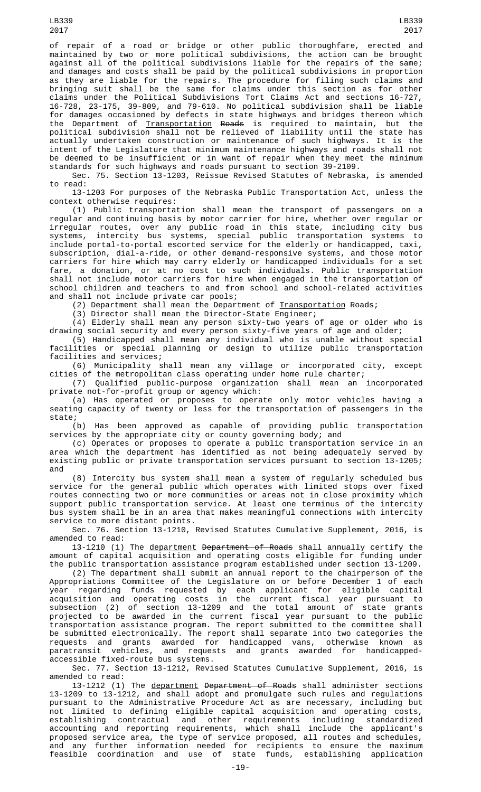LB339 2017

of repair of a road or bridge or other public thoroughfare, erected and maintained by two or more political subdivisions, the action can be brought against all of the political subdivisions liable for the repairs of the same; and damages and costs shall be paid by the political subdivisions in proportion as they are liable for the repairs. The procedure for filing such claims and

bringing suit shall be the same for claims under this section as for other claims under the Political Subdivisions Tort Claims Act and sections 16-727, 16-728, 23-175, 39-809, and 79-610. No political subdivision shall be liable for damages occasioned by defects in state highways and bridges thereon which the Department of <u>Transportation</u> <del>Roads</del> is required to maintain, but the political subdivision shall not be relieved of liability until the state has actually undertaken construction or maintenance of such highways. It is the intent of the Legislature that minimum maintenance highways and roads shall not be deemed to be insufficient or in want of repair when they meet the minimum standards for such highways and roads pursuant to section 39-2109.

Sec. 75. Section 13-1203, Reissue Revised Statutes of Nebraska, is amended to read:

13-1203 For purposes of the Nebraska Public Transportation Act, unless the context otherwise requires:

(1) Public transportation shall mean the transport of passengers on a regular and continuing basis by motor carrier for hire, whether over regular or irregular routes, over any public road in this state, including city bus systems, intercity bus systems, special public transportation systems to include portal-to-portal escorted service for the elderly or handicapped, taxi, subscription, dial-a-ride, or other demand-responsive systems, and those motor carriers for hire which may carry elderly or handicapped individuals for a set fare, a donation, or at no cost to such individuals. Public transportation shall not include motor carriers for hire when engaged in the transportation of school children and teachers to and from school and school-related activities and shall not include private car pools;

(2) Department shall mean the Department of <u>Transportation</u> Roads;

(3) Director shall mean the Director-State Engineer;

(4) Elderly shall mean any person sixty-two years of age or older who is drawing social security and every person sixty-five years of age and older;

(5) Handicapped shall mean any individual who is unable without special facilities or special planning or design to utilize public transportation facilities and services;

(6) Municipality shall mean any village or incorporated city, except cities of the metropolitan class operating under home rule charter;

(7) Qualified public-purpose organization shall mean an incorporated private not-for-profit group or agency which:

(a) Has operated or proposes to operate only motor vehicles having a seating capacity of twenty or less for the transportation of passengers in the state;

(b) Has been approved as capable of providing public transportation services by the appropriate city or county governing body; and

(c) Operates or proposes to operate a public transportation service in an area which the department has identified as not being adequately served by existing public or private transportation services pursuant to section 13-1205; and

(8) Intercity bus system shall mean a system of regularly scheduled bus service for the general public which operates with limited stops over fixed routes connecting two or more communities or areas not in close proximity which support public transportation service. At least one terminus of the intercity bus system shall be in an area that makes meaningful connections with intercity service to more distant points.

Sec. 76. Section 13-1210, Revised Statutes Cumulative Supplement, 2016, is amended to read:

13-1210 (1) The department Department of Roads shall annually certify the amount of capital acquisition and operating costs eligible for funding under the public transportation assistance program established under section 13-1209.

(2) The department shall submit an annual report to the chairperson of the Appropriations Committee of the Legislature on or before December 1 of each year regarding funds requested by each applicant for eligible capital acquisition and operating costs in the current fiscal year pursuant to subsection (2) of section 13-1209 and the total amount of state grants projected to be awarded in the current fiscal year pursuant to the public transportation assistance program. The report submitted to the committee shall be submitted electronically. The report shall separate into two categories the requests and grants awarded for handicapped vans, otherwise known as paratransit vehicles, and requests and grants awarded for handicappedaccessible fixed-route bus systems.

Sec. 77. Section 13-1212, Revised Statutes Cumulative Supplement, 2016, is amended to read:

13-1212 (1) The department Department of Roads shall administer sections 13-1209 to 13-1212, and shall adopt and promulgate such rules and regulations pursuant to the Administrative Procedure Act as are necessary, including but not limited to defining eligible capital acquisition and operating costs, establishing contractual and other requirements including standardized accounting and reporting requirements, which shall include the applicant's proposed service area, the type of service proposed, all routes and schedules, and any further information needed for recipients to ensure the maximum feasible coordination and use of state funds, establishing application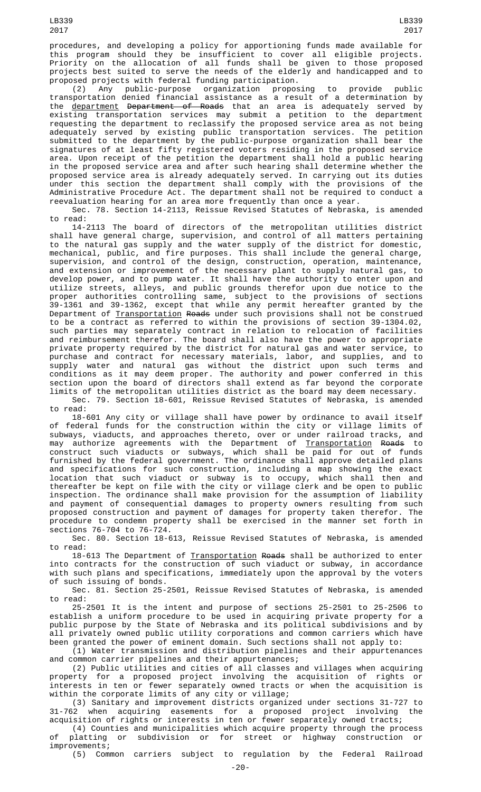procedures, and developing a policy for apportioning funds made available for this program should they be insufficient to cover all eligible projects. Priority on the allocation of all funds shall be given to those proposed projects best suited to serve the needs of the elderly and handicapped and to proposed projects with federal funding participation.

(2) Any public-purpose organization proposing to provide public transportation denied financial assistance as a result of a determination by the <u>department</u> <del>Department of Roads</del> that an area is adequately served by existing transportation services may submit a petition to the department requesting the department to reclassify the proposed service area as not being adequately served by existing public transportation services. The petition submitted to the department by the public-purpose organization shall bear the signatures of at least fifty registered voters residing in the proposed service area. Upon receipt of the petition the department shall hold a public hearing in the proposed service area and after such hearing shall determine whether the proposed service area is already adequately served. In carrying out its duties under this section the department shall comply with the provisions of the Administrative Procedure Act. The department shall not be required to conduct a reevaluation hearing for an area more frequently than once a year.

Sec. 78. Section 14-2113, Reissue Revised Statutes of Nebraska, is amended to read:

14-2113 The board of directors of the metropolitan utilities district shall have general charge, supervision, and control of all matters pertaining to the natural gas supply and the water supply of the district for domestic, mechanical, public, and fire purposes. This shall include the general charge, supervision, and control of the design, construction, operation, maintenance, and extension or improvement of the necessary plant to supply natural gas, to develop power, and to pump water. It shall have the authority to enter upon and utilize streets, alleys, and public grounds therefor upon due notice to the proper authorities controlling same, subject to the provisions of sections 39-1361 and 39-1362, except that while any permit hereafter granted by the Department of <u>Transportation</u> <del>Roads</del> under such provisions shall not be construed to be a contract as referred to within the provisions of section 39-1304.02, such parties may separately contract in relation to relocation of facilities and reimbursement therefor. The board shall also have the power to appropriate private property required by the district for natural gas and water service, to purchase and contract for necessary materials, labor, and supplies, and to supply water and natural gas without the district upon such terms and conditions as it may deem proper. The authority and power conferred in this section upon the board of directors shall extend as far beyond the corporate limits of the metropolitan utilities district as the board may deem necessary.

Sec. 79. Section 18-601, Reissue Revised Statutes of Nebraska, is amended to read:

18-601 Any city or village shall have power by ordinance to avail itself of federal funds for the construction within the city or village limits of subways, viaducts, and approaches thereto, over or under railroad tracks, and may authorize agreements with the Department of <u>Transportation</u> <del>Roads</del> to construct such viaducts or subways, which shall be paid for out of funds furnished by the federal government. The ordinance shall approve detailed plans and specifications for such construction, including a map showing the exact location that such viaduct or subway is to occupy, which shall then and thereafter be kept on file with the city or village clerk and be open to public inspection. The ordinance shall make provision for the assumption of liability and payment of consequential damages to property owners resulting from such proposed construction and payment of damages for property taken therefor. The procedure to condemn property shall be exercised in the manner set forth in sections 76-704 to 76-724.

Sec. 80. Section 18-613, Reissue Revised Statutes of Nebraska, is amended to read:

18-613 The Department of Transportation Roads shall be authorized to enter into contracts for the construction of such viaduct or subway, in accordance with such plans and specifications, immediately upon the approval by the voters of such issuing of bonds.

Sec. 81. Section 25-2501, Reissue Revised Statutes of Nebraska, is amended to read:

25-2501 It is the intent and purpose of sections 25-2501 to 25-2506 to establish a uniform procedure to be used in acquiring private property for a public purpose by the State of Nebraska and its political subdivisions and by all privately owned public utility corporations and common carriers which have been granted the power of eminent domain. Such sections shall not apply to:

(1) Water transmission and distribution pipelines and their appurtenances and common carrier pipelines and their appurtenances;

(2) Public utilities and cities of all classes and villages when acquiring property for a proposed project involving the acquisition of rights or interests in ten or fewer separately owned tracts or when the acquisition is within the corporate limits of any city or village;

(3) Sanitary and improvement districts organized under sections 31-727 to 31-762 when acquiring easements for a proposed project involving the acquisition of rights or interests in ten or fewer separately owned tracts;

(4) Counties and municipalities which acquire property through the process of platting or subdivision or for street or highway construction or improvements;

(5) Common carriers subject to regulation by the Federal Railroad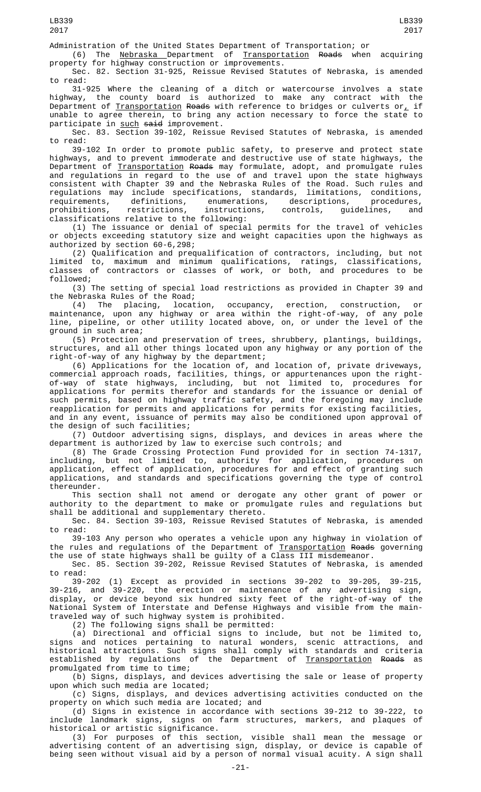(6) The <u>Nebraska </u>Department of <u>Transportation</u> <del>Roads</del> when acquiring property for highway construction or improvements.

Sec. 82. Section 31-925, Reissue Revised Statutes of Nebraska, is amended to read:

31-925 Where the cleaning of a ditch or watercourse involves a state highway, the county board is authorized to make any contract with the Department of <u>Transportation</u> <del>Roads</del> with reference to bridges or culverts or<u>,</u> if unable to agree therein, to bring any action necessary to force the state to participate in such said improvement.

Sec. 83. Section 39-102, Reissue Revised Statutes of Nebraska, is amended to read:

39-102 In order to promote public safety, to preserve and protect state highways, and to prevent immoderate and destructive use of state highways, the Department of <u>Transportation</u> <del>Roads</del> may formulate, adopt, and promulgate rules and regulations in regard to the use of and travel upon the state highways consistent with Chapter 39 and the Nebraska Rules of the Road. Such rules and regulations may include specifications, standards, limitations, conditions, requirements, definitions, enumerations, descriptions, procedures, prohibitions, restrictions, instructions, controls, guidelines, and classifications relative to the following:

(1) The issuance or denial of special permits for the travel of vehicles or objects exceeding statutory size and weight capacities upon the highways as authorized by section 60-6,298;

(2) Qualification and prequalification of contractors, including, but not limited to, maximum and minimum qualifications, ratings, classifications, classes of contractors or classes of work, or both, and procedures to be followed;

(3) The setting of special load restrictions as provided in Chapter 39 and the Nebraska Rules of the Road;

(4) The placing, location, occupancy, erection, construction, or maintenance, upon any highway or area within the right-of-way, of any pole line, pipeline, or other utility located above, on, or under the level of the ground in such area;

(5) Protection and preservation of trees, shrubbery, plantings, buildings, structures, and all other things located upon any highway or any portion of the right-of-way of any highway by the department;

(6) Applications for the location of, and location of, private driveways, commercial approach roads, facilities, things, or appurtenances upon the rightof-way of state highways, including, but not limited to, procedures for applications for permits therefor and standards for the issuance or denial of such permits, based on highway traffic safety, and the foregoing may include reapplication for permits and applications for permits for existing facilities, and in any event, issuance of permits may also be conditioned upon approval of the design of such facilities;

(7) Outdoor advertising signs, displays, and devices in areas where the department is authorized by law to exercise such controls; and

(8) The Grade Crossing Protection Fund provided for in section 74-1317, including, but not limited to, authority for application, procedures on application, effect of application, procedures for and effect of granting such applications, and standards and specifications governing the type of control thereunder.

This section shall not amend or derogate any other grant of power or authority to the department to make or promulgate rules and regulations but shall be additional and supplementary thereto.

Sec. 84. Section 39-103, Reissue Revised Statutes of Nebraska, is amended to read:

39-103 Any person who operates a vehicle upon any highway in violation of the rules and regulations of the Department of Transportation Roads governing the use of state highways shall be guilty of a Class III misdemeanor.

Sec. 85. Section 39-202, Reissue Revised Statutes of Nebraska, is amended to read:

39-202 (1) Except as provided in sections 39-202 to 39-205, 39-215, 39-216, and 39-220, the erection or maintenance of any advertising sign, display, or device beyond six hundred sixty feet of the right-of-way of the National System of Interstate and Defense Highways and visible from the maintraveled way of such highway system is prohibited.

(2) The following signs shall be permitted:

(a) Directional and official signs to include, but not be limited to, signs and notices pertaining to natural wonders, scenic attractions, and historical attractions. Such signs shall comply with standards and criteria established by regulations of the Department of <u>Transportation</u> <del>Roads</del> as promulgated from time to time;

(b) Signs, displays, and devices advertising the sale or lease of property upon which such media are located;

(c) Signs, displays, and devices advertising activities conducted on the property on which such media are located; and

(d) Signs in existence in accordance with sections 39-212 to 39-222, to include landmark signs, signs on farm structures, markers, and plaques of historical or artistic significance.

(3) For purposes of this section, visible shall mean the message or advertising content of an advertising sign, display, or device is capable of being seen without visual aid by a person of normal visual acuity. A sign shall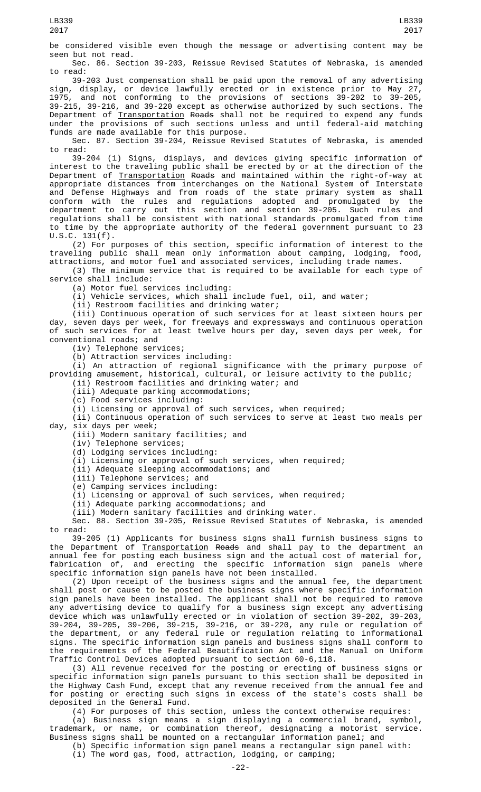be considered visible even though the message or advertising content may be seen but not read.

Sec. 86. Section 39-203, Reissue Revised Statutes of Nebraska, is amended to read:

39-203 Just compensation shall be paid upon the removal of any advertising sign, display, or device lawfully erected or in existence prior to May 27, 1975, and not conforming to the provisions of sections 39-202 to 39-205, 39-215, 39-216, and 39-220 except as otherwise authorized by such sections. The Department of <u>Transportation</u> <del>Roads</del> shall not be required to expend any funds under the provisions of such sections unless and until federal-aid matching funds are made available for this purpose.

Sec. 87. Section 39-204, Reissue Revised Statutes of Nebraska, is amended to read:

39-204 (1) Signs, displays, and devices giving specific information of interest to the traveling public shall be erected by or at the direction of the Department of Transportation Roads and maintained within the right-of-way at appropriate distances from interchanges on the National System of Interstate and Defense Highways and from roads of the state primary system as shall conform with the rules and regulations adopted and promulgated by the department to carry out this section and section 39-205. Such rules and regulations shall be consistent with national standards promulgated from time to time by the appropriate authority of the federal government pursuant to 23  $U.S.C. 131(f).$ 

(2) For purposes of this section, specific information of interest to the traveling public shall mean only information about camping, lodging, food, attractions, and motor fuel and associated services, including trade names.

(3) The minimum service that is required to be available for each type of service shall include:

(a) Motor fuel services including:

 $(i)$  Vehicle services, which shall include fuel, oil, and water;

(ii) Restroom facilities and drinking water;

(iii) Continuous operation of such services for at least sixteen hours per day, seven days per week, for freeways and expressways and continuous operation of such services for at least twelve hours per day, seven days per week, for conventional roads; and

(iv) Telephone services;

(b) Attraction services including:

(i) An attraction of regional significance with the primary purpose of providing amusement, historical, cultural, or leisure activity to the public;

(ii) Restroom facilities and drinking water; and

(iii) Adequate parking accommodations;

(c) Food services including:

(i) Licensing or approval of such services, when required;

(ii) Continuous operation of such services to serve at least two meals per day, six days per week;

(iii) Modern sanitary facilities; and

(iv) Telephone services;

(d) Lodging services including:

(i) Licensing or approval of such services, when required;

(ii) Adequate sleeping accommodations; and

(iii) Telephone services; and

(e) Camping services including:

(i) Licensing or approval of such services, when required;

(ii) Adequate parking accommodations; and

(iii) Modern sanitary facilities and drinking water.

Sec. 88. Section 39-205, Reissue Revised Statutes of Nebraska, is amended to read:

39-205 (1) Applicants for business signs shall furnish business signs to the Department of <u>Transportation</u> <del>Roads</del> and shall pay to the department an annual fee for posting each business sign and the actual cost of material for, fabrication of, and erecting the specific information sign panels where specific information sign panels have not been installed.

(2) Upon receipt of the business signs and the annual fee, the department shall post or cause to be posted the business signs where specific information sign panels have been installed. The applicant shall not be required to remove any advertising device to qualify for a business sign except any advertising device which was unlawfully erected or in violation of section 39-202, 39-203, 39-204, 39-205, 39-206, 39-215, 39-216, or 39-220, any rule or regulation of the department, or any federal rule or regulation relating to informational signs. The specific information sign panels and business signs shall conform to the requirements of the Federal Beautification Act and the Manual on Uniform Traffic Control Devices adopted pursuant to section 60-6,118.

(3) All revenue received for the posting or erecting of business signs or specific information sign panels pursuant to this section shall be deposited in the Highway Cash Fund, except that any revenue received from the annual fee and for posting or erecting such signs in excess of the state's costs shall be deposited in the General Fund.

(4) For purposes of this section, unless the context otherwise requires:

 $\overline{a}$ ) Business sign means a sign displaying a commercial brand, symbol,<br>mark, or name, or combination thereof, designating a motorist service. trademark, or name, or combination thereof, designating a motorist service. Business signs shall be mounted on a rectangular information panel; and

(b) Specific information sign panel means a rectangular sign panel with: (i) The word gas, food, attraction, lodging, or camping;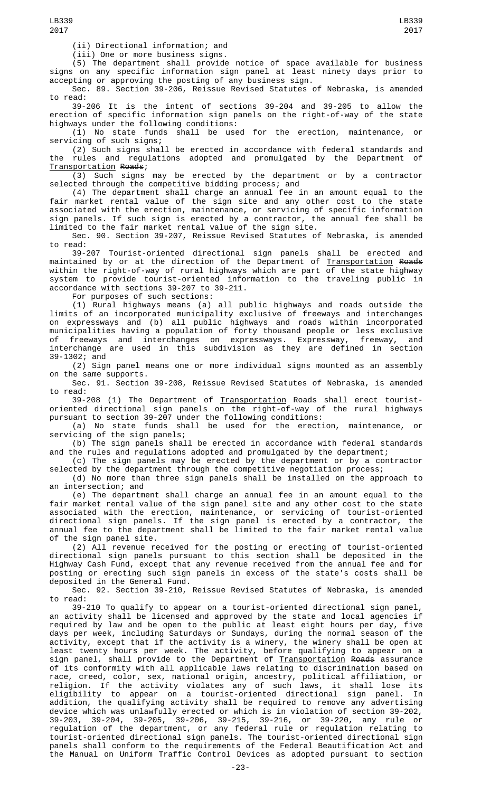(ii) Directional information; and

(iii) One or more business signs.

(5) The department shall provide notice of space available for business signs on any specific information sign panel at least ninety days prior to accepting or approving the posting of any business sign.

Sec. 89. Section 39-206, Reissue Revised Statutes of Nebraska, is amended to read:

39-206 It is the intent of sections 39-204 and 39-205 to allow the erection of specific information sign panels on the right-of-way of the state highways under the following conditions:

(1) No state funds shall be used for the erection, maintenance, or servicing of such signs;

(2) Such signs shall be erected in accordance with federal standards and the rules and regulations adopted and promulgated by the Department of Transportation Roads;

(3) Such signs may be erected by the department or by a contractor selected through the competitive bidding process; and

(4) The department shall charge an annual fee in an amount equal to the fair market rental value of the sign site and any other cost to the state associated with the erection, maintenance, or servicing of specific information sign panels. If such sign is erected by a contractor, the annual fee shall be limited to the fair market rental value of the sign site.

Sec. 90. Section 39-207, Reissue Revised Statutes of Nebraska, is amended to read:<br>39-207

Tourist-oriented directional sign panels shall be erected and maintained by or at the direction of the Department of <u>Transportation</u> <del>Roads</del> within the right-of-way of rural highways which are part of the state highway system to provide tourist-oriented information to the traveling public in accordance with sections 39-207 to 39-211.

For purposes of such sections:

(1) Rural highways means (a) all public highways and roads outside the limits of an incorporated municipality exclusive of freeways and interchanges on expressways and (b) all public highways and roads within incorporated municipalities having a population of forty thousand people or less exclusive of freeways and interchanges on expressways. Expressway, freeway, and interchange are used in this subdivision as they are defined in section 39-1302; and

(2) Sign panel means one or more individual signs mounted as an assembly on the same supports.

Sec. 91. Section 39-208, Reissue Revised Statutes of Nebraska, is amended to read:

....<br>39-208 (1) The Department of <u>Transportation</u> <del>Roads</del> shall erect touristoriented directional sign panels on the right-of-way of the rural highways pursuant to section 39-207 under the following conditions:

(a) No state funds shall be used for the erection, maintenance, or servicing of the sign panels;

(b) The sign panels shall be erected in accordance with federal standards and the rules and regulations adopted and promulgated by the department;

(c) The sign panels may be erected by the department or by a contractor selected by the department through the competitive negotiation process;

(d) No more than three sign panels shall be installed on the approach to an intersection; and

(e) The department shall charge an annual fee in an amount equal to the fair market rental value of the sign panel site and any other cost to the state associated with the erection, maintenance, or servicing of tourist-oriented directional sign panels. If the sign panel is erected by a contractor, the annual fee to the department shall be limited to the fair market rental value of the sign panel site.

(2) All revenue received for the posting or erecting of tourist-oriented directional sign panels pursuant to this section shall be deposited in the Highway Cash Fund, except that any revenue received from the annual fee and for posting or erecting such sign panels in excess of the state's costs shall be deposited in the General Fund.

Sec. 92. Section 39-210, Reissue Revised Statutes of Nebraska, is amended to read:

39-210 To qualify to appear on a tourist-oriented directional sign panel, an activity shall be licensed and approved by the state and local agencies if required by law and be open to the public at least eight hours per day, five days per week, including Saturdays or Sundays, during the normal season of the activity, except that if the activity is a winery, the winery shall be open at least twenty hours per week. The activity, before qualifying to appear on a sign panel, shall provide to the Department of <u>Transportation</u> <del>Roads</del> assurance of its conformity with all applicable laws relating to discrimination based on race, creed, color, sex, national origin, ancestry, political affiliation, or religion. If the activity violates any of such laws, it shall lose its eligibility to appear on a tourist-oriented directional sign panel. In addition, the qualifying activity shall be required to remove any advertising device which was unlawfully erected or which is in violation of section 39-202, 39-203, 39-204, 39-205, 39-206, 39-215, 39-216, or 39-220, any rule or regulation of the department, or any federal rule or regulation relating to tourist-oriented directional sign panels. The tourist-oriented directional sign panels shall conform to the requirements of the Federal Beautification Act and the Manual on Uniform Traffic Control Devices as adopted pursuant to section

LB339 2017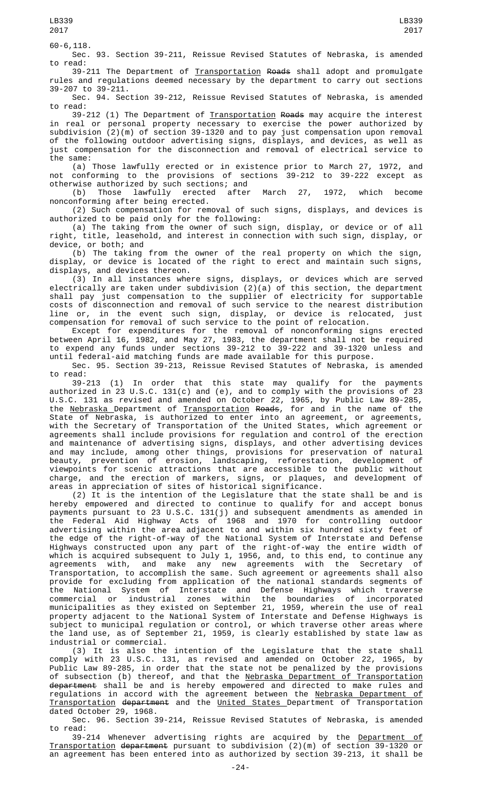LB339 2017

60-6,118. Sec. 93. Section 39-211, Reissue Revised Statutes of Nebraska, is amended to read:

39-211 The Department of Transportation Roads shall adopt and promulgate rules and regulations deemed necessary by the department to carry out sections 39-207 to 39-211.

Sec. 94. Section 39-212, Reissue Revised Statutes of Nebraska, is amended to read:

39-212 (1) The Department of Transportation Roads may acquire the interest in real or personal property necessary to exercise the power authorized by subdivision (2)(m) of section 39-1320 and to pay just compensation upon removal of the following outdoor advertising signs, displays, and devices, as well as just compensation for the disconnection and removal of electrical service to the same:

(a) Those lawfully erected or in existence prior to March 27, 1972, and not conforming to the provisions of sections 39-212 to 39-222 except as otherwise authorized by such sections; and<br>(b) Those lawfully erected after

(b) Those lawfully erected after March 27, 1972, which become nonconforming after being erected.

(2) Such compensation for removal of such signs, displays, and devices is authorized to be paid only for the following:

(a) The taking from the owner of such sign, display, or device or of all right, title, leasehold, and interest in connection with such sign, display, or device, or both; and

(b) The taking from the owner of the real property on which the sign, display, or device is located of the right to erect and maintain such signs, displays, and devices thereon.

(3) In all instances where signs, displays, or devices which are served electrically are taken under subdivision (2)(a) of this section, the department shall pay just compensation to the supplier of electricity for supportable costs of disconnection and removal of such service to the nearest distribution line or, in the event such sign, display, or device is relocated, just compensation for removal of such service to the point of relocation.

Except for expenditures for the removal  $of$  nonconforming signs erected between April 16, 1982, and May 27, 1983, the department shall not be required to expend any funds under sections 39-212 to 39-222 and 39-1320 unless and until federal-aid matching funds are made available for this purpose.

Sec. 95. Section 39-213, Reissue Revised Statutes of Nebraska, is amended to read:

39-213 (1) In order that this state may qualify for the payments authorized in 23 U.S.C. 131(c) and (e), and to comply with the provisions of 23 U.S.C. 131 as revised and amended on October 22, 1965, by Public Law 89-285, the <u>Nebraska </u>Department of <u>Transportation</u> R<del>oads</del>, for and in the name of the State of Nebraska, is authorized to enter into an agreement, or agreements, with the Secretary of Transportation of the United States, which agreement or agreements shall include provisions for regulation and control of the erection and maintenance of advertising signs, displays, and other advertising devices and may include, among other things, provisions for preservation of natural beauty, prevention of erosion, landscaping, reforestation, development of viewpoints for scenic attractions that are accessible to the public without charge, and the erection of markers, signs, or plaques, and development of areas in appreciation of sites of historical significance.

(2) It is the intention of the Legislature that the state shall be and is hereby empowered and directed to continue to qualify for and accept bonus payments pursuant to 23 U.S.C. 131(j) and subsequent amendments as amended in the Federal Aid Highway Acts of 1968 and 1970 for controlling outdoor advertising within the area adjacent to and within six hundred sixty feet of the edge of the right-of-way of the National System of Interstate and Defense Highways constructed upon any part of the right-of-way the entire width of which is acquired subsequent to July 1, 1956, and, to this end, to continue any agreements with, and make any new agreements with the Secretary of Transportation, to accomplish the same. Such agreement or agreements shall also provide for excluding from application of the national standards segments of the National System of Interstate and Defense Highways which traverse commercial or industrial zones within the boundaries of incorporated municipalities as they existed on September 21, 1959, wherein the use of real property adjacent to the National System of Interstate and Defense Highways is subject to municipal regulation or control, or which traverse other areas where the land use, as of September 21, 1959, is clearly established by state law as industrial or commercial.

(3) It is also the intention of the Legislature that the state shall comply with 23 U.S.C. 131, as revised and amended on October 22, 1965, by Public Law 89-285, in order that the state not be penalized by the provisions of subsection (b) thereof, and that the <u>Nebraska Department of Transportation</u> <del>department</del> shall be and is hereby empowered and directed to make rules and regulations in accord with the agreement between the Nebraska Department of Transportation department and the United States Department of Transportation dated October 29, 1968.

Sec. 96. Section 39-214, Reissue Revised Statutes of Nebraska, is amended to read:

39-214 Whenever advertising rights are acquired by the Department of Transportation department pursuant to subdivision (2)(m) of section 39-1320 or an agreement has been entered into as authorized by section 39-213, it shall be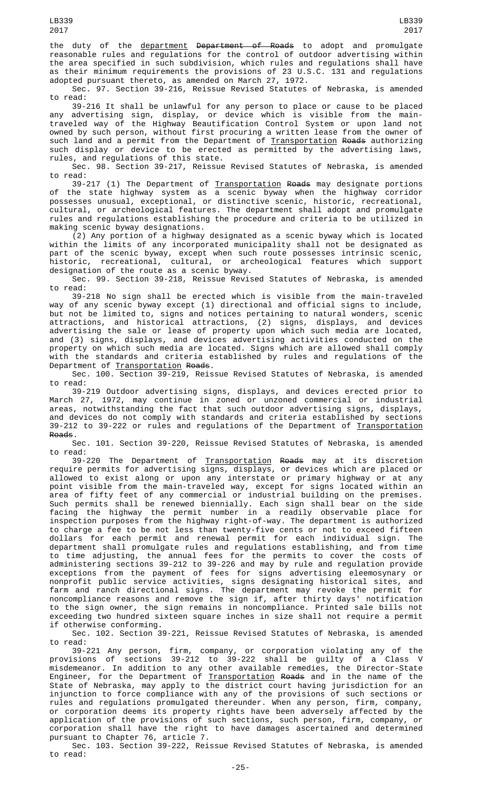the duty of the <u>department</u> <del>Department of Roads</del> to adopt and promulgate reasonable rules and regulations for the control of outdoor advertising within the area specified in such subdivision, which rules and regulations shall have as their minimum requirements the provisions of 23 U.S.C. 131 and regulations adopted pursuant thereto, as amended on March 27, 1972.

Sec. 97. Section 39-216, Reissue Revised Statutes of Nebraska, is amended to read:

39-216 It shall be unlawful for any person to place or cause to be placed any advertising sign, display, or device which is visible from the maintraveled way of the Highway Beautification Control System or upon land not owned by such person, without first procuring a written lease from the owner of such land and a permit from the Department of <u>Transportation</u> <del>Roads</del> authorizing such display or device to be erected as permitted by the advertising laws, rules, and regulations of this state.

Sec. 98. Section 39-217, Reissue Revised Statutes of Nebraska, is amended to read:

39-217 (1) The Department of <u>Transportation</u> <del>Roads</del> may designate portions of the state highway system as a scenic byway when the highway corridor possesses unusual, exceptional, or distinctive scenic, historic, recreational, cultural, or archeological features. The department shall adopt and promulgate rules and regulations establishing the procedure and criteria to be utilized in making scenic byway designations.

(2) Any portion of a highway designated as a scenic byway which is located within the limits of any incorporated municipality shall not be designated as part of the scenic byway, except when such route possesses intrinsic scenic, historic, recreational, cultural, or archeological features which support designation of the route as a scenic byway.

Sec. 99. Section 39-218, Reissue Revised Statutes of Nebraska, is amended to read:

39-218 No sign shall be erected which is visible from the main-traveled way of any scenic byway except (1) directional and official signs to include, but not be limited to, signs and notices pertaining to natural wonders, scenic attractions, and historical attractions, (2) signs, displays, and devices advertising the sale or lease of property upon which such media are located, and (3) signs, displays, and devices advertising activities conducted on the property on which such media are located. Signs which are allowed shall comply with the standards and criteria established by rules and regulations of the Department of Transportation Roads.

Sec. 100. Section 39-219, Reissue Revised Statutes of Nebraska, is amended to read:

39-219 Outdoor advertising signs, displays, and devices erected prior to March 27, 1972, may continue in zoned or unzoned commercial or industrial areas, notwithstanding the fact that such outdoor advertising signs, displays, and devices do not comply with standards and criteria established by sections 39-212 to 39-222 or rules and regulations of the Department of <u>Transportation</u> Roads.

Sec. 101. Section 39-220, Reissue Revised Statutes of Nebraska, is amended to read:

39-220 The Department of Transportation Roads may at its discretion require permits for advertising signs, displays, or devices which are placed or allowed to exist along or upon any interstate or primary highway or at any point visible from the main-traveled way, except for signs located within an area of fifty feet of any commercial or industrial building on the premises. Such permits shall be renewed biennially. Each sign shall bear on the side facing the highway the permit number in a readily observable place for inspection purposes from the highway right-of-way. The department is authorized to charge a fee to be not less than twenty-five cents or not to exceed fifteen dollars for each permit and renewal permit for each individual sign. The department shall promulgate rules and regulations establishing, and from time to time adjusting, the annual fees for the permits to cover the costs of administering sections 39-212 to 39-226 and may by rule and regulation provide exceptions from the payment of fees for signs advertising eleemosynary or nonprofit public service activities, signs designating historical sites, and farm and ranch directional signs. The department may revoke the permit for noncompliance reasons and remove the sign if, after thirty days' notification to the sign owner, the sign remains in noncompliance. Printed sale bills not exceeding two hundred sixteen square inches in size shall not require a permit if otherwise conforming.

Sec. 102. Section 39-221, Reissue Revised Statutes of Nebraska, is amended to read:

39-221 Any person, firm, company, or corporation violating any of the provisions of sections 39-212 to 39-222 shall be guilty of a Class V misdemeanor. In addition to any other available remedies, the Director-State Engineer, for the Department of <u>Transportation</u> <del>Roads</del> and in the name of the State of Nebraska, may apply to the district court having jurisdiction for an injunction to force compliance with any of the provisions of such sections or rules and regulations promulgated thereunder. When any person, firm, company, or corporation deems its property rights have been adversely affected by the application of the provisions of such sections, such person, firm, company, or corporation shall have the right to have damages ascertained and determined pursuant to Chapter 76, article 7.

Sec. 103. Section 39-222, Reissue Revised Statutes of Nebraska, is amended to read: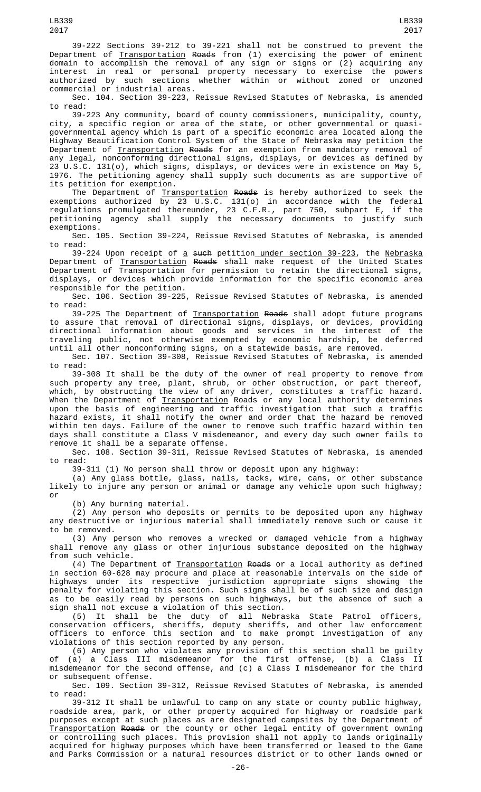39-222 Sections 39-212 to 39-221 shall not be construed to prevent the Department of <u>Transportation</u> <del>Roads</del> from (1) exercising the power of eminent domain to accomplish the removal of any sign or signs or (2) acquiring any interest in real or personal property necessary to exercise the powers authorized by such sections whether within or without zoned or unzoned commercial or industrial areas.

Sec. 104. Section 39-223, Reissue Revised Statutes of Nebraska, is amended to read:

39-223 Any community, board of county commissioners, municipality, county, city, a specific region or area of the state, or other governmental or quasigovernmental agency which is part of a specific economic area located along the Highway Beautification Control System of the State of Nebraska may petition the Department of Transportation Roads for an exemption from mandatory removal of any legal, nonconforming directional signs, displays, or devices as defined by 23 U.S.C. 131(o), which signs, displays, or devices were in existence on May 5, 1976. The petitioning agency shall supply such documents as are supportive of its petition for exemption.

The Department of <u>Transportation</u> <del>Roads</del> is hereby authorized to seek the exemptions authorized by 23 U.S.C. 131(o) in accordance with the federal regulations promulgated thereunder, 23 C.F.R., part 750, subpart E, if the petitioning agency shall supply the necessary documents to justify such exemptions.

Sec. 105. Section 39-224, Reissue Revised Statutes of Nebraska, is amended to read:

39-224 Upon receipt of <u>a</u> <del>such</del> petition<u> under section 39-223</u>, the <u>Nebraska</u> Department of <u>Transportation</u> <del>Roads</del> shall make request of the United States Department of Transportation for permission to retain the directional signs, displays, or devices which provide information for the specific economic area responsible for the petition.

Sec. 106. Section 39-225, Reissue Revised Statutes of Nebraska, is amended to read:

39-225 The Department of <u>Transportation</u> <del>Roads</del> shall adopt future programs to assure that removal of directional signs, displays, or devices, providing directional information about goods and services in the interest of the traveling public, not otherwise exempted by economic hardship, be deferred until all other nonconforming signs, on a statewide basis, are removed.

Sec. 107. Section 39-308, Reissue Revised Statutes of Nebraska, is amended to read:

39-308 It shall be the duty of the owner of real property to remove from such property any tree, plant, shrub, or other obstruction, or part thereof, which, by obstructing the view of any driver, constitutes a traffic hazard. When the Department of <u>Transportation</u> <del>Roads</del> or any local authority determines upon the basis of engineering and traffic investigation that such a traffic hazard exists, it shall notify the owner and order that the hazard be removed within ten days. Failure of the owner to remove such traffic hazard within ten days shall constitute a Class V misdemeanor, and every day such owner fails to remove it shall be a separate offense.

Sec. 108. Section 39-311, Reissue Revised Statutes of Nebraska, is amended to read:

39-311 (1) No person shall throw or deposit upon any highway:

(a) Any glass bottle, glass, nails, tacks, wire, cans, or other substance likely to injure any person or animal or damage any vehicle upon such highway; or

(b) Any burning material.

(2) Any person who deposits or permits to be deposited upon any highway any destructive or injurious material shall immediately remove such or cause it to be removed.

(3) Any person who removes a wrecked or damaged vehicle from a highway shall remove any glass or other injurious substance deposited on the highway from such vehicle.

(4) The Department of Transportation Roads or a local authority as defined in section 60-628 may procure and place at reasonable intervals on the side of highways under its respective jurisdiction appropriate signs showing the penalty for violating this section. Such signs shall be of such size and design as to be easily read by persons on such highways, but the absence of such a sign shall not excuse a violation of this section.

(5) It shall be the duty of all Nebraska State Patrol officers, conservation officers, sheriffs, deputy sheriffs, and other law enforcement officers to enforce this section and to make prompt investigation of any violations of this section reported by any person.

(6) Any person who violates any provision of this section shall be guilty of (a) a Class III misdemeanor for the first offense, (b) a Class II misdemeanor for the second offense, and (c) a Class I misdemeanor for the third or subsequent offense.

Sec. 109. Section 39-312, Reissue Revised Statutes of Nebraska, is amended to read:

39-312 It shall be unlawful to camp on any state or county public highway, roadside area, park, or other property acquired for highway or roadside park purposes except at such places as are designated campsites by the Department of Transportation Roads or the county or other legal entity of government owning or controlling such places. This provision shall not apply to lands originally acquired for highway purposes which have been transferred or leased to the Game and Parks Commission or a natural resources district or to other lands owned or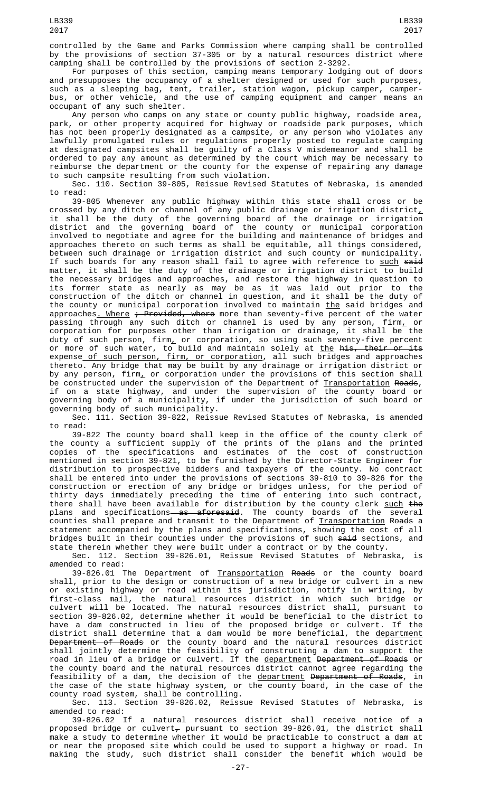controlled by the Game and Parks Commission where camping shall be controlled by the provisions of section 37-305 or by a natural resources district where camping shall be controlled by the provisions of section 2-3292.

For purposes of this section, camping means temporary lodging out of doors and presupposes the occupancy of a shelter designed or used for such purposes, such as a sleeping bag, tent, trailer, station wagon, pickup camper, camperbus, or other vehicle, and the use of camping equipment and camper means an occupant of any such shelter.

Any person who camps on any state or county public highway, roadside area, park, or other property acquired for highway or roadside park purposes, which has not been properly designated as a campsite, or any person who violates any lawfully promulgated rules or regulations properly posted to regulate camping at designated campsites shall be guilty of a Class V misdemeanor and shall be ordered to pay any amount as determined by the court which may be necessary to reimburse the department or the county for the expense of repairing any damage to such campsite resulting from such violation.

Sec. 110. Section 39-805, Reissue Revised Statutes of Nebraska, is amended to read:

39-805 Whenever any public highway within this state shall cross or be crossed by any ditch or channel of any public drainage or irrigation district $_{\scriptscriptstyle \rm L}$ it shall be the duty of the governing board of the drainage or irrigation district and the governing board of the county or municipal corporation involved to negotiate and agree for the building and maintenance of bridges and approaches thereto on such terms as shall be equitable, all things considered, between such drainage or irrigation district and such county or municipality. If such boards for any reason shall fail to agree with reference to <u>such</u> <del>said</del> matter, it shall be the duty of the drainage or irrigation district to build the necessary bridges and approaches, and restore the highway in question to its former state as nearly as may be as it was laid out prior to the construction of the ditch or channel in question, and it shall be the duty of the county or municipal corporation involved to maintain the said bridges and approaches<u>. Where</u> <del>; Provided, where</del> more than seventy-five percent of the water passing through any such ditch or channel is used by any person, firm, or corporation for purposes other than irrigation or drainage, it shall be the duty of such person, firm, or corporation, so using such seventy-five percent or more of such water, to build and maintain solely at <u>the</u> <del>his, their or its</del> expense of such person, firm, or corporation, all such bridges and approaches thereto. Any bridge that may be built by any drainage or irrigation district or by any person, firm<u>,</u> or corporation under the provisions of this section shall be constructed under the supervision of the Department of <u>Transportation</u> <del>Roads</del>, if on a state highway, and under the supervision of the county board or governing body of a municipality, if under the jurisdiction of such board or governing body of such municipality.

Sec. 111. Section 39-822, Reissue Revised Statutes of Nebraska, is amended to read:

39-822 The county board shall keep in the office of the county clerk of the county a sufficient supply of the prints of the plans and the printed copies of the specifications and estimates of the cost of construction mentioned in section 39-821, to be furnished by the Director-State Engineer for distribution to prospective bidders and taxpayers of the county. No contract shall be entered into under the provisions of sections 39-810 to 39-826 for the construction or erection of any bridge or bridges unless, for the period of thirty days immediately preceding the time of entering into such contract, there shall have been available for distribution by the county clerk <u>such</u> <del>the</del> plans and specifications—<del>as aforesaid</del>. The county boards of the several counties shall prepare and transmit to the Department of <u>Transportation</u> <del>Roads</del> a statement accompanied by the plans and specifications, showing the cost of all bridges built in their counties under the provisions of <u>such</u> <del>said</del> sections, and state therein whether they were built under a contract or by the county.

Sec. 112. Section 39-826.01, Reissue Revised Statutes of Nebraska, is amended to read:

39-826.01 The Department of <u>Transportation</u> <del>Roads</del> or the county board shall, prior to the design or construction of a new bridge or culvert in a new or existing highway or road within its jurisdiction, notify in writing, by first-class mail, the natural resources district in which such bridge or culvert will be located. The natural resources district shall, pursuant to section 39-826.02, determine whether it would be beneficial to the district to have a dam constructed in lieu of the proposed bridge or culvert. If the district shall determine that a dam would be more beneficial, the department Department of Roads or the county board and the natural resources district shall jointly determine the feasibility of constructing a dam to support the road in lieu of a bridge or culvert. If the <u>department</u> <del>Department of Roads</del> or the county board and the natural resources district cannot agree regarding the feasibility of a dam, the decision of the <u>department</u> <del>Department of Roads</del>, in the case of the state highway system, or the county board, in the case of the county road system, shall be controlling.

Sec. 113. Section 39-826.02, Reissue Revised Statutes of Nebraska, is amended to read:

39-826.02 If a natural resources district shall receive notice of a proposed bridge or culvert $_{\mathcal{T}}$  pursuant to section 39-826.01, the district shall make a study to determine whether it would be practicable to construct a dam at or near the proposed site which could be used to support a highway or road. In making the study, such district shall consider the benefit which would be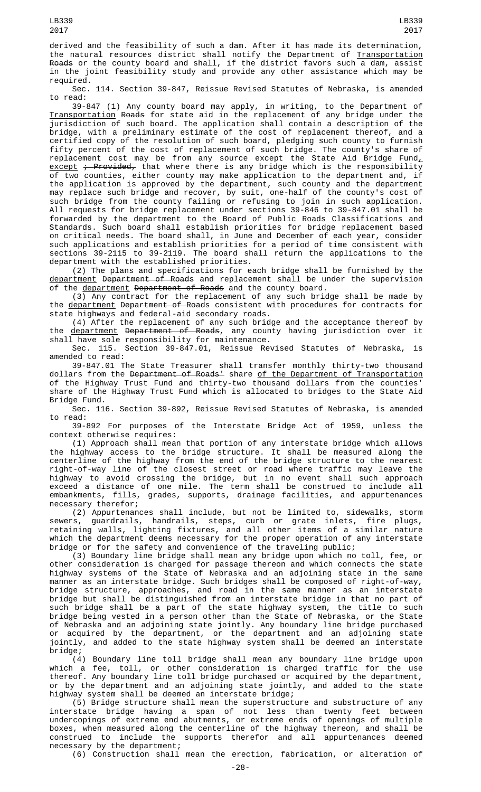derived and the feasibility of such a dam. After it has made its determination, the natural resources district shall notify the Department of Transportation Roads or the county board and shall, if the district favors such a dam, assist in the joint feasibility study and provide any other assistance which may be required.

Sec. 114. Section 39-847, Reissue Revised Statutes of Nebraska, is amended to read:

39-847 (1) Any county board may apply, in writing, to the Department of Transportation Roads for state aid in the replacement of any bridge under the jurisdiction of such board. The application shall contain a description of the bridge, with a preliminary estimate of the cost of replacement thereof, and a certified copy of the resolution of such board, pledging such county to furnish fifty percent of the cost of replacement of such bridge. The county's share of replacement cost may be from any source except the State Aid Bridge Fund $_{\rm \star}$ <u>except</u> <del>; Provided,</del> that where there is any bridge which is the responsibility of two counties, either county may make application to the department and, if the application is approved by the department, such county and the department may replace such bridge and recover, by suit, one-half of the county's cost of such bridge from the county failing or refusing to join in such application. All requests for bridge replacement under sections 39-846 to 39-847.01 shall be forwarded by the department to the Board of Public Roads Classifications and Standards. Such board shall establish priorities for bridge replacement based on critical needs. The board shall, in June and December of each year, consider such applications and establish priorities for a period of time consistent with sections 39-2115 to 39-2119. The board shall return the applications to the department with the established priorities.

(2) The plans and specifications for each bridge shall be furnished by the department Department of Roads and replacement shall be under the supervision of the <u>department</u> <del>Department of Roads</del> and the county board.

(3) Any contract for the replacement of any such bridge shall be made by the department Department of Roads consistent with procedures for contracts for state highways and federal-aid secondary roads.

(4) After the replacement of any such bridge and the acceptance thereof by the department Department of Roads, any county having jurisdiction over it shall have sole responsibility for maintenance.

Sec. 115. Section 39-847.01, Reissue Revised Statutes of Nebraska, is amended to read:

39-847.01 The State Treasurer shall transfer monthly thirty-two thousand dollars from the <del>Department of Roads'</del> share <u>of the Department of Transportation</u> of the Highway Trust Fund and thirty-two thousand dollars from the counties' share of the Highway Trust Fund which is allocated to bridges to the State Aid Bridge Fund.

Sec. 116. Section 39-892, Reissue Revised Statutes of Nebraska, is amended to read:

39-892 For purposes of the Interstate Bridge Act of 1959, unless the context otherwise requires:

(1) Approach shall mean that portion of any interstate bridge which allows the highway access to the bridge structure. It shall be measured along the centerline of the highway from the end of the bridge structure to the nearest right-of-way line of the closest street or road where traffic may leave the highway to avoid crossing the bridge, but in no event shall such approach exceed a distance of one mile. The term shall be construed to include all embankments, fills, grades, supports, drainage facilities, and appurtenances necessary therefor;

(2) Appurtenances shall include, but not be limited to, sidewalks, storm sewers, guardrails, handrails, steps, curb or grate inlets, fire plugs, retaining walls, lighting fixtures, and all other items of a similar nature which the department deems necessary for the proper operation of any interstate bridge or for the safety and convenience of the traveling public;

(3) Boundary line bridge shall mean any bridge upon which no toll, fee, or other consideration is charged for passage thereon and which connects the state highway systems of the State of Nebraska and an adjoining state in the same manner as an interstate bridge. Such bridges shall be composed of right-of-way, bridge structure, approaches, and road in the same manner as an interstate bridge but shall be distinguished from an interstate bridge in that no part of such bridge shall be a part of the state highway system, the title to such bridge being vested in a person other than the State of Nebraska, or the State of Nebraska and an adjoining state jointly. Any boundary line bridge purchased or acquired by the department, or the department and an adjoining state jointly, and added to the state highway system shall be deemed an interstate bridge;

(4) Boundary line toll bridge shall mean any boundary line bridge upon which a fee, toll, or other consideration is charged traffic for the use thereof. Any boundary line toll bridge purchased or acquired by the department, or by the department and an adjoining state jointly, and added to the state highway system shall be deemed an interstate bridge;

(5) Bridge structure shall mean the superstructure and substructure of any interstate bridge having a span of not less than twenty feet between undercopings of extreme end abutments, or extreme ends of openings of multiple boxes, when measured along the centerline of the highway thereon, and shall be construed to include the supports therefor and all appurtenances deemed necessary by the department;

(6) Construction shall mean the erection, fabrication, or alteration of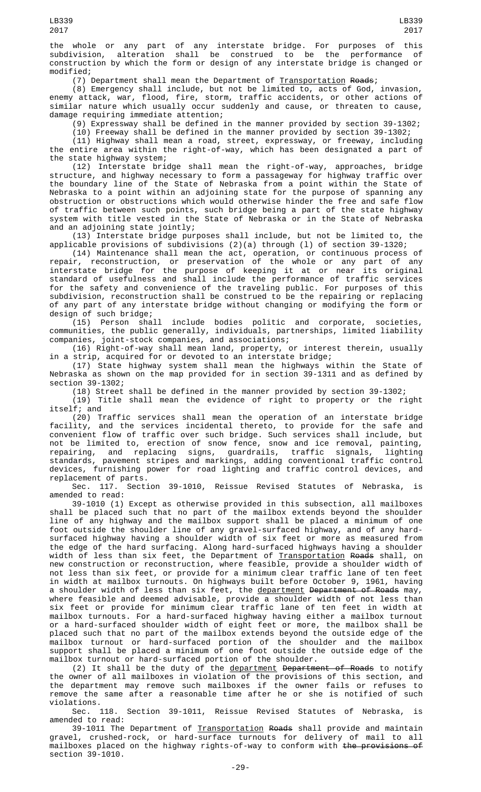(7) Department shall mean the Department of <u>Transportation</u> R<del>oads</del>;

(8) Emergency shall include, but not be limited to, acts of God, invasion, enemy attack, war, flood, fire, storm, traffic accidents, or other actions of similar nature which usually occur suddenly and cause, or threaten to cause, damage requiring immediate attention;

(9) Expressway shall be defined in the manner provided by section 39-1302;

(10) Freeway shall be defined in the manner provided by section 39-1302;

(11) Highway shall mean a road, street, expressway, or freeway, including the entire area within the right-of-way, which has been designated a part of the state highway system;

(12) Interstate bridge shall mean the right-of-way, approaches, bridge structure, and highway necessary to form a passageway for highway traffic over the boundary line of the State of Nebraska from a point within the State of Nebraska to a point within an adjoining state for the purpose of spanning any obstruction or obstructions which would otherwise hinder the free and safe flow of traffic between such points, such bridge being a part of the state highway system with title vested in the State of Nebraska or in the State of Nebraska and an adjoining state jointly;

(13) Interstate bridge purposes shall include, but not be limited to, the applicable provisions of subdivisions (2)(a) through (l) of section 39-1320;

(14) Maintenance shall mean the act, operation, or continuous process of repair, reconstruction, or preservation of the whole or any part of any interstate bridge for the purpose of keeping it at or near its original standard of usefulness and shall include the performance of traffic services for the safety and convenience of the traveling public. For purposes of this subdivision, reconstruction shall be construed to be the repairing or replacing of any part of any interstate bridge without changing or modifying the form or design of such bridge;

(15) Person shall include bodies politic and corporate, societies, communities, the public generally, individuals, partnerships, limited liability companies, joint-stock companies, and associations;

(16) Right-of-way shall mean land, property, or interest therein, usually in a strip, acquired for or devoted to an interstate bridge;

(17) State highway system shall mean the highways within the State of Nebraska as shown on the map provided for in section 39-1311 and as defined by section 39-1302;

(18) Street shall be defined in the manner provided by section 39-1302;

(19) Title shall mean the evidence of right to property or the right itself; and

(20) Traffic services shall mean the operation of an interstate bridge<br>facility, and the services incidental thereto, to provide for the safe and facility, and the services incidental thereto, to provide for the safe and convenient flow of traffic over such bridge. Such services shall include, but not be limited to, erection of snow fence, snow and ice removal, painting, repairing, and replacing signs, guardrails, traffic signals, lighting standards, pavement stripes and markings, adding conventional traffic control devices, furnishing power for road lighting and traffic control devices, and replacement of parts.

Sec. 117. Section 39-1010, Reissue Revised Statutes of Nebraska, is amended to read:

39-1010 (1) Except as otherwise provided in this subsection, all mailboxes shall be placed such that no part of the mailbox extends beyond the shoulder line of any highway and the mailbox support shall be placed a minimum of one foot outside the shoulder line of any gravel-surfaced highway, and of any hardsurfaced highway having a shoulder width of six feet or more as measured from the edge of the hard surfacing. Along hard-surfaced highways having a shoulder width of less than six feet, the Department of <u>Transportation</u> <del>Roads</del> shall, on new construction or reconstruction, where feasible, provide a shoulder width of not less than six feet, or provide for a minimum clear traffic lane of ten feet in width at mailbox turnouts. On highways built before October 9, 1961, having a shoulder width of less than six feet, the <u>department</u> <del>Department of Roads</del> may, where feasible and deemed advisable, provide a shoulder width of not less than six feet or provide for minimum clear traffic lane of ten feet in width at mailbox turnouts. For a hard-surfaced highway having either a mailbox turnout or a hard-surfaced shoulder width of eight feet or more, the mailbox shall be placed such that no part of the mailbox extends beyond the outside edge of the mailbox turnout or hard-surfaced portion of the shoulder and the mailbox support shall be placed a minimum of one foot outside the outside edge of the mailbox turnout or hard-surfaced portion of the shoulder.

(2) It shall be the duty of the <u>department</u> <del>Department of Roads</del> to notify the owner of all mailboxes in violation of the provisions of this section, and the department may remove such mailboxes if the owner fails or refuses to remove the same after a reasonable time after he or she is notified of such violations.

Sec. 118. Section 39-1011, Reissue Revised Statutes of Nebraska, is amended to read:

39-1011 The Department of <u>Transportation</u> <del>Roads</del> shall provide and maintain gravel, crushed-rock, or hard-surface turnouts for delivery of mail to all mailboxes placed on the highway rights-of-way to conform with the provisions of section 39-1010.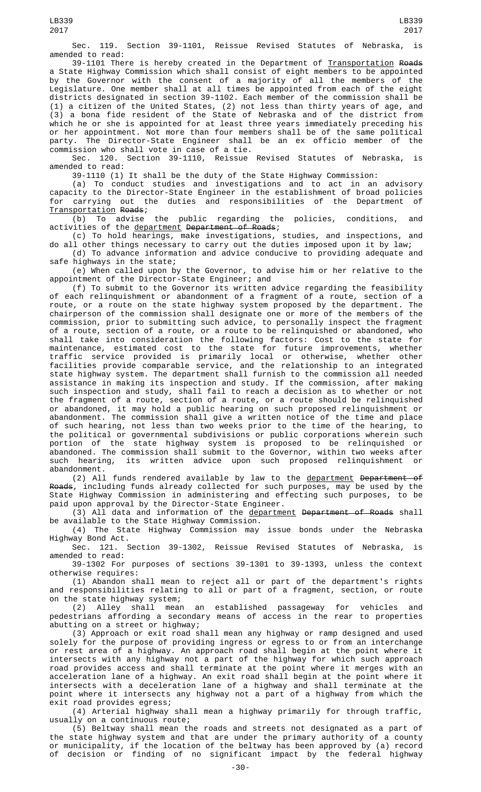Sec. 119. Section 39-1101, Reissue Revised Statutes of Nebraska, is amended to read:

39-1101 There is hereby created in the Department of Transportation Roads a State Highway Commission which shall consist of eight members to be appointed by the Governor with the consent of a majority of all the members of the Legislature. One member shall at all times be appointed from each of the eight districts designated in section 39-1102. Each member of the commission shall be (1) a citizen of the United States, (2) not less than thirty years of age, and (3) a bona fide resident of the State of Nebraska and of the district from which he or she is appointed for at least three years immediately preceding his or her appointment. Not more than four members shall be of the same political party. The Director-State Engineer shall be an ex officio member of the commission who shall vote in case of a tie.<br>Sec. 120. Section 39-1110, Reissue

Sec. 120. Section 39-1110, Reissue Revised Statutes of Nebraska, is amended to read:

39-1110 (1) It shall be the duty of the State Highway Commission:

(a) To conduct studies and investigations and to act in an advisory capacity to the Director-State Engineer in the establishment of broad policies for carrying out the duties and responsibilities of the Department of Transportation Roads;

(b) To advise the public regarding the policies, conditions, and activities of the department Department of Roads;

(c) To hold hearings, make investigations, studies, and inspections, and do all other things necessary to carry out the duties imposed upon it by law;

(d) To advance information and advice conducive to providing adequate and safe highways in the state;

(e) When called upon by the Governor, to advise him or her relative to the appointment of the Director-State Engineer; and

(f) To submit to the Governor its written advice regarding the feasibility of each relinquishment or abandonment of a fragment of a route, section of a route, or a route on the state highway system proposed by the department. The chairperson of the commission shall designate one or more of the members of the commission, prior to submitting such advice, to personally inspect the fragment of a route, section of a route, or a route to be relinquished or abandoned, who shall take into consideration the following factors: Cost to the state for maintenance, estimated cost to the state for future improvements, whether traffic service provided is primarily local or otherwise, whether other facilities provide comparable service, and the relationship to an integrated state highway system. The department shall furnish to the commission all needed assistance in making its inspection and study. If the commission, after making such inspection and study, shall fail to reach a decision as to whether or not the fragment of a route, section of a route, or a route should be relinquished or abandoned, it may hold a public hearing on such proposed relinquishment or abandonment. The commission shall give a written notice of the time and place of such hearing, not less than two weeks prior to the time of the hearing, to the political or governmental subdivisions or public corporations wherein such portion of the state highway system is proposed to be relinquished or abandoned. The commission shall submit to the Governor, within two weeks after such hearing, its written advice upon such proposed relinquishment or abandonment.

(2) All funds rendered available by law to the department Department of Roads, including funds already collected for such purposes, may be used by the State Highway Commission in administering and effecting such purposes, to be paid upon approval by the Director-State Engineer.

(3) All data and information of the <u>department</u> <del>Department of Roads</del> shall be available to the State Highway Commission.

(4) The State Highway Commission may issue bonds under the Nebraska Highway Bond Act.

Sec. 121. Section 39-1302, Reissue Revised Statutes of Nebraska, is amended to read:

39-1302 For purposes of sections 39-1301 to 39-1393, unless the context otherwise requires:

(1) Abandon shall mean to reject all or part of the department's rights and responsibilities relating to all or part of a fragment, section, or route

on the state highway system;<br>(2) Alley shall mean (2) Alley shall mean an established passageway for vehicles and pedestrians affording a secondary means of access in the rear to properties abutting on a street or highway;

(3) Approach or exit road shall mean any highway or ramp designed and used solely for the purpose of providing ingress or egress to or from an interchange or rest area of a highway. An approach road shall begin at the point where it intersects with any highway not a part of the highway for which such approach road provides access and shall terminate at the point where it merges with an acceleration lane of a highway. An exit road shall begin at the point where it intersects with a deceleration lane of a highway and shall terminate at the point where it intersects any highway not a part of a highway from which the exit road provides egress;

(4) Arterial highway shall mean a highway primarily for through traffic, usually on a continuous route;

(5) Beltway shall mean the roads and streets not designated as a part of the state highway system and that are under the primary authority of a county or municipality, if the location of the beltway has been approved by (a) record of decision or finding of no significant impact by the federal highway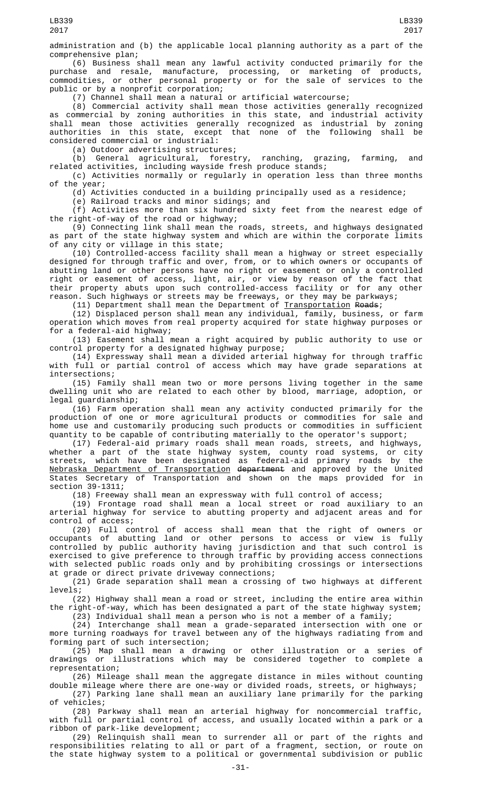(6) Business shall mean any lawful activity conducted primarily for the purchase and resale, manufacture, processing, or marketing of products, commodities, or other personal property or for the sale of services to the commodities, or other personal prope<br>public or by a nonprofit corporation;

(7) Channel shall mean a natural or artificial watercourse;

(8) Commercial activity shall mean those activities generally recognized as commercial by zoning authorities in this state, and industrial activity shall mean those activities generally recognized as industrial by zoning except that none of the following shall be authorities in this state, except<br>considered commercial or industrial:

(a) Outdoor advertising structures;

(b) General agricultural, forestry, ranching, grazing, farming, and related activities, including wayside fresh produce stands;

(c) Activities normally or regularly in operation less than three months of the year;

(d) Activities conducted in a building principally used as a residence;

(e) Railroad tracks and minor sidings; and

(f) Activities more than six hundred sixty feet from the nearest edge of the right-of-way of the road or highway;

(9) Connecting link shall mean the roads, streets, and highways designated as part of the state highway system and which are within the corporate limits of any city or village in this state;

(10) Controlled-access facility shall mean a highway or street especially designed for through traffic and over, from, or to which owners or occupants of abutting land or other persons have no right or easement or only a controlled right or easement of access, light, air, or view by reason of the fact that their property abuts upon such controlled-access facility or for any other reason. Such highways or streets may be freeways, or they may be parkways;

(11) Department shall mean the Department of <u>Transportation</u> Roads;

(12) Displaced person shall mean any individual, family, business, or farm operation which moves from real property acquired for state highway purposes or for a federal-aid highway;

(13) Easement shall mean a right acquired by public authority to use or control property for a designated highway purpose;

(14) Expressway shall mean a divided arterial highway for through traffic with full or partial control of access which may have grade separations at intersections;

(15) Family shall mean two or more persons living together in the same dwelling unit who are related to each other by blood, marriage, adoption, or legal guardianship;

(16) Farm operation shall mean any activity conducted primarily for the production of one or more agricultural products or commodities for sale and home use and customarily producing such products or commodities in sufficient quantity to be capable of contributing materially to the operator's support;

(17) Federal-aid primary roads shall mean roads, streets, and highways, whether a part of the state highway system, county road systems, or city streets, which have been designated as federal-aid primary roads by the Nebraska Department of Transportation department and approved by the United States Secretary of Transportation and shown on the maps provided for in section 39-1311;

(18) Freeway shall mean an expressway with full control of access;

(19) Frontage road shall mean a local street or road auxiliary to an arterial highway for service to abutting property and adjacent areas and for control of access;

(20) Full control of access shall mean that the right of owners or occupants of abutting land or other persons to access or view is fully controlled by public authority having jurisdiction and that such control is exercised to give preference to through traffic by providing access connections with selected public roads only and by prohibiting crossings or intersections at grade or direct private driveway connections;

(21) Grade separation shall mean a crossing of two highways at different levels;

(22) Highway shall mean a road or street, including the entire area within the right-of-way, which has been designated a part of the state highway system; (23) Individual shall mean a person who is not a member of a family;

(24) Interchange shall mean a grade-separated intersection with one or more turning roadways for travel between any of the highways radiating from and forming part of such intersection;

(25) Map shall mean a drawing or other illustration or a series of drawings or illustrations which may be considered together to complete a representation;

(26) Mileage shall mean the aggregate distance in miles without counting double mileage where there are one-way or divided roads, streets, or highways;

(27) Parking lane shall mean an auxiliary lane primarily for the parking of vehicles;

(28) Parkway shall mean an arterial highway for noncommercial traffic, with full or partial control of access, and usually located within a park or a ribbon of park-like development;

(29) Relinquish shall mean to surrender all or part of the rights and responsibilities relating to all or part of a fragment, section, or route on the state highway system to a political or governmental subdivision or public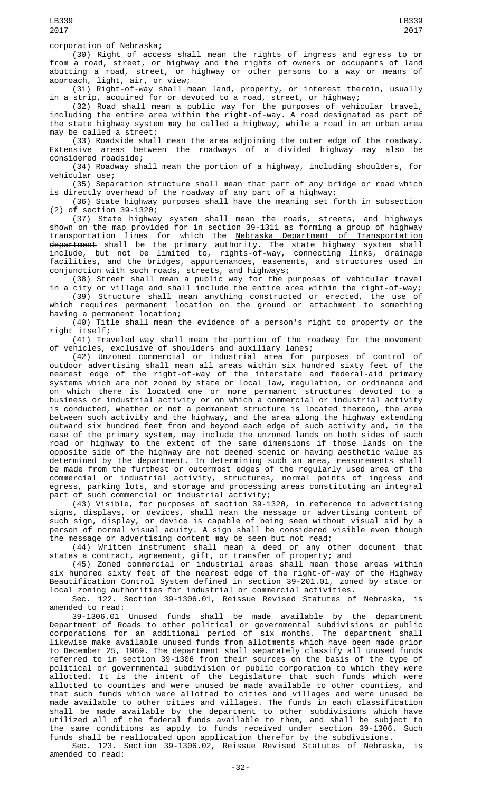corporation of Nebraska;

(30) Right of access shall mean the rights of ingress and egress to or from a road, street, or highway and the rights of owners or occupants of land abutting a road, street, or highway or other persons to a way or means of approach, light, air, or view;

(31) Right-of-way shall mean land, property, or interest therein, usually in a strip, acquired for or devoted to a road, street, or highway;

(32) Road shall mean a public way for the purposes of vehicular travel, including the entire area within the right-of-way. A road designated as part of the state highway system may be called a highway, while a road in an urban area may be called a street;

(33) Roadside shall mean the area adjoining the outer edge of the roadway. Extensive areas between the roadways of a divided highway may also be considered roadside;

(34) Roadway shall mean the portion of a highway, including shoulders, for vehicular use;

(35) Separation structure shall mean that part of any bridge or road which is directly overhead of the roadway of any part of a highway;

(36) State highway purposes shall have the meaning set forth in subsection (2) of section 39-1320;

(37) State highway system shall mean the roads, streets, and highways shown on the map provided for in section 39-1311 as forming a group of highway transportation lines for which the <u>Nebraska Department of Transportation</u> <del>department</del> shall be the primary authority. The state highway system shall include, but not be limited to, rights-of-way, connecting links, drainage facilities, and the bridges, appurtenances, easements, and structures used in conjunction with such roads, streets, and highways;

(38) Street shall mean a public way for the purposes of vehicular travel in a city or village and shall include the entire area within the right-of-way;

(39) Structure shall mean anything constructed or erected, the use of which requires permanent location on the ground or attachment to something having a permanent location;

 $(40)$  Title shall mean the evidence of a person's right to property or the right itself;

(41) Traveled way shall mean the portion of the roadway for the movement of vehicles, exclusive of shoulders and auxiliary lanes;

(42) Unzoned commercial or industrial area for purposes of control of outdoor advertising shall mean all areas within six hundred sixty feet of the nearest edge of the right-of-way of the interstate and federal-aid primary systems which are not zoned by state or local law, regulation, or ordinance and on which there is located one or more permanent structures devoted to a business or industrial activity or on which a commercial or industrial activity is conducted, whether or not a permanent structure is located thereon, the area between such activity and the highway, and the area along the highway extending outward six hundred feet from and beyond each edge of such activity and, in the case of the primary system, may include the unzoned lands on both sides of such road or highway to the extent of the same dimensions if those lands on the opposite side of the highway are not deemed scenic or having aesthetic value as determined by the department. In determining such an area, measurements shall be made from the furthest or outermost edges of the regularly used area of the commercial or industrial activity, structures, normal points of ingress and egress, parking lots, and storage and processing areas constituting an integral part of such commercial or industrial activity;

(43) Visible, for purposes of section 39-1320, in reference to advertising signs, displays, or devices, shall mean the message or advertising content of such sign, display, or device is capable of being seen without visual aid by a person of normal visual acuity. A sign shall be considered visible even though the message or advertising content may be seen but not read;

(44) Written instrument shall mean a deed or any other document that states a contract, agreement, gift, or transfer of property; and

(45) Zoned commercial or industrial areas shall mean those areas within six hundred sixty feet of the nearest edge of the right-of-way of the Highway Beautification Control System defined in section 39-201.01, zoned by state or local zoning authorities for industrial or commercial activities.

Sec. 122. Section 39-1306.01, Reissue Revised Statutes of Nebraska, amended to read:

39-1306.01 Unused funds shall be made available by the department Department of Roads to other political or governmental subdivisions or public corporations for an additional period of six months. The department shall likewise make available unused funds from allotments which have been made prior to December 25, 1969. The department shall separately classify all unused funds referred to in section 39-1306 from their sources on the basis of the type of political or governmental subdivision or public corporation to which they were allotted. It is the intent of the Legislature that such funds which were allotted to counties and were unused be made available to other counties, and that such funds which were allotted to cities and villages and were unused be made available to other cities and villages. The funds in each classification shall be made available by the department to other subdivisions which have utilized all of the federal funds available to them, and shall be subject to the same conditions as apply to funds received under section 39-1306. Such funds shall be reallocated upon application therefor by the subdivisions.

Sec. 123. Section 39-1306.02, Reissue Revised Statutes of Nebraska, is amended to read: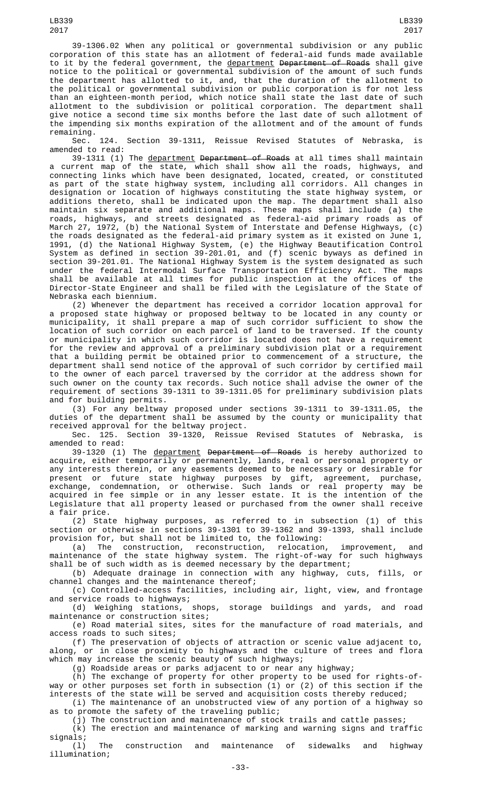39-1306.02 When any political or governmental subdivision or any public corporation of this state has an allotment of federal-aid funds made available to it by the federal government, the department Department of Roads shall give notice to the political or governmental subdivision of the amount of such funds the department has allotted to it, and, that the duration of the allotment to the political or governmental subdivision or public corporation is for not less than an eighteen-month period, which notice shall state the last date of such allotment to the subdivision or political corporation. The department shall give notice a second time six months before the last date of such allotment of the impending six months expiration of the allotment and of the amount of funds remaining.

Sec. 124. Section 39-1311, Reissue Revised Statutes of Nebraska, is<br>amended to read: amended to read:

39-1311 (1) The <u>department</u> <del>Department of Roads</del> at all times shall maintain a current map of the state, which shall show all the roads, highways, and connecting links which have been designated, located, created, or constituted as part of the state highway system, including all corridors. All changes in designation or location of highways constituting the state highway system, or additions thereto, shall be indicated upon the map. The department shall also maintain six separate and additional maps. These maps shall include (a) the roads, highways, and streets designated as federal-aid primary roads as of March 27, 1972, (b) the National System of Interstate and Defense Highways, (c) the roads designated as the federal-aid primary system as it existed on June 1, 1991, (d) the National Highway System, (e) the Highway Beautification Control System as defined in section 39-201.01, and (f) scenic byways as defined in section 39-201.01. The National Highway System is the system designated as such under the federal Intermodal Surface Transportation Efficiency Act. The maps shall be available at all times for public inspection at the offices of the Director-State Engineer and shall be filed with the Legislature of the State of Nebraska each biennium.

(2) Whenever the department has received a corridor location approval for a proposed state highway or proposed beltway to be located in any county or municipality, it shall prepare a map of such corridor sufficient to show the location of such corridor on each parcel of land to be traversed. If the county or municipality in which such corridor is located does not have a requirement for the review and approval of a preliminary subdivision plat or a requirement that a building permit be obtained prior to commencement of a structure, the department shall send notice of the approval of such corridor by certified mail to the owner of each parcel traversed by the corridor at the address shown for such owner on the county tax records. Such notice shall advise the owner of the requirement of sections 39-1311 to 39-1311.05 for preliminary subdivision plats and for building permits.

(3) For any beltway proposed under sections 39-1311 to 39-1311.05, the duties of the department shall be assumed by the county or municipality that received approval for the beltway project.

Sec. 125. Section 39-1320, Reissue Revised Statutes of Nebraska, is amended to read:

39-1320 (1) The department Department of Roads is hereby authorized to acquire, either temporarily or permanently, lands, real or personal property or any interests therein, or any easements deemed to be necessary or desirable for present or future state highway purposes by gift, agreement, purchase, exchange, condemnation, or otherwise. Such lands or real property may be acquired in fee simple or in any lesser estate. It is the intention of the Legislature that all property leased or purchased from the owner shall receive a fair price.

(2) State highway purposes, as referred to in subsection (1) of this section or otherwise in sections 39-1301 to 39-1362 and 39-1393, shall include provision for, but shall not be limited to, the following:<br>(a) The construction, reconstruction, relocation

(a) The construction, reconstruction, relocation, improvement, and maintenance of the state highway system. The right-of-way for such highways shall be of such width as is deemed necessary by the department;

(b) Adequate drainage in connection with any highway, cuts, fills, or channel changes and the maintenance thereof;

(c) Controlled-access facilities, including air, light, view, and frontage and service roads to highways;

(d) Weighing stations, shops, storage buildings and yards, and road maintenance or construction sites;

(e) Road material sites, sites for the manufacture of road materials, and access roads to such sites;

(f) The preservation of objects of attraction or scenic value adjacent to, along, or in close proximity to highways and the culture of trees and flora which may increase the scenic beauty of such highways;

(g) Roadside areas or parks adjacent to or near any highway;

(h) The exchange of property for other property to be used for rights-ofway or other purposes set forth in subsection (1) or (2) of this section if the interests of the state will be served and acquisition costs thereby reduced;

(i) The maintenance of an unobstructed view of any portion of a highway so as to promote the safety of the traveling public;

(j) The construction and maintenance of stock trails and cattle passes;

(k) The erection and maintenance of marking and warning signs and traffic signals;

(l) The construction and maintenance of sidewalks and highway illumination;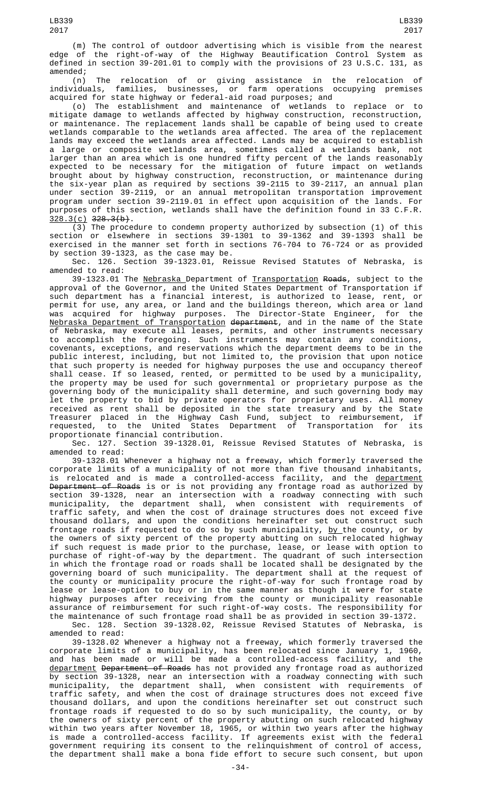(n) The relocation of or giving assistance in the relocation of individuals, families, businesses, or farm operations occupying premises acquired for state highway or federal-aid road purposes; and

(o) The establishment and maintenance of wetlands to replace or to mitigate damage to wetlands affected by highway construction, reconstruction, or maintenance. The replacement lands shall be capable of being used to create wetlands comparable to the wetlands area affected. The area of the replacement lands may exceed the wetlands area affected. Lands may be acquired to establish a large or composite wetlands area, sometimes called a wetlands bank, not larger than an area which is one hundred fifty percent of the lands reasonably expected to be necessary for the mitigation of future impact on wetlands brought about by highway construction, reconstruction, or maintenance during the six-year plan as required by sections 39-2115 to 39-2117, an annual plan under section 39-2119, or an annual metropolitan transportation improvement program under section 39-2119.01 in effect upon acquisition of the lands. For purposes of this section, wetlands shall have the definition found in 33 C.F.R.  $328.3(c)$   $328.3(b)$ .

(3) The procedure to condemn property authorized by subsection (1) of this section or elsewhere in sections 39-1301 to 39-1362 and 39-1393 shall be exercised in the manner set forth in sections 76-704 to 76-724 or as provided by section 39-1323, as the case may be.

Sec. 126. Section 39-1323.01, Reissue Revised Statutes of Nebraska, is amended to read:

39-1323.01 The Nebraska Department of Transportation Roads, subject to the approval of the Governor, and the United States Department of Transportation if such department has a financial interest, is authorized to lease, rent, or permit for use, any area, or land and the buildings thereon, which area or land was acquired for highway purposes. The Director-State Engineer, for the Nebraska Department of Transportation department, and in the name of the State of Nebraska, may execute all leases, permits, and other instruments necessary to accomplish the foregoing. Such instruments may contain any conditions, covenants, exceptions, and reservations which the department deems to be in the public interest, including, but not limited to, the provision that upon notice that such property is needed for highway purposes the use and occupancy thereof shall cease. If so leased, rented, or permitted to be used by a municipality, the property may be used for such governmental or proprietary purpose as the governing body of the municipality shall determine, and such governing body may let the property to bid by private operators for proprietary uses. All money received as rent shall be deposited in the state treasury and by the State Treasurer placed in the Highway Cash Fund, subject to reimbursement, if requested, to the United States Department of Transportation for its proportionate financial contribution.

Sec. 127. Section 39-1328.01, Reissue Revised Statutes of Nebraska, is amended to read:

39-1328.01 Whenever a highway not a freeway, which formerly traversed the corporate limits of a municipality of not more than five thousand inhabitants,<br>is relocated and is made a controlled-access facility, and the <u>department</u> is relocated and is made a controlled-access facility, and the <u>department</u> Department of Roads is or is not providing any frontage road as authorized by section 39-1328, near an intersection with a roadway connecting with such municipality, the department shall, when consistent with requirements of traffic safety, and when the cost of drainage structures does not exceed five thousand dollars, and upon the conditions hereinafter set out construct such frontage roads if requested to do so by such municipality, <u>by </u>the county, or by the owners of sixty percent of the property abutting on such relocated highway if such request is made prior to the purchase, lease, or lease with option to purchase of right-of-way by the department. The quadrant of such intersection in which the frontage road or roads shall be located shall be designated by the governing board of such municipality. The department shall at the request of the county or municipality procure the right-of-way for such frontage road by lease or lease-option to buy or in the same manner as though it were for state highway purposes after receiving from the county or municipality reasonable assurance of reimbursement for such right-of-way costs. The responsibility for the maintenance of such frontage road shall be as provided in section 39-1372.

Sec. 128. Section 39-1328.02, Reissue Revised Statutes of Nebraska, is amended to read:

39-1328.02 Whenever a highway not a freeway, which formerly traversed the corporate limits of a municipality, has been relocated since January 1, 1960, and has been made or will be made a controlled-access facility, and the <u>department</u> <del>Department of Roads</del> has not provided any frontage road as authorized by section 39-1328, near an intersection with a roadway connecting with such municipality, the department shall, when consistent with requirements of traffic safety, and when the cost of drainage structures does not exceed five thousand dollars, and upon the conditions hereinafter set out construct such frontage roads if requested to do so by such municipality, the county, or by the owners of sixty percent of the property abutting on such relocated highway within two years after November 18, 1965, or within two years after the highway is made a controlled-access facility. If agreements exist with the federal government requiring its consent to the relinquishment of control of access, the department shall make a bona fide effort to secure such consent, but upon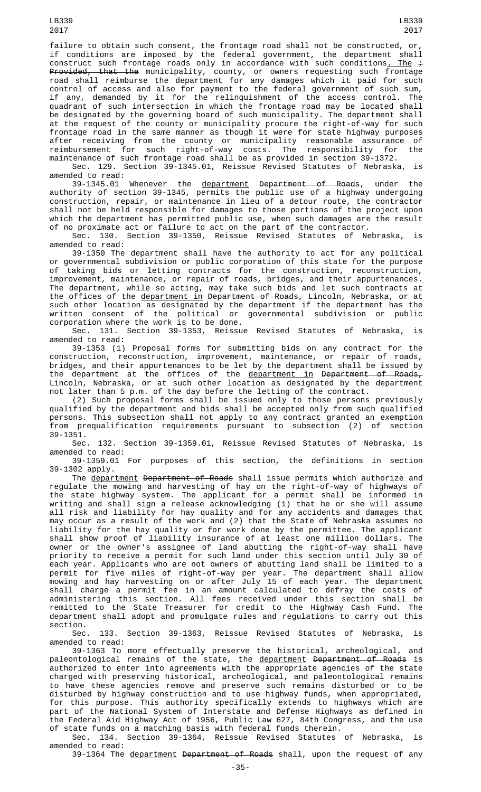LB339 2017

failure to obtain such consent, the frontage road shall not be constructed, or, if conditions are imposed by the federal government, the department shall construct such frontage roads only in accordance with such conditions<u>. The</u>  $\div$ P<del>rovided, that the</del> municipality, county, or owners requesting such frontage road shall reimburse the department for any damages which it paid for such control of access and also for payment to the federal government of such sum, if any, demanded by it for the relinquishment of the access control. The quadrant of such intersection in which the frontage road may be located shall be designated by the governing board of such municipality. The department shall at the request of the county or municipality procure the right-of-way for such frontage road in the same manner as though it were for state highway purposes after receiving from the county or municipality reasonable assurance of reimbursement for such right-of-way costs. The responsibility for the maintenance of such frontage road shall be as provided in section 39-1372.

Sec. 129. Section 39-1345.01, Reissue Revised Statutes of Nebraska, is amended to read:

39-1345.01 Whenever the <u>department</u> <del>Department of Roads</del>, under the authority of section 39-1345, permits the public use of a highway undergoing construction, repair, or maintenance in lieu of a detour route, the contractor shall not be held responsible for damages to those portions of the project upon which the department has permitted public use, when such damages are the result of no proximate act or failure to act on the part of the contractor.

Sec. 130. Section 39-1350, Reissue Revised Statutes of Nebraska, is amended to read:

39-1350 The department shall have the authority to act for any political or governmental subdivision or public corporation of this state for the purpose<br>of taking bids or letting contracts for the of taking bids or letting contracts for the construction, reconstruction, improvement, maintenance, or repair of roads, bridges, and their appurtenances. The department, while so acting, may take such bids and let such contracts at the offices of the <u>department in</u> <del>Department of Roads,</del> Lincoln, Nebraska, or at such other location as designated by the department if the department has the written consent of the political or governmental subdivision or public corporation where the work is to be done.

Sec. 131. Section 39-1353, Reissue Revised Statutes of Nebraska, is amended to read:

39-1353 (1) Proposal forms for submitting bids on any contract for the construction, reconstruction, improvement, maintenance, or repair of roads, bridges, and their appurtenances to be let by the department shall be issued by the department at the offices of the department in Department of Roads, Lincoln, Nebraska, or at such other location as designated by the department not later than 5 p.m. of the day before the letting of the contract.

(2) Such proposal forms shall be issued only to those persons previously qualified by the department and bids shall be accepted only from such qualified persons. This subsection shall not apply to any contract granted an exemption from prequalification requirements pursuant to subsection (2) of section

39-1351. 132. Section 39-1359.01, Reissue Revised Statutes of Nebraska, is amended to read:

39-1359.01 For purposes of this section, the definitions in section 39-1302 apply.

The department Department of Roads shall issue permits which authorize and regulate the mowing and harvesting of hay on the right-of-way of highways of the state highway system. The applicant for a permit shall be informed in writing and shall sign a release acknowledging (1) that he or she will assume all risk and liability for hay quality and for any accidents and damages that may occur as a result of the work and (2) that the State of Nebraska assumes no liability for the hay quality or for work done by the permittee. The applicant shall show proof of liability insurance of at least one million dollars. The owner or the owner's assignee of land abutting the right-of-way shall have priority to receive a permit for such land under this section until July 30 of each year. Applicants who are not owners of abutting land shall be limited to a permit for five miles of right-of-way per year. The department shall allow mowing and hay harvesting on or after July 15 of each year. The department shall charge a permit fee in an amount calculated to defray the costs of administering this section. All fees received under this section shall be remitted to the State Treasurer for credit to the Highway Cash Fund. The department shall adopt and promulgate rules and regulations to carry out this

section.<br>.Sec 133. Section 39-1363, Reissue Revised Statutes of Nebraska, is amended to read:

39-1363 To more effectually preserve the historical, archeological, and paleontological remains of the state, the <u>department</u> <del>Department of Roads</del> is authorized to enter into agreements with the appropriate agencies of the state charged with preserving historical, archeological, and paleontological remains to have these agencies remove and preserve such remains disturbed or to be disturbed by highway construction and to use highway funds, when appropriated, for this purpose. This authority specifically extends to highways which are part of the National System of Interstate and Defense Highways as defined in the Federal Aid Highway Act of 1956, Public Law 627, 84th Congress, and the use of state funds on a matching basis with federal funds therein.

Sec. 134. Section 39-1364, Reissue Revised Statutes of Nebraska, is amended to read:

39-1364 The department Department of Roads shall, upon the request of any

LB339

-35-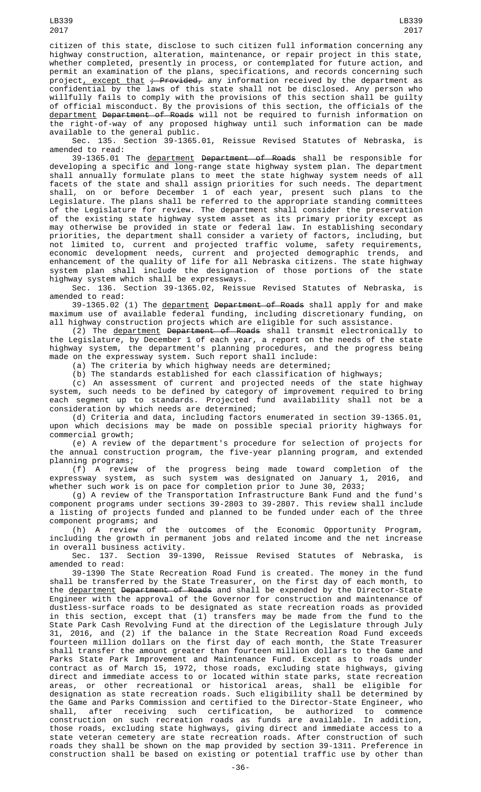citizen of this state, disclose to such citizen full information concerning any highway construction, alteration, maintenance, or repair project in this state, whether completed, presently in process, or contemplated for future action, and permit an examination of the plans, specifications, and records concerning such project<u>, except that</u> <del>; Provided,</del> any information received by the department as confidential by the laws of this state shall not be disclosed. Any person who willfully fails to comply with the provisions of this section shall be guilty of official misconduct. By the provisions of this section, the officials of the <u>department</u> <del>Department of Roads</del> will not be required to furnish information on the right-of-way of any proposed highway until such information can be made available to the general public.

Sec. 135. Section 39-1365.01, Reissue Revised Statutes of Nebraska, is amended to read:

39-1365.01 The department Department of Roads shall be responsible for developing a specific and long-range state highway system plan. The department shall annually formulate plans to meet the state highway system needs of all facets of the state and shall assign priorities for such needs. The department shall, on or before December 1 of each year, present such plans to the Legislature. The plans shall be referred to the appropriate standing committees of the Legislature for review. The department shall consider the preservation of the existing state highway system asset as its primary priority except as may otherwise be provided in state or federal law. In establishing secondary priorities, the department shall consider a variety of factors, including, but not limited to, current and projected traffic volume, safety requirements, economic development needs, current and projected demographic trends, and enhancement of the quality of life for all Nebraska citizens. The state highway system plan shall include the designation of those portions of the state highway system which shall be expressways.

Sec. 136. Section 39-1365.02, Reissue Revised Statutes of Nebraska, is amended to read:

39-1365.02 (1) The department Department of Roads shall apply for and make maximum use of available federal funding, including discretionary funding, on all highway construction projects which are eligible for such assistance.

(2) The department Department of Roads shall transmit electronically to the Legislature, by December 1 of each year, a report on the needs of the state highway system, the department's planning procedures, and the progress being made on the expressway system. Such report shall include:

(a) The criteria by which highway needs are determined;

(b) The standards established for each classification of highways;

(c) An assessment of current and projected needs of the state highway system, such needs to be defined by category of improvement required to bring each segment up to standards. Projected fund availability shall not be a consideration by which needs are determined;

(d) Criteria and data, including factors enumerated in section 39-1365.01, upon which decisions may be made on possible special priority highways for commercial growth;

(e) A review of the department's procedure for selection of projects for the annual construction program, the five-year planning program, and extended planning programs;

(f) A review of the progress being made toward completion of the expressway system, as such system was designated on January 1, 2016, and whether such work is on pace for completion prior to June 30, 2033;

(g) A review of the Transportation Infrastructure Bank Fund and the fund's component programs under sections 39-2803 to 39-2807. This review shall include a listing of projects funded and planned to be funded under each of the three component programs; and

(h) A review of the outcomes of the Economic Opportunity Program, including the growth in permanent jobs and related income and the net increase in overall business activity.

Sec. 137. Section 39-1390, Reissue Revised Statutes of Nebraska, is amended to read:

39-1390 The State Recreation Road Fund is created. The money in the fund shall be transferred by the State Treasurer, on the first day of each month, to the department Department of Roads and shall be expended by the Director-State Engineer with the approval of the Governor for construction and maintenance of dustless-surface roads to be designated as state recreation roads as provided in this section, except that (1) transfers may be made from the fund to the State Park Cash Revolving Fund at the direction of the Legislature through July 31, 2016, and (2) if the balance in the State Recreation Road Fund exceeds fourteen million dollars on the first day of each month, the State Treasurer shall transfer the amount greater than fourteen million dollars to the Game and Parks State Park Improvement and Maintenance Fund. Except as to roads under contract as of March 15, 1972, those roads, excluding state highways, giving direct and immediate access to or located within state parks, state recreation areas, or other recreational or historical areas, shall be eligible for designation as state recreation roads. Such eligibility shall be determined by the Game and Parks Commission and certified to the Director-State Engineer, who shall, after receiving such certification, be authorized to commence construction on such recreation roads as funds are available. In addition, those roads, excluding state highways, giving direct and immediate access to a state veteran cemetery are state recreation roads. After construction of such roads they shall be shown on the map provided by section 39-1311. Preference in construction shall be based on existing or potential traffic use by other than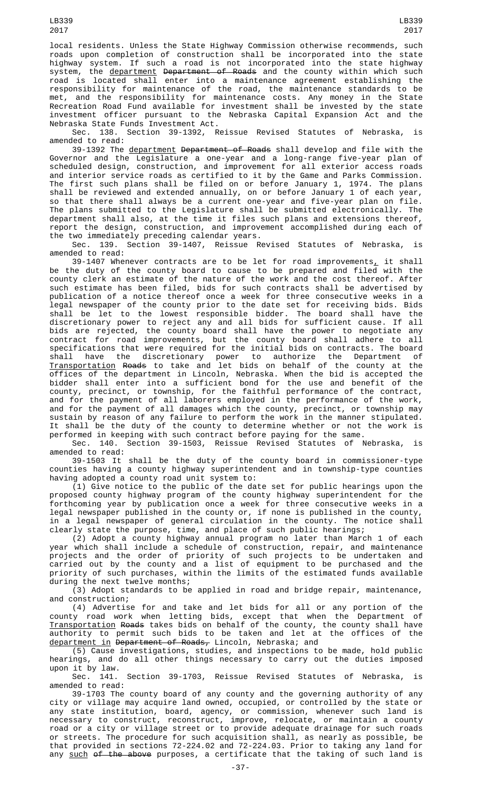LB339 2017

local residents. Unless the State Highway Commission otherwise recommends, such roads upon completion of construction shall be incorporated into the state highway system. If such a road is not incorporated into the state highway system, the <u>department</u> <del>Department of Roads</del> and the county within which such road is located shall enter into a maintenance agreement establishing the responsibility for maintenance of the road, the maintenance standards to be met, and the responsibility for maintenance costs. Any money in the State Recreation Road Fund available for investment shall be invested by the state investment officer pursuant to the Nebraska Capital Expansion Act and the Nebraska State Funds Investment Act.

Sec. 138. Section 39-1392, Reissue Revised Statutes of Nebraska, is amended to read:

39-1392 The department Department of Roads shall develop and file with the Governor and the Legislature a one-year and a long-range five-year plan of scheduled design, construction, and improvement for all exterior access roads and interior service roads as certified to it by the Game and Parks Commission. The first such plans shall be filed on or before January 1, 1974. The plans shall be reviewed and extended annually, on or before January 1 of each year, so that there shall always be a current one-year and five-year plan on file. The plans submitted to the Legislature shall be submitted electronically. The department shall also, at the time it files such plans and extensions thereof, report the design, construction, and improvement accomplished during each of the two immediately preceding calendar years.

Sec. 139. Section 39-1407, Reissue Revised Statutes of Nebraska, is amended to read:

39-1407 Whenever contracts are to be let for road improvements $_{\rm \star}$  it shall be the duty of the county board to cause to be prepared and filed with the county clerk an estimate of the nature of the work and the cost thereof. After such estimate has been filed, bids for such contracts shall be advertised by publication of a notice thereof once a week for three consecutive weeks in a legal newspaper of the county prior to the date set for receiving bids. Bids shall be let to the lowest responsible bidder. The board shall have the discretionary power to reject any and all bids for sufficient cause. If all bids are rejected, the county board shall have the power to negotiate any contract for road improvements, but the county board shall adhere to all specifications that were required for the initial bids on contracts. The board shall have the discretionary power to authorize the Department of Transportation Roads to take and let bids on behalf of the county at the offices of the department in Lincoln, Nebraska. When the bid is accepted the bidder shall enter into a sufficient bond for the use and benefit of the county, precinct, or township, for the faithful performance of the contract, and for the payment of all laborers employed in the performance of the work, and for the payment of all damages which the county, precinct, or township may sustain by reason of any failure to perform the work in the manner stipulated. It shall be the duty of the county to determine whether or not the work is

performed in keeping with such contract before paying for the same.<br>Sec. 140. Section 39-1503, Reissue Revised Statutes of M Section 39-1503, Reissue Revised Statutes of Nebraska, is amended to read:

39-1503 It shall be the duty of the county board in commissioner-type counties having a county highway superintendent and in township-type counties having adopted a county road unit system to:

(1) Give notice to the public of the date set for public hearings upon the proposed county highway program of the county highway superintendent for the forthcoming year by publication once a week for three consecutive weeks in a legal newspaper published in the county or, if none is published in the county, in a legal newspaper of general circulation in the county. The notice shall clearly state the purpose, time, and place of such public hearings;

(2) Adopt a county highway annual program no later than March 1 of each year which shall include a schedule of construction, repair, and maintenance projects and the order of priority of such projects to be undertaken and carried out by the county and a list of equipment to be purchased and the priority of such purchases, within the limits of the estimated funds available during the next twelve months;

(3) Adopt standards to be applied in road and bridge repair, maintenance, and construction;

(4) Advertise for and take and let bids for all or any portion of the county road work when letting bids, except that when the Department of Transportation Roads takes bids on behalf of the county, the county shall have authority to permit such bids to be taken and let at the offices of the <u>department in</u> <del>Department of Roads,</del> Lincoln, Nebraska; and

(5) Cause investigations, studies, and inspections to be made, hold public hearings, and do all other things necessary to carry out the duties imposed upon it by law.

Sec. 141. Section 39-1703, Reissue Revised Statutes of Nebraska, is amended to read:

39-1703 The county board of any county and the governing authority of any city or village may acquire land owned, occupied, or controlled by the state or any state institution, board, agency, or commission, whenever such land is necessary to construct, reconstruct, improve, relocate, or maintain a county road or a city or village street or to provide adequate drainage for such roads or streets. The procedure for such acquisition shall, as nearly as possible, be that provided in sections 72-224.02 and 72-224.03. Prior to taking any land for any such of the above purposes, a certificate that the taking of such land is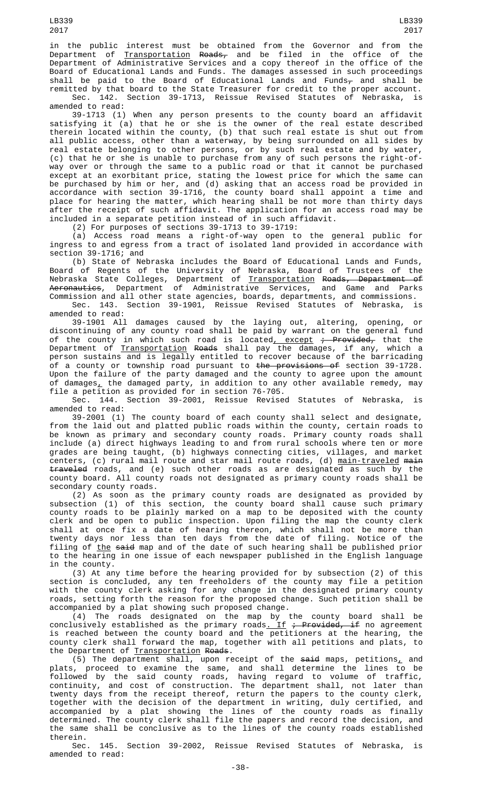in the public interest must be obtained from the Governor and from the Department of <u>Transportation</u> <del>Roads,</del> and be filed in the office of the Department of Administrative Services and a copy thereof in the office of the Board of Educational Lands and Funds. The damages assessed in such proceedings shall be paid to the Board of Educational Lands and Funds $_\tau$  and shall be remitted by that board to the State Treasurer for credit to the proper account.

Sec. 142. Section 39-1713, Reissue Revised Statutes of Nebraska, is amended to read:

39-1713 (1) When any person presents to the county board an affidavit satisfying it (a) that he or she is the owner of the real estate described therein located within the county, (b) that such real estate is shut out from all public access, other than a waterway, by being surrounded on all sides by real estate belonging to other persons, or by such real estate and by water, (c) that he or she is unable to purchase from any of such persons the right-ofway over or through the same to a public road or that it cannot be purchased except at an exorbitant price, stating the lowest price for which the same can be purchased by him or her, and (d) asking that an access road be provided in accordance with section 39-1716, the county board shall appoint a time and place for hearing the matter, which hearing shall be not more than thirty days after the receipt of such affidavit. The application for an access road may be included in a separate petition instead of in such affidavit.

(2) For purposes of sections 39-1713 to 39-1719:

(a) Access road means a right-of-way open to the general public for ingress to and egress from a tract of isolated land provided in accordance with section 39-1716; and

(b) State of Nebraska includes the Board of Educational Lands and Funds, Board of Regents of the University of Nebraska, Board of Trustees of the Nebraska State Colleges, Department of <u>Transportation</u> <del>Roads, Department of</del> A<del>eronautics</del>, Department of Administrative Services, and Game and Parks Commission and all other state agencies, boards, departments, and commissions. Sec. 143. Section 39-1901, Reissue Revised Statutes of Nebraska, is amended to read:

39-1901 All damages caused by the laying out, altering, opening, or discontinuing of any county road shall be paid by warrant on the general fund of the county in which such road is located<u>, except</u> <del>; Provided,</del> that the Department of <u>Transportation</u> <del>Roads</del> shall pay the damages, if any, which a person sustains and is legally entitled to recover because of the barricading of a county or township road pursuant to <del>the provisions of</del> section 39-1728. Upon the failure of the party damaged and the county to agree upon the amount of damages<u>,</u> the damaged party, in addition to any other available remedy, may file a petition as provided for in section 76-705.

Sec. 144. Section 39-2001, Reissue Revised Statutes of Nebraska, is amended to read:

39-2001 (1) The county board of each county shall select and designate, from the laid out and platted public roads within the county, certain roads to be known as primary and secondary county roads. Primary county roads shall include (a) direct highways leading to and from rural schools where ten or more grades are being taught, (b) highways connecting cities, villages, and market centers, (c) rural mail route and star mail route roads, (d) <u>main-traveled</u> <del>main</del> traveled roads, and (e) such other roads as are designated as such by the county board. All county roads not designated as primary county roads shall be secondary county roads.

(2) As soon as the primary county roads are designated as provided by subsection (1) of this section, the county board shall cause such primary county roads to be plainly marked on a map to be deposited with the county clerk and be open to public inspection. Upon filing the map the county clerk shall at once fix a date of hearing thereon, which shall not be more than twenty days nor less than ten days from the date of filing. Notice of the filing of <u>the</u> <del>said</del> map and of the date of such hearing shall be published prior to the hearing in one issue of each newspaper published in the English language in the county.

(3) At any time before the hearing provided for by subsection (2) of this section is concluded, any ten freeholders of the county may file a petition with the county clerk asking for any change in the designated primary county roads, setting forth the reason for the proposed change. Such petition shall be accompanied by a plat showing such proposed change.

(4) The roads designated on the map by the county board shall be conclusively established as the primary roads<u>. If</u> <del>; Provided, if</del> no agreement is reached between the county board and the petitioners at the hearing, the county clerk shall forward the map, together with all petitions and plats, to the Department of Transportation Roads.

(5) The department shall, upon receipt of the said maps, petitions, and plats, proceed to examine the same, and shall determine the lines to be followed by the said county roads, having regard to volume of traffic, continuity, and cost of construction. The department shall, not later than twenty days from the receipt thereof, return the papers to the county clerk, together with the decision of the department in writing, duly certified, and accompanied by a plat showing the lines of the county roads as finally determined. The county clerk shall file the papers and record the decision, and the same shall be conclusive as to the lines of the county roads established therein.

Sec. 145. Section 39-2002, Reissue Revised Statutes of Nebraska, is amended to read: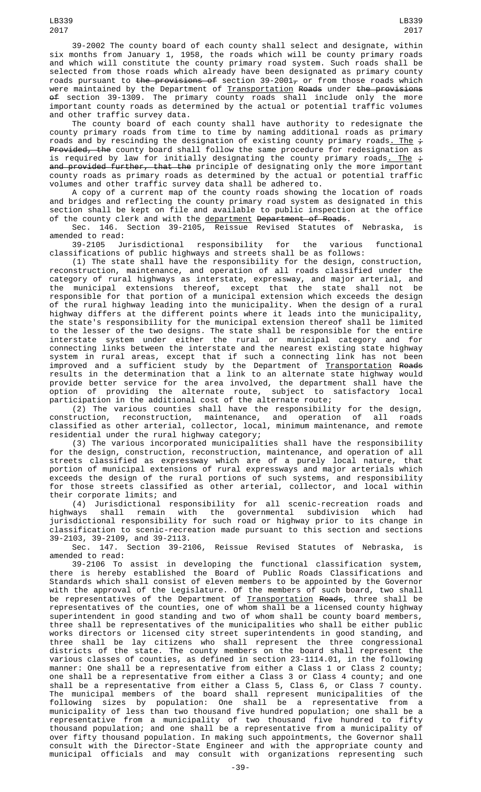39-2002 The county board of each county shall select and designate, within six months from January 1, 1958, the roads which will be county primary roads and which will constitute the county primary road system. Such roads shall be selected from those roads which already have been designated as primary county roads pursuant to <del>the provisions of</del> section 39-2001<del>,</del> or from those roads which were maintained by the Department of <u>Transportation</u> <del>Roads</del> under <del>the provisions</del> of section 39-1309. The primary county roads shall include only the more important county roads as determined by the actual or potential traffic volumes and other traffic survey data.

The county board of each county shall have authority to redesignate the county primary roads from time to time by naming additional roads as primary roads and by rescinding the designation of existing county primary roads<u>. The</u>  $\div$ Provided, the county board shall follow the same procedure for redesignation as is required by law for initially designating the county primary roads<u>. The</u>  $\div$ and provided further, that the principle of designating only the more important county roads as primary roads as determined by the actual or potential traffic volumes and other traffic survey data shall be adhered to.

A copy of a current map of the county roads showing the location of roads and bridges and reflecting the county primary road system as designated in this section shall be kept on file and available to public inspection at the office of the county clerk and with the <u>department</u> <del>Department of Roads</del>.

Sec. 146. Section 39-2105, Reissue Revised Statutes of Nebraska, is amended to read:<br>39-2105 Jurisdictional

39-2105 Jurisdictional responsibility for the various functional classifications of public highways and streets shall be as follows:

(1) The state shall have the responsibility for the design, construction, reconstruction, maintenance, and operation of all roads classified under the category of rural highways as interstate, expressway, and major arterial, and the municipal extensions thereof, except that the state shall not be responsible for that portion of a municipal extension which exceeds the design of the rural highway leading into the municipality. When the design of a rural highway differs at the different points where it leads into the municipality, the state's responsibility for the municipal extension thereof shall be limited to the lesser of the two designs. The state shall be responsible for the entire interstate system under either the rural or municipal category and for connecting links between the interstate and the nearest existing state highway system in rural areas, except that if such a connecting link has not been improved and a sufficient study by the Department of <u>Transportation</u> <del>Roads</del> results in the determination that a link to an alternate state highway would provide better service for the area involved, the department shall have the option of providing the alternate route, subject to satisfactory local participation in the additional cost of the alternate route;

(2) The various counties shall have the responsibility for the design, construction, reconstruction, maintenance, and operation of all roads classified as other arterial, collector, local, minimum maintenance, and remote residential under the rural highway category;

(3) The various incorporated municipalities shall have the responsibility for the design, construction, reconstruction, maintenance, and operation of all streets classified as expressway which are of a purely local nature, that portion of municipal extensions of rural expressways and major arterials which exceeds the design of the rural portions of such systems, and responsibility for those streets classified as other arterial, collector, and local within their corporate limits; and

(4) Jurisdictional responsibility for all scenic-recreation roads and highways shall remain with the governmental subdivision which had jurisdictional responsibility for such road or highway prior to its change in classification to scenic-recreation made pursuant to this section and sections 39-2103, 39-2109, and 39-2113.

Sec. 147. Section 39-2106, Reissue Revised Statutes of Nebraska, is amended to read:

39-2106 To assist in developing the functional classification system, there is hereby established the Board of Public Roads Classifications and Standards which shall consist of eleven members to be appointed by the Governor with the approval of the Legislature. Of the members of such board, two shall be representatives of the Department of <u>Transportation</u> <del>Roads</del>, three shall be representatives of the counties, one of whom shall be a licensed county highway superintendent in good standing and two of whom shall be county board members, three shall be representatives of the municipalities who shall be either public works directors or licensed city street superintendents in good standing, and three shall be lay citizens who shall represent the three congressional districts of the state. The county members on the board shall represent the various classes of counties, as defined in section 23-1114.01, in the following manner: One shall be a representative from either a Class 1 or Class 2 county; one shall be a representative from either a Class 3 or Class 4 county; and one shall be a representative from either a Class 5, Class 6, or Class 7 county. The municipal members of the board shall represent municipalities of the following sizes by population: One shall be a representative from a municipality of less than two thousand five hundred population; one shall be a representative from a municipality of two thousand five hundred to fifty thousand population; and one shall be a representative from a municipality of over fifty thousand population. In making such appointments, the Governor shall consult with the Director-State Engineer and with the appropriate county and municipal officials and may consult with organizations representing such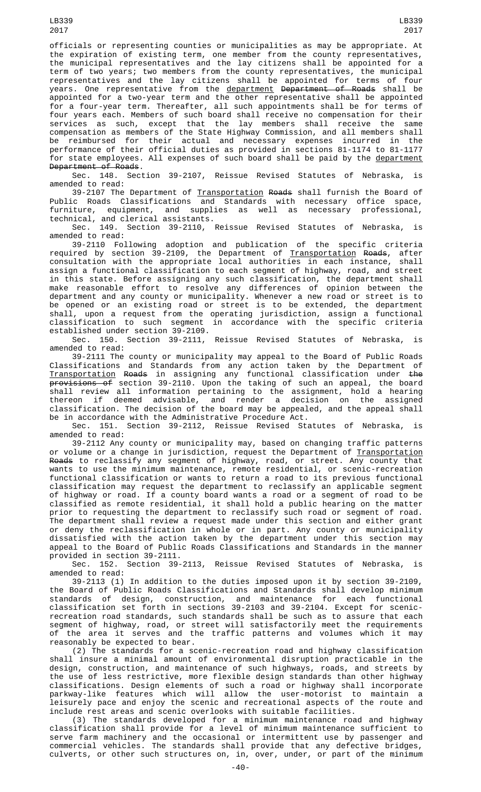officials or representing counties or municipalities as may be appropriate. At the expiration of existing term, one member from the county representatives, the municipal representatives and the lay citizens shall be appointed for a term of two years; two members from the county representatives, the municipal representatives and the lay citizens shall be appointed for terms of four years. One representative from the <u>department</u> <del>Department of Roads</del> shall be appointed for a two-year term and the other representative shall be appointed for a four-year term. Thereafter, all such appointments shall be for terms of four years each. Members of such board shall receive no compensation for their services as such, except that the lay members shall receive the same compensation as members of the State Highway Commission, and all members shall be reimbursed for their actual and necessary expenses incurred in the performance of their official duties as provided in sections 81-1174 to 81-1177 for state employees. All expenses of such board shall be paid by the department Department of Roads.

Sec. 148. Section 39-2107, Reissue Revised Statutes of Nebraska, is amended to read:

39-2107 The Department of <u>Transportation</u> <del>Roads</del> shall furnish the Board of Public Roads Classifications and Standards with necessary office space, furniture, equipment, and supplies as well as necessary professional, technical, and clerical assistants.

Sec. 149. Section 39-2110, Reissue Revised Statutes of Nebraska, is amended to read:

39-2110 Following adoption and publication of the specific criteria required by section 39-2109, the Department of <u>Transportation</u> <del>Roads</del>, after consultation with the appropriate local authorities in each instance, shall assign a functional classification to each segment of highway, road, and street in this state. Before assigning any such classification, the department shall make reasonable effort to resolve any differences of opinion between the department and any county or municipality. Whenever a new road or street is to be opened or an existing road or street is to be extended, the department shall, upon a request from the operating jurisdiction, assign a functional classification to such segment in accordance with the specific criteria established under section 39-2109.

Sec. 150. Section 39-2111, Reissue Revised Statutes of Nebraska, is amended to read:

39-2111 The county or municipality may appeal to the Board of Public Roads Classifications and Standards from any action taken by the Department of Transportation Roads in assigning any functional classification under the <del>provisions of</del> section 39-2110. Upon the taking of such an appeal, the board shall review all information pertaining to the assignment, hold a hearing thereon if deemed advisable, and render a decision on the assigned classification. The decision of the board may be appealed, and the appeal shall be in accordance with the Administrative Procedure Act.

Sec. 151. Section 39-2112, Reissue Revised Statutes of Nebraska, is amended to read:

39-2112 Any county or municipality may, based on changing traffic patterns or volume or a change in jurisdiction, request the Department of <u>Transportation</u> Roads to reclassify any segment of highway, road, or street. Any county that wants to use the minimum maintenance, remote residential, or scenic-recreation functional classification or wants to return a road to its previous functional classification may request the department to reclassify an applicable segment of highway or road. If a county board wants a road or a segment of road to be classified as remote residential, it shall hold a public hearing on the matter prior to requesting the department to reclassify such road or segment of road. The department shall review a request made under this section and either grant or deny the reclassification in whole or in part. Any county or municipality dissatisfied with the action taken by the department under this section may appeal to the Board of Public Roads Classifications and Standards in the manner provided in section 39-2111.

Sec. 152. Section 39-2113, Reissue Revised Statutes of Nebraska, is amended to read:

39-2113 (1) In addition to the duties imposed upon it by section 39-2109, the Board of Public Roads Classifications and Standards shall develop minimum standards of design, construction, and maintenance for each functional classification set forth in sections 39-2103 and 39-2104. Except for scenicrecreation road standards, such standards shall be such as to assure that each segment of highway, road, or street will satisfactorily meet the requirements of the area it serves and the traffic patterns and volumes which it may reasonably be expected to bear.

(2) The standards for a scenic-recreation road and highway classification shall insure a minimal amount of environmental disruption practicable in the design, construction, and maintenance of such highways, roads, and streets by the use of less restrictive, more flexible design standards than other highway classifications. Design elements of such a road or highway shall incorporate parkway-like features which will allow the user-motorist to maintain a leisurely pace and enjoy the scenic and recreational aspects of the route and include rest areas and scenic overlooks with suitable facilities.

(3) The standards developed for a minimum maintenance road and highway classification shall provide for a level of minimum maintenance sufficient to serve farm machinery and the occasional or intermittent use by passenger and commercial vehicles. The standards shall provide that any defective bridges, culverts, or other such structures on, in, over, under, or part of the minimum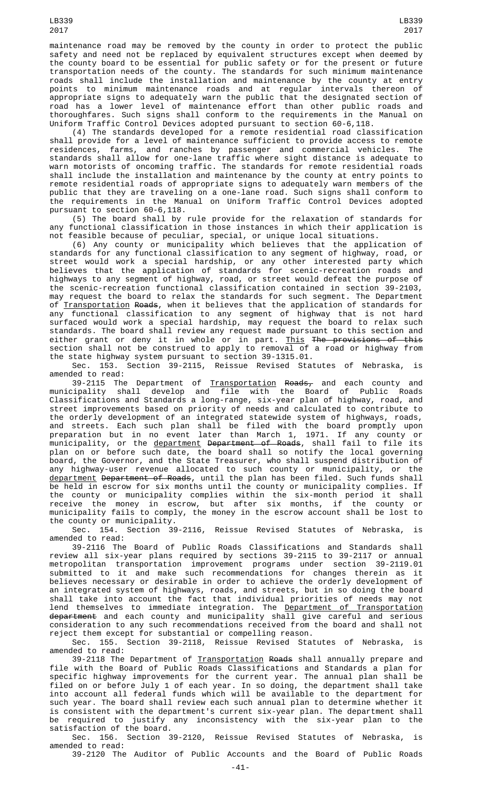maintenance road may be removed by the county in order to protect the public safety and need not be replaced by equivalent structures except when deemed by the county board to be essential for public safety or for the present or future transportation needs of the county. The standards for such minimum maintenance roads shall include the installation and maintenance by the county at entry points to minimum maintenance roads and at regular intervals thereon of appropriate signs to adequately warn the public that the designated section of road has a lower level of maintenance effort than other public roads and thoroughfares. Such signs shall conform to the requirements in the Manual on Uniform Traffic Control Devices adopted pursuant to section 60-6,118.

(4) The standards developed for a remote residential road classification shall provide for a level of maintenance sufficient to provide access to remote residences, farms, and ranches by passenger and commercial vehicles. The standards shall allow for one-lane traffic where sight distance is adequate to warn motorists of oncoming traffic. The standards for remote residential roads shall include the installation and maintenance by the county at entry points to remote residential roads of appropriate signs to adequately warn members of the public that they are traveling on a one-lane road. Such signs shall conform to the requirements in the Manual on Uniform Traffic Control Devices adopted pursuant to section 60-6,118.

(5) The board shall by rule provide for the relaxation of standards for any functional classification in those instances in which their application is not feasible because of peculiar, special, or unique local situations.

(6) Any county or municipality which believes that the application of standards for any functional classification to any segment of highway, road, or street would work a special hardship, or any other interested party which believes that the application of standards for scenic-recreation roads and highways to any segment of highway, road, or street would defeat the purpose of the scenic-recreation functional classification contained in section 39-2103, may request the board to relax the standards for such segment. The Department of <u>Transportation</u> <del>Roads</del>, when it believes that the application of standards for any functional classification to any segment of highway that is not hard surfaced would work a special hardship, may request the board to relax such standards. The board shall review any request made pursuant to this section and either grant or deny it in whole or in part. <u>This</u> <del>The provisions of this</del> section shall not be construed to apply to removal of a road or highway from the state highway system pursuant to section 39-1315.01.

Sec. 153. Section 39-2115, Reissue Revised Statutes of Nebraska, is amended to read:

39-2115 The Department of <u>Transportation</u> <del>Roads,</del> and each county and municipality shall develop and file with the Board of Public Roads Classifications and Standards a long-range, six-year plan of highway, road, and street improvements based on priority of needs and calculated to contribute to the orderly development of an integrated statewide system of highways, roads, and streets. Each such plan shall be filed with the board promptly upon preparation but in no event later than March 1, 1971. If any county or municipality, or the <u>department</u> <del>Department of Roads</del>, shall fail to file its plan on or before such date, the board shall so notify the local governing board, the Governor, and the State Treasurer, who shall suspend distribution of any highway-user revenue allocated to such county or municipality, or the <u>department</u> <del>Department of Roads</del>, until the plan has been filed. Such funds shall be held in escrow for six months until the county or municipality complies. If the county or municipality complies within the six-month period it shall receive the money in escrow, but after six months, if the county or municipality fails to comply, the money in the escrow account shall be lost to the county or municipality.

Sec. 154. Section 39-2116, Reissue Revised Statutes of Nebraska, is amended to read:

39-2116 The Board of Public Roads Classifications and Standards shall review all six-year plans required by sections 39-2115 to 39-2117 or annual metropolitan transportation improvement programs under section 39-2119.01 submitted to it and make such recommendations for changes therein as it believes necessary or desirable in order to achieve the orderly development of an integrated system of highways, roads, and streets, but in so doing the board shall take into account the fact that individual priorities of needs may not lend themselves to immediate integration. The <u>Department of Transportation</u> department and each county and municipality shall give careful and serious consideration to any such recommendations received from the board and shall not reject them except for substantial or compelling reason.

Sec. 155. Section 39-2118, Reissue Revised Statutes of Nebraska, is amended to read:

39-2118 The Department of <u>Transportation</u> <del>Roads</del> shall annually prepare and file with the Board of Public Roads Classifications and Standards a plan for specific highway improvements for the current year. The annual plan shall be filed on or before July 1 of each year. In so doing, the department shall take into account all federal funds which will be available to the department for such year. The board shall review each such annual plan to determine whether it is consistent with the department's current six-year plan. The department shall be required to justify any inconsistency with the six-year plan to the satisfaction of the board.

Sec. 156. Section 39-2120, Reissue Revised Statutes of Nebraska, is amended to read:

39-2120 The Auditor of Public Accounts and the Board of Public Roads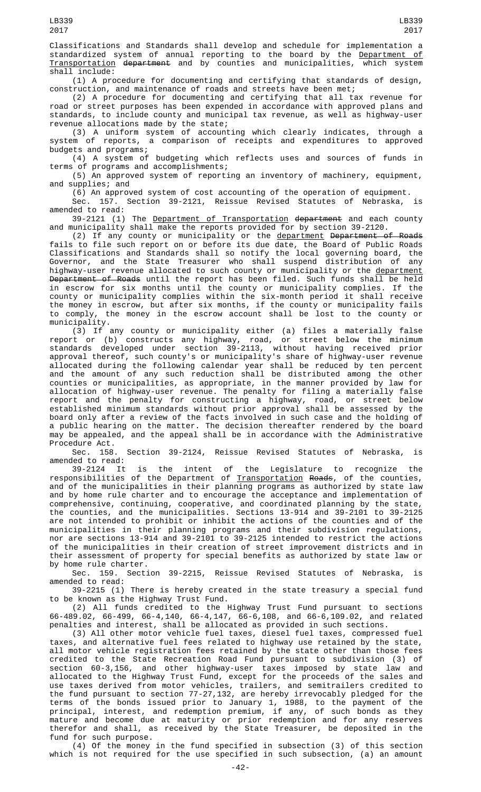Classifications and Standards shall develop and schedule for implementation a standardized system of annual reporting to the board by the <u>Department of</u> Transportation department and by counties and municipalities, which system shall include:

(1) A procedure for documenting and certifying that standards of design, construction, and maintenance of roads and streets have been met;

(2) A procedure for documenting and certifying that all tax revenue for road or street purposes has been expended in accordance with approved plans and standards, to include county and municipal tax revenue, as well as highway-user revenue allocations made by the state;

(3) A uniform system of accounting which clearly indicates, through a system of reports, a comparison of receipts and expenditures to approved budgets and programs;

(4) A system of budgeting which reflects uses and sources of funds in terms of programs and accomplishments;

(5) An approved system of reporting an inventory of machinery, equipment, and supplies; and

(6) An approved system of cost accounting of the operation of equipment.

Sec. 157. Section 39-2121, Reissue Revised Statutes of Nebraska, is amended to read:

39-2121 (1) The Department of Transportation department and each county and municipality shall make the reports provided for by section 39-2120.

(2) If any county or municipality or the <u>department</u> <del>Department of Roads</del> fails to file such report on or before its due date, the Board of Public Roads Classifications and Standards shall so notify the local governing board, the Governor, and the State Treasurer who shall suspend distribution of any highway-user revenue allocated to such county or municipality or the <u>department</u> Department of Roads until the report has been filed. Such funds shall be held in escrow for six months until the county or municipality complies. If the county or municipality complies within the six-month period it shall receive the money in escrow, but after six months, if the county or municipality fails to comply, the money in the escrow account shall be lost to the county or municipality.

(3) If any county or municipality either (a) files a materially false report or (b) constructs any highway, road, or street below the minimum standards developed under section 39-2113, without having received prior approval thereof, such county's or municipality's share of highway-user revenue allocated during the following calendar year shall be reduced by ten percent and the amount of any such reduction shall be distributed among the other counties or municipalities, as appropriate, in the manner provided by law for allocation of highway-user revenue. The penalty for filing a materially false report and the penalty for constructing a highway, road, or street below established minimum standards without prior approval shall be assessed by the board only after a review of the facts involved in such case and the holding of a public hearing on the matter. The decision thereafter rendered by the board may be appealed, and the appeal shall be in accordance with the Administrative

Procedure Act.<br>Sec. 158. Section 39-2124, Reissue Revised Statutes of Nebraska, is amended to read:

39-2124 It is the intent of the Legislature to recognize the responsibilities of the Department of <u>Transportation</u> <del>Roads</del>, of the counties, and of the municipalities in their planning programs as authorized by state law and by home rule charter and to encourage the acceptance and implementation of comprehensive, continuing, cooperative, and coordinated planning by the state, the counties, and the municipalities. Sections 13-914 and 39-2101 to 39-2125 are not intended to prohibit or inhibit the actions of the counties and of the municipalities in their planning programs and their subdivision regulations, nor are sections 13-914 and 39-2101 to 39-2125 intended to restrict the actions of the municipalities in their creation of street improvement districts and in their assessment of property for special benefits as authorized by state law or by home rule charter.

Sec. 159. Section 39-2215, Reissue Revised Statutes of Nebraska, is amended to read:

39-2215 (1) There is hereby created in the state treasury a special fund<br>to be known as the Highway Trust Fund. to be known as the Highway Trust Fund.

(2) All funds credited to the Highway Trust Fund pursuant to sections 66-489.02, 66-499, 66-4,140, 66-4,147, 66-6,108, and 66-6,109.02, and related penalties and interest, shall be allocated as provided in such sections.

(3) All other motor vehicle fuel taxes, diesel fuel taxes, compressed fuel taxes, and alternative fuel fees related to highway use retained by the state, all motor vehicle registration fees retained by the state other than those fees credited to the State Recreation Road Fund pursuant to subdivision (3) of section 60-3,156, and other highway-user taxes imposed by state law and allocated to the Highway Trust Fund, except for the proceeds of the sales and use taxes derived from motor vehicles, trailers, and semitrailers credited to the fund pursuant to section 77-27,132, are hereby irrevocably pledged for the terms of the bonds issued prior to January 1, 1988, to the payment of the principal, interest, and redemption premium, if any, of such bonds as they mature and become due at maturity or prior redemption and for any reserves therefor and shall, as received by the State Treasurer, be deposited in the fund for such purpose.

(4) Of the money in the fund specified in subsection (3) of this section which is not required for the use specified in such subsection, (a) an amount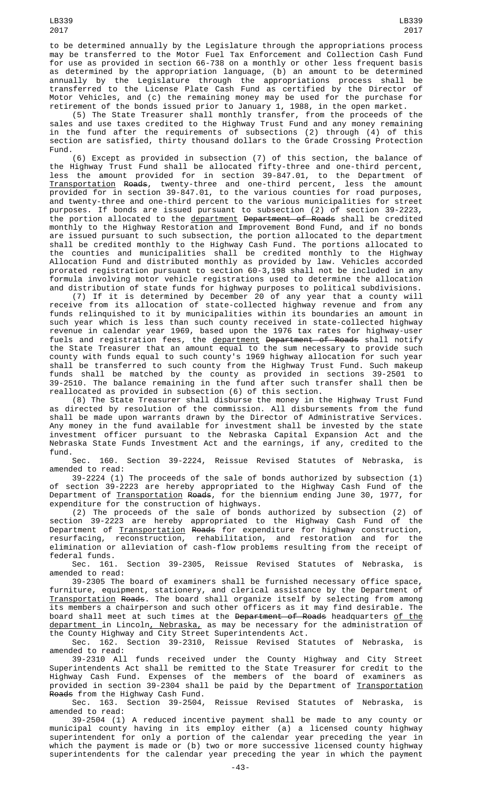(5) The State Treasurer shall monthly transfer, from the proceeds of the sales and use taxes credited to the Highway Trust Fund and any money remaining in the fund after the requirements of subsections (2) through (4) of this section are satisfied, thirty thousand dollars to the Grade Crossing Protection Fund.

(6) Except as provided in subsection (7) of this section, the balance of the Highway Trust Fund shall be allocated fifty-three and one-third percent, less the amount provided for in section 39-847.01, to the Department of Transportation Roads, twenty-three and one-third percent, less the amount provided for in section 39-847.01, to the various counties for road purposes, and twenty-three and one-third percent to the various municipalities for street purposes. If bonds are issued pursuant to subsection (2) of section 39-2223, the portion allocated to the <u>department</u> <del>Department of Roads</del> shall be credited monthly to the Highway Restoration and Improvement Bond Fund, and if no bonds are issued pursuant to such subsection, the portion allocated to the department shall be credited monthly to the Highway Cash Fund. The portions allocated to the counties and municipalities shall be credited monthly to the Highway Allocation Fund and distributed monthly as provided by law. Vehicles accorded prorated registration pursuant to section 60-3,198 shall not be included in any formula involving motor vehicle registrations used to determine the allocation and distribution of state funds for highway purposes to political subdivisions.

(7) If it is determined by December 20 of any year that a county will receive from its allocation of state-collected highway revenue and from any funds relinquished to it by municipalities within its boundaries an amount in such year which is less than such county received in state-collected highway revenue in calendar year 1969, based upon the 1976 tax rates for highway-user fuels and registration fees, the <u>department</u> <del>Department of Roads</del> shall notify the State Treasurer that an amount equal to the sum necessary to provide such county with funds equal to such county's 1969 highway allocation for such year shall be transferred to such county from the Highway Trust Fund. Such makeup funds shall be matched by the county as provided in sections 39-2501 to 39-2510. The balance remaining in the fund after such transfer shall then be reallocated as provided in subsection (6) of this section.

(8) The State Treasurer shall disburse the money in the Highway Trust Fund as directed by resolution of the commission. All disbursements from the fund shall be made upon warrants drawn by the Director of Administrative Services. Any money in the fund available for investment shall be invested by the state investment officer pursuant to the Nebraska Capital Expansion Act and the Nebraska State Funds Investment Act and the earnings, if any, credited to the fund.

Sec. 160. Section 39-2224, Reissue Revised Statutes of Nebraska, is amended to read:

39-2224 (1) The proceeds of the sale of bonds authorized by subsection (1) of section 39-2223 are hereby appropriated to the Highway Cash Fund of the Department of <u>Transportation</u> <del>Roads</del>, for the biennium ending June 30, 1977, for expenditure for the construction of highways.

(2) The proceeds of the sale of bonds authorized by subsection (2) of section 39-2223 are hereby appropriated to the Highway Cash Fund of the Department of <u>Transportation</u> <del>Roads</del> for expenditure for highway construction, resurfacing, reconstruction, rehabilitation, and restoration and for the elimination or alleviation of cash-flow problems resulting from the receipt of federal funds.<br>Sec. 161.

Section 39-2305, Reissue Revised Statutes of Nebraska, is amended to read:

39-2305 The board of examiners shall be furnished necessary office space, furniture, equipment, stationery, and clerical assistance by the Department of Transportation Roads. The board shall organize itself by selecting from among its members a chairperson and such other officers as it may find desirable. The board shall meet at such times at the <del>Department of Roads</del> headquarters <u>of the</u> department in Lincoln, Nebraska, as may be necessary for the administration of the County Highway and City Street Superintendents Act.

Sec. 162. Section 39-2310, Reissue Revised Statutes of Nebraska, is amended to read:

39-2310 All funds received under the County Highway and City Street Superintendents Act shall be remitted to the State Treasurer for credit to the Highway Cash Fund. Expenses of the members of the board of examiners as provided in section 39-2304 shall be paid by the Department of <u>Transportation</u> Roads from the Highway Cash Fund.

Sec. 163. Section 39-2504, Reissue Revised Statutes of Nebraska, is amended to read:

39-2504 (1) A reduced incentive payment shall be made to any county or municipal county having in its employ either (a) a licensed county highway superintendent for only a portion of the calendar year preceding the year in which the payment is made or (b) two or more successive licensed county highway superintendents for the calendar year preceding the year in which the payment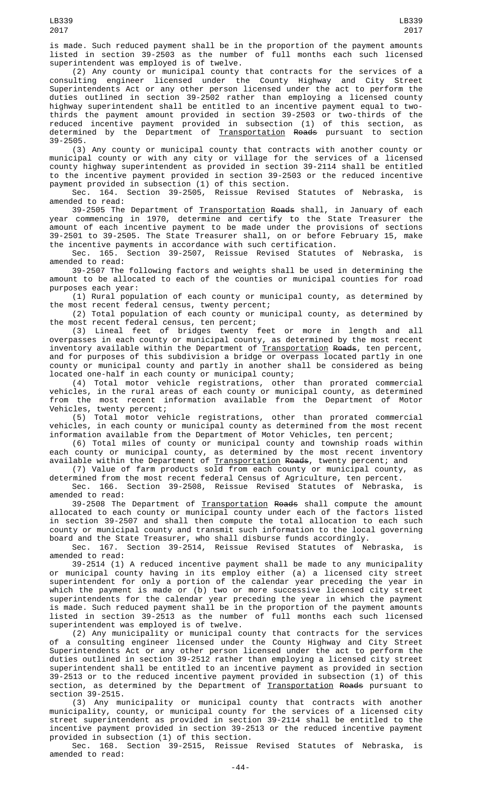is made. Such reduced payment shall be in the proportion of the payment amounts listed in section 39-2503 as the number of full months each such licensed superintendent was employed is of twelve.

(2) Any county or municipal county that contracts for the services of a consulting engineer licensed under the County Highway and City Street Superintendents Act or any other person licensed under the act to perform the duties outlined in section 39-2502 rather than employing a licensed county highway superintendent shall be entitled to an incentive payment equal to twothirds the payment amount provided in section 39-2503 or two-thirds of the reduced incentive payment provided in subsection (1) of this section, as determined by the Department of <u>Transportation</u> <del>Roads</del> pursuant to section 39-2505.

(3) Any county or municipal county that contracts with another county or municipal county or with any city or village for the services of a licensed county highway superintendent as provided in section 39-2114 shall be entitled to the incentive payment provided in section 39-2503 or the reduced incentive payment provided in subsection (1) of this section.

Sec. 164. Section 39-2505, Reissue Revised Statutes of Nebraska, is amended to read:

39-2505 The Department of <u>Transportation</u> <del>Roads</del> shall, in January of each year commencing in 1970, determine and certify to the State Treasurer the amount of each incentive payment to be made under the provisions of sections 39-2501 to 39-2505. The State Treasurer shall, on or before February 15, make the incentive payments in accordance with such certification.

Sec. 165. Section 39-2507, Reissue Revised Statutes of Nebraska, is amended to read:

39-2507 The following factors and weights shall be used in determining the amount to be allocated to each of the counties or municipal counties for road purposes each year:

(1) Rural population of each county or municipal county, as determined by the most recent federal census, twenty percent;

(2) Total population of each county or municipal county, as determined by the most recent federal census, ten percent;

(3) Lineal feet of bridges twenty feet or more in length and all overpasses in each county or municipal county, as determined by the most recent inventory available within the Department of <u>Transportation</u> <del>Roads</del>, ten percent, and for purposes of this subdivision a bridge or overpass located partly in one county or municipal county and partly in another shall be considered as being located one-half in each county or municipal county;

(4) Total motor vehicle registrations, other than prorated commercial vehicles, in the rural areas of each county or municipal county, as determined from the most recent information available from the Department of Motor Vehicles, twenty percent;

(5) Total motor vehicle registrations, other than prorated commercial vehicles, in each county or municipal county as determined from the most recent information available from the Department of Motor Vehicles, ten percent;

(6) Total miles of county or municipal county and township roads within each county or municipal county, as determined by the most recent inventory available within the Department of <u>Transportation</u> <del>Roads</del>, twenty percent; and

(7) Value of farm products sold from each county or municipal county, as determined from the most recent federal Census of Agriculture, ten percent.

Sec. 166. Section 39-2508, Reissue Revised Statutes of Nebraska, is amended to read:

39-2508 The Department of Transportation Roads shall compute the amount allocated to each county or municipal county under each of the factors listed in section 39-2507 and shall then compute the total allocation to each such county or municipal county and transmit such information to the local governing board and the State Treasurer, who shall disburse funds accordingly.

Sec. 167. Section 39-2514, Reissue Revised Statutes of Nebraska, is amended to read:

39-2514 (1) A reduced incentive payment shall be made to any municipality or municipal county having in its employ either (a) a licensed city street superintendent for only a portion of the calendar year preceding the year in which the payment is made or (b) two or more successive licensed city street superintendents for the calendar year preceding the year in which the payment is made. Such reduced payment shall be in the proportion of the payment amounts listed in section 39-2513 as the number of full months each such licensed superintendent was employed is of twelve.

(2) Any municipality or municipal county that contracts for the services of a consulting engineer licensed under the County Highway and City Street Superintendents Act or any other person licensed under the act to perform the duties outlined in section 39-2512 rather than employing a licensed city street superintendent shall be entitled to an incentive payment as provided in section 39-2513 or to the reduced incentive payment provided in subsection (1) of this section, as determined by the Department of <u>Transportation</u> <del>Roads</del> pursuant to section 39-2515.

(3) Any municipality or municipal county that contracts with another municipality, county, or municipal county for the services of a licensed city street superintendent as provided in section 39-2114 shall be entitled to the incentive payment provided in section 39-2513 or the reduced incentive payment provided in subsection (1) of this section.

Sec. 168. Section 39-2515, Reissue Revised Statutes of Nebraska, is amended to read: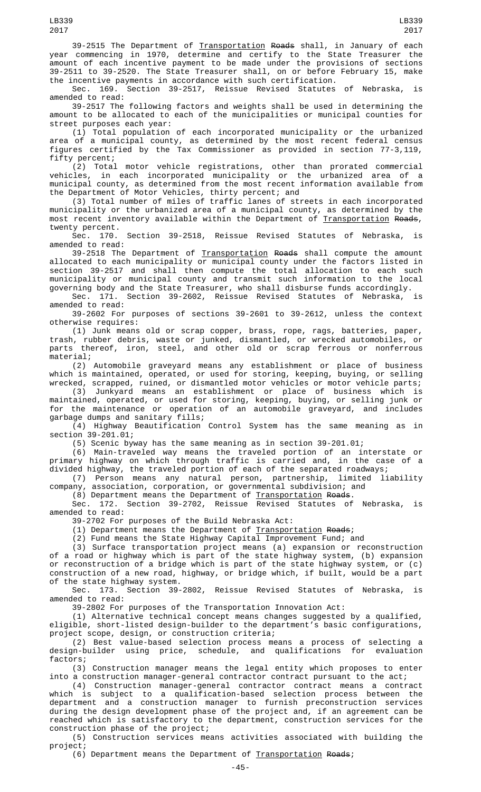39-2515 The Department of <u>Transportation</u> <del>Roads</del> shall, in January of each year commencing in 1970, determine and certify to the State Treasurer the amount of each incentive payment to be made under the provisions of sections 39-2511 to 39-2520. The State Treasurer shall, on or before February 15, make

the incentive payments in accordance with such certification.<br>Sec. 169. Section 39-2517, Reissue Revised Statutes Section 39-2517, Reissue Revised Statutes of Nebraska, is amended to read:

39-2517 The following factors and weights shall be used in determining the amount to be allocated to each of the municipalities or municipal counties for street purposes each year:

(1) Total population of each incorporated municipality or the urbanized area of a municipal county, as determined by the most recent federal census figures certified by the Tax Commissioner as provided in section 77-3,119, fifty percent;

(2) Total motor vehicle registrations, other than prorated commercial vehicles, in each incorporated municipality or the urbanized area of a municipal county, as determined from the most recent information available from the Department of Motor Vehicles, thirty percent; and

(3) Total number of miles of traffic lanes of streets in each incorporated municipality or the urbanized area of a municipal county, as determined by the most recent inventory available within the Department of <u>Transportation</u> <del>Roads</del>, twenty percent.

Sec. 170. Section 39-2518, Reissue Revised Statutes of Nebraska, is amended to read:

39-2518 The Department of Transportation Roads shall compute the amount allocated to each municipality or municipal county under the factors listed in section 39-2517 and shall then compute the total allocation to each such municipality or municipal county and transmit such information to the local governing body and the State Treasurer, who shall disburse funds accordingly.

Sec. 171. Section 39-2602, Reissue Revised Statutes of Nebraska, is amended to read:

39-2602 For purposes of sections 39-2601 to 39-2612, unless the context otherwise requires:

(1) Junk means old or scrap copper, brass, rope, rags, batteries, paper, trash, rubber debris, waste or junked, dismantled, or wrecked automobiles, or parts thereof, iron, steel, and other old or scrap ferrous or nonferrous material;

(2) Automobile graveyard means any establishment or place of business which is maintained, operated, or used for storing, keeping, buying, or selling wrecked, scrapped, ruined, or dismantled motor vehicles or motor vehicle parts;

(3) Junkyard means an establishment or place of business which is maintained, operated, or used for storing, keeping, buying, or selling junk or for the maintenance or operation of an automobile graveyard, and includes garbage dumps and sanitary fills;

(4) Highway Beautification Control System has the same meaning as in section 39-201.01;

(5) Scenic byway has the same meaning as in section 39-201.01;

(6) Main-traveled way means the traveled portion of an interstate or primary highway on which through traffic is carried and, in the case of a divided highway, the traveled portion of each of the separated roadways;

(7) Person means any natural person, partnership, limited liability company, association, corporation, or governmental subdivision; and

(8) Department means the Department of Transportation Roads.

Sec. 172. Section 39-2702, Reissue Revised Statutes of Nebraska, is amended to read:

39-2702 For purposes of the Build Nebraska Act:

(1) Department means the Department of Transportation Roads;

(2) Fund means the State Highway Capital Improvement Fund; and

(3) Surface transportation project means (a) expansion or reconstruction of a road or highway which is part of the state highway system, (b) expansion or reconstruction of a bridge which is part of the state highway system, or (c) construction of a new road, highway, or bridge which, if built, would be a part of the state highway system.<br>Sec. 173. Section 39-

Section 39-2802, Reissue Revised Statutes of Nebraska, is amended to read:

39-2802 For purposes of the Transportation Innovation Act:

(1) Alternative technical concept means changes suggested by a qualified, eligible, short-listed design-builder to the department's basic configurations, project scope, design, or construction criteria;

(2) Best value-based selection process means a process of selecting a design-builder using price, schedule, and qualifications for evaluation factors;

(3) Construction manager means the legal entity which proposes to enter into a construction manager-general contractor contract pursuant to the act;

(4) Construction manager-general contractor contract means a contract which is subject to a qualification-based selection process between the department and a construction manager to furnish preconstruction services during the design development phase of the project and, if an agreement can be reached which is satisfactory to the department, construction services for the construction phase of the project;

(5) Construction services means activities associated with building the project;

(6) Department means the Department of Transportation Roads;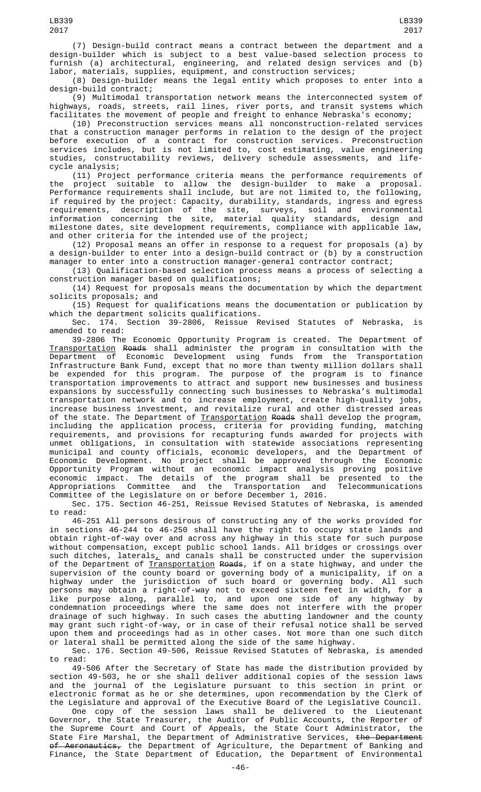2017

(7) Design-build contract means a contract between the department and a design-builder which is subject to a best value-based selection process to furnish (a) architectural, engineering, and related design services and (b) labor, materials, supplies, equipment, and construction services;

(8) Design-builder means the legal entity which proposes to enter into a design-build contract;

(9) Multimodal transportation network means the interconnected system of highways, roads, streets, rail lines, river ports, and transit systems which facilitates the movement of people and freight to enhance Nebraska's economy;

(10) Preconstruction services means all nonconstruction-related services that a construction manager performs in relation to the design of the project before execution of a contract for construction services. Preconstruction services includes, but is not limited to, cost estimating, value engineering studies, constructability reviews, delivery schedule assessments, and lifecycle analysis;

(11) Project performance criteria means the performance requirements of the project suitable to allow the design-builder to make a proposal. Performance requirements shall include, but are not limited to, the following, if required by the project: Capacity, durability, standards, ingress and egress requirements, description of the site, surveys, soil and environmental information concerning the site, material quality standards, design and milestone dates, site development requirements, compliance with applicable law, and other criteria for the intended use of the project;

(12) Proposal means an offer in response to a request for proposals (a) by a design-builder to enter into a design-build contract or (b) by a construction manager to enter into a construction manager-general contractor contract;

(13) Qualification-based selection process means a process of selecting a construction manager based on qualifications;

(14) Request for proposals means the documentation by which the department solicits proposals; and

(15) Request for qualifications means the documentation or publication by which the department solicits qualifications.

Sec. 174. Section 39-2806, Reissue Revised Statutes of Nebraska, is amended to read:

39-2806 The Economic Opportunity Program is created. The Department of Transportation Roads shall administer the program in consultation with the Department of Economic Development using funds from the Transportation Infrastructure Bank Fund, except that no more than twenty million dollars shall be expended for this program. The purpose of the program is to finance transportation improvements to attract and support new businesses and business expansions by successfully connecting such businesses to Nebraska's multimodal transportation network and to increase employment, create high-quality jobs, increase business investment, and revitalize rural and other distressed areas of the state. The Department of <u>Transportation</u> <del>Roads</del> shall develop the program, including the application process, criteria for providing funding, matching requirements, and provisions for recapturing funds awarded for projects with unmet obligations, in consultation with statewide associations representing municipal and county officials, economic developers, and the Department of Economic Development. No project shall be approved through the Economic Opportunity Program without an economic impact analysis proving positive economic impact. The details of the program shall be presented to the Appropriations Committee and the Transportation and Telecommunications Committee of the Legislature on or before December 1, 2016.

Sec. 175. Section 46-251, Reissue Revised Statutes of Nebraska, is amended to read:

46-251 All persons desirous of constructing any of the works provided for in sections 46-244 to 46-250 shall have the right to occupy state lands and obtain right-of-way over and across any highway in this state for such purpose without compensation, except public school lands. All bridges or crossings over such ditches, laterals $_{\perp}$  and canals shall be constructed under the supervision of the Department of <u>Transportation</u> <del>Roads</del>, if on a state highway, and under the supervision of the county board or governing body of a municipality, if on a highway under the jurisdiction of such board or governing body. All such persons may obtain a right-of-way not to exceed sixteen feet in width, for a like purpose along, parallel to, and upon one side of any highway by condemnation proceedings where the same does not interfere with the proper drainage of such highway. In such cases the abutting landowner and the county may grant such right-of-way, or in case of their refusal notice shall be served upon them and proceedings had as in other cases. Not more than one such ditch or lateral shall be permitted along the side of the same highway.

Sec. 176. Section 49-506, Reissue Revised Statutes of Nebraska, is amended to read:

49-506 After the Secretary of State has made the distribution provided by section 49-503, he or she shall deliver additional copies of the session laws and the journal of the Legislature pursuant to this section in print or electronic format as he or she determines, upon recommendation by the Clerk of the Legislature and approval of the Executive Board of the Legislative Council.

One copy of the session laws shall be delivered to the Lieutenant Governor, the State Treasurer, the Auditor of Public Accounts, the Reporter of the Supreme Court and Court of Appeals, the State Court Administrator, the State Fire Marshal, the Department of Administrative Services, <del>the Department</del> o<del>f Aeronautics,</del> the Department of Agriculture, the Department of Banking and Finance, the State Department of Education, the Department of Environmental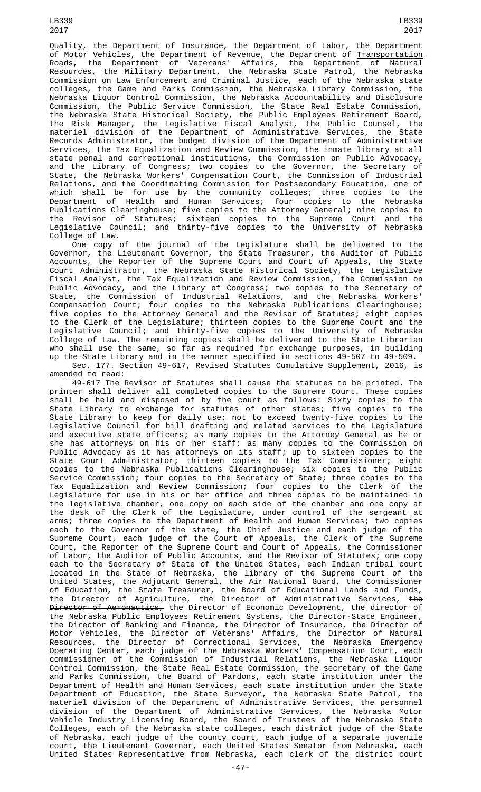LB339 2017

Quality, the Department of Insurance, the Department of Labor, the Department of Motor Vehicles, the Department of Revenue, the Department of <u>Transportation</u> <del>Roads</del>, the Department of Veterans' Affairs, the Department of Natural Resources, the Military Department, the Nebraska State Patrol, the Nebraska Commission on Law Enforcement and Criminal Justice, each of the Nebraska state colleges, the Game and Parks Commission, the Nebraska Library Commission, the Nebraska Liquor Control Commission, the Nebraska Accountability and Disclosure Commission, the Public Service Commission, the State Real Estate Commission, the Nebraska State Historical Society, the Public Employees Retirement Board, the Risk Manager, the Legislative Fiscal Analyst, the Public Counsel, the materiel division of the Department of Administrative Services, the State Records Administrator, the budget division of the Department of Administrative Services, the Tax Equalization and Review Commission, the inmate library at all state penal and correctional institutions, the Commission on Public Advocacy, and the Library of Congress; two copies to the Governor, the Secretary of State, the Nebraska Workers' Compensation Court, the Commission of Industrial Relations, and the Coordinating Commission for Postsecondary Education, one of which shall be for use by the community colleges; three copies to the Department of Health and Human Services; four copies to the Nebraska Publications Clearinghouse; five copies to the Attorney General; nine copies to the Revisor of Statutes; sixteen copies to the Supreme Court and the Legislative Council; and thirty-five copies to the University of Nebraska College of Law.

One copy of the journal of the Legislature shall be delivered to the Governor, the Lieutenant Governor, the State Treasurer, the Auditor of Public Accounts, the Reporter of the Supreme Court and Court of Appeals, the State Court Administrator, the Nebraska State Historical Society, the Legislative Fiscal Analyst, the Tax Equalization and Review Commission, the Commission on Public Advocacy, and the Library of Congress; two copies to the Secretary of State, the Commission of Industrial Relations, and the Nebraska Workers' Compensation Court; four copies to the Nebraska Publications Clearinghouse; five copies to the Attorney General and the Revisor of Statutes; eight copies to the Clerk of the Legislature; thirteen copies to the Supreme Court and the Legislative Council; and thirty-five copies to the University of Nebraska College of Law. The remaining copies shall be delivered to the State Librarian who shall use the same, so far as required for exchange purposes, in building up the State Library and in the manner specified in sections 49-507 to 49-509. Sec. 177. Section 49-617, Revised Statutes Cumulative Supplement, 2016, is amended to read:

49-617 The Revisor of Statutes shall cause the statutes to be printed. The printer shall deliver all completed copies to the Supreme Court. These copies shall be held and disposed of by the court as follows: Sixty copies to the State Library to exchange for statutes of other states; five copies to the State Library to keep for daily use; not to exceed twenty-five copies to the Legislative Council for bill drafting and related services to the Legislature and executive state officers; as many copies to the Attorney General as he or she has attorneys on his or her staff; as many copies to the Commission on Public Advocacy as it has attorneys on its staff; up to sixteen copies to the State Court Administrator; thirteen copies to the Tax Commissioner; eight copies to the Nebraska Publications Clearinghouse; six copies to the Public Service Commission; four copies to the Secretary of State; three copies to the Tax Equalization and Review Commission; four copies to the Clerk of the Legislature for use in his or her office and three copies to be maintained in the legislative chamber, one copy on each side of the chamber and one copy at the desk of the Clerk of the Legislature, under control of the sergeant at arms; three copies to the Department of Health and Human Services; two copies each to the Governor of the state, the Chief Justice and each judge of the Supreme Court, each judge of the Court of Appeals, the Clerk of the Supreme Court, the Reporter of the Supreme Court and Court of Appeals, the Commissioner of Labor, the Auditor of Public Accounts, and the Revisor of Statutes; one copy each to the Secretary of State of the United States, each Indian tribal court located in the State of Nebraska, the library of the Supreme Court of the United States, the Adjutant General, the Air National Guard, the Commissioner of Education, the State Treasurer, the Board of Educational Lands and Funds, the Director of Agriculture, the Director of Administrative Services, <del>the</del> <del>Director of Aeronautics,</del> the Director of Economic Development, the director of the Nebraska Public Employees Retirement Systems, the Director-State Engineer, the Director of Banking and Finance, the Director of Insurance, the Director of Motor Vehicles, the Director of Veterans' Affairs, the Director of Natural Resources, the Director of Correctional Services, the Nebraska Emergency Operating Center, each judge of the Nebraska Workers' Compensation Court, each commissioner of the Commission of Industrial Relations, the Nebraska Liquor Control Commission, the State Real Estate Commission, the secretary of the Game and Parks Commission, the Board of Pardons, each state institution under the Department of Health and Human Services, each state institution under the State Department of Education, the State Surveyor, the Nebraska State Patrol, the materiel division of the Department of Administrative Services, the personnel division of the Department of Administrative Services, the Nebraska Motor Vehicle Industry Licensing Board, the Board of Trustees of the Nebraska State Colleges, each of the Nebraska state colleges, each district judge of the State of Nebraska, each judge of the county court, each judge of a separate juvenile court, the Lieutenant Governor, each United States Senator from Nebraska, each United States Representative from Nebraska, each clerk of the district court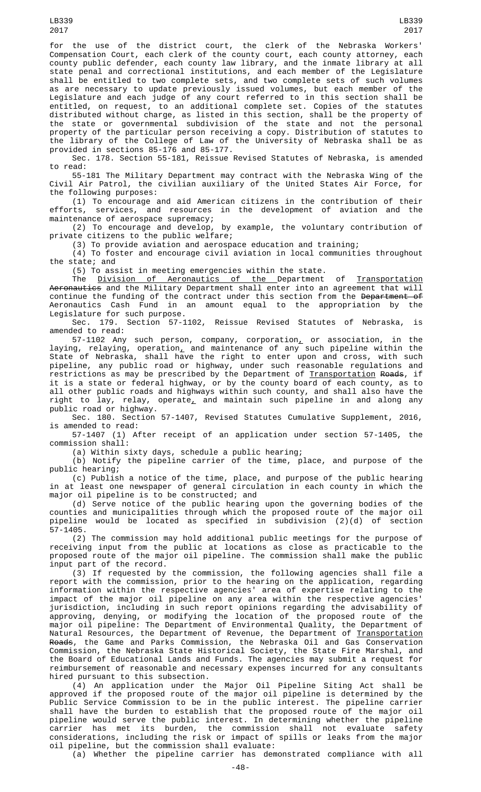for the use of the district court, the clerk of the Nebraska Workers' Compensation Court, each clerk of the county court, each county attorney, each county public defender, each county law library, and the inmate library at all state penal and correctional institutions, and each member of the Legislature shall be entitled to two complete sets, and two complete sets of such volumes as are necessary to update previously issued volumes, but each member of the Legislature and each judge of any court referred to in this section shall be entitled, on request, to an additional complete set. Copies of the statutes distributed without charge, as listed in this section, shall be the property of the state or governmental subdivision of the state and not the personal property of the particular person receiving a copy. Distribution of statutes to the library of the College of Law of the University of Nebraska shall be as provided in sections 85-176 and 85-177.

Sec. 178. Section 55-181, Reissue Revised Statutes of Nebraska, is amended to read:

55-181 The Military Department may contract with the Nebraska Wing of the Civil Air Patrol, the civilian auxiliary of the United States Air Force, for the following purposes:

(1) To encourage and aid American citizens in the contribution of their efforts, services, and resources in the development of aviation and the maintenance of aerospace supremacy;

(2) To encourage and develop, by example, the voluntary contribution of private citizens to the public welfare;

(3) To provide aviation and aerospace education and training;

(4) To foster and encourage civil aviation in local communities throughout the state; and

(5) To assist in meeting emergencies within the state.

The Division of Aeronautics of the Department of Transportation Aeronautics and the Military Department shall enter into an agreement that will continue the funding of the contract under this section from the <del>Department of</del> Aeronautics Cash Fund in an amount equal to the appropriation by the Legislature for such purpose.

Sec. 179. Section 57-1102, Reissue Revised Statutes of Nebraska, is amended to read:

57-1102 Any such person, company, corporation, or association, in the laying, relaying, operation<u>,</u> and maintenance of any such pipeline within the State of Nebraska, shall have the right to enter upon and cross, with such pipeline, any public road or highway, under such reasonable regulations and restrictions as may be prescribed by the Department of <u>Transportation</u> <del>Roads</del>, if it is a state or federal highway, or by the county board of each county, as to all other public roads and highways within such county, and shall also have the right to lay, relay, operate $_{L}$  and maintain such pipeline in and along any public road or highway.

Sec. 180. Section 57-1407, Revised Statutes Cumulative Supplement, 2016, is amended to read:

57-1407 (1) After receipt of an application under section 57-1405, the commission shall:

(a) Within sixty days, schedule a public hearing;

 $(b)$  Notify the pipeline carrier of the time, place, and purpose of the public hearing;

(c) Publish a notice of the time, place, and purpose of the public hearing in at least one newspaper of general circulation in each county in which the major oil pipeline is to be constructed; and

(d) Serve notice of the public hearing upon the governing bodies of the counties and municipalities through which the proposed route of the major oil pipeline would be located as specified in subdivision (2)(d) of section 57-1405.

(2) The commission may hold additional public meetings for the purpose of receiving input from the public at locations as close as practicable to the proposed route of the major oil pipeline. The commission shall make the public input part of the record.

(3) If requested by the commission, the following agencies shall file a report with the commission, prior to the hearing on the application, regarding information within the respective agencies' area of expertise relating to the impact of the major oil pipeline on any area within the respective agencies' jurisdiction, including in such report opinions regarding the advisability of approving, denying, or modifying the location of the proposed route of the major oil pipeline: The Department of Environmental Quality, the Department of Natural Resources, the Department of Revenue, the Department of <u>Transportation</u> Roads, the Game and Parks Commission, the Nebraska Oil and Gas Conservation Commission, the Nebraska State Historical Society, the State Fire Marshal, and the Board of Educational Lands and Funds. The agencies may submit a request for reimbursement of reasonable and necessary expenses incurred for any consultants hired pursuant to this subsection.

(4) An application under the Major Oil Pipeline Siting Act shall be approved if the proposed route of the major oil pipeline is determined by the Public Service Commission to be in the public interest. The pipeline carrier shall have the burden to establish that the proposed route of the major oil pipeline would serve the public interest. In determining whether the pipeline carrier has met its burden, the commission shall not evaluate safety considerations, including the risk or impact of spills or leaks from the major oil pipeline, but the commission shall evaluate:

(a) Whether the pipeline carrier has demonstrated compliance with all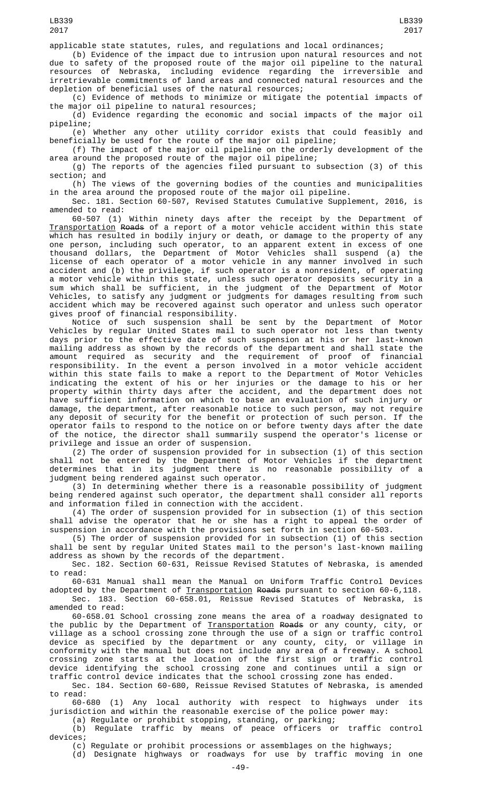(b) Evidence of the impact due to intrusion upon natural resources and not due to safety of the proposed route of the major oil pipeline to the natural resources of Nebraska, including evidence regarding the irreversible and irretrievable commitments of land areas and connected natural resources and the depletion of beneficial uses of the natural resources;

(c) Evidence of methods to minimize or mitigate the potential impacts of the major oil pipeline to natural resources;

(d) Evidence regarding the economic and social impacts of the major oil pipeline;

(e) Whether any other utility corridor exists that could feasibly and beneficially be used for the route of the major oil pipeline;

(f) The impact of the major oil pipeline on the orderly development of the area around the proposed route of the major oil pipeline;

(g) The reports of the agencies filed pursuant to subsection (3) of this section; and

(h) The views of the governing bodies of the counties and municipalities in the area around the proposed route of the major oil pipeline.

Sec. 181. Section 60-507, Revised Statutes Cumulative Supplement, 2016, is amended to read:

60-507 (1) Within ninety days after the receipt by the Department of Transportation Roads of a report of a motor vehicle accident within this state which has resulted in bodily injury or death, or damage to the property of any one person, including such operator, to an apparent extent in excess of one thousand dollars, the Department of Motor Vehicles shall suspend (a) the license of each operator of a motor vehicle in any manner involved in such accident and (b) the privilege, if such operator is a nonresident, of operating a motor vehicle within this state, unless such operator deposits security in a sum which shall be sufficient, in the judgment of the Department of Motor Vehicles, to satisfy any judgment or judgments for damages resulting from such accident which may be recovered against such operator and unless such operator gives proof of financial responsibility.

Notice of such suspension shall be sent by the Department of Motor Vehicles by regular United States mail to such operator not less than twenty days prior to the effective date of such suspension at his or her last-known mailing address as shown by the records of the department and shall state the amount required as security and the requirement of proof of financial responsibility. In the event a person involved in a motor vehicle accident within this state fails to make a report to the Department of Motor Vehicles indicating the extent of his or her injuries or the damage to his or her property within thirty days after the accident, and the department does not have sufficient information on which to base an evaluation of such injury or damage, the department, after reasonable notice to such person, may not require any deposit of security for the benefit or protection of such person. If the operator fails to respond to the notice on or before twenty days after the date of the notice, the director shall summarily suspend the operator's license or privilege and issue an order of suspension.

(2) The order of suspension provided for in subsection (1) of this section shall not be entered by the Department of Motor Vehicles if the department determines that in its judgment there is no reasonable possibility of a judgment being rendered against such operator.

(3) In determining whether there is a reasonable possibility of judgment being rendered against such operator, the department shall consider all reports and information filed in connection with the accident.

(4) The order of suspension provided for in subsection (1) of this section shall advise the operator that he or she has a right to appeal the order of suspension in accordance with the provisions set forth in section 60-503.

(5) The order of suspension provided for in subsection (1) of this section shall be sent by regular United States mail to the person's last-known mailing address as shown by the records of the department.

Sec. 182. Section 60-631, Reissue Revised Statutes of Nebraska, is amended to read:

60-631 Manual shall mean the Manual on Uniform Traffic Control Devices adopted by the Department of <u>Transportation</u> <del>Roads</del> pursuant to section 60-6,118.

Sec. 183. Section 60-658.01, Reissue Revised Statutes of Nebraska, amended to read:

60-658.01 School crossing zone means the area of a roadway designated to the public by the Department of Transportation Roads or any county, city, or village as a school crossing zone through the use of a sign or traffic control device as specified by the department or any county, city, or village in conformity with the manual but does not include any area of a freeway. A school crossing zone starts at the location of the first sign or traffic control device identifying the school crossing zone and continues until a sign or traffic control device indicates that the school crossing zone has ended.

Sec. 184. Section 60-680, Reissue Revised Statutes of Nebraska, is amended to read:

60-680 (1) Any local authority with respect to highways under its jurisdiction and within the reasonable exercise of the police power may:

(a) Regulate or prohibit stopping, standing, or parking;

(b) Regulate traffic by means of peace officers or traffic control devices;

(c) Regulate or prohibit processions or assemblages on the highways;

(d) Designate highways or roadways for use by traffic moving in one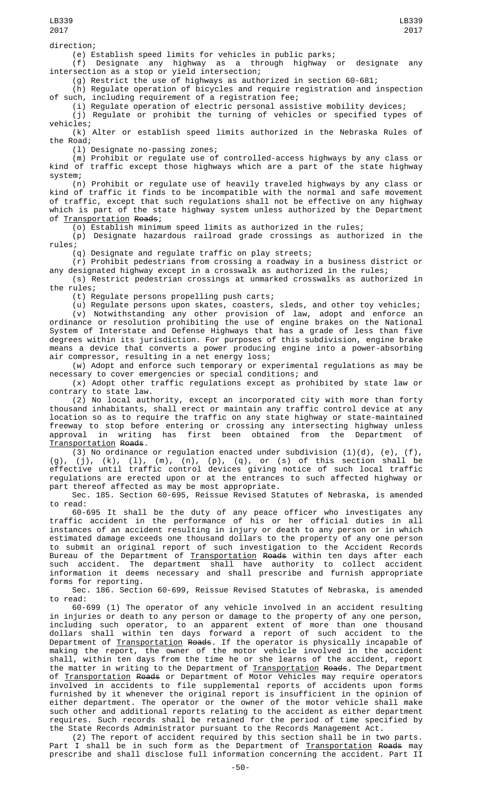(e) Establish speed limits for vehicles in public parks; (f) Designate any highway as a through highway or designate any intersection as a stop or yield intersection;

(g) Restrict the use of highways as authorized in section 60-681;

(h) Regulate operation of bicycles and require registration and inspection of such, including requirement of a registration fee;

(i) Regulate operation of electric personal assistive mobility devices;

(j) Regulate or prohibit the turning of vehicles or specified types of vehicles;

(k) Alter or establish speed limits authorized in the Nebraska Rules of the Road;

(l) Designate no-passing zones;

(m) Prohibit or regulate use of controlled-access highways by any class or kind of traffic except those highways which are a part of the state highway system;

(n) Prohibit or regulate use of heavily traveled highways by any class or kind of traffic it finds to be incompatible with the normal and safe movement of traffic, except that such regulations shall not be effective on any highway which is part of the state highway system unless authorized by the Department of Transportation Roads;

(o) Establish minimum speed limits as authorized in the rules;

(p) Designate hazardous railroad grade crossings as authorized in the rules;

(q) Designate and regulate traffic on play streets;

(r) Prohibit pedestrians from crossing a roadway in a business district or any designated highway except in a crosswalk as authorized in the rules;

(s) Restrict pedestrian crossings at unmarked crosswalks as authorized in the rules;

(t) Regulate persons propelling push carts;

(u) Regulate persons upon skates, coasters, sleds, and other toy vehicles;

(v) Notwithstanding any other provision of law, adopt and enforce an ordinance or resolution prohibiting the use of engine brakes on the National System of Interstate and Defense Highways that has a grade of less than five degrees within its jurisdiction. For purposes of this subdivision, engine brake means a device that converts a power producing engine into a power-absorbing air compressor, resulting in a net energy loss;

(w) Adopt and enforce such temporary or experimental regulations as may be necessary to cover emergencies or special conditions; and

(x) Adopt other traffic regulations except as prohibited by state law or contrary to state law.

(2) No local authority, except an incorporated city with more than forty thousand inhabitants, shall erect or maintain any traffic control device at any location so as to require the traffic on any state highway or state-maintained freeway to stop before entering or crossing any intersecting highway unless approval in writing has first been obtained from the Department of Transportation Roads.

(3) No ordinance or regulation enacted under subdivision  $(1)(d)$ ,  $(e)$ ,  $(f)$ , (g), (j), (k), (l), (m), (n), (p), (q), or (s) of this section shall be effective until traffic control devices giving notice of such local traffic regulations are erected upon or at the entrances to such affected highway or part thereof affected as may be most appropriate.

Sec. 185. Section 60-695, Reissue Revised Statutes of Nebraska, is amended to read:

60-695 It shall be the duty of any peace officer who investigates any traffic accident in the performance of his or her official duties in all instances of an accident resulting in injury or death to any person or in which estimated damage exceeds one thousand dollars to the property of any one person to submit an original report of such investigation to the Accident Records Bureau of the Department of <u>Transportation</u> <del>Roads</del> within ten days after each such accident. The department shall have authority to collect accident information it deems necessary and shall prescribe and furnish appropriate forms for reporting.

Sec. 186. Section 60-699, Reissue Revised Statutes of Nebraska, is amended to read:

60-699 (1) The operator of any vehicle involved in an accident resulting in injuries or death to any person or damage to the property of any one person, including such operator, to an apparent extent of more than one thousand dollars shall within ten days forward a report of such accident to the Department of <u>Transportation</u> <del>Roads</del>. If the operator is physically incapable of making the report, the owner of the motor vehicle involved in the accident shall, within ten days from the time he or she learns of the accident, report the matter in writing to the Department of Transportation Roads. The Department of <u>Transportation</u> <del>Roads</del> or Department of Motor Vehicles may require operators involved in accidents to file supplemental reports of accidents upon forms furnished by it whenever the original report is insufficient in the opinion of either department. The operator or the owner of the motor vehicle shall make such other and additional reports relating to the accident as either department requires. Such records shall be retained for the period of time specified by the State Records Administrator pursuant to the Records Management Act.

(2) The report of accident required by this section shall be in two parts. Part I shall be in such form as the Department of <u>Transportation</u> <del>Roads</del> may prescribe and shall disclose full information concerning the accident. Part II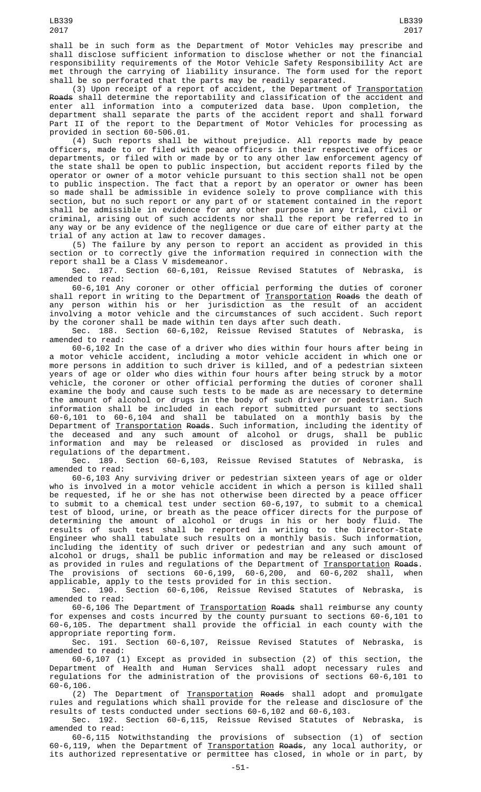shall be in such form as the Department of Motor Vehicles may prescribe and shall disclose sufficient information to disclose whether or not the financial responsibility requirements of the Motor Vehicle Safety Responsibility Act are met through the carrying of liability insurance. The form used for the report shall be so perforated that the parts may be readily separated.

(3) Upon receipt of a report of accident, the Department of Transportation Roads shall determine the reportability and classification of the accident and enter all information into a computerized data base. Upon completion, the department shall separate the parts of the accident report and shall forward Part II of the report to the Department of Motor Vehicles for processing as provided in section 60-506.01.

(4) Such reports shall be without prejudice. All reports made by peace officers, made to or filed with peace officers in their respective offices or departments, or filed with or made by or to any other law enforcement agency of the state shall be open to public inspection, but accident reports filed by the operator or owner of a motor vehicle pursuant to this section shall not be open to public inspection. The fact that a report by an operator or owner has been so made shall be admissible in evidence solely to prove compliance with this section, but no such report or any part of or statement contained in the report shall be admissible in evidence for any other purpose in any trial, civil or criminal, arising out of such accidents nor shall the report be referred to in any way or be any evidence of the negligence or due care of either party at the trial of any action at law to recover damages.

(5) The failure by any person to report an accident as provided in this section or to correctly give the information required in connection with the report shall be a Class V misdemeanor.

Sec. 187. Section 60-6,101, Reissue Revised Statutes of Nebraska, is amended to read:

60-6,101 Any coroner or other official performing the duties of coroner shall report in writing to the Department of <u>Transportation</u> <del>Roads</del> the death of any person within his or her jurisdiction as the result of an accident involving a motor vehicle and the circumstances of such accident. Such report by the coroner shall be made within ten days after such death.

Sec. 188. Section 60-6,102, Reissue Revised Statutes of Nebraska, is amended to read:

60-6,102 In the case of a driver who dies within four hours after being in a motor vehicle accident, including a motor vehicle accident in which one or more persons in addition to such driver is killed, and of a pedestrian sixteen years of age or older who dies within four hours after being struck by a motor vehicle, the coroner or other official performing the duties of coroner shall examine the body and cause such tests to be made as are necessary to determine the amount of alcohol or drugs in the body of such driver or pedestrian. Such information shall be included in each report submitted pursuant to sections 60-6,101 to 60-6,104 and shall be tabulated on a monthly basis by the Department of <u>Transportation</u> <del>Roads</del>. Such information, including the identity of the deceased and any such amount of alcohol or drugs, shall be public information and may be released or disclosed as provided in rules and regulations of the department.

Sec. 189. Section 60-6,103, Reissue Revised Statutes of Nebraska, is amended to read:

60-6,103 Any surviving driver or pedestrian sixteen years of age or older who is involved in a motor vehicle accident in which a person is killed shall be requested, if he or she has not otherwise been directed by a peace officer to submit to a chemical test under section 60-6,197, to submit to a chemical test of blood, urine, or breath as the peace officer directs for the purpose of determining the amount of alcohol or drugs in his or her body fluid. The results of such test shall be reported in writing to the Director-State Engineer who shall tabulate such results on a monthly basis. Such information, including the identity of such driver or pedestrian and any such amount of alcohol or drugs, shall be public information and may be released or disclosed as provided in rules and regulations of the Department of <u>Transportation</u> <del>Roads</del>. The provisions of sections 60-6,199, 60-6,200, and 60-6,202 shall, when applicable, apply to the tests provided for in this section.

Sec. 190. Section 60-6,106, Reissue Revised Statutes of Nebraska, is amended to read:

60-6,106 The Department of <u>Transportation</u> <del>Roads</del> shall reimburse any county for expenses and costs incurred by the county pursuant to sections 60-6,101 to 60-6,105. The department shall provide the official in each county with the appropriate reporting form.

Sec. 191. Section 60-6,107, Reissue Revised Statutes of Nebraska, is amended to read:

60-6,107 (1) Except as provided in subsection (2) of this section, the Department of Health and Human Services shall adopt necessary rules and regulations for the administration of the provisions of sections 60-6,101 to 60-6,106.

(2) The Department of Transportation Roads shall adopt and promulgate rules and regulations which shall provide for the release and disclosure of the results of tests conducted under sections 60-6,102 and 60-6,103.

Sec. 192. Section 60-6,115, Reissue Revised Statutes of Nebraska, is amended to read:

60-6,115 Notwithstanding the provisions of subsection (1) of section 60-6,119, when the Department of Transportation Roads, any local authority, or its authorized representative or permittee has closed, in whole or in part, by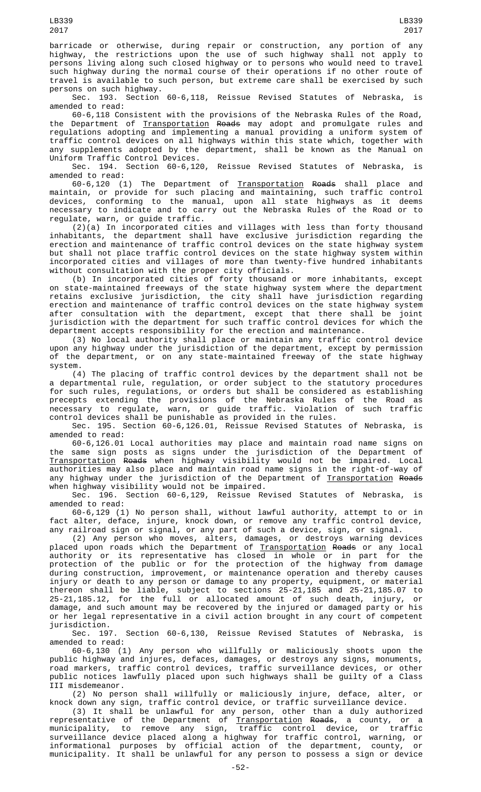barricade or otherwise, during repair or construction, any portion of any highway, the restrictions upon the use of such highway shall not apply to persons living along such closed highway or to persons who would need to travel such highway during the normal course of their operations if no other route of travel is available to such person, but extreme care shall be exercised by such persons on such highway.

Sec. 193. Section 60-6,118, Reissue Revised Statutes of Nebraska, is amended to read:

60-6,118 Consistent with the provisions of the Nebraska Rules of the Road, the Department of **Transportation** Roads may adopt and promulgate rules and regulations adopting and implementing a manual providing a uniform system of traffic control devices on all highways within this state which, together with any supplements adopted by the department, shall be known as the Manual on Uniform Traffic Control Devices.

Sec. 194. Section 60-6,120, Reissue Revised Statutes of Nebraska, is amended to read:

60-6,120 (1) The Department of <u>Transportation</u> <del>Roads</del> shall place and maintain, or provide for such placing and maintaining, such traffic control devices, conforming to the manual, upon all state highways as it deems necessary to indicate and to carry out the Nebraska Rules of the Road or to regulate, warn, or guide traffic.

(2)(a) In incorporated cities and villages with less than forty thousand inhabitants, the department shall have exclusive jurisdiction regarding the erection and maintenance of traffic control devices on the state highway system but shall not place traffic control devices on the state highway system within incorporated cities and villages of more than twenty-five hundred inhabitants without consultation with the proper city officials.

(b) In incorporated cities of forty thousand or more inhabitants, except on state-maintained freeways of the state highway system where the department retains exclusive jurisdiction, the city shall have jurisdiction regarding erection and maintenance of traffic control devices on the state highway system after consultation with the department, except that there shall be joint jurisdiction with the department for such traffic control devices for which the department accepts responsibility for the erection and maintenance.

(3) No local authority shall place or maintain any traffic control device upon any highway under the jurisdiction of the department, except by permission of the department, or on any state-maintained freeway of the state highway system.

(4) The placing of traffic control devices by the department shall not be a departmental rule, regulation, or order subject to the statutory procedures for such rules, regulations, or orders but shall be considered as establishing precepts extending the provisions of the Nebraska Rules of the Road as necessary to regulate, warn, or guide traffic. Violation of such traffic control devices shall be punishable as provided in the rules.

Sec. 195. Section 60-6,126.01, Reissue Revised Statutes of Nebraska, is amended to read:

60-6,126.01 Local authorities may place and maintain road name signs on the same sign posts as signs under the jurisdiction of the Department of Transportation Roads when highway visibility would not be impaired. Local authorities may also place and maintain road name signs in the right-of-way of any highway under the jurisdiction of the Department of Transportation Roads when highway visibility would not be impaired.

Sec. 196. Section 60-6,129, Reissue Revised Statutes of Nebraska, is amended to read:

60-6,129 (1) No person shall, without lawful authority, attempt to or in fact alter, deface, injure, knock down, or remove any traffic control device, any railroad sign or signal, or any part of such a device, sign, or signal.

(2) Any person who moves, alters, damages, or destroys warning devices placed upon roads which the Department of <u>Transportation</u> <del>Roads</del> or any local authority or its representative has closed in whole or in part for the protection of the public or for the protection of the highway from damage during construction, improvement, or maintenance operation and thereby causes injury or death to any person or damage to any property, equipment, or material thereon shall be liable, subject to sections 25-21,185 and 25-21,185.07 to 25-21,185.12, for the full or allocated amount of such death, injury, or damage, and such amount may be recovered by the injured or damaged party or his or her legal representative in a civil action brought in any court of competent

jurisdiction.<br>Sec. 197. Section 60-6,130, Reissue Revised Statutes of Nebraska, is amended to read:

60-6,130 (1) Any person who willfully or maliciously shoots upon the public highway and injures, defaces, damages, or destroys any signs, monuments, road markers, traffic control devices, traffic surveillance devices, or other public notices lawfully placed upon such highways shall be guilty of a Class III misdemeanor.

 $(2)$  No person shall willfully or maliciously injure, deface, alter, knock down any sign, traffic control device, or traffic surveillance device.

(3) It shall be unlawful for any person, other than a duly authorized representative of the Department of <u>Transportation</u> <del>Roads</del>, a county, or a municipality, to remove any sign, traffic control device, or traffic surveillance device placed along a highway for traffic control, warning, or informational purposes by official action of the department, county, or municipality. It shall be unlawful for any person to possess a sign or device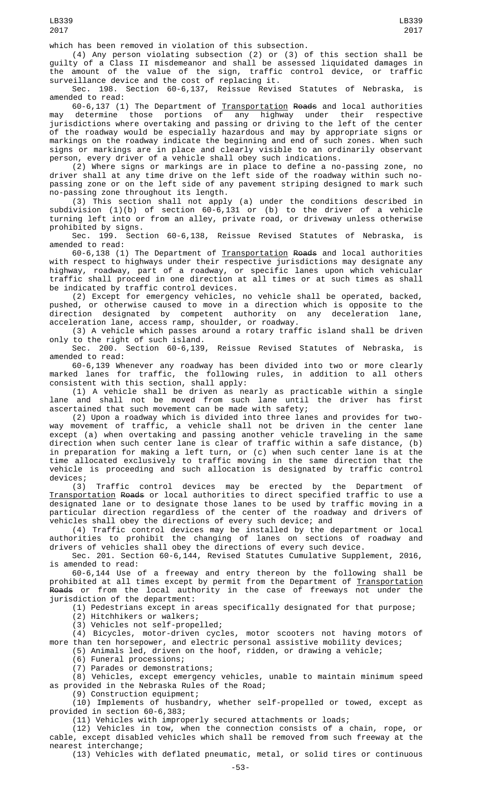which has been removed in violation of this subsection.

(4) Any person violating subsection (2) or (3) of this section shall be guilty of a Class II misdemeanor and shall be assessed liquidated damages in the amount of the value of the sign, traffic control device, or traffic surveillance device and the cost of replacing it.

Sec. 198. Section 60-6,137, Reissue Revised Statutes of Nebraska, is amended to read:

60-6,137 (1) The Department of <u>Transportation</u> <del>Roads</del> and local authorities may determine those portions of any highway under their respective jurisdictions where overtaking and passing or driving to the left of the center of the roadway would be especially hazardous and may by appropriate signs or markings on the roadway indicate the beginning and end of such zones. When such signs or markings are in place and clearly visible to an ordinarily observant person, every driver of a vehicle shall obey such indications.

(2) Where signs or markings are in place to define a no-passing zone, no driver shall at any time drive on the left side of the roadway within such nopassing zone or on the left side of any pavement striping designed to mark such no-passing zone throughout its length.

(3) This section shall not apply (a) under the conditions described in subdivision (1)(b) of section 60-6,131 or (b) to the driver of a vehicle turning left into or from an alley, private road, or driveway unless otherwise prohibited by signs.

Sec. 199. Section 60-6,138, Reissue Revised Statutes of Nebraska, is amended to read:

60-6,138 (1) The Department of Transportation Roads and local authorities with respect to highways under their respective jurisdictions may designate any highway, roadway, part of a roadway, or specific lanes upon which vehicular traffic shall proceed in one direction at all times or at such times as shall be indicated by traffic control devices.

(2) Except for emergency vehicles, no vehicle shall be operated, backed, pushed, or otherwise caused to move in a direction which is opposite to the direction designated by competent authority on any deceleration lane, acceleration lane, access ramp, shoulder, or roadway.

(3) A vehicle which passes around a rotary traffic island shall be driven only to the right of such island.

Reissue Revised Statutes of Nebraska, amended to read:

60-6,139 Whenever any roadway has been divided into two or more clearly marked lanes for traffic, the following rules, in addition to all others consistent with this section, shall apply:

(1) A vehicle shall be driven as nearly as practicable within a single lane and shall not be moved from such lane until the driver has first ascertained that such movement can be made with safety;

(2) Upon a roadway which is divided into three lanes and provides for twoway movement of traffic, a vehicle shall not be driven in the center lane except (a) when overtaking and passing another vehicle traveling in the same direction when such center lane is clear of traffic within a safe distance, (b) in preparation for making a left turn, or (c) when such center lane is at the time allocated exclusively to traffic moving in the same direction that the vehicle is proceeding and such allocation is designated by traffic control devices;

(3) Traffic control devices may be erected by the Department of Transportation Roads or local authorities to direct specified traffic to use a designated lane or to designate those lanes to be used by traffic moving in a particular direction regardless of the center of the roadway and drivers of vehicles shall obey the directions of every such device; and

(4) Traffic control devices may be installed by the department or local authorities to prohibit the changing of lanes on sections of roadway and drivers of vehicles shall obey the directions of every such device.

Sec. 201. Section 60-6,144, Revised Statutes Cumulative Supplement, 2016, is amended to read:

60-6,144 Use of a freeway and entry thereon by the following shall be prohibited at all times except by permit from the Department of <u>Transportation</u> <del>Roads</del> or from the local authority in the case of freeways not under the jurisdiction of the department:

(1) Pedestrians except in areas specifically designated for that purpose;

(2) Hitchhikers or walkers;

(3) Vehicles not self-propelled;

(4) Bicycles, motor-driven cycles, motor scooters not having motors of more than ten horsepower, and electric personal assistive mobility devices;

(5) Animals led, driven on the hoof, ridden, or drawing a vehicle;

(6) Funeral processions;

(7) Parades or demonstrations;

(8) Vehicles, except emergency vehicles, unable to maintain minimum speed as provided in the Nebraska Rules of the Road;

(9) Construction equipment;

(10) Implements of husbandry, whether self-propelled or towed, except as provided in section 60-6,383;

(11) Vehicles with improperly secured attachments or loads;

(12) Vehicles in tow, when the connection consists of a chain, rope, or cable, except disabled vehicles which shall be removed from such freeway at the nearest interchange;

(13) Vehicles with deflated pneumatic, metal, or solid tires or continuous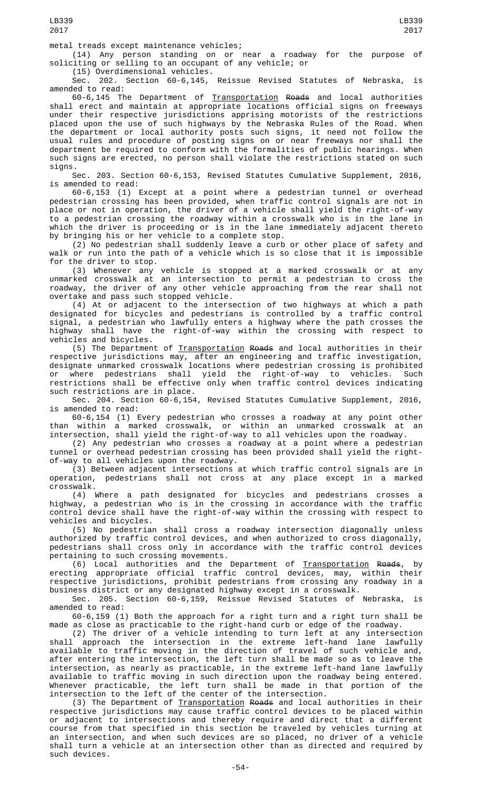(14) Any person standing on or near a roadway for the purpose of soliciting or selling to an occupant of any vehicle; or

(15) Overdimensional vehicles.

Sec. 202. Section 60-6,145, Reissue Revised Statutes of Nebraska, is amended to read:

60-6,145 The Department of <u>Transportation</u> <del>Roads</del> and local authorities shall erect and maintain at appropriate locations official signs on freeways under their respective jurisdictions apprising motorists of the restrictions placed upon the use of such highways by the Nebraska Rules of the Road. When the department or local authority posts such signs, it need not follow the usual rules and procedure of posting signs on or near freeways nor shall the department be required to conform with the formalities of public hearings. When such signs are erected, no person shall violate the restrictions stated on such signs.

Sec. 203. Section 60-6,153, Revised Statutes Cumulative Supplement, 2016, is amended to read:

60-6,153 (1) Except at a point where a pedestrian tunnel or overhead pedestrian crossing has been provided, when traffic control signals are not in place or not in operation, the driver of a vehicle shall yield the right-of-way to a pedestrian crossing the roadway within a crosswalk who is in the lane in which the driver is proceeding or is in the lane immediately adjacent thereto by bringing his or her vehicle to a complete stop.

(2) No pedestrian shall suddenly leave a curb or other place of safety and walk or run into the path of a vehicle which is so close that it is impossible for the driver to stop.

(3) Whenever any vehicle is stopped at a marked crosswalk or at any unmarked crosswalk at an intersection to permit a pedestrian to cross the roadway, the driver of any other vehicle approaching from the rear shall not overtake and pass such stopped vehicle.

(4) At or adjacent to the intersection of two highways at which a path designated for bicycles and pedestrians is controlled by a traffic control signal, a pedestrian who lawfully enters a highway where the path crosses the highway shall have the right-of-way within the crossing with respect to vehicles and bicycles.

(5) The Department of Transportation Roads and local authorities in their respective jurisdictions may, after an engineering and traffic investigation, designate unmarked crosswalk locations where pedestrian crossing is prohibited or where pedestrians shall yield the right-of-way to vehicles. Such restrictions shall be effective only when traffic control devices indicating such restrictions are in place.

Sec. 204. Section 60-6,154, Revised Statutes Cumulative Supplement, 2016, is amended to read:

60-6,154 (1) Every pedestrian who crosses a roadway at any point other than within a marked crosswalk, or within an unmarked crosswalk at an intersection, shall yield the right-of-way to all vehicles upon the roadway.

(2) Any pedestrian who crosses a roadway at a point where a pedestrian tunnel or overhead pedestrian crossing has been provided shall yield the rightof-way to all vehicles upon the roadway.

(3) Between adjacent intersections at which traffic control signals are in operation, pedestrians shall not cross at any place except in a marked pedestrians shall not cross at any place except in a marked crosswalk.

(4) Where a path designated for bicycles and pedestrians crosses a highway, a pedestrian who is in the crossing in accordance with the traffic control device shall have the right-of-way within the crossing with respect to vehicles and bicycles.

(5) No pedestrian shall cross a roadway intersection diagonally unless authorized by traffic control devices, and when authorized to cross diagonally, pedestrians shall cross only in accordance with the traffic control devices pertaining to such crossing movements.

(6) Local authorities and the Department of <u>Transportation</u> R<del>oads</del>, by erecting appropriate official traffic control devices, may, within their respective jurisdictions, prohibit pedestrians from crossing any roadway in a business district or any designated highway except in a crosswalk.

Sec. 205. Section 60-6,159, Reissue Revised Statutes of Nebraska, is amended to read:

60-6,159 (1) Both the approach for a right turn and a right turn shall be made as close as practicable to the right-hand curb or edge of the roadway.

(2) The driver of a vehicle intending to turn left at any intersection shall approach the intersection in the extreme left-hand lane lawfully available to traffic moving in the direction of travel of such vehicle and, after entering the intersection, the left turn shall be made so as to leave the intersection, as nearly as practicable, in the extreme left-hand lane lawfully available to traffic moving in such direction upon the roadway being entered. Whenever practicable, the left turn shall be made in that portion of the intersection to the left of the center of the intersection.

(3) The Department of Transportation Roads and local authorities in their respective jurisdictions may cause traffic control devices to be placed within or adjacent to intersections and thereby require and direct that a different course from that specified in this section be traveled by vehicles turning at an intersection, and when such devices are so placed, no driver of a vehicle shall turn a vehicle at an intersection other than as directed and required by such devices.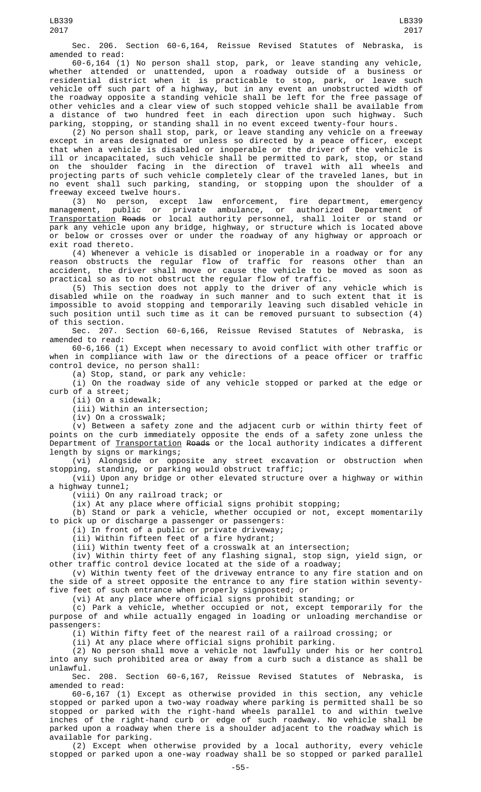Sec. 206. Section 60-6,164, Reissue Revised Statutes of Nebraska, is amended to read:

60-6,164 (1) No person shall stop, park, or leave standing any vehicle, whether attended or unattended, upon a roadway outside of a business or residential district when it is practicable to stop, park, or leave such vehicle off such part of a highway, but in any event an unobstructed width of the roadway opposite a standing vehicle shall be left for the free passage of other vehicles and a clear view of such stopped vehicle shall be available from a distance of two hundred feet in each direction upon such highway. Such parking, stopping, or standing shall in no event exceed twenty-four hours.

(2) No person shall stop, park, or leave standing any vehicle on a freeway except in areas designated or unless so directed by a peace officer, except that when a vehicle is disabled or inoperable or the driver of the vehicle is ill or incapacitated, such vehicle shall be permitted to park, stop, or stand on the shoulder facing in the direction of travel with all wheels and projecting parts of such vehicle completely clear of the traveled lanes, but in no event shall such parking, standing, or stopping upon the shoulder of a freeway exceed twelve hours.

(3) No person, except law enforcement, fire department, emergency management, public or private ambulance, or authorized Department of Transportation Roads or local authority personnel, shall loiter or stand or park any vehicle upon any bridge, highway, or structure which is located above or below or crosses over or under the roadway of any highway or approach or exit road thereto.

(4) Whenever a vehicle is disabled or inoperable in a roadway or for any reason obstructs the regular flow of traffic for reasons other than an accident, the driver shall move or cause the vehicle to be moved as soon as practical so as to not obstruct the regular flow of traffic.

(5) This section does not apply to the driver of any vehicle which is disabled while on the roadway in such manner and to such extent that it is impossible to avoid stopping and temporarily leaving such disabled vehicle in such position until such time as it can be removed pursuant to subsection (4) of this section.

Sec. 207. Section 60-6,166, Reissue Revised Statutes of Nebraska, is amended to read:

60-6,166 (1) Except when necessary to avoid conflict with other traffic or when in compliance with law or the directions of a peace officer or traffic control device, no person shall:

(a) Stop, stand, or park any vehicle:

(i) On the roadway side of any vehicle stopped or parked at the edge or curb of a street;

(ii) On a sidewalk;

(iii) Within an intersection;

(iv) On a crosswalk;

 $(v)$  Between a safety zone and the adjacent curb or within thirty feet of points on the curb immediately opposite the ends of a safety zone unless the Department of Transportation Roads or the local authority indicates a different length by signs or markings;

(vi) Alongside or opposite any street excavation or obstruction when stopping, standing, or parking would obstruct traffic;

(vii) Upon any bridge or other elevated structure over a highway or within a highway tunnel;

(viii) On any railroad track; or

(ix) At any place where official signs prohibit stopping;

(b) Stand or park a vehicle, whether occupied or not, except momentarily to pick up or discharge a passenger or passengers:

(i) In front of a public or private driveway;

(ii) Within fifteen feet of a fire hydrant;

(iii) Within twenty feet of a crosswalk at an intersection;

(iv) Within thirty feet of any flashing signal, stop sign, yield sign, or other traffic control device located at the side of a roadway;

(v) Within twenty feet of the driveway entrance to any fire station and on the side of a street opposite the entrance to any fire station within seventyfive feet of such entrance when properly signposted; or

(vi) At any place where official signs prohibit standing; or

(c) Park a vehicle, whether occupied or not, except temporarily for the purpose of and while actually engaged in loading or unloading merchandise or passengers:

(i) Within fifty feet of the nearest rail of a railroad crossing; or

(ii) At any place where official signs prohibit parking.

(2) No person shall move a vehicle not lawfully under his or her control into any such prohibited area or away from a curb such a distance as shall be unlawful.

Sec. 208. Section 60-6,167, Reissue Revised Statutes of Nebraska, is amended to read:

60-6,167 (1) Except as otherwise provided in this section, any vehicle stopped or parked upon a two-way roadway where parking is permitted shall be so stopped or parked with the right-hand wheels parallel to and within twelve inches of the right-hand curb or edge of such roadway. No vehicle shall be parked upon a roadway when there is a shoulder adjacent to the roadway which is available for parking.

(2) Except when otherwise provided by a local authority, every vehicle stopped or parked upon a one-way roadway shall be so stopped or parked parallel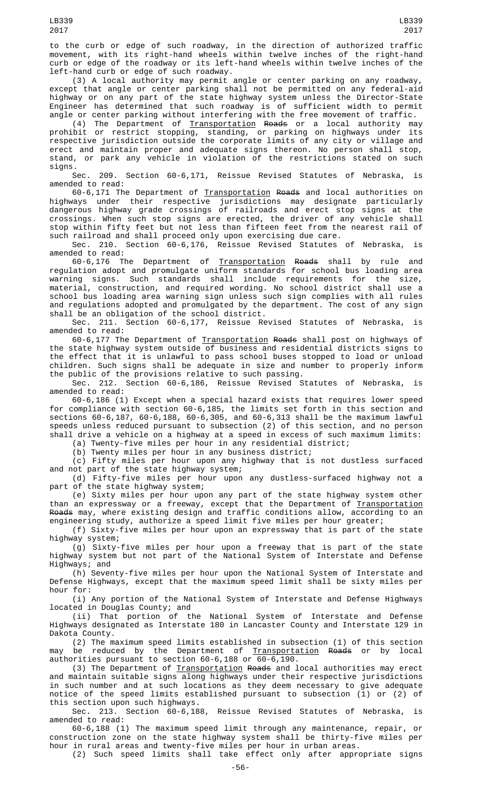to the curb or edge of such roadway, in the direction of authorized traffic movement, with its right-hand wheels within twelve inches of the right-hand curb or edge of the roadway or its left-hand wheels within twelve inches of the left-hand curb or edge of such roadway.

(3) A local authority may permit angle or center parking on any roadway, except that angle or center parking shall not be permitted on any federal-aid highway or on any part of the state highway system unless the Director-State Engineer has determined that such roadway is of sufficient width to permit angle or center parking without interfering with the free movement of traffic.

(4) The Department of <u>Transportation</u> <del>Roads</del> or a local authority may prohibit or restrict stopping, standing, or parking on highways under its respective jurisdiction outside the corporate limits of any city or village and erect and maintain proper and adequate signs thereon. No person shall stop, stand, or park any vehicle in violation of the restrictions stated on such signs.

Sec. 209. Section 60-6,171, Reissue Revised Statutes of Nebraska, is amended to read:

60-6,171 The Department of Transportation Roads and local authorities on highways under their respective jurisdictions may designate particularly dangerous highway grade crossings of railroads and erect stop signs at the crossings. When such stop signs are erected, the driver of any vehicle shall stop within fifty feet but not less than fifteen feet from the nearest rail of such railroad and shall proceed only upon exercising due care.

Sec. 210. Section 60-6,176, Reissue Revised Statutes of Nebraska, is amended to read:

60-6,176 The Department of <u>Transportation</u> <del>Roads</del> shall by rule and regulation adopt and promulgate uniform standards for school bus loading area warning signs. Such standards shall include requirements for the size, material, construction, and required wording. No school district shall use a school bus loading area warning sign unless such sign complies with all rules and regulations adopted and promulgated by the department. The cost of any sign shall be an obligation of the school district.

Sec. 211. Section 60-6,177, Reissue Revised Statutes of Nebraska, amended to read:

60-6,177 The Department of Transportation Roads shall post on highways of the state highway system outside of business and residential districts signs to the effect that it is unlawful to pass school buses stopped to load or unload children. Such signs shall be adequate in size and number to properly inform the public of the provisions relative to such passing.

Sec. 212. Section 60-6,186, Reissue Revised Statutes of Nebraska, is amended to read:

60-6,186 (1) Except when a special hazard exists that requires lower speed for compliance with section 60-6,185, the limits set forth in this section and sections 60-6,187, 60-6,188, 60-6,305, and 60-6,313 shall be the maximum lawful speeds unless reduced pursuant to subsection (2) of this section, and no person shall drive a vehicle on a highway at a speed in excess of such maximum limits:

(a) Twenty-five miles per hour in any residential district;

(b) Twenty miles per hour in any business district;

 $(c)$  Fifty miles per hour upon any highway that is not dustless surfaced and not part of the state highway system;

(d) Fifty-five miles per hour upon any dustless-surfaced highway not a part of the state highway system;

(e) Sixty miles per hour upon any part of the state highway system other than an expressway or a freeway, except that the Department of <u>Transportation</u> <del>Roads</del> may, where existing design and traffic conditions allow, according to an engineering study, authorize a speed limit five miles per hour greater;

(f) Sixty-five miles per hour upon an expressway that is part of the state highway system;

(g) Sixty-five miles per hour upon a freeway that is part of the state highway system but not part of the National System of Interstate and Defense Highways; and

(h) Seventy-five miles per hour upon the National System of Interstate and Defense Highways, except that the maximum speed limit shall be sixty miles per hour for:

(i) Any portion of the National System of Interstate and Defense Highways located in Douglas County; and

(ii) That portion of the National System of Interstate and Defense Highways designated as Interstate 180 in Lancaster County and Interstate 129 in Dakota County.

(2) The maximum speed limits established in subsection (1) of this section may be reduced by the Department of <u>Transportation</u> <del>Roads</del> or by local authorities pursuant to section 60-6,188 or 60-6,190.

(3) The Department of Transportation Roads and local authorities may erect and maintain suitable signs along highways under their respective jurisdictions in such number and at such locations as they deem necessary to give adequate notice of the speed limits established pursuant to subsection (1) or (2) of this section upon such highways.

Sec. 213. Section 60-6,188, Reissue Revised Statutes of Nebraska, is amended to read:

60-6,188 (1) The maximum speed limit through any maintenance, repair, or construction zone on the state highway system shall be thirty-five miles per hour in rural areas and twenty-five miles per hour in urban areas.

(2) Such speed limits shall take effect only after appropriate signs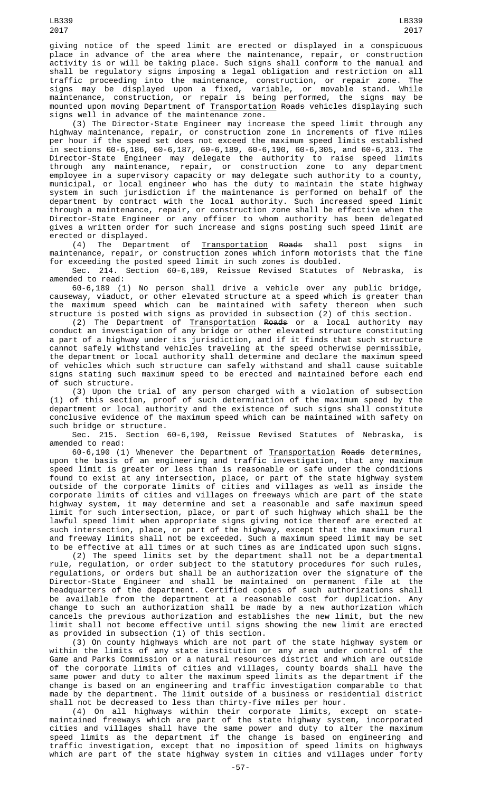giving notice of the speed limit are erected or displayed in a conspicuous place in advance of the area where the maintenance, repair, or construction activity is or will be taking place. Such signs shall conform to the manual and shall be regulatory signs imposing a legal obligation and restriction on all traffic proceeding into the maintenance, construction, or repair zone. The signs may be displayed upon a fixed, variable, or movable stand. While maintenance, construction, or repair is being performed, the signs may be mounted upon moving Department of <u>Transportation</u> <del>Roads</del> vehicles displaying such signs well in advance of the maintenance zone.

(3) The Director-State Engineer may increase the speed limit through any highway maintenance, repair, or construction zone in increments of five miles per hour if the speed set does not exceed the maximum speed limits established in sections 60-6,186, 60-6,187, 60-6,189, 60-6,190, 60-6,305, and 60-6,313. The Director-State Engineer may delegate the authority to raise speed limits through any maintenance, repair, or construction zone to any department employee in a supervisory capacity or may delegate such authority to a county, municipal, or local engineer who has the duty to maintain the state highway system in such jurisdiction if the maintenance is performed on behalf of the department by contract with the local authority. Such increased speed limit through a maintenance, repair, or construction zone shall be effective when the Director-State Engineer or any officer to whom authority has been delegated gives a written order for such increase and signs posting such speed limit are

erected or displayed.<br>(4) The Department of (4) The Department of <u>Transportation</u> Roads shall post signs in maintenance, repair, or construction zones which inform motorists that the fine maintenance, repair, or construction zones which inform motorists that the fine for exceeding the posted speed limit in such zones is doubled.

Sec. 214. Section 60-6,189, Reissue Revised Statutes of Nebraska, is amended to read:

60-6,189 (1) No person shall drive a vehicle over any public bridge, causeway, viaduct, or other elevated structure at a speed which is greater than the maximum speed which can be maintained with safety thereon when such structure is posted with signs as provided in subsection (2) of this section.

(2) The Department of Transportation Roads or a local authority may conduct an investigation of any bridge or other elevated structure constituting a part of a highway under its jurisdiction, and if it finds that such structure cannot safely withstand vehicles traveling at the speed otherwise permissible, the department or local authority shall determine and declare the maximum speed of vehicles which such structure can safely withstand and shall cause suitable signs stating such maximum speed to be erected and maintained before each end of such structure.

(3) Upon the trial of any person charged with a violation of subsection (1) of this section, proof of such determination of the maximum speed by the department or local authority and the existence of such signs shall constitute conclusive evidence of the maximum speed which can be maintained with safety on such bridge or structure.

Sec. 215. Section 60-6,190, Reissue Revised Statutes of Nebraska, is amended to read:

60-6,190 (1) Whenever the Department of Transportation Roads determines, upon the basis of an engineering and traffic investigation, that any maximum speed limit is greater or less than is reasonable or safe under the conditions found to exist at any intersection, place, or part of the state highway system outside of the corporate limits of cities and villages as well as inside the corporate limits of cities and villages on freeways which are part of the state highway system, it may determine and set a reasonable and safe maximum speed limit for such intersection, place, or part of such highway which shall be the lawful speed limit when appropriate signs giving notice thereof are erected at such intersection, place, or part of the highway, except that the maximum rural and freeway limits shall not be exceeded. Such a maximum speed limit may be set to be effective at all times or at such times as are indicated upon such signs.

(2) The speed limits set by the department shall not be a departmental rule, regulation, or order subject to the statutory procedures for such rules, regulations, or orders but shall be an authorization over the signature of the Director-State Engineer and shall be maintained on permanent file at the headquarters of the department. Certified copies of such authorizations shall be available from the department at a reasonable cost for duplication. Any change to such an authorization shall be made by a new authorization which cancels the previous authorization and establishes the new limit, but the new limit shall not become effective until signs showing the new limit are erected as provided in subsection (1) of this section.

(3) On county highways which are not part of the state highway system or within the limits of any state institution or any area under control of the Game and Parks Commission or a natural resources district and which are outside of the corporate limits of cities and villages, county boards shall have the same power and duty to alter the maximum speed limits as the department if the change is based on an engineering and traffic investigation comparable to that made by the department. The limit outside of a business or residential district shall not be decreased to less than thirty-five miles per hour.

(4) On all highways within their corporate limits, except on statemaintained freeways which are part of the state highway system, incorporated cities and villages shall have the same power and duty to alter the maximum speed limits as the department if the change is based on engineering and traffic investigation, except that no imposition of speed limits on highways which are part of the state highway system in cities and villages under forty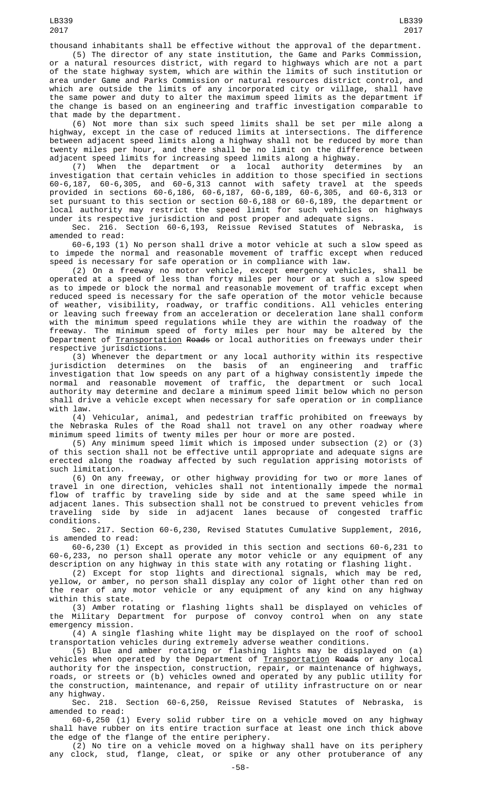thousand inhabitants shall be effective without the approval of the department. (5) The director of any state institution, the Game and Parks Commission,

a natural resources district, with regard to highways which are not a part of the state highway system, which are within the limits of such institution or area under Game and Parks Commission or natural resources district control, and which are outside the limits of any incorporated city or village, shall have the same power and duty to alter the maximum speed limits as the department if the change is based on an engineering and traffic investigation comparable to that made by the department.

(6) Not more than six such speed limits shall be set per mile along a highway, except in the case of reduced limits at intersections. The difference between adjacent speed limits along a highway shall not be reduced by more than twenty miles per hour, and there shall be no limit on the difference between adjacent speed limits for increasing speed limits along a highway.

(7) When the department or a local authority determines by an investigation that certain vehicles in addition to those specified in sections 60-6,187, 60-6,305, and 60-6,313 cannot with safety travel at the speeds provided in sections 60-6,186, 60-6,187, 60-6,189, 60-6,305, and 60-6,313 or set pursuant to this section or section 60-6,188 or 60-6,189, the department or local authority may restrict the speed limit for such vehicles on highways under its respective jurisdiction and post proper and adequate signs.

Sec. 216. Section 60-6,193, Reissue Revised Statutes of Nebraska, is amended to read:

60-6,193 (1) No person shall drive a motor vehicle at such a slow speed as to impede the normal and reasonable movement of traffic except when reduced speed is necessary for safe operation or in compliance with law.

(2) On a freeway no motor vehicle, except emergency vehicles, shall be operated at a speed of less than forty miles per hour or at such a slow speed as to impede or block the normal and reasonable movement of traffic except when reduced speed is necessary for the safe operation of the motor vehicle because of weather, visibility, roadway, or traffic conditions. All vehicles entering or leaving such freeway from an acceleration or deceleration lane shall conform with the minimum speed regulations while they are within the roadway of the freeway. The minimum speed of forty miles per hour may be altered by the Department of <u>Transportation</u> <del>Roads</del> or local authorities on freeways under their respective jurisdictions.

(3) Whenever the department or any local authority within its respective jurisdiction determines on the basis of an engineering and traffic investigation that low speeds on any part of a highway consistently impede the normal and reasonable movement of traffic, the department or such local authority may determine and declare a minimum speed limit below which no person shall drive a vehicle except when necessary for safe operation or in compliance with law.

(4) Vehicular, animal, and pedestrian traffic prohibited on freeways by the Nebraska Rules of the Road shall not travel on any other roadway where minimum speed limits of twenty miles per hour or more are posted.

(5) Any minimum speed limit which is imposed under subsection (2) or (3) of this section shall not be effective until appropriate and adequate signs are erected along the roadway affected by such regulation apprising motorists of such limitation.

(6) On any freeway, or other highway providing for two or more lanes of travel in one direction, vehicles shall not intentionally impede the normal flow of traffic by traveling side by side and at the same speed while in adjacent lanes. This subsection shall not be construed to prevent vehicles from traveling side by side in adjacent lanes because of congested traffic conditions.

Sec. 217. Section 60-6,230, Revised Statutes Cumulative Supplement, 2016, is amended to read:

60-6,230 (1) Except as provided in this section and sections 60-6,231 to 60-6,233, no person shall operate any motor vehicle or any equipment of any description on any highway in this state with any rotating or flashing light.

(2) Except for stop lights and directional signals, which may be red, yellow, or amber, no person shall display any color of light other than red on the rear of any motor vehicle or any equipment of any kind on any highway within this state.

(3) Amber rotating or flashing lights shall be displayed on vehicles of the Military Department for purpose of convoy control when on any state emergency mission.

(4) A single flashing white light may be displayed on the roof of school transportation vehicles during extremely adverse weather conditions.

(5) Blue and amber rotating or flashing lights may be displayed on (a) vehicles when operated by the Department of <u>Transportation</u> <del>Roads</del> or any local authority for the inspection, construction, repair, or maintenance of highways, roads, or streets or (b) vehicles owned and operated by any public utility for the construction, maintenance, and repair of utility infrastructure on or near any highway.

Sec. 218. Section 60-6,250, Reissue Revised Statutes of Nebraska, is amended to read:

60-6,250 (1) Every solid rubber tire on a vehicle moved on any highway shall have rubber on its entire traction surface at least one inch thick above the edge of the flange of the entire periphery.

(2) No tire on a vehicle moved on a highway shall have on its periphery any clock, stud, flange, cleat, or spike or any other protuberance of any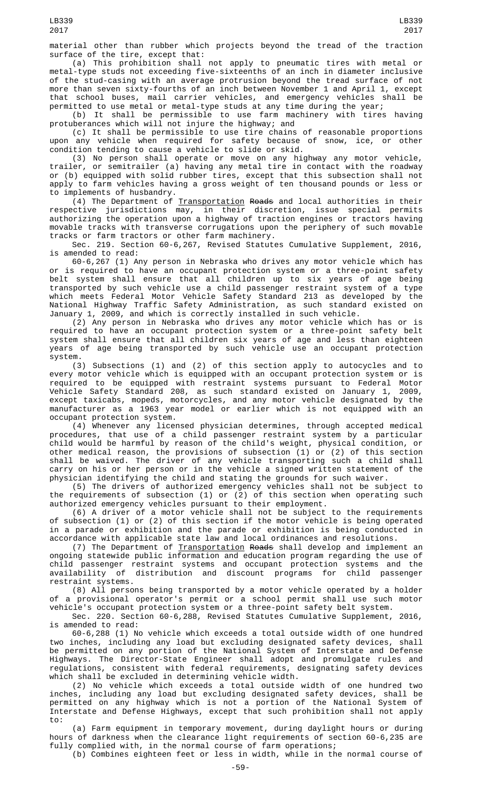material other than rubber which projects beyond the tread of the traction surface of the tire, except that:

(a) This prohibition shall not apply to pneumatic tires with metal or metal-type studs not exceeding five-sixteenths of an inch in diameter inclusive of the stud-casing with an average protrusion beyond the tread surface of not more than seven sixty-fourths of an inch between November 1 and April 1, except that school buses, mail carrier vehicles, and emergency vehicles shall be permitted to use metal or metal-type studs at any time during the year;

(b) It shall be permissible to use farm machinery with tires having protuberances which will not injure the highway; and

(c) It shall be permissible to use tire chains of reasonable proportions upon any vehicle when required for safety because of snow, ice, or other condition tending to cause a vehicle to slide or skid.

(3) No person shall operate or move on any highway any motor vehicle, trailer, or semitrailer (a) having any metal tire in contact with the roadway or (b) equipped with solid rubber tires, except that this subsection shall not apply to farm vehicles having a gross weight of ten thousand pounds or less or to implements of husbandry.

(4) The Department of Transportation Roads and local authorities in their respective jurisdictions may, in their discretion, issue special permits authorizing the operation upon a highway of traction engines or tractors having movable tracks with transverse corrugations upon the periphery of such movable tracks or farm tractors or other farm machinery.

Sec. 219. Section 60-6,267, Revised Statutes Cumulative Supplement, 2016, is amended to read:

60-6,267 (1) Any person in Nebraska who drives any motor vehicle which has or is required to have an occupant protection system or a three-point safety belt system shall ensure that all children up to six years of age being transported by such vehicle use a child passenger restraint system of a type which meets Federal Motor Vehicle Safety Standard 213 as developed by the National Highway Traffic Safety Administration, as such standard existed on January 1, 2009, and which is correctly installed in such vehicle.

(2) Any person in Nebraska who drives any motor vehicle which has or is required to have an occupant protection system or a three-point safety belt system shall ensure that all children six years of age and less than eighteen years of age being transported by such vehicle use an occupant protection system.

(3) Subsections (1) and (2) of this section apply to autocycles and to every motor vehicle which is equipped with an occupant protection system or is required to be equipped with restraint systems pursuant to Federal Motor Vehicle Safety Standard 208, as such standard existed on January 1, 2009, except taxicabs, mopeds, motorcycles, and any motor vehicle designated by the manufacturer as a 1963 year model or earlier which is not equipped with an occupant protection system.

(4) Whenever any licensed physician determines, through accepted medical procedures, that use of a child passenger restraint system by a particular child would be harmful by reason of the child's weight, physical condition, or other medical reason, the provisions of subsection (1) or (2) of this section shall be waived. The driver of any vehicle transporting such a child shall carry on his or her person or in the vehicle a signed written statement of the physician identifying the child and stating the grounds for such waiver.

(5) The drivers of authorized emergency vehicles shall not be subject to the requirements of subsection (1) or (2) of this section when operating such authorized emergency vehicles pursuant to their employment.

(6) A driver of a motor vehicle shall not be subject to the requirements of subsection (1) or (2) of this section if the motor vehicle is being operated in a parade or exhibition and the parade or exhibition is being conducted in accordance with applicable state law and local ordinances and resolutions.

(7) The Department of Transportation Roads shall develop and implement an ongoing statewide public information and education program regarding the use of child passenger restraint systems and occupant protection systems and the availability of distribution and discount programs for child passenger restraint systems.

(8) All persons being transported by a motor vehicle operated by a holder of a provisional operator's permit or a school permit shall use such motor vehicle's occupant protection system or a three-point safety belt system.

Sec. 220. Section 60-6,288, Revised Statutes Cumulative Supplement, 2016, is amended to read:

60-6,288 (1) No vehicle which exceeds a total outside width of one hundred two inches, including any load but excluding designated safety devices, shall be permitted on any portion of the National System of Interstate and Defense Highways. The Director-State Engineer shall adopt and promulgate rules and regulations, consistent with federal requirements, designating safety devices which shall be excluded in determining vehicle width.

(2) No vehicle which exceeds a total outside width of one hundred two inches, including any load but excluding designated safety devices, shall be permitted on any highway which is not a portion of the National System of Interstate and Defense Highways, except that such prohibition shall not apply to:

(a) Farm equipment in temporary movement, during daylight hours or during hours of darkness when the clearance light requirements of section 60-6,235 are fully complied with, in the normal course of farm operations;

(b) Combines eighteen feet or less in width, while in the normal course of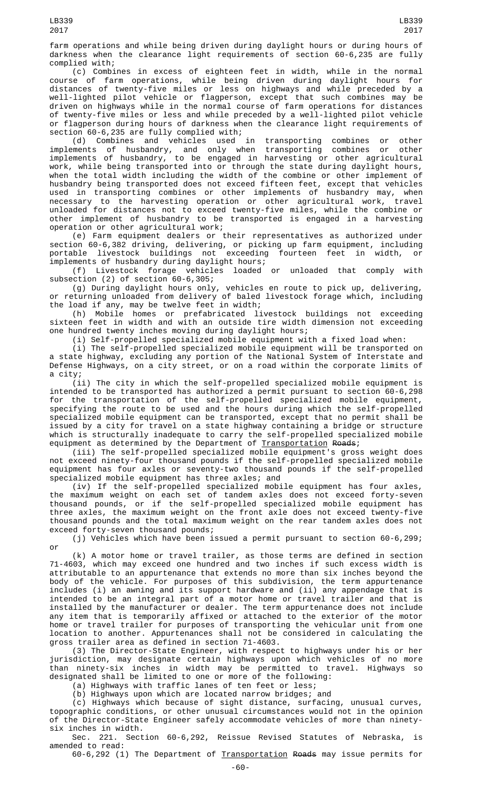farm operations and while being driven during daylight hours or during hours of darkness when the clearance light requirements of section 60-6,235 are fully complied with;

(c) Combines in excess of eighteen feet in width, while in the normal course of farm operations, while being driven during daylight hours for distances of twenty-five miles or less on highways and while preceded by a well-lighted pilot vehicle or flagperson, except that such combines may be driven on highways while in the normal course of farm operations for distances of twenty-five miles or less and while preceded by a well-lighted pilot vehicle or flagperson during hours of darkness when the clearance light requirements of section 60-6,235 are fully complied with;

(d) Combines and vehicles used in transporting combines or other implements of husbandry, and only when transporting combines or other implements of husbandry, to be engaged in harvesting or other agricultural work, while being transported into or through the state during daylight hours, when the total width including the width of the combine or other implement of husbandry being transported does not exceed fifteen feet, except that vehicles used in transporting combines or other implements of husbandry may, when necessary to the harvesting operation or other agricultural work, travel unloaded for distances not to exceed twenty-five miles, while the combine or other implement of husbandry to be transported is engaged in a harvesting operation or other agricultural work;

(e) Farm equipment dealers or their representatives as authorized under section 60-6,382 driving, delivering, or picking up farm equipment, including<br>portable livestock buildings not exceeding fourteen feet in width, or livestock buildings not implements of husbandry during daylight hours;

(f) Livestock forage vehicles loaded or unloaded that comply with subsection (2) of section 60-6,305;

(g) During daylight hours only, vehicles en route to pick up, delivering, or returning unloaded from delivery of baled livestock forage which, including the load if any, may be twelve feet in width;

(h) Mobile homes or prefabricated livestock buildings not exceeding sixteen feet in width and with an outside tire width dimension not exceeding one hundred twenty inches moving during daylight hours;

(i) Self-propelled specialized mobile equipment with a fixed load when:

(i) The self-propelled specialized mobile equipment will be transported on a state highway, excluding any portion of the National System of Interstate and Defense Highways, on a city street, or on a road within the corporate limits of a city;

(ii) The city in which the self-propelled specialized mobile equipment is intended to be transported has authorized a permit pursuant to section 60-6,298 for the transportation of the self-propelled specialized mobile equipment, specifying the route to be used and the hours during which the self-propelled specialized mobile equipment can be transported, except that no permit shall be issued by a city for travel on a state highway containing a bridge or structure which is structurally inadequate to carry the self-propelled specialized mobile equipment as determined by the Department of <u>Transportation</u> R<del>oads</del>;

(iii) The self-propelled specialized mobile equipment's gross weight does not exceed ninety-four thousand pounds if the self-propelled specialized mobile equipment has four axles or seventy-two thousand pounds if the self-propelled specialized mobile equipment has three axles; and

(iv) If the self-propelled specialized mobile equipment has four axles, the maximum weight on each set of tandem axles does not exceed forty-seven thousand pounds, or if the self-propelled specialized mobile equipment has three axles, the maximum weight on the front axle does not exceed twenty-five thousand pounds and the total maximum weight on the rear tandem axles does not exceed forty-seven thousand pounds;

(j) Vehicles which have been issued a permit pursuant to section 60-6,299; or

(k) A motor home or travel trailer, as those terms are defined in section 71-4603, which may exceed one hundred and two inches if such excess width is attributable to an appurtenance that extends no more than six inches beyond the body of the vehicle. For purposes of this subdivision, the term appurtenance includes (i) an awning and its support hardware and (ii) any appendage that is intended to be an integral part of a motor home or travel trailer and that is installed by the manufacturer or dealer. The term appurtenance does not include any item that is temporarily affixed or attached to the exterior of the motor home or travel trailer for purposes of transporting the vehicular unit from one location to another. Appurtenances shall not be considered in calculating the gross trailer area as defined in section 71-4603.

(3) The Director-State Engineer, with respect to highways under his or her jurisdiction, may designate certain highways upon which vehicles of no more than ninety-six inches in width may be permitted to travel. Highways so designated shall be limited to one or more of the following:

(a) Highways with traffic lanes of ten feet or less;

(b) Highways upon which are located narrow bridges; and

(c) Highways which because of sight distance, surfacing, unusual curves, topographic conditions, or other unusual circumstances would not in the opinion of the Director-State Engineer safely accommodate vehicles of more than ninetysix inches in width.

Sec. 221. Section 60-6,292, Reissue Revised Statutes of Nebraska, is amended to read:

60-6,292 (1) The Department of Transportation Roads may issue permits for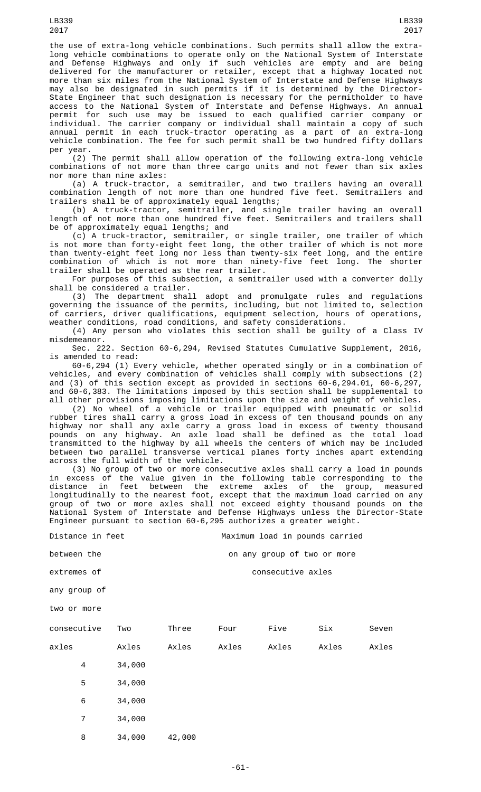the use of extra-long vehicle combinations. Such permits shall allow the extralong vehicle combinations to operate only on the National System of Interstate and Defense Highways and only if such vehicles are empty and are being delivered for the manufacturer or retailer, except that a highway located not more than six miles from the National System of Interstate and Defense Highways may also be designated in such permits if it is determined by the Director-State Engineer that such designation is necessary for the permitholder to have access to the National System of Interstate and Defense Highways. An annual permit for such use may be issued to each qualified carrier company or individual. The carrier company or individual shall maintain a copy of such annual permit in each truck-tractor operating as a part of an extra-long vehicle combination. The fee for such permit shall be two hundred fifty dollars per year.

(2) The permit shall allow operation of the following extra-long vehicle combinations of not more than three cargo units and not fewer than six axles nor more than nine axles:

(a) A truck-tractor, a semitrailer, and two trailers having an overall combination length of not more than one hundred five feet. Semitrailers and trailers shall be of approximately equal lengths;

(b) A truck-tractor, semitrailer, and single trailer having an overall length of not more than one hundred five feet. Semitrailers and trailers shall be of approximately equal lengths; and

(c) A truck-tractor, semitrailer, or single trailer, one trailer of which is not more than forty-eight feet long, the other trailer of which is not more than twenty-eight feet long nor less than twenty-six feet long, and the entire combination of which is not more than ninety-five feet long. The shorter trailer shall be operated as the rear trailer.

For purposes of this subsection, a semitrailer used with a converter dolly shall be considered a trailer.

(3) The department shall adopt and promulgate rules and regulations governing the issuance of the permits, including, but not limited to, selection of carriers, driver qualifications, equipment selection, hours of operations, weather conditions, road conditions, and safety considerations.

(4) Any person who violates this section shall be guilty of a Class IV misdemeanor.

Sec. 222. Section 60-6,294, Revised Statutes Cumulative Supplement, 2016, is amended to read:

60-6,294 (1) Every vehicle, whether operated singly or in a combination of vehicles, and every combination of vehicles shall comply with subsections (2) and (3) of this section except as provided in sections 60-6,294.01, 60-6,297, and 60-6,383. The limitations imposed by this section shall be supplemental to all other provisions imposing limitations upon the size and weight of vehicles.

(2) No wheel of a vehicle or trailer equipped with pneumatic or solid rubber tires shall carry a gross load in excess of ten thousand pounds on any highway nor shall any axle carry a gross load in excess of twenty thousand pounds on any highway. An axle load shall be defined as the total load transmitted to the highway by all wheels the centers of which may be included between two parallel transverse vertical planes forty inches apart extending across the full width of the vehicle.

(3) No group of two or more consecutive axles shall carry a load in pounds in excess of the value given in the following table corresponding to the distance in feet between the extreme axles of the group, measured longitudinally to the nearest foot, except that the maximum load carried on any group of two or more axles shall not exceed eighty thousand pounds on the National System of Interstate and Defense Highways unless the Director-State Engineer pursuant to section 60-6, 295 authorizes a greater weight.

Distance in feet **Maximum** load in pounds carried

between the **between** the on any group of two or more

extremes of consecutive axles

any group of

two or more

| consecutive |   | Two    | Three  | Four  | Five  | Six   | Seven |
|-------------|---|--------|--------|-------|-------|-------|-------|
| axles       |   | Axles  | Axles  | Axles | Axles | Axles | Axles |
|             | 4 | 34,000 |        |       |       |       |       |
|             | 5 | 34,000 |        |       |       |       |       |
|             | 6 | 34,000 |        |       |       |       |       |
|             | 7 | 34,000 |        |       |       |       |       |
|             | 8 | 34,000 | 42,000 |       |       |       |       |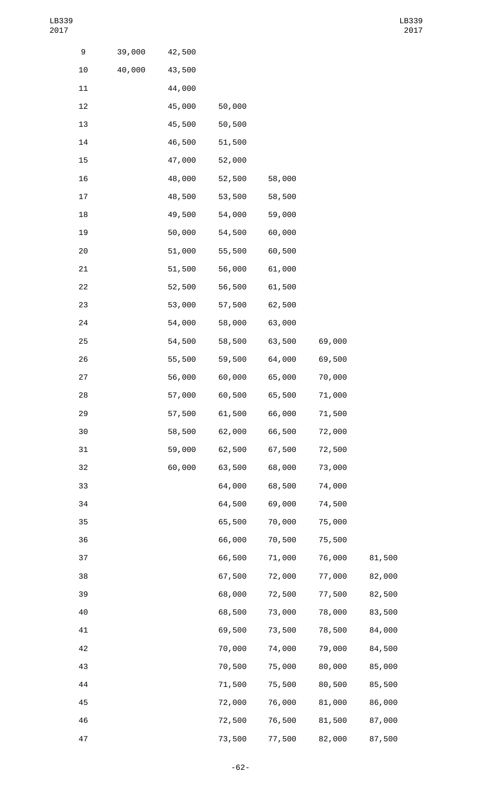| 9  | 39,000 | 42,500 |        |        |        |        |
|----|--------|--------|--------|--------|--------|--------|
| 10 | 40,000 | 43,500 |        |        |        |        |
| 11 |        | 44,000 |        |        |        |        |
| 12 |        | 45,000 | 50,000 |        |        |        |
| 13 |        | 45,500 | 50,500 |        |        |        |
| 14 |        | 46,500 | 51,500 |        |        |        |
| 15 |        | 47,000 | 52,000 |        |        |        |
| 16 |        | 48,000 | 52,500 | 58,000 |        |        |
| 17 |        | 48,500 | 53,500 | 58,500 |        |        |
| 18 |        | 49,500 | 54,000 | 59,000 |        |        |
| 19 |        | 50,000 | 54,500 | 60,000 |        |        |
| 20 |        | 51,000 | 55,500 | 60,500 |        |        |
| 21 |        | 51,500 | 56,000 | 61,000 |        |        |
| 22 |        | 52,500 | 56,500 | 61,500 |        |        |
| 23 |        | 53,000 | 57,500 | 62,500 |        |        |
| 24 |        | 54,000 | 58,000 | 63,000 |        |        |
| 25 |        | 54,500 | 58,500 | 63,500 | 69,000 |        |
| 26 |        | 55,500 | 59,500 | 64,000 | 69,500 |        |
| 27 |        | 56,000 | 60,000 | 65,000 | 70,000 |        |
| 28 |        | 57,000 | 60,500 | 65,500 | 71,000 |        |
| 29 |        | 57,500 | 61,500 | 66,000 | 71,500 |        |
| 30 |        | 58,500 | 62,000 | 66,500 | 72,000 |        |
| 31 |        | 59,000 | 62,500 | 67,500 | 72,500 |        |
| 32 |        | 60,000 | 63,500 | 68,000 | 73,000 |        |
| 33 |        |        | 64,000 | 68,500 | 74,000 |        |
| 34 |        |        | 64,500 | 69,000 | 74,500 |        |
| 35 |        |        | 65,500 | 70,000 | 75,000 |        |
| 36 |        |        | 66,000 | 70,500 | 75,500 |        |
| 37 |        |        | 66,500 | 71,000 | 76,000 | 81,500 |
| 38 |        |        | 67,500 | 72,000 | 77,000 | 82,000 |
| 39 |        |        | 68,000 | 72,500 | 77,500 | 82,500 |
| 40 |        |        | 68,500 | 73,000 | 78,000 | 83,500 |
| 41 |        |        | 69,500 | 73,500 | 78,500 | 84,000 |
| 42 |        |        | 70,000 | 74,000 | 79,000 | 84,500 |
| 43 |        |        | 70,500 | 75,000 | 80,000 | 85,000 |
| 44 |        |        | 71,500 | 75,500 | 80,500 | 85,500 |
| 45 |        |        | 72,000 | 76,000 | 81,000 | 86,000 |
| 46 |        |        | 72,500 | 76,500 | 81,500 | 87,000 |
| 47 |        |        | 73,500 | 77,500 | 82,000 | 87,500 |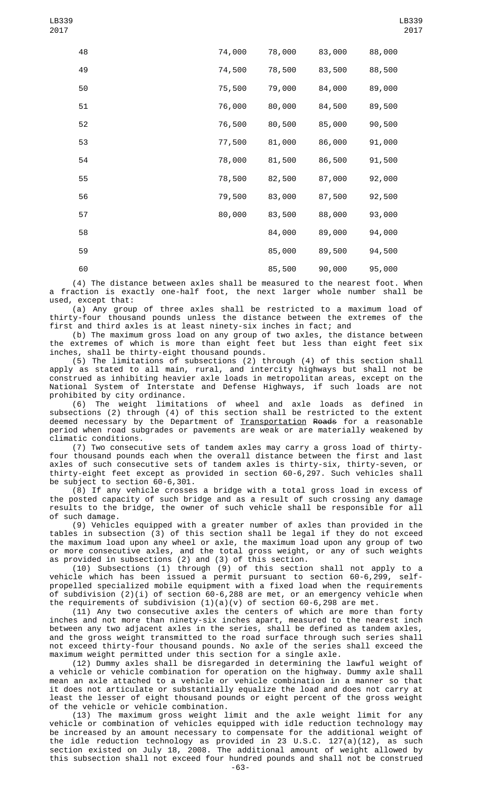| 48 | 74,000 | 78,000 | 83,000 | 88,000 |
|----|--------|--------|--------|--------|
| 49 | 74,500 | 78,500 | 83,500 | 88,500 |
| 50 | 75,500 | 79,000 | 84,000 | 89,000 |
| 51 | 76,000 | 80,000 | 84,500 | 89,500 |
| 52 | 76,500 | 80,500 | 85,000 | 90,500 |
| 53 | 77,500 | 81,000 | 86,000 | 91,000 |
| 54 | 78,000 | 81,500 | 86,500 | 91,500 |
| 55 | 78,500 | 82,500 | 87,000 | 92,000 |
| 56 | 79,500 | 83,000 | 87,500 | 92,500 |
| 57 | 80,000 | 83,500 | 88,000 | 93,000 |
| 58 |        | 84,000 | 89,000 | 94,000 |
| 59 |        | 85,000 | 89,500 | 94,500 |
| 60 |        | 85,500 | 90,000 | 95,000 |

(4) The distance between axles shall be measured to the nearest foot. When a fraction is exactly one-half foot, the next larger whole number shall be used, except that:

(a) Any group of three axles shall be restricted to a maximum load of thirty-four thousand pounds unless the distance between the extremes of the first and third axles is at least ninety-six inches in fact; and

(b) The maximum gross load on any group of two axles, the distance between the extremes of which is more than eight feet but less than eight feet six inches, shall be thirty-eight thousand pounds.

(5) The limitations of subsections (2) through (4) of this section shall apply as stated to all main, rural, and intercity highways but shall not be construed as inhibiting heavier axle loads in metropolitan areas, except on the National System of Interstate and Defense Highways, if such loads are not prohibited by city ordinance.

(6) The weight limitations of wheel and axle loads as defined in subsections (2) through (4) of this section shall be restricted to the extent deemed necessary by the Department of <u>Transportation</u> <del>Roads</del> for a reasonable period when road subgrades or pavements are weak or are materially weakened by climatic conditions.

(7) Two consecutive sets of tandem axles may carry a gross load of thirtyfour thousand pounds each when the overall distance between the first and last axles of such consecutive sets of tandem axles is thirty-six, thirty-seven, or thirty-eight feet except as provided in section 60-6,297. Such vehicles shall be subject to section 60-6,301.

(8) If any vehicle crosses a bridge with a total gross load in excess of the posted capacity of such bridge and as a result of such crossing any damage results to the bridge, the owner of such vehicle shall be responsible for all of such damage.

(9) Vehicles equipped with a greater number of axles than provided in the tables in subsection (3) of this section shall be legal if they do not exceed the maximum load upon any wheel or axle, the maximum load upon any group of two or more consecutive axles, and the total gross weight, or any of such weights as provided in subsections (2) and (3) of this section.

(10) Subsections (1) through (9) of this section shall not apply to a vehicle which has been issued a permit pursuant to section 60-6,299, selfpropelled specialized mobile equipment with a fixed load when the requirements of subdivision (2)(i) of section 60-6,288 are met, or an emergency vehicle when the requirements of subdivision  $(1)(a)(v)$  of section 60-6,298 are met.

(11) Any two consecutive axles the centers of which are more than forty inches and not more than ninety-six inches apart, measured to the nearest inch between any two adjacent axles in the series, shall be defined as tandem axles, and the gross weight transmitted to the road surface through such series shall not exceed thirty-four thousand pounds. No axle of the series shall exceed the maximum weight permitted under this section for a single axle.

(12) Dummy axles shall be disregarded in determining the lawful weight of a vehicle or vehicle combination for operation on the highway. Dummy axle shall mean an axle attached to a vehicle or vehicle combination in a manner so that it does not articulate or substantially equalize the load and does not carry at least the lesser of eight thousand pounds or eight percent of the gross weight of the vehicle or vehicle combination.

(13) The maximum gross weight limit and the axle weight limit for any vehicle or combination of vehicles equipped with idle reduction technology may be increased by an amount necessary to compensate for the additional weight of the idle reduction technology as provided in 23 U.S.C. 127(a)(12), as such section existed on July 18, 2008. The additional amount of weight allowed by this subsection shall not exceed four hundred pounds and shall not be construed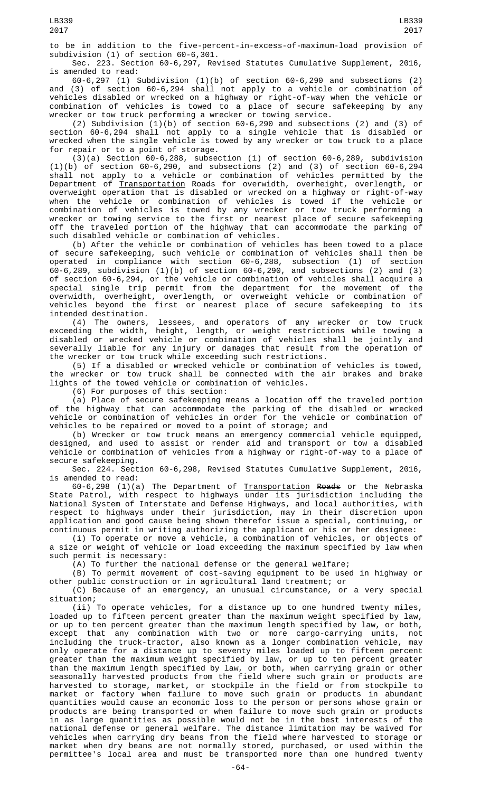to be in addition to the five-percent-in-excess-of-maximum-load provision of subdivision (1) of section 60-6,301.

Sec. 223. Section 60-6,297, Revised Statutes Cumulative Supplement, 2016, is amended to read:

60-6,297 (1) Subdivision (1)(b) of section 60-6,290 and subsections (2) and (3) of section 60-6,294 shall not apply to a vehicle or combination of vehicles disabled or wrecked on a highway or right-of-way when the vehicle or combination of vehicles is towed to a place of secure safekeeping by any wrecker or tow truck performing a wrecker or towing service.

(2) Subdivision (1)(b) of section 60-6,290 and subsections (2) and (3) of section 60-6,294 shall not apply to a single vehicle that is disabled or wrecked when the single vehicle is towed by any wrecker or tow truck to a place for repair or to a point of storage.

(3)(a) Section 60-6,288, subsection (1) of section 60-6,289, subdivision (1)(b) of section 60-6,290, and subsections (2) and (3) of section 60-6,294 shall not apply to a vehicle or combination of vehicles permitted by the Department of <u>Transportation</u> <del>Roads</del> for overwidth, overheight, overlength, or overweight operation that is disabled or wrecked on a highway or right-of-way when the vehicle or combination of vehicles is towed if the vehicle or combination of vehicles is towed by any wrecker or tow truck performing a wrecker or towing service to the first or nearest place of secure safekeeping off the traveled portion of the highway that can accommodate the parking of such disabled vehicle or combination of vehicles.

(b) After the vehicle or combination of vehicles has been towed to a place of secure safekeeping, such vehicle or combination of vehicles shall then be operated in compliance with section 60-6,288, subsection (1) of section 60-6,289, subdivision (1)(b) of section 60-6,290, and subsections (2) and (3) of section 60-6,294, or the vehicle or combination of vehicles shall acquire a special single trip permit from the department for the movement of the overwidth, overheight, overlength, or overweight vehicle or combination of vehicles beyond the first or nearest place of secure safekeeping to its intended destination.

(4) The owners, lessees, and operators of any wrecker or tow truck exceeding the width, height, length, or weight restrictions while towing a disabled or wrecked vehicle or combination of vehicles shall be jointly and severally liable for any injury or damages that result from the operation of the wrecker or tow truck while exceeding such restrictions.

(5) If a disabled or wrecked vehicle or combination of vehicles is towed, the wrecker or tow truck shall be connected with the air brakes and brake lights of the towed vehicle or combination of vehicles.

(6) For purposes of this section:

(a) Place of secure safekeeping means a location off the traveled portion of the highway that can accommodate the parking of the disabled or wrecked vehicle or combination of vehicles in order for the vehicle or combination of vehicles to be repaired or moved to a point of storage; and

(b) Wrecker or tow truck means an emergency commercial vehicle equipped, designed, and used to assist or render aid and transport or tow a disabled vehicle or combination of vehicles from a highway or right-of-way to a place of secure safekeeping.

Sec. 224. Section 60-6,298, Revised Statutes Cumulative Supplement, 2016, is amended to read:

60-6,298 (1)(a) The Department of <u>Transportation</u> <del>Roads</del> or the Nebraska State Patrol, with respect to highways under its jurisdiction including the National System of Interstate and Defense Highways, and local authorities, with respect to highways under their jurisdiction, may in their discretion upon application and good cause being shown therefor issue a special, continuing, or continuous permit in writing authorizing the applicant or his or her designee:

(i) To operate or move a vehicle, a combination of vehicles, or objects of a size or weight of vehicle or load exceeding the maximum specified by law when such permit is necessary:

(A) To further the national defense or the general welfare;

(B) To permit movement of cost-saving equipment to be used in highway or other public construction or in agricultural land treatment; or<br>(C) Because of an emergency, an unusual circumstance, or a very special

 $(C)$  Because of an emergency, an unusual circumstance, situation;

(ii) To operate vehicles, for a distance up to one hundred twenty miles, loaded up to fifteen percent greater than the maximum weight specified by law, or up to ten percent greater than the maximum length specified by law, or both,<br>except that any combination with two or more cargo-carrying units, not  $except$  that any combination with two or more cargo-carrying units, including the truck-tractor, also known as a longer combination vehicle, may only operate for a distance up to seventy miles loaded up to fifteen percent greater than the maximum weight specified by law, or up to ten percent greater than the maximum length specified by law, or both, when carrying grain or other seasonally harvested products from the field where such grain or products are harvested to storage, market, or stockpile in the field or from stockpile to market or factory when failure to move such grain or products in abundant quantities would cause an economic loss to the person or persons whose grain or products are being transported or when failure to move such grain or products in as large quantities as possible would not be in the best interests of the national defense or general welfare. The distance limitation may be waived for vehicles when carrying dry beans from the field where harvested to storage or market when dry beans are not normally stored, purchased, or used within the permittee's local area and must be transported more than one hundred twenty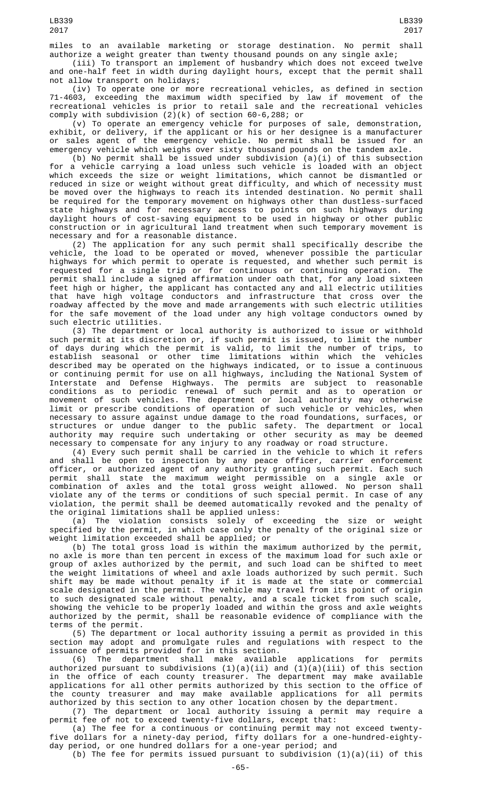(iii) To transport an implement of husbandry which does not exceed twelve and one-half feet in width during daylight hours, except that the permit shall not allow transport on holidays;

(iv) To operate one or more recreational vehicles, as defined in section 71-4603, exceeding the maximum width specified by law if movement of the recreational vehicles is prior to retail sale and the recreational vehicles comply with subdivision (2)(k) of section 60-6,288; or

(v) To operate an emergency vehicle for purposes of sale, demonstration, exhibit, or delivery, if the applicant or his or her designee is a manufacturer or sales agent of the emergency vehicle. No permit shall be issued for an emergency vehicle which weighs over sixty thousand pounds on the tandem axle.

(b) No permit shall be issued under subdivision (a)(i) of this subsection for a vehicle carrying a load unless such vehicle is loaded with an object which exceeds the size or weight limitations, which cannot be dismantled or reduced in size or weight without great difficulty, and which of necessity must be moved over the highways to reach its intended destination. No permit shall be required for the temporary movement on highways other than dustless-surfaced state highways and for necessary access to points on such highways during daylight hours of cost-saving equipment to be used in highway or other public construction or in agricultural land treatment when such temporary movement is necessary and for a reasonable distance.

(2) The application for any such permit shall specifically describe the vehicle, the load to be operated or moved, whenever possible the particular highways for which permit to operate is requested, and whether such permit is requested for a single trip or for continuous or continuing operation. The permit shall include a signed affirmation under oath that, for any load sixteen feet high or higher, the applicant has contacted any and all electric utilities that have high voltage conductors and infrastructure that cross over the roadway affected by the move and made arrangements with such electric utilities for the safe movement of the load under any high voltage conductors owned by such electric utilities.

(3) The department or local authority is authorized to issue or withhold such permit at its discretion or, if such permit is issued, to limit the number of days during which the permit is valid, to limit the number of trips, to establish seasonal or other time limitations within which the vehicles described may be operated on the highways indicated, or to issue a continuous or continuing permit for use on all highways, including the National System of Interstate and Defense Highways. The permits are subject to reasonable conditions as to periodic renewal of such permit and as to operation or movement of such vehicles. The department or local authority may otherwise limit or prescribe conditions of operation of such vehicle or vehicles, when necessary to assure against undue damage to the road foundations, surfaces, or structures or undue danger to the public safety. The department or local authority may require such undertaking or other security as may be deemed necessary to compensate for any injury to any roadway or road structure.

(4) Every such permit shall be carried in the vehicle to which it refers and shall be open to inspection by any peace officer, carrier enforcement officer, or authorized agent of any authority granting such permit. Each such permit shall state the maximum weight permissible on a single axle or combination of axles and the total gross weight allowed. No person shall violate any of the terms or conditions of such special permit. In case of any violation, the permit shall be deemed automatically revoked and the penalty of the original limitations shall be applied unless:

(a) The violation consists solely of exceeding the size or weight specified by the permit, in which case only the penalty of the original size or weight limitation exceeded shall be applied; or

(b) The total gross load is within the maximum authorized by the permit, no axle is more than ten percent in excess of the maximum load for such axle or group of axles authorized by the permit, and such load can be shifted to meet the weight limitations of wheel and axle loads authorized by such permit. Such shift may be made without penalty if it is made at the state or commercial scale designated in the permit. The vehicle may travel from its point of origin to such designated scale without penalty, and a scale ticket from such scale, showing the vehicle to be properly loaded and within the gross and axle weights authorized by the permit, shall be reasonable evidence of compliance with the terms of the permit.

(5) The department or local authority issuing a permit as provided in this section may adopt and promulgate rules and regulations with respect to the issuance of permits provided for in this section.<br>(6) The department shall make available

(6) The department shall make available applications for permits authorized pursuant to subdivisions (1)(a)(ii) and (1)(a)(iii) of this section in the office of each county treasurer. The department may make available applications for all other permits authorized by this section to the office of the county treasurer and may make available applications for all permits authorized by this section to any other location chosen by the department.

(7) The department or local authority issuing a permit may require a permit fee of not to exceed twenty-five dollars, except that:

(a) The fee for a continuous or continuing permit may not exceed twentyfive dollars for a ninety-day period, fifty dollars for a one-hundred-eightyday period, or one hundred dollars for a one-year period; and

(b) The fee for permits issued pursuant to subdivision  $(1)(a)(ii)$  of this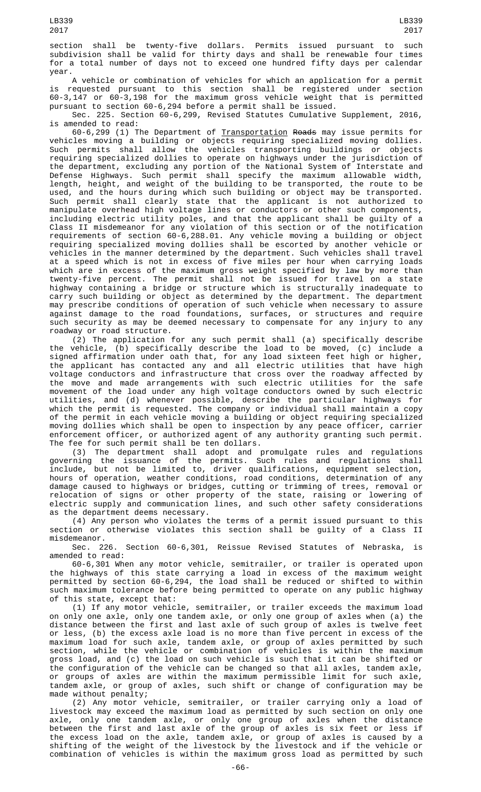section shall be twenty-five dollars. Permits issued pursuant to such subdivision shall be valid for thirty days and shall be renewable four times for a total number of days not to exceed one hundred fifty days per calendar year.

A vehicle or combination of vehicles for which an application for a permit is requested pursuant to this section shall be registered under section 60-3,147 or 60-3,198 for the maximum gross vehicle weight that is permitted pursuant to section 60-6,294 before a permit shall be issued.

Sec. 225. Section 60-6,299, Revised Statutes Cumulative Supplement, 2016, is amended to read:

60-6,299 (1) The Department of Transportation Roads may issue permits for vehicles moving a building or objects requiring specialized moving dollies. Such permits shall allow the vehicles transporting buildings or objects requiring specialized dollies to operate on highways under the jurisdiction of the department, excluding any portion of the National System of Interstate and Defense Highways. Such permit shall specify the maximum allowable width, length, height, and weight of the building to be transported, the route to be used, and the hours during which such building or object may be transported. Such permit shall clearly state that the applicant is not authorized to manipulate overhead high voltage lines or conductors or other such components, including electric utility poles, and that the applicant shall be guilty of a Class II misdemeanor for any violation of this section or of the notification requirements of section 60-6,288.01. Any vehicle moving a building or object requiring specialized moving dollies shall be escorted by another vehicle or vehicles in the manner determined by the department. Such vehicles shall travel at a speed which is not in excess of five miles per hour when carrying loads which are in excess of the maximum gross weight specified by law by more than twenty-five percent. The permit shall not be issued for travel on a state highway containing a bridge or structure which is structurally inadequate to carry such building or object as determined by the department. The department may prescribe conditions of operation of such vehicle when necessary to assure against damage to the road foundations, surfaces, or structures and require such security as may be deemed necessary to compensate for any injury to any roadway or road structure.

(2) The application for any such permit shall (a) specifically describe the vehicle, (b) specifically describe the load to be moved, (c) include a signed affirmation under oath that, for any load sixteen feet high or higher, the applicant has contacted any and all electric utilities that have high voltage conductors and infrastructure that cross over the roadway affected by the move and made arrangements with such electric utilities for the safe movement of the load under any high voltage conductors owned by such electric utilities, and (d) whenever possible, describe the particular highways for which the permit is requested. The company or individual shall maintain a copy of the permit in each vehicle moving a building or object requiring specialized moving dollies which shall be open to inspection by any peace officer, carrier enforcement officer, or authorized agent of any authority granting such permit. The fee for such permit shall be ten dollars.

(3) The department shall adopt and promulgate rules and regulations governing the issuance of the permits. Such rules and regulations shall include, but not be limited to, driver qualifications, equipment selection, hours of operation, weather conditions, road conditions, determination of any damage caused to highways or bridges, cutting or trimming of trees, removal or relocation of signs or other property of the state, raising or lowering of electric supply and communication lines, and such other safety considerations as the department deems necessary.

(4) Any person who violates the terms of a permit issued pursuant to this section or otherwise violates this section shall be guilty of a Class II misdemeanor.

Sec. 226. Section 60-6,301, Reissue Revised Statutes of Nebraska, is amended to read:

60-6,301 When any motor vehicle, semitrailer, or trailer is operated upon the highways of this state carrying a load in excess of the maximum weight permitted by section 60-6,294, the load shall be reduced or shifted to within such maximum tolerance before being permitted to operate on any public highway of this state, except that:

(1) If any motor vehicle, semitrailer, or trailer exceeds the maximum load on only one axle, only one tandem axle, or only one group of axles when (a) the distance between the first and last axle of such group of axles is twelve feet or less, (b) the excess axle load is no more than five percent in excess of the maximum load for such axle, tandem axle, or group of axles permitted by such section, while the vehicle or combination of vehicles is within the maximum gross load, and (c) the load on such vehicle is such that it can be shifted or the configuration of the vehicle can be changed so that all axles, tandem axle, or groups of axles are within the maximum permissible limit for such axle, tandem axle, or group of axles, such shift or change of configuration may be made without penalty;

(2) Any motor vehicle, semitrailer, or trailer carrying only a load of livestock may exceed the maximum load as permitted by such section on only one axle, only one tandem axle, or only one group of axles when the distance between the first and last axle of the group of axles is six feet or less if the excess load on the axle, tandem axle, or group of axles is caused by a shifting of the weight of the livestock by the livestock and if the vehicle or combination of vehicles is within the maximum gross load as permitted by such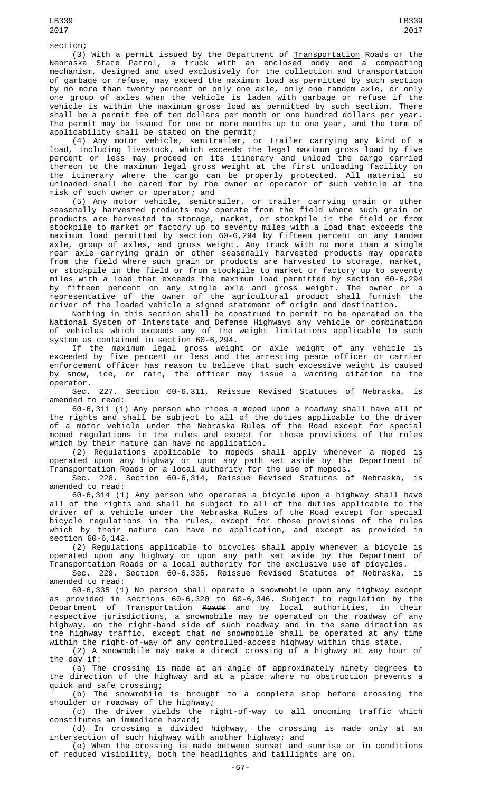section;

(3) With a permit issued by the Department of <u>Transportation</u> <del>Roads</del> or the Nebraska State Patrol, a truck with an enclosed body and a compacting mechanism, designed and used exclusively for the collection and transportation of garbage or refuse, may exceed the maximum load as permitted by such section by no more than twenty percent on only one axle, only one tandem axle, or only one group of axles when the vehicle is laden with garbage or refuse if the vehicle is within the maximum gross load as permitted by such section. There shall be a permit fee of ten dollars per month or one hundred dollars per year. The permit may be issued for one or more months up to one year, and the term of applicability shall be stated on the permit;

(4) Any motor vehicle, semitrailer, or trailer carrying any kind of a load, including livestock, which exceeds the legal maximum gross load by five percent or less may proceed on its itinerary and unload the cargo carried thereon to the maximum legal gross weight at the first unloading facility on the itinerary where the cargo can be properly protected. All material so unloaded shall be cared for by the owner or operator of such vehicle at the risk of such owner or operator; and

(5) Any motor vehicle, semitrailer, or trailer carrying grain or other seasonally harvested products may operate from the field where such grain or products are harvested to storage, market, or stockpile in the field or from stockpile to market or factory up to seventy miles with a load that exceeds the maximum load permitted by section 60-6,294 by fifteen percent on any tandem axle, group of axles, and gross weight. Any truck with no more than a single rear axle carrying grain or other seasonally harvested products may operate from the field where such grain or products are harvested to storage, market, or stockpile in the field or from stockpile to market or factory up to seventy miles with a load that exceeds the maximum load permitted by section 60-6,294 by fifteen percent on any single axle and gross weight. The owner or a representative of the owner of the agricultural product shall furnish the driver of the loaded vehicle a signed statement of origin and destination.

Nothing in this section shall be construed to permit to be operated on the National System of Interstate and Defense Highways any vehicle or combination of vehicles which exceeds any of the weight limitations applicable to such system as contained in section 60-6,294.

If the maximum legal gross weight or axle weight of any vehicle is exceeded by five percent or less and the arresting peace officer or carrier enforcement officer has reason to believe that such excessive weight is caused by snow, ice, or rain, the officer may issue a warning citation to the operator.

Sec. 227. Section 60-6,311, Reissue Revised Statutes of Nebraska, is amended to read:

60-6,311 (1) Any person who rides a moped upon a roadway shall have all of the rights and shall be subject to all of the duties applicable to the driver of a motor vehicle under the Nebraska Rules of the Road except for special moped regulations in the rules and except for those provisions of the rules which by their nature can have no application.

(2) Regulations applicable to mopeds shall apply whenever a moped is operated upon any highway or upon any path set aside by the Department of Transportation Roads or a local authority for the use of mopeds.

Sec. 228. Section 60-6,314, Reissue Revised Statutes of Nebraska, is amended to read:

60-6,314 (1) Any person who operates a bicycle upon a highway shall have all of the rights and shall be subject to all of the duties applicable to the driver of a vehicle under the Nebraska Rules of the Road except for special bicycle regulations in the rules, except for those provisions of the rules which by their nature can have no application, and except as provided in section 60-6,142.

(2) Regulations applicable to bicycles shall apply whenever a bicycle is operated upon any highway or upon any path set aside by the Department of Transportation Roads or a local authority for the exclusive use of bicycles.

Sec. 229. Section 60-6,335, Reissue Revised Statutes of Nebraska, is amended to read:

60-6,335 (1) No person shall operate a snowmobile upon any highway except as provided in sections 60-6,320 to 60-6,346. Subject to regulation by the Department of <u>Transportation</u> <del>Roads</del> and by local authorities, in their respective jurisdictions, a snowmobile may be operated on the roadway of any highway, on the right-hand side of such roadway and in the same direction as the highway traffic, except that no snowmobile shall be operated at any time within the right-of-way of any controlled-access highway within this state.

(2) A snowmobile may make a direct crossing of a highway at any hour of the day if:

(a) The crossing is made at an angle of approximately ninety degrees to the direction of the highway and at a place where no obstruction prevents a quick and safe crossing;

(b) The snowmobile is brought to a complete stop before crossing the shoulder or roadway of the highway;

(c) The driver yields the right-of-way to all oncoming traffic which constitutes an immediate hazard;

(d) In crossing a divided highway, the crossing is made only at an intersection of such highway with another highway; and

(e) When the crossing is made between sunset and sunrise or in conditions of reduced visibility, both the headlights and taillights are on.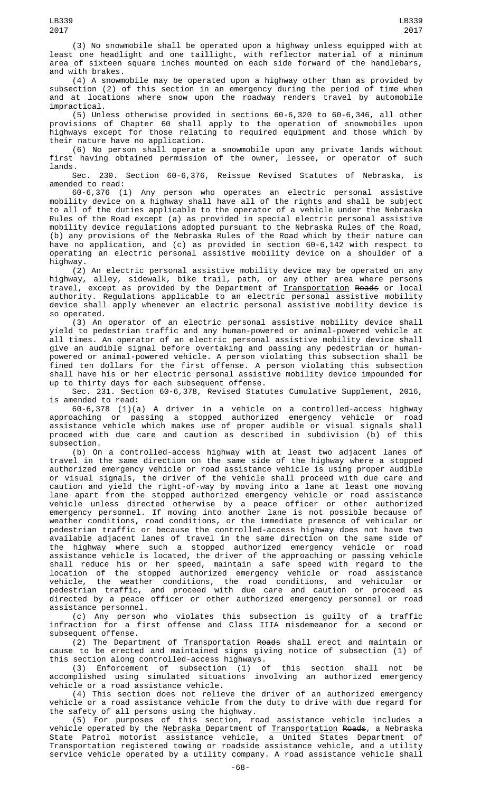(3) No snowmobile shall be operated upon a highway unless equipped with at least one headlight and one taillight, with reflector material of a minimum area of sixteen square inches mounted on each side forward of the handlebars, and with brakes.

(4) A snowmobile may be operated upon a highway other than as provided by subsection (2) of this section in an emergency during the period of time when and at locations where snow upon the roadway renders travel by automobile impractical.

(5) Unless otherwise provided in sections 60-6,320 to 60-6,346, all other provisions of Chapter 60 shall apply to the operation of snowmobiles upon highways except for those relating to required equipment and those which by their nature have no application.

(6) No person shall operate a snowmobile upon any private lands without first having obtained permission of the owner, lessee, or operator of such lands.

Sec. 230. Section 60-6,376, Reissue Revised Statutes of Nebraska, is amended to read:

60-6,376 (1) Any person who operates an electric personal assistive mobility device on a highway shall have all of the rights and shall be subject to all of the duties applicable to the operator of a vehicle under the Nebraska Rules of the Road except (a) as provided in special electric personal assistive mobility device regulations adopted pursuant to the Nebraska Rules of the Road, (b) any provisions of the Nebraska Rules of the Road which by their nature can have no application, and (c) as provided in section 60-6,142 with respect to operating an electric personal assistive mobility device on a shoulder of a highway.

(2) An electric personal assistive mobility device may be operated on any highway, alley, sidewalk, bike trail, path, or any other area where persons travel, except as provided by the Department of <u>Transportation</u> R<del>oads</del> or local authority. Regulations applicable to an electric personal assistive mobility device shall apply whenever an electric personal assistive mobility device is so operated.

(3) An operator of an electric personal assistive mobility device shall yield to pedestrian traffic and any human-powered or animal-powered vehicle at all times. An operator of an electric personal assistive mobility device shall give an audible signal before overtaking and passing any pedestrian or humanpowered or animal-powered vehicle. A person violating this subsection shall be fined ten dollars for the first offense. A person violating this subsection shall have his or her electric personal assistive mobility device impounded for up to thirty days for each subsequent offense.

Sec. 231. Section 60-6,378, Revised Statutes Cumulative Supplement, 2016, is amended to read:

60-6,378 (1)(a) A driver in a vehicle on a controlled-access highway approaching or passing a stopped authorized emergency vehicle or road assistance vehicle which makes use of proper audible or visual signals shall proceed with due care and caution as described in subdivision (b) of this subsection.

(b) On a controlled-access highway with at least two adjacent lanes of travel in the same direction on the same side of the highway where a stopped authorized emergency vehicle or road assistance vehicle is using proper audible or visual signals, the driver of the vehicle shall proceed with due care and caution and yield the right-of-way by moving into a lane at least one moving lane apart from the stopped authorized emergency vehicle or road assistance vehicle unless directed otherwise by a peace officer or other authorized emergency personnel. If moving into another lane is not possible because of weather conditions, road conditions, or the immediate presence of vehicular or pedestrian traffic or because the controlled-access highway does not have two available adjacent lanes of travel in the same direction on the same side of the highway where such a stopped authorized emergency vehicle or road assistance vehicle is located, the driver of the approaching or passing vehicle shall reduce his or her speed, maintain a safe speed with regard to the location of the stopped authorized emergency vehicle or road assistance vehicle, the weather conditions, the road conditions, and vehicular or pedestrian traffic, and proceed with due care and caution or proceed as directed by a peace officer or other authorized emergency personnel or road assistance personnel.

(c) Any person who violates this subsection is guilty of a traffic infraction for a first offense and Class IIIA misdemeanor for a second or subsequent offense.

(2) The Department of Transportation Roads shall erect and maintain or cause to be erected and maintained signs giving notice of subsection (1) of this section along controlled-access highways.

(3) Enforcement of subsection (1) of this section shall not be accomplished using simulated situations involving an authorized emergency vehicle or a road assistance vehicle.

(4) This section does not relieve the driver of an authorized emergency vehicle or a road assistance vehicle from the duty to drive with due regard for the safety of all persons using the highway.

(5) For purposes of this section, road assistance vehicle includes a vehicle operated by the <u>Nebraska </u>Department of <u>Transportation</u> <del>Roads</del>, a Nebraska State Patrol motorist assistance vehicle, a United States Department of Transportation registered towing or roadside assistance vehicle, and a utility service vehicle operated by a utility company. A road assistance vehicle shall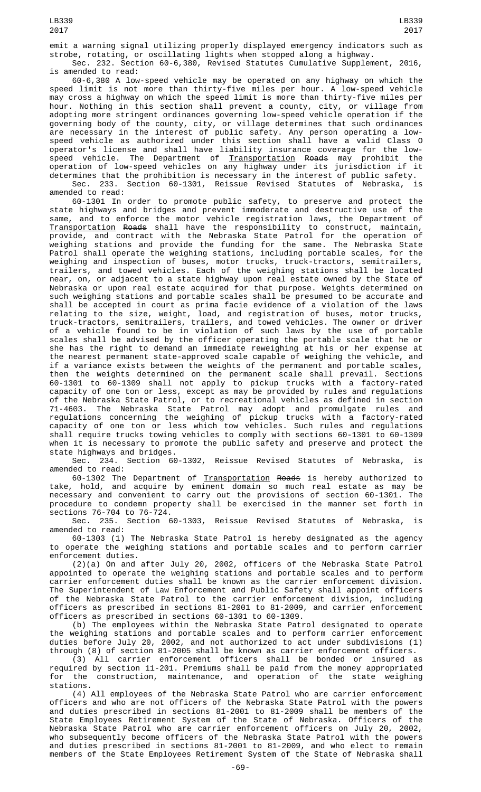Sec. 232. Section 60-6,380, Revised Statutes Cumulative Supplement, 2016, is amended to read:

60-6,380 A low-speed vehicle may be operated on any highway on which the speed limit is not more than thirty-five miles per hour. A low-speed vehicle may cross a highway on which the speed limit is more than thirty-five miles per hour. Nothing in this section shall prevent a county, city, or village from adopting more stringent ordinances governing low-speed vehicle operation if the governing body of the county, city, or village determines that such ordinances are necessary in the interest of public safety. Any person operating a lowspeed vehicle as authorized under this section shall have a valid Class O operator's license and shall have liability insurance coverage for the lowspeed vehicle. The Department of <u>Transportation</u> <del>Roads</del> may prohibit the operation of low-speed vehicles on any highway under its jurisdiction if it determines that the prohibition is necessary in the interest of public safety. Sec. 233. Section 60-1301, Reissue Revised Statutes of Nebraska, is amended to read:

60-1301 In order to promote public safety, to preserve and protect the state highways and bridges and prevent immoderate and destructive use of the same, and to enforce the motor vehicle registration laws, the Department of Transportation Roads shall have the responsibility to construct, maintain, provide, and contract with the Nebraska State Patrol for the operation of weighing stations and provide the funding for the same. The Nebraska State Patrol shall operate the weighing stations, including portable scales, for the weighing and inspection of buses, motor trucks, truck-tractors, semitrailers, trailers, and towed vehicles. Each of the weighing stations shall be located near, on, or adjacent to a state highway upon real estate owned by the State of Nebraska or upon real estate acquired for that purpose. Weights determined on such weighing stations and portable scales shall be presumed to be accurate and shall be accepted in court as prima facie evidence of a violation of the laws relating to the size, weight, load, and registration of buses, motor trucks, truck-tractors, semitrailers, trailers, and towed vehicles. The owner or driver of a vehicle found to be in violation of such laws by the use of portable scales shall be advised by the officer operating the portable scale that he or she has the right to demand an immediate reweighing at his or her expense at the nearest permanent state-approved scale capable of weighing the vehicle, and if a variance exists between the weights of the permanent and portable scales, then the weights determined on the permanent scale shall prevail. Sections 60-1301 to 60-1309 shall not apply to pickup trucks with a factory-rated capacity of one ton or less, except as may be provided by rules and regulations of the Nebraska State Patrol, or to recreational vehicles as defined in section 71-4603. The Nebraska State Patrol may adopt and promulgate rules and regulations concerning the weighing of pickup trucks with a factory-rated capacity of one ton or less which tow vehicles. Such rules and regulations shall require trucks towing vehicles to comply with sections 60-1301 to 60-1309 when it is necessary to promote the public safety and preserve and protect the state highways and bridges.

Sec. 234. Section 60-1302, Reissue Revised Statutes of Nebraska, is amended to read:

60-1302 The Department of Transportation Roads is hereby authorized to take, hold, and acquire by eminent domain so much real estate as may be necessary and convenient to carry out the provisions of section 60-1301. The procedure to condemn property shall be exercised in the manner set forth in sections 76-704 to 76-724.

Sec. 235. Section 60-1303, Reissue Revised Statutes of Nebraska, is amended to read:

60-1303 (1) The Nebraska State Patrol is hereby designated as the agency to operate the weighing stations and portable scales and to perform carrier enforcement duties.

(2)(a) On and after July 20, 2002, officers of the Nebraska State Patrol appointed to operate the weighing stations and portable scales and to perform carrier enforcement duties shall be known as the carrier enforcement division. The Superintendent of Law Enforcement and Public Safety shall appoint officers of the Nebraska State Patrol to the carrier enforcement division, including officers as prescribed in sections 81-2001 to 81-2009, and carrier enforcement officers as prescribed in sections 60-1301 to 60-1309.

(b) The employees within the Nebraska State Patrol designated to operate the weighing stations and portable scales and to perform carrier enforcement duties before July 20, 2002, and not authorized to act under subdivisions (1) through (8) of section 81-2005 shall be known as carrier enforcement officers.

(3) All carrier enforcement officers shall be bonded or insured as required by section 11-201. Premiums shall be paid from the money appropriated for the construction, maintenance, and operation of the state weighing stations.

(4) All employees of the Nebraska State Patrol who are carrier enforcement officers and who are not officers of the Nebraska State Patrol with the powers and duties prescribed in sections 81-2001 to 81-2009 shall be members of the State Employees Retirement System of the State of Nebraska. Officers of the Nebraska State Patrol who are carrier enforcement officers on July 20, 2002, who subsequently become officers of the Nebraska State Patrol with the powers and duties prescribed in sections 81-2001 to 81-2009, and who elect to remain members of the State Employees Retirement System of the State of Nebraska shall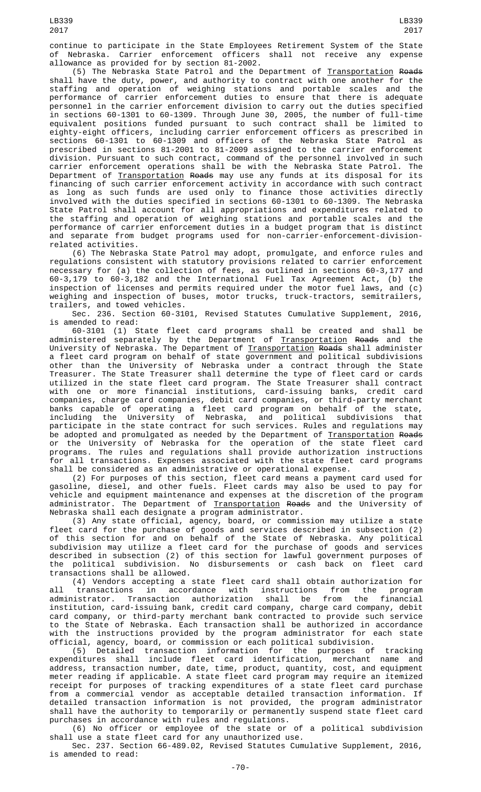continue to participate in the State Employees Retirement System of the State of Nebraska. Carrier enforcement officers shall not receive any expense allowance as provided for by section 81-2002.

(5) The Nebraska State Patrol and the Department of Transportation Roads shall have the duty, power, and authority to contract with one another for the staffing and operation of weighing stations and portable scales and the performance of carrier enforcement duties to ensure that there is adequate personnel in the carrier enforcement division to carry out the duties specified in sections 60-1301 to 60-1309. Through June 30, 2005, the number of full-time equivalent positions funded pursuant to such contract shall be limited to eighty-eight officers, including carrier enforcement officers as prescribed in sections 60-1301 to 60-1309 and officers of the Nebraska State Patrol as prescribed in sections 81-2001 to 81-2009 assigned to the carrier enforcement division. Pursuant to such contract, command of the personnel involved in such carrier enforcement operations shall be with the Nebraska State Patrol. The Department of Transportation Roads may use any funds at its disposal for its financing of such carrier enforcement activity in accordance with such contract as long as such funds are used only to finance those activities directly involved with the duties specified in sections 60-1301 to 60-1309. The Nebraska State Patrol shall account for all appropriations and expenditures related to the staffing and operation of weighing stations and portable scales and the performance of carrier enforcement duties in a budget program that is distinct and separate from budget programs used for non-carrier-enforcement-divisionrelated activities.

(6) The Nebraska State Patrol may adopt, promulgate, and enforce rules and regulations consistent with statutory provisions related to carrier enforcement necessary for (a) the collection of fees, as outlined in sections 60-3,177 and 60-3,179 to 60-3,182 and the International Fuel Tax Agreement Act, (b) the inspection of licenses and permits required under the motor fuel laws, and (c) weighing and inspection of buses, motor trucks, truck-tractors, semitrailers, trailers, and towed vehicles.

Sec. 236. Section 60-3101, Revised Statutes Cumulative Supplement, 2016, is amended to read:

60-3101 (1) State fleet card programs shall be created and shall be administered separately by the Department of <u>Transportation</u> <del>Roads</del> and the University of Nebraska. The Department of <u>Transportation</u> <del>Roads</del> shall administer a fleet card program on behalf of state government and political subdivisions other than the University of Nebraska under a contract through the State Treasurer. The State Treasurer shall determine the type of fleet card or cards utilized in the state fleet card program. The State Treasurer shall contract with one or more financial institutions, card-issuing banks, credit card companies, charge card companies, debit card companies, or third-party merchant banks capable of operating a fleet card program on behalf of the state, including the University of Nebraska, and political subdivisions that participate in the state contract for such services. Rules and regulations may be adopted and promulgated as needed by the Department of <u>Transportation</u> <del>Roads</del> or the University of Nebraska for the operation of the state fleet card programs. The rules and regulations shall provide authorization instructions for all transactions. Expenses associated with the state fleet card programs shall be considered as an administrative or operational expense.

(2) For purposes of this section, fleet card means a payment card used for gasoline, diesel, and other fuels. Fleet cards may also be used to pay for vehicle and equipment maintenance and expenses at the discretion of the program administrator. The Department of <u>Transportation</u> <del>Roads</del> and the University of Nebraska shall each designate a program administrator.

(3) Any state official, agency, board, or commission may utilize a state fleet card for the purchase of goods and services described in subsection (2) of this section for and on behalf of the State of Nebraska. Any political subdivision may utilize a fleet card for the purchase of goods and services described in subsection (2) of this section for lawful government purposes of the political subdivision. No disbursements or cash back on fleet card transactions shall be allowed.

(4) Vendors accepting a state fleet card shall obtain authorization for all transactions in accordance with instructions from the program administrator. Transaction authorization shall be from the financial institution, card-issuing bank, credit card company, charge card company, debit card company, or third-party merchant bank contracted to provide such service to the State of Nebraska. Each transaction shall be authorized in accordance with the instructions provided by the program administrator for each state official, agency, board, or commission or each political subdivision.

(5) Detailed transaction information for the purposes of tracking expenditures shall include fleet card identification, merchant name and address, transaction number, date, time, product, quantity, cost, and equipment meter reading if applicable. A state fleet card program may require an itemized receipt for purposes of tracking expenditures of a state fleet card purchase from a commercial vendor as acceptable detailed transaction information. If detailed transaction information is not provided, the program administrator shall have the authority to temporarily or permanently suspend state fleet card purchases in accordance with rules and regulations.

(6) No officer or employee of the state or of a political subdivision shall use a state fleet card for any unauthorized use.

Sec. 237. Section 66-489.02, Revised Statutes Cumulative Supplement, 2016, is amended to read: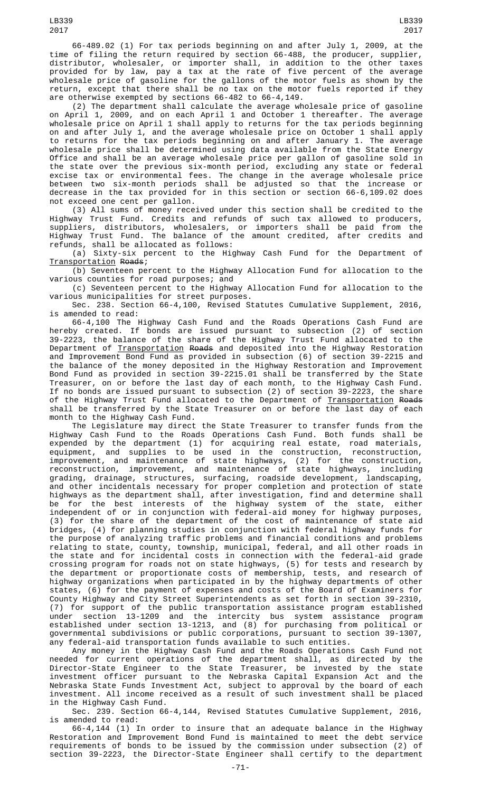66-489.02 (1) For tax periods beginning on and after July 1, 2009, at the time of filing the return required by section 66-488, the producer, supplier, distributor, wholesaler, or importer shall, in addition to the other taxes provided for by law, pay a tax at the rate of five percent of the average wholesale price of gasoline for the gallons of the motor fuels as shown by the return, except that there shall be no tax on the motor fuels reported if they are otherwise exempted by sections 66-482 to 66-4,149.

(2) The department shall calculate the average wholesale price of gasoline on April 1, 2009, and on each April 1 and October 1 thereafter. The average wholesale price on April 1 shall apply to returns for the tax periods beginning on and after July 1, and the average wholesale price on October 1 shall apply to returns for the tax periods beginning on and after January 1. The average wholesale price shall be determined using data available from the State Energy Office and shall be an average wholesale price per gallon of gasoline sold in the state over the previous six-month period, excluding any state or federal excise tax or environmental fees. The change in the average wholesale price between two six-month periods shall be adjusted so that the increase or decrease in the tax provided for in this section or section 66-6,109.02 does not exceed one cent per gallon.

(3) All sums of money received under this section shall be credited to the Highway Trust Fund. Credits and refunds of such tax allowed to producers, suppliers, distributors, wholesalers, or importers shall be paid from the Highway Trust Fund. The balance of the amount credited, after credits and refunds, shall be allocated as follows:

(a) Sixty-six percent to the Highway Cash Fund for the Department of Transportation Roads;

(b) Seventeen percent to the Highway Allocation Fund for allocation to the various counties for road purposes; and

(c) Seventeen percent to the Highway Allocation Fund for allocation to the various municipalities for street purposes.

Sec. 238. Section 66-4,100, Revised Statutes Cumulative Supplement, 2016, is amended to read:

66-4,100 The Highway Cash Fund and the Roads Operations Cash Fund are hereby created. If bonds are issued pursuant to subsection (2) of section 39-2223, the balance of the share of the Highway Trust Fund allocated to the Department of <u>Transportation</u> <del>Roads</del> and deposited into the Highway Restoration and Improvement Bond Fund as provided in subsection (6) of section 39-2215 and the balance of the money deposited in the Highway Restoration and Improvement Bond Fund as provided in section 39-2215.01 shall be transferred by the State Treasurer, on or before the last day of each month, to the Highway Cash Fund. If no bonds are issued pursuant to subsection (2) of section 39-2223, the share of the Highway Trust Fund allocated to the Department of <u>Transportation</u> <del>Roads</del> shall be transferred by the State Treasurer on or before the last day of each month to the Highway Cash Fund.

The Legislature may direct the State Treasurer to transfer funds from the Highway Cash Fund to the Roads Operations Cash Fund. Both funds shall be expended by the department (1) for acquiring real estate, road materials, equipment, and supplies to be used in the construction, reconstruction, improvement, and maintenance of state highways, (2) for the construction, reconstruction, improvement, and maintenance of state highways, including grading, drainage, structures, surfacing, roadside development, landscaping, and other incidentals necessary for proper completion and protection of state highways as the department shall, after investigation, find and determine shall be for the best interests of the highway system of the state, either independent of or in conjunction with federal-aid money for highway purposes, (3) for the share of the department of the cost of maintenance of state aid bridges, (4) for planning studies in conjunction with federal highway funds for the purpose of analyzing traffic problems and financial conditions and problems relating to state, county, township, municipal, federal, and all other roads in the state and for incidental costs in connection with the federal-aid grade crossing program for roads not on state highways, (5) for tests and research by the department or proportionate costs of membership, tests, and research of highway organizations when participated in by the highway departments of other states, (6) for the payment of expenses and costs of the Board of Examiners for County Highway and City Street Superintendents as set forth in section 39-2310, (7) for support of the public transportation assistance program established under section 13-1209 and the intercity bus system assistance program established under section 13-1213, and (8) for purchasing from political or governmental subdivisions or public corporations, pursuant to section 39-1307, any federal-aid transportation funds available to such entities.

Any money in the Highway Cash Fund and the Roads Operations Cash Fund not needed for current operations of the department shall, as directed by the Director-State Engineer to the State Treasurer, be invested by the state investment officer pursuant to the Nebraska Capital Expansion Act and the Nebraska State Funds Investment Act, subject to approval by the board of each investment. All income received as a result of such investment shall be placed in the Highway Cash Fund.

Sec. 239. Section 66-4,144, Revised Statutes Cumulative Supplement, 2016, is amended to read:

66-4,144 (1) In order to insure that an adequate balance in the Highway Restoration and Improvement Bond Fund is maintained to meet the debt service requirements of bonds to be issued by the commission under subsection (2) of section 39-2223, the Director-State Engineer shall certify to the department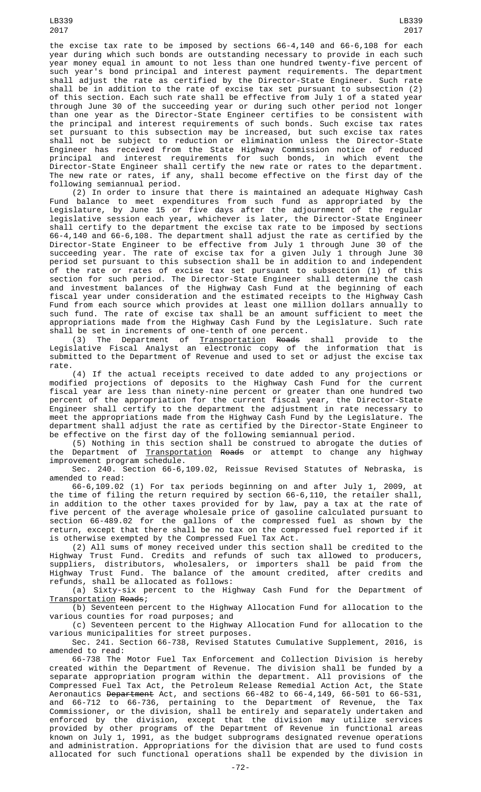the excise tax rate to be imposed by sections 66-4,140 and 66-6,108 for each year during which such bonds are outstanding necessary to provide in each such year money equal in amount to not less than one hundred twenty-five percent of such year's bond principal and interest payment requirements. The department shall adjust the rate as certified by the Director-State Engineer. Such rate shall be in addition to the rate of excise tax set pursuant to subsection (2) of this section. Each such rate shall be effective from July 1 of a stated year through June 30 of the succeeding year or during such other period not longer than one year as the Director-State Engineer certifies to be consistent with the principal and interest requirements of such bonds. Such excise tax rates set pursuant to this subsection may be increased, but such excise tax rates shall not be subject to reduction or elimination unless the Director-State Engineer has received from the State Highway Commission notice of reduced principal and interest requirements for such bonds, in which event the Director-State Engineer shall certify the new rate or rates to the department. The new rate or rates, if any, shall become effective on the first day of the following semiannual period.

(2) In order to insure that there is maintained an adequate Highway Cash Fund balance to meet expenditures from such fund as appropriated by the Legislature, by June 15 or five days after the adjournment of the regular legislative session each year, whichever is later, the Director-State Engineer shall certify to the department the excise tax rate to be imposed by sections 66-4,140 and 66-6,108. The department shall adjust the rate as certified by the Director-State Engineer to be effective from July 1 through June 30 of the succeeding year. The rate of excise tax for a given July 1 through June 30 period set pursuant to this subsection shall be in addition to and independent of the rate or rates of excise tax set pursuant to subsection (1) of this section for such period. The Director-State Engineer shall determine the cash and investment balances of the Highway Cash Fund at the beginning of each fiscal year under consideration and the estimated receipts to the Highway Cash Fund from each source which provides at least one million dollars annually to such fund. The rate of excise tax shall be an amount sufficient to meet the appropriations made from the Highway Cash Fund by the Legislature. Such rate shall be set in increments of one-tenth of one percent.

(3) The Department of <u>Transportation</u> <del>Roads</del> shall provide to the Legislative Fiscal Analyst an electronic copy of the information that is submitted to the Department of Revenue and used to set or adjust the excise tax rate.

(4) If the actual receipts received to date added to any projections or modified projections of deposits to the Highway Cash Fund for the current fiscal year are less than ninety-nine percent or greater than one hundred two percent of the appropriation for the current fiscal year, the Director-State Engineer shall certify to the department the adjustment in rate necessary to<br>moot the annonriations made from the Highway Cash Fund by the Legislature. The meet the appropriations made from the Highway Cash Fund by the Legislature. The department shall adjust the rate as certified by the Director-State Engineer to be effective on the first day of the following semiannual period.

(5) Nothing in this section shall be construed to abrogate the duties of the Department of <u>Transportation</u> <del>Roads</del> or attempt to change any highway improvement program schedule.

Sec. 240. Section 66-6,109.02, Reissue Revised Statutes of Nebraska, is amended to read:

66-6,109.02 (1) For tax periods beginning on and after July 1, 2009, at the time of filing the return required by section 66-6,110, the retailer shall, in addition to the other taxes provided for by law, pay a tax at the rate of five percent of the average wholesale price of gasoline calculated pursuant to section 66-489.02 for the gallons of the compressed fuel as shown by the return, except that there shall be no tax on the compressed fuel reported if it is otherwise exempted by the Compressed Fuel Tax Act.

(2) All sums of money received under this section shall be credited to the Highway Trust Fund. Credits and refunds of such tax allowed to producers, suppliers, distributors, wholesalers, or importers shall be paid from the Highway Trust Fund. The balance of the amount credited, after credits and refunds, shall be allocated as follows:

(a) Sixty-six percent to the Highway Cash Fund for the Department of Transportation Roads;

(b) Seventeen percent to the Highway Allocation Fund for allocation to the various counties for road purposes; and

(c) Seventeen percent to the Highway Allocation Fund for allocation to the various municipalities for street purposes.

Sec. 241. Section 66-738, Revised Statutes Cumulative Supplement, 2016, is amended to read:

66-738 The Motor Fuel Tax Enforcement and Collection Division is hereby created within the Department of Revenue. The division shall be funded by a separate appropriation program within the department. All provisions of the Compressed Fuel Tax Act, the Petroleum Release Remedial Action Act, the State Aeronautics <del>Department</del> Act, and sections 66-482 to 66-4,149, 66-501 to 66-531, and 66-712 to 66-736, pertaining to the Department of Revenue, the Tax Commissioner, or the division, shall be entirely and separately undertaken and enforced by the division, except that the division may utilize services provided by other programs of the Department of Revenue in functional areas known on July 1, 1991, as the budget subprograms designated revenue operations and administration. Appropriations for the division that are used to fund costs allocated for such functional operations shall be expended by the division in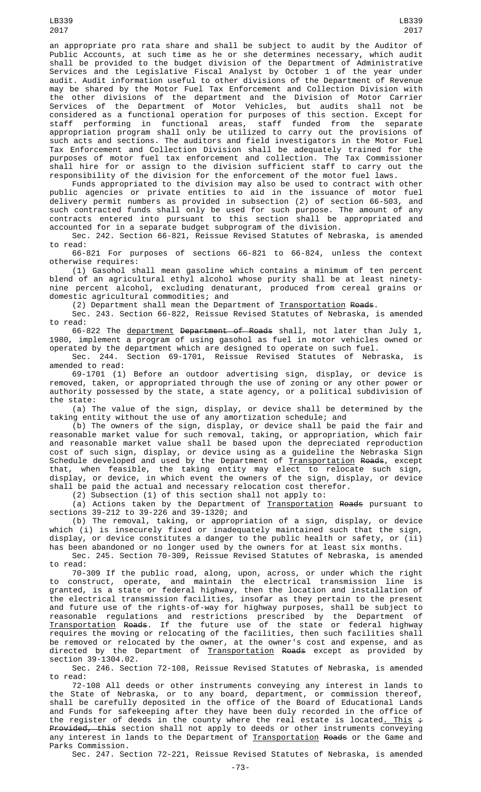an appropriate pro rata share and shall be subject to audit by the Auditor of Public Accounts, at such time as he or she determines necessary, which audit shall be provided to the budget division of the Department of Administrative Services and the Legislative Fiscal Analyst by October 1 of the year under audit. Audit information useful to other divisions of the Department of Revenue may be shared by the Motor Fuel Tax Enforcement and Collection Division with the other divisions of the department and the Division of Motor Carrier Services of the Department of Motor Vehicles, but audits shall not be considered as a functional operation for purposes of this section. Except for staff performing in functional areas, staff funded from the separate appropriation program shall only be utilized to carry out the provisions of such acts and sections. The auditors and field investigators in the Motor Fuel Tax Enforcement and Collection Division shall be adequately trained for the purposes of motor fuel tax enforcement and collection. The Tax Commissioner shall hire for or assign to the division sufficient staff to carry out the responsibility of the division for the enforcement of the motor fuel laws.

Funds appropriated to the division may also be used to contract with other public agencies or private entities to aid in the issuance of motor fuel delivery permit numbers as provided in subsection (2) of section 66-503, and such contracted funds shall only be used for such purpose. The amount of any contracts entered into pursuant to this section shall be appropriated and accounted for in a separate budget subprogram of the division.

Sec. 242. Section 66-821, Reissue Revised Statutes of Nebraska, is amended to read:

66-821 For purposes of sections 66-821 to 66-824, unless the context otherwise requires:

(1) Gasohol shall mean gasoline which contains a minimum of ten percent blend of an agricultural ethyl alcohol whose purity shall be at least ninetynine percent alcohol, excluding denaturant, produced from cereal grains or domestic agricultural commodities; and

(2) Department shall mean the Department of <u>Transportation</u> R<del>oads</del>.

Sec. 243. Section 66-822, Reissue Revised Statutes of Nebraska, is amended to read:

66-822 The department Department of Roads shall, not later than July 1, 1980, implement a program of using gasohol as fuel in motor vehicles owned or operated by the department which are designed to operate on such fuel.

Sec. 244. Section 69-1701, Reissue Revised Statutes of Nebraska, is amended to read:

69-1701 (1) Before an outdoor advertising sign, display, or device is removed, taken, or appropriated through the use of zoning or any other power or authority possessed by the state, a state agency, or a political subdivision of the state:

(a) The value of the sign, display, or device shall be determined by the taking entity without the use of any amortization schedule; and

(b) The owners of the sign, display, or device shall be paid the fair and reasonable market value for such removal, taking, or appropriation, which fair and reasonable market value shall be based upon the depreciated reproduction cost of such sign, display, or device using as a guideline the Nebraska Sign Schedule developed and used by the Department of <u>Transportation</u> <del>Roads</del>, except that, when feasible, the taking entity may elect to relocate such sign, display, or device, in which event the owners of the sign, display, or device shall be paid the actual and necessary relocation cost therefor.

(2) Subsection (1) of this section shall not apply to:

(a) Actions taken by the Department of <u>Transportation</u> R<del>oads</del> pursuant to sections 39-212 to 39-226 and 39-1320; and

(b) The removal, taking, or appropriation of a sign, display, or device which (i) is insecurely fixed or inadequately maintained such that the sign, display, or device constitutes a danger to the public health or safety, or (ii) has been abandoned or no longer used by the owners for at least six months.

Sec. 245. Section 70-309, Reissue Revised Statutes of Nebraska, is amended to read:

70-309 If the public road, along, upon, across, or under which the right to construct, operate, and maintain the electrical transmission line is granted, is a state or federal highway, then the location and installation of the electrical transmission facilities, insofar as they pertain to the present and future use of the rights-of-way for highway purposes, shall be subject to reasonable regulations and restrictions prescribed by the Department of Transportation Roads. If the future use of the state or federal highway requires the moving or relocating of the facilities, then such facilities shall be removed or relocated by the owner, at the owner's cost and expense, and as directed by the Department of **Transportation Roads** except as provided by section 39-1304.02.

Sec. 246. Section 72-108, Reissue Revised Statutes of Nebraska, is amended to read:

72-108 All deeds or other instruments conveying any interest in lands to the State of Nebraska, or to any board, department, or commission thereof, shall be carefully deposited in the office of the Board of Educational Lands and Funds for safekeeping after they have been duly recorded in the office of the register of deeds in the county where the real estate is located<u>. This</u>  $\div$ <del>Provided, this</del> section shall not apply to deeds or other instruments conveying any interest in lands to the Department of <u>Transportation</u> <del>Roads</del> or the Game and Parks Commission.

Sec. 247. Section 72-221, Reissue Revised Statutes of Nebraska, is amended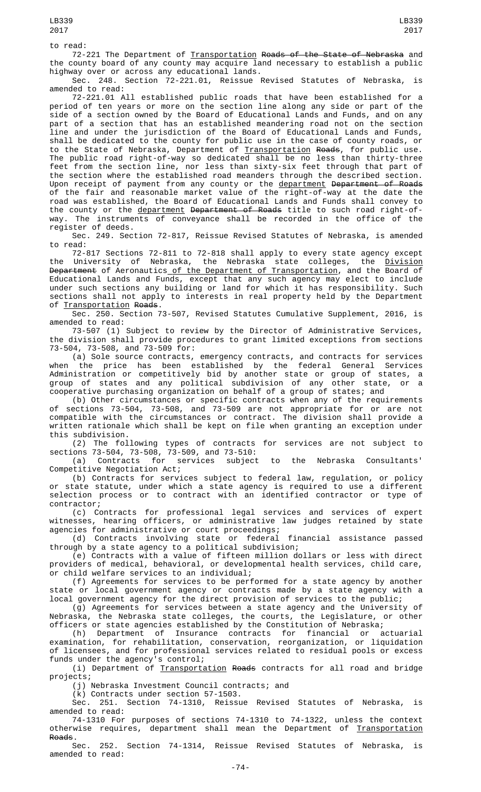72-221 The Department of <u>Transportation</u> <del>Roads of the State of Nebraska</del> and the county board of any county may acquire land necessary to establish a public highway over or across any educational lands.

Sec. 248. Section 72-221.01, Reissue Revised Statutes of Nebraska, is amended to read:

72-221.01 All established public roads that have been established for a period of ten years or more on the section line along any side or part of the side of a section owned by the Board of Educational Lands and Funds, and on any part of a section that has an established meandering road not on the section line and under the jurisdiction of the Board of Educational Lands and Funds, shall be dedicated to the county for public use in the case of county roads, or to the State of Nebraska, Department of Transportation Roads, for public use. The public road right-of-way so dedicated shall be no less than thirty-three feet from the section line, nor less than sixty-six feet through that part of the section where the established road meanders through the described section. Upon receipt of payment from any county or the <u>department</u> <del>Department of Roads</del> of the fair and reasonable market value of the right-of-way at the date the road was established, the Board of Educational Lands and Funds shall convey to the county or the <u>department</u> <del>Department of Roads</del> title to such road right-ofway. The instruments of conveyance shall be recorded in the office of the register of deeds.

Sec. 249. Section 72-817, Reissue Revised Statutes of Nebraska, is amended to read:

72-817 Sections 72-811 to 72-818 shall apply to every state agency except the University of Nebraska, the Nebraska state colleges, the <u>Division</u> <del>Department</del> of Aeronautics<u> of the Department of Transportation</u>, and the Board of Educational Lands and Funds, except that any such agency may elect to include under such sections any building or land for which it has responsibility. Such sections shall not apply to interests in real property held by the Department of Transportation Roads.

Sec. 250. Section 73-507, Revised Statutes Cumulative Supplement, 2016, is amended to read:

73-507 (1) Subject to review by the Director of Administrative Services, the division shall provide procedures to grant limited exceptions from sections 73-504, 73-508, and 73-509 for:

(a) Sole source contracts, emergency contracts, and contracts for services when the price has been established by the federal General Services Administration or competitively bid by another state or group of states, a group of states and any political subdivision of any other state, or a cooperative purchasing organization on behalf of a group of states; and

(b) Other circumstances or specific contracts when any of the requirements of sections 73-504, 73-508, and 73-509 are not appropriate for or are not compatible with the circumstances or contract. The division shall provide a written rationale which shall be kept on file when granting an exception under this subdivision.

(2) The following types of contracts for services are not subject to sections 73-504, 73-508, 73-509, and 73-510:

(a) Contracts for services subject to the Nebraska Consultants' Competitive Negotiation Act;

(b) Contracts for services subject to federal law, regulation, or policy or state statute, under which a state agency is required to use a different selection process or to contract with an identified contractor or type of contractor;

(c) Contracts for professional legal services and services of expert witnesses, hearing officers, or administrative law judges retained by state agencies for administrative or court proceedings;

(d) Contracts involving state or federal financial assistance passed through by a state agency to a political subdivision;

(e) Contracts with a value of fifteen million dollars or less with direct providers of medical, behavioral, or developmental health services, child care, or child welfare services to an individual;

(f) Agreements for services to be performed for a state agency by another state or local government agency or contracts made by a state agency with a local government agency for the direct provision of services to the public;

(g) Agreements for services between a state agency and the University of Nebraska, the Nebraska state colleges, the courts, the Legislature, or other officers or state agencies established by the Constitution of Nebraska;

(h) Department of Insurance contracts for financial or actuarial examination, for rehabilitation, conservation, reorganization, or liquidation of licensees, and for professional services related to residual pools or excess funds under the agency's control;

(i) Department of Transportation Roads contracts for all road and bridge projects;

(j) Nebraska Investment Council contracts; and

(k) Contracts under section 57-1503.

Sec. 251. Section 74-1310, Reissue Revised Statutes of Nebraska, is amended to read:

74-1310 For purposes of sections 74-1310 to 74-1322, unless the context otherwise requires, department shall mean the Department of Transportation Roads.

Sec. 252. Section 74-1314, Reissue Revised Statutes of Nebraska, is amended to read: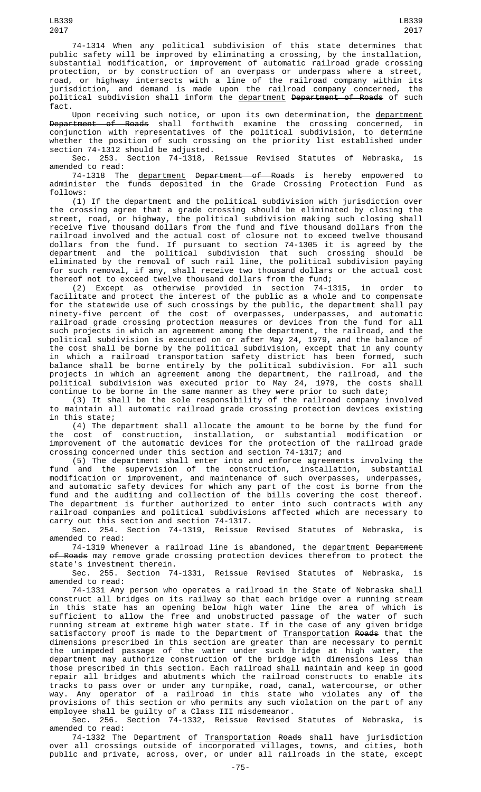74-1314 When any political subdivision of this state determines that public safety will be improved by eliminating a crossing, by the installation, substantial modification, or improvement of automatic railroad grade crossing protection, or by construction of an overpass or underpass where a street, road, or highway intersects with a line of the railroad company within its jurisdiction, and demand is made upon the railroad company concerned, the political subdivision shall inform the <u>department</u> <del>Department of Roads</del> of such fact.

Upon receiving such notice, or upon its own determination, the <u>department</u><br>Intent of Roads, shall, forthwith, examine, the crossing concerned, in Department of Roads shall forthwith examine the crossing concerned, conjunction with representatives of the political subdivision, to determine whether the position of such crossing on the priority list established under

section 74-1312 should be adjusted.<br>Sec. 253. Section 74-1318, Sec. 253. Section 74-1318, Reissue Revised Statutes of Nebraska, is amended to read:

74-1318 The <u>department</u> <del>Department of Roads</del> is hereby empowered to administer the funds deposited in the Grade Crossing Protection Fund as follows:

(1) If the department and the political subdivision with jurisdiction over the crossing agree that a grade crossing should be eliminated by closing the street, road, or highway, the political subdivision making such closing shall receive five thousand dollars from the fund and five thousand dollars from the railroad involved and the actual cost of closure not to exceed twelve thousand dollars from the fund. If pursuant to section 74-1305 it is agreed by the department and the political subdivision that such crossing should be eliminated by the removal of such rail line, the political subdivision paying for such removal, if any, shall receive two thousand dollars or the actual cost thereof not to exceed twelve thousand dollars from the fund;

(2) Except as otherwise provided in section 74-1315, in order to facilitate and protect the interest of the public as a whole and to compensate for the statewide use of such crossings by the public, the department shall pay ninety-five percent of the cost of overpasses, underpasses, and automatic railroad grade crossing protection measures or devices from the fund for all such projects in which an agreement among the department, the railroad, and the political subdivision is executed on or after May 24, 1979, and the balance of the cost shall be borne by the political subdivision, except that in any county in which a railroad transportation safety district has been formed, such balance shall be borne entirely by the political subdivision. For all such projects in which an agreement among the department, the railroad, and the political subdivision was executed prior to May 24, 1979, the costs shall continue to be borne in the same manner as they were prior to such date;

(3) It shall be the sole responsibility of the railroad company involved to maintain all automatic railroad grade crossing protection devices existing in this state;

(4) The department shall allocate the amount to be borne by the fund for the cost of construction, installation, or substantial modification or improvement of the automatic devices for the protection of the railroad grade crossing concerned under this section and section 74-1317; and

(5) The department shall enter into and enforce agreements involving the fund and the supervision of the construction, installation, substantial modification or improvement, and maintenance of such overpasses, underpasses, and automatic safety devices for which any part of the cost is borne from the fund and the auditing and collection of the bills covering the cost thereof. The department is further authorized to enter into such contracts with any railroad companies and political subdivisions affected which are necessary to carry out this section and section 74-1317.

Sec. 254. Section 74-1319, Reissue Revised Statutes of Nebraska, is amended to read:

74-1319 Whenever a railroad line is abandoned, the <u>department</u> <del>Department</del> <del>of Roads</del> may remove grade crossing protection devices therefrom to protect the state's investment therein.

Sec. 255. Section 74-1331, Reissue Revised Statutes of Nebraska, is amended to read:

74-1331 Any person who operates a railroad in the State of Nebraska shall construct all bridges on its railway so that each bridge over a running stream in this state has an opening below high water line the area of which is sufficient to allow the free and unobstructed passage of the water of such running stream at extreme high water state. If in the case of any given bridge satisfactory proof is made to the Department of <u>Transportation</u> <del>Roads</del> that the dimensions prescribed in this section are greater than are necessary to permit the unimpeded passage of the water under such bridge at high water, the department may authorize construction of the bridge with dimensions less than those prescribed in this section. Each railroad shall maintain and keep in good repair all bridges and abutments which the railroad constructs to enable its tracks to pass over or under any turnpike, road, canal, watercourse, or other way. Any operator of a railroad in this state who violates any of the provisions of this section or who permits any such violation on the part of any employee shall be guilty of a Class III misdemeanor.

Sec. 256. Section 74-1332, Reissue Revised Statutes of Nebraska, is amended to read:

74-1332 The Department of Transportation Roads shall have jurisdiction over all crossings outside of incorporated villages, towns, and cities, both public and private, across, over, or under all railroads in the state, except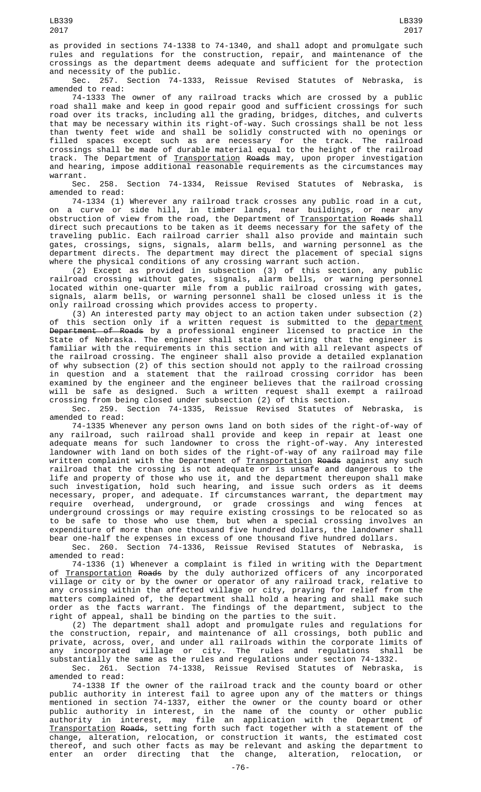as provided in sections 74-1338 to 74-1340, and shall adopt and promulgate such rules and regulations for the construction, repair, and maintenance of the crossings as the department deems adequate and sufficient for the protection and necessity of the public.

Sec. 257. Section 74-1333, Reissue Revised Statutes of Nebraska, is amended to read:

74-1333 The owner of any railroad tracks which are crossed by a public road shall make and keep in good repair good and sufficient crossings for such road over its tracks, including all the grading, bridges, ditches, and culverts that may be necessary within its right-of-way. Such crossings shall be not less than twenty feet wide and shall be solidly constructed with no openings or filled spaces except such as are necessary for the track. The railroad crossings shall be made of durable material equal to the height of the railroad track. The Department of <u>Transportation</u> <del>Roads</del> may, upon proper investigation and hearing, impose additional reasonable requirements as the circumstances may warrant.

Sec. 258. Section 74-1334, Reissue Revised Statutes of Nebraska, is amended to read:

74-1334 (1) Wherever any railroad track crosses any public road in a cut, on a curve or side hill, in timber lands, near buildings, or near any obstruction of view from the road, the Department of <u>Transportation</u> <del>Roads</del> shall direct such precautions to be taken as it deems necessary for the safety of the traveling public. Each railroad carrier shall also provide and maintain such gates, crossings, signs, signals, alarm bells, and warning personnel as the department directs. The department may direct the placement of special signs where the physical conditions of any crossing warrant such action.

(2) Except as provided in subsection (3) of this section, any public railroad crossing without gates, signals, alarm bells, or warning personnel located within one-quarter mile from a public railroad crossing with gates, signals, alarm bells, or warning personnel shall be closed unless it is the only railroad crossing which provides access to property.

(3) An interested party may object to an action taken under subsection (2) of this section only if a written request is submitted to the <u>department</u> Department of Roads by a professional engineer licensed to practice in the State of Nebraska. The engineer shall state in writing that the engineer is familiar with the requirements in this section and with all relevant aspects of the railroad crossing. The engineer shall also provide a detailed explanation of why subsection (2) of this section should not apply to the railroad crossing in question and a statement that the railroad crossing corridor has been examined by the engineer and the engineer believes that the railroad crossing will be safe as designed. Such a written request shall exempt a railroad crossing from being closed under subsection (2) of this section.

Sec. 259. Section 74-1335, Reissue Revised Statutes of Nebraska, is amended to read:

74-1335 Whenever any person owns land on both sides of the right-of-way of any railroad, such railroad shall provide and keep in repair at least one adequate means for such landowner to cross the right-of-way. Any interested landowner with land on both sides of the right-of-way of any railroad may file written complaint with the Department of Transportation Roads against any such railroad that the crossing is not adequate or is unsafe and dangerous to the life and property of those who use it, and the department thereupon shall make such investigation, hold such hearing, and issue such orders as it deems necessary, proper, and adequate. If circumstances warrant, the department may require overhead, underground, or grade crossings and wing fences at underground crossings or may require existing crossings to be relocated so as to be safe to those who use them, but when a special crossing involves an expenditure of more than one thousand five hundred dollars, the landowner shall bear one-half the expenses in excess of one thousand five hundred dollars.

Sec. 260. Section 74-1336, Reissue Revised Statutes of Nebraska, is amended to read:

74-1336 (1) Whenever a complaint is filed in writing with the Department of <u>Transportation</u> <del>Roads</del> by the duly authorized officers of any incorporated village or city or by the owner or operator of any railroad track, relative to any crossing within the affected village or city, praying for relief from the matters complained of, the department shall hold a hearing and shall make such order as the facts warrant. The findings of the department, subject to the right of appeal, shall be binding on the parties to the suit.

(2) The department shall adopt and promulgate rules and regulations for the construction, repair, and maintenance of all crossings, both public and private, across, over, and under all railroads within the corporate limits of<br>any incorporated village or city. The rules and regulations shall be any incorporated village or city. The rules and regulations shall be substantially the same as the rules and regulations under section 74-1332.

Sec. 261. Section 74-1338, Reissue Revised Statutes of Nebraska, is amended to read:

74-1338 If the owner of the railroad track and the county board or other public authority in interest fail to agree upon any of the matters or things mentioned in section 74-1337, either the owner or the county board or other public authority in interest, in the name of the county or other public authority in interest, may file an application with the Department of Transportation Roads, setting forth such fact together with a statement of the change, alteration, relocation, or construction it wants, the estimated cost thereof, and such other facts as may be relevant and asking the department to enter an order directing that the change, alteration, relocation,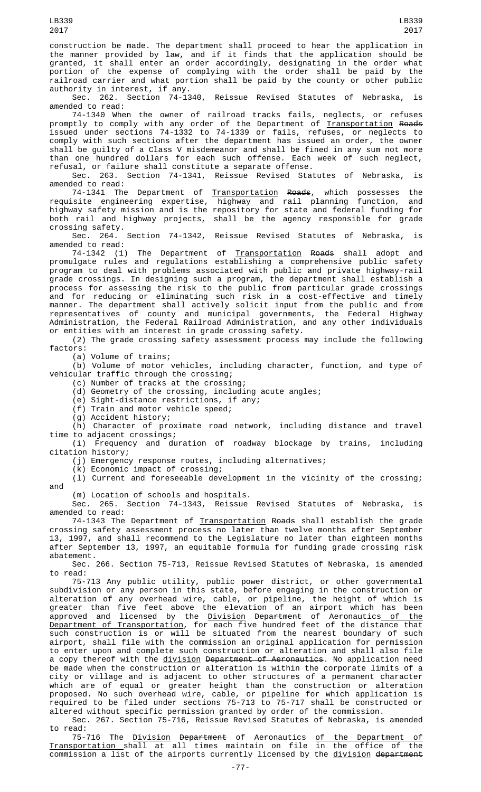construction be made. The department shall proceed to hear the application in the manner provided by law, and if it finds that the application should be granted, it shall enter an order accordingly, designating in the order what portion of the expense of complying with the order shall be paid by the railroad carrier and what portion shall be paid by the county or other public

authority in interest, if any.<br>Sec. 262. Section 74-1340, Reissue Revised Statutes of Nebraska, is amended to read:

74-1340 When the owner of railroad tracks fails, neglects, or refuses promptly to comply with any order of the Department of <u>Transportation</u> <del>Roads</del> issued under sections 74-1332 to 74-1339 or fails, refuses, or neglects to comply with such sections after the department has issued an order, the owner shall be guilty of a Class V misdemeanor and shall be fined in any sum not more than one hundred dollars for each such offense. Each week of such neglect, refusal, or failure shall constitute a separate offense.

Sec. 263. Section 74-1341, Reissue Revised Statutes of Nebraska, is amended to read:

74-1341 The Department of <u>Transportation</u> <del>Roads</del>, which possesses the requisite engineering expertise, highway and rail planning function, and highway safety mission and is the repository for state and federal funding for both rail and highway projects, shall be the agency responsible for grade crossing safety.

Sec. 264. Section 74-1342, Reissue Revised Statutes of Nebraska, is amended to read:

74-1342 (1) The Department of <u>Transportation</u> <del>Roads</del> shall adopt and promulgate rules and regulations establishing a comprehensive public safety program to deal with problems associated with public and private highway-rail grade crossings. In designing such a program, the department shall establish a process for assessing the risk to the public from particular grade crossings and for reducing or eliminating such risk in a cost-effective and timely manner. The department shall actively solicit input from the public and from representatives of county and municipal governments, the Federal Highway Administration, the Federal Railroad Administration, and any other individuals or entities with an interest in grade crossing safety.

(2) The grade crossing safety assessment process may include the following factors:

(a) Volume of trains;

(b) Volume of motor vehicles, including character, function, and type of vehicular traffic through the crossing;

(c) Number of tracks at the crossing;

(d) Geometry of the crossing, including acute angles;

(e) Sight-distance restrictions, if any;

(f) Train and motor vehicle speed;

(g) Accident history;

(h) Character of proximate road network, including distance and travel time to adjacent crossings;

(i) Frequency and duration of roadway blockage by trains, including citation history;

(j) Emergency response routes, including alternatives;

(k) Economic impact of crossing;

 $(1)$  Current and foreseeable development in the vicinity of the crossing; and

(m) Location of schools and hospitals.

Sec. 265. Section 74-1343, Reissue Revised Statutes of Nebraska, is amended to read:

74-1343 The Department of Transportation Roads shall establish the grade crossing safety assessment process no later than twelve months after September 13, 1997, and shall recommend to the Legislature no later than eighteen months after September 13, 1997, an equitable formula for funding grade crossing risk abatement.

Sec. 266. Section 75-713, Reissue Revised Statutes of Nebraska, is amended to read:

75-713 Any public utility, public power district, or other governmental subdivision or any person in this state, before engaging in the construction or alteration of any overhead wire, cable, or pipeline, the height of which is greater than five feet above the elevation of an airport which has been approved and licensed by the <u>Division</u> <del>Department</del> of Aeronautics<u> of the</u> <u>Department of Transportation</u>, for each five hundred feet of the distance that such construction is or will be situated from the nearest boundary of such airport, shall file with the commission an original application for permission to enter upon and complete such construction or alteration and shall also file a copy thereof with the <u>division</u> <del>Department of Aeronautics</del>. No application need be made when the construction or alteration is within the corporate limits of a city or village and is adjacent to other structures of a permanent character which are of equal or greater height than the construction or alteration proposed. No such overhead wire, cable, or pipeline for which application is required to be filed under sections 75-713 to 75-717 shall be constructed or altered without specific permission granted by order of the commission.

Sec. 267. Section 75-716, Reissue Revised Statutes of Nebraska, is amended to read:

75-716 The <u>Division</u> <del>Department</del> of Aeronautics <u>of the Department of</u> Transportation shall at all times maintain on file in the office of the commission a list of the airports currently licensed by the division department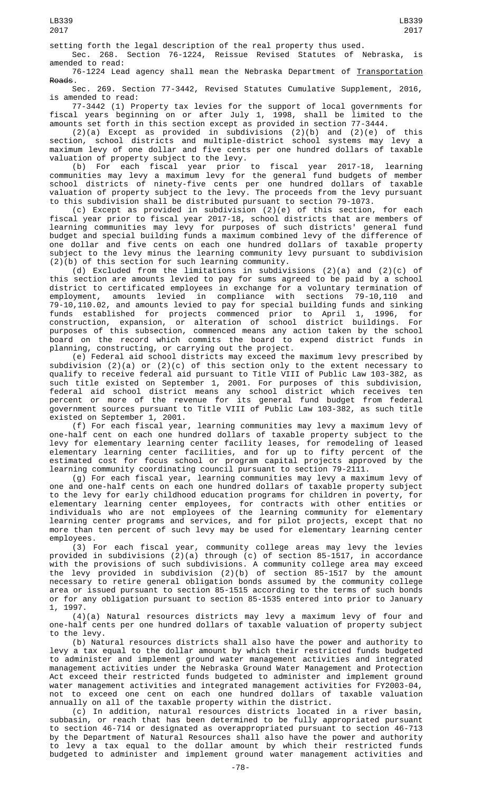Sec. 268. Section 76-1224, Reissue Revised Statutes of Nebraska, is amended to read:

76-1224 Lead agency shall mean the Nebraska Department of Transportation Roads.

Sec. 269. Section 77-3442, Revised Statutes Cumulative Supplement, 2016, is amended to read:

77-3442 (1) Property tax levies for the support of local governments for fiscal years beginning on or after July 1, 1998, shall be limited to the amounts set forth in this section except as provided in section 77-3444.

(2)(a) Except as provided in subdivisions (2)(b) and (2)(e) of this section, school districts and multiple-district school systems may levy a maximum levy of one dollar and five cents per one hundred dollars of taxable valuation of property subject to the levy.

(b) For each fiscal year prior to fiscal year 2017-18, learning communities may levy a maximum levy for the general fund budgets of member school districts of ninety-five cents per one hundred dollars of taxable valuation of property subject to the levy. The proceeds from the levy pursuant to this subdivision shall be distributed pursuant to section 79-1073.

(c) Except as provided in subdivision (2)(e) of this section, for each fiscal year prior to fiscal year 2017-18, school districts that are members of learning communities may levy for purposes of such districts' general fund budget and special building funds a maximum combined levy of the difference of one dollar and five cents on each one hundred dollars of taxable property subject to the levy minus the learning community levy pursuant to subdivision (2)(b) of this section for such learning community.

(d) Excluded from the limitations in subdivisions (2)(a) and (2)(c) of this section are amounts levied to pay for sums agreed to be paid by a school district to certificated employees in exchange for a voluntary termination of employment, amounts levied in compliance with sections 79-10,110 and 79-10,110.02, and amounts levied to pay for special building funds and sinking funds established for projects commenced prior to April 1, 1996, for construction, expansion, or alteration of school district buildings. For purposes of this subsection, commenced means any action taken by the school board on the record which commits the board to expend district funds in planning, constructing, or carrying out the project.

(e) Federal aid school districts may exceed the maximum levy prescribed by subdivision (2)(a) or (2)(c) of this section only to the extent necessary to qualify to receive federal aid pursuant to Title VIII of Public Law 103-382, as such title existed on September 1, 2001. For purposes of this subdivision, federal aid school district means any school district which receives ten percent or more of the revenue for its general fund budget from federal government sources pursuant to Title VIII of Public Law 103-382, as such title existed on September 1, 2001.

(f) For each fiscal year, learning communities may levy a maximum levy of one-half cent on each one hundred dollars of taxable property subject to the levy for elementary learning center facility leases, for remodeling of leased elementary learning center facilities, and for up to fifty percent of the estimated cost for focus school or program capital projects approved by the learning community coordinating council pursuant to section 79-2111.

(g) For each fiscal year, learning communities may levy a maximum levy of one and one-half cents on each one hundred dollars of taxable property subject to the levy for early childhood education programs for children in poverty, for elementary learning center employees, for contracts with other entities or individuals who are not employees of the learning community for elementary learning center programs and services, and for pilot projects, except that no more than ten percent of such levy may be used for elementary learning center employees.

(3) For each fiscal year, community college areas may levy the levies provided in subdivisions (2)(a) through (c) of section 85-1517, in accordance with the provisions of such subdivisions. A community college area may exceed the levy provided in subdivision (2)(b) of section 85-1517 by the amount necessary to retire general obligation bonds assumed by the community college area or issued pursuant to section 85-1515 according to the terms of such bonds or for any obligation pursuant to section 85-1535 entered into prior to January 1, 1997.

(4)(a) Natural resources districts may levy a maximum levy of four and one-half cents per one hundred dollars of taxable valuation of property subject to the levy.

(b) Natural resources districts shall also have the power and authority to levy a tax equal to the dollar amount by which their restricted funds budgeted to administer and implement ground water management activities and integrated management activities under the Nebraska Ground Water Management and Protection Act exceed their restricted funds budgeted to administer and implement ground water management activities and integrated management activities for FY2003-04, not to exceed one cent on each one hundred dollars of taxable valuation annually on all of the taxable property within the district.

(c) In addition, natural resources districts located in a river basin, subbasin, or reach that has been determined to be fully appropriated pursuant to section 46-714 or designated as overappropriated pursuant to section 46-713 by the Department of Natural Resources shall also have the power and authority to levy a tax equal to the dollar amount by which their restricted funds budgeted to administer and implement ground water management activities and

LB339 2017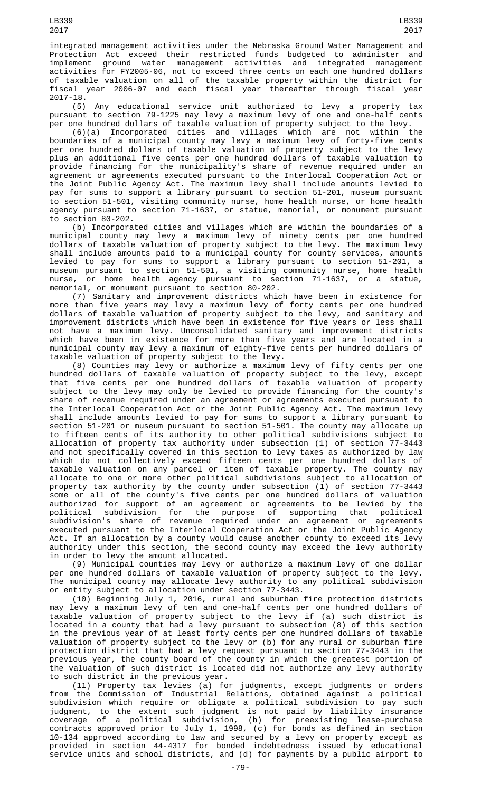integrated management activities under the Nebraska Ground Water Management and Protection Act exceed their restricted funds budgeted to administer and implement ground water management activities and integrated management activities for FY2005-06, not to exceed three cents on each one hundred dollars of taxable valuation on all of the taxable property within the district for fiscal year 2006-07 and each fiscal year thereafter through fiscal year 2017-18.

(5) Any educational service unit authorized to levy a property tax pursuant to section 79-1225 may levy a maximum levy of one and one-half cents per one hundred dollars of taxable valuation of property subject to the levy.

(6)(a) Incorporated cities and villages which are not within the boundaries of a municipal county may levy a maximum levy of forty-five cents per one hundred dollars of taxable valuation of property subject to the levy plus an additional five cents per one hundred dollars of taxable valuation to provide financing for the municipality's share of revenue required under an agreement or agreements executed pursuant to the Interlocal Cooperation Act or the Joint Public Agency Act. The maximum levy shall include amounts levied to pay for sums to support a library pursuant to section 51-201, museum pursuant to section 51-501, visiting community nurse, home health nurse, or home health agency pursuant to section 71-1637, or statue, memorial, or monument pursuant to section 80-202.

(b) Incorporated cities and villages which are within the boundaries of a municipal county may levy a maximum levy of ninety cents per one hundred dollars of taxable valuation of property subject to the levy. The maximum levy shall include amounts paid to a municipal county for county services, amounts levied to pay for sums to support a library pursuant to section 51-201, a museum pursuant to section 51-501, a visiting community nurse, home health nurse, or home health agency pursuant to section 71-1637, or a statue, memorial, or monument pursuant to section 80-202.

(7) Sanitary and improvement districts which have been in existence for more than five years may levy a maximum levy of forty cents per one hundred dollars of taxable valuation of property subject to the levy, and sanitary and improvement districts which have been in existence for five years or less shall not have a maximum levy. Unconsolidated sanitary and improvement districts which have been in existence for more than five years and are located in a municipal county may levy a maximum of eighty-five cents per hundred dollars of taxable valuation of property subject to the levy.

(8) Counties may levy or authorize a maximum levy of fifty cents per one hundred dollars of taxable valuation of property subject to the levy, except that five cents per one hundred dollars of taxable valuation of property subject to the levy may only be levied to provide financing for the county's share of revenue required under an agreement or agreements executed pursuant to the Interlocal Cooperation Act or the Joint Public Agency Act. The maximum levy shall include amounts levied to pay for sums to support a library pursuant to section 51-201 or museum pursuant to section 51-501. The county may allocate up to fifteen cents of its authority to other political subdivisions subject to allocation of property tax authority under subsection (1) of section 77-3443 and not specifically covered in this section to levy taxes as authorized by law which do not collectively exceed fifteen cents per one hundred dollars of taxable valuation on any parcel or item of taxable property. The county may allocate to one or more other political subdivisions subject to allocation of property tax authority by the county under subsection (1) of section 77-3443 some or all of the county's five cents per one hundred dollars of valuation authorized for support of an agreement or agreements to be levied by the political subdivision for the purpose of supporting that political subdivision's share of revenue required under an agreement or agreements executed pursuant to the Interlocal Cooperation Act or the Joint Public Agency Act. If an allocation by a county would cause another county to exceed its levy authority under this section, the second county may exceed the levy authority in order to levy the amount allocated.

(9) Municipal counties may levy or authorize a maximum levy of one dollar per one hundred dollars of taxable valuation of property subject to the levy. The municipal county may allocate levy authority to any political subdivision or entity subject to allocation under section 77-3443.

(10) Beginning July 1, 2016, rural and suburban fire protection districts may levy a maximum levy of ten and one-half cents per one hundred dollars of taxable valuation of property subject to the levy if (a) such district is located in a county that had a levy pursuant to subsection (8) of this section in the previous year of at least forty cents per one hundred dollars of taxable valuation of property subject to the levy or (b) for any rural or suburban fire protection district that had a levy request pursuant to section 77-3443 in the previous year, the county board of the county in which the greatest portion of the valuation of such district is located did not authorize any levy authority to such district in the previous year.

(11) Property tax levies (a) for judgments, except judgments or orders from the Commission of Industrial Relations, obtained against a political subdivision which require or obligate a political subdivision to pay such judgment, to the extent such judgment is not paid by liability insurance coverage of a political subdivision, (b) for preexisting lease-purchase contracts approved prior to July 1, 1998, (c) for bonds as defined in section 10-134 approved according to law and secured by a levy on property except as provided in section 44-4317 for bonded indebtedness issued by educational service units and school districts, and (d) for payments by a public airport to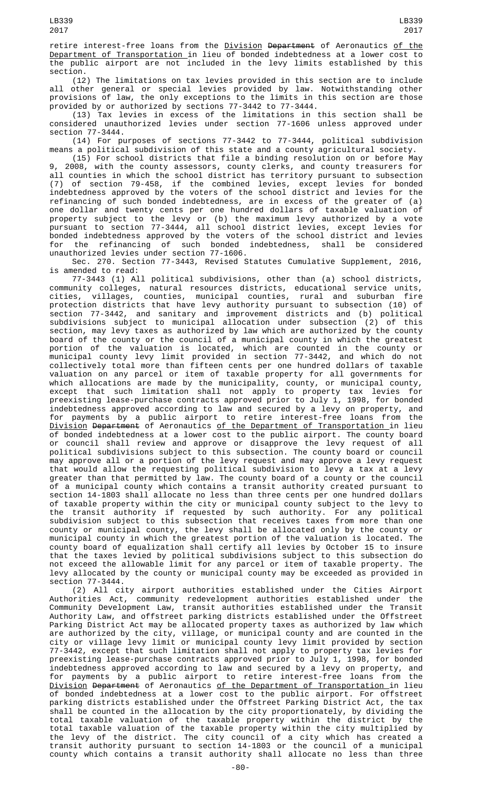retire interest-free loans from the <u>Division</u> <del>Department</del> of Aeronautics <u>of the</u> <u>Department of Transportation </u>in lieu of bonded indebtedness at a lower cost to the public airport are not included in the levy limits established by this section.

(12) The limitations on tax levies provided in this section are to include all other general or special levies provided by law. Notwithstanding other provisions of law, the only exceptions to the limits in this section are those provided by or authorized by sections 77-3442 to 77-3444.

(13) Tax levies in excess of the limitations in this section shall be considered unauthorized levies under section 77-1606 unless approved under section 77-3444.

(14) For purposes of sections 77-3442 to 77-3444, political subdivision means a political subdivision of this state and a county agricultural society.

(15) For school districts that file a binding resolution on or before May 9, 2008, with the county assessors, county clerks, and county treasurers for all counties in which the school district has territory pursuant to subsection (7) of section 79-458, if the combined levies, except levies for bonded indebtedness approved by the voters of the school district and levies for the refinancing of such bonded indebtedness, are in excess of the greater of (a) one dollar and twenty cents per one hundred dollars of taxable valuation of property subject to the levy or (b) the maximum levy authorized by a vote pursuant to section 77-3444, all school district levies, except levies for bonded indebtedness approved by the voters of the school district and levies for the refinancing of such bonded indebtedness, shall be considered unauthorized levies under section 77-1606.

Sec. 270. Section 77-3443, Revised Statutes Cumulative Supplement, 2016, is amended to read:

77-3443 (1) All political subdivisions, other than (a) school districts, community colleges, natural resources districts, educational service units, cities, villages, counties, municipal counties, rural and suburban fire protection districts that have levy authority pursuant to subsection (10) of section 77-3442, and sanitary and improvement districts and (b) political subdivisions subject to municipal allocation under subsection (2) of this section, may levy taxes as authorized by law which are authorized by the county board of the county or the council of a municipal county in which the greatest portion of the valuation is located, which are counted in the county or municipal county levy limit provided in section 77-3442, and which do not collectively total more than fifteen cents per one hundred dollars of taxable valuation on any parcel or item of taxable property for all governments for which allocations are made by the municipality, county, or municipal county, except that such limitation shall not apply to property tax levies for preexisting lease-purchase contracts approved prior to July 1, 1998, for bonded indebtedness approved according to law and secured by a levy on property, and for payments by a public airport to retire interest-free loans from the Division Department of Aeronautics of the Department of Transportation in lieu of bonded indebtedness at a lower cost to the public airport. The county board or council shall review and approve or disapprove the levy request of all political subdivisions subject to this subsection. The county board or council may approve all or a portion of the levy request and may approve a levy request that would allow the requesting political subdivision to levy a tax at a levy greater than that permitted by law. The county board of a county or the council of a municipal county which contains a transit authority created pursuant to section 14-1803 shall allocate no less than three cents per one hundred dollars of taxable property within the city or municipal county subject to the levy to the transit authority if requested by such authority. For any political subdivision subject to this subsection that receives taxes from more than one county or municipal county, the levy shall be allocated only by the county or municipal county in which the greatest portion of the valuation is located. The county board of equalization shall certify all levies by October 15 to insure that the taxes levied by political subdivisions subject to this subsection do not exceed the allowable limit for any parcel or item of taxable property. The levy allocated by the county or municipal county may be exceeded as provided in section 77-3444.

(2) All city airport authorities established under the Cities Airport Authorities Act, community redevelopment authorities established under the Community Development Law, transit authorities established under the Transit Authority Law, and offstreet parking districts established under the Offstreet Parking District Act may be allocated property taxes as authorized by law which are authorized by the city, village, or municipal county and are counted in the city or village levy limit or municipal county levy limit provided by section 77-3442, except that such limitation shall not apply to property tax levies for preexisting lease-purchase contracts approved prior to July 1, 1998, for bonded indebtedness approved according to law and secured by a levy on property, and for payments by a public airport to retire interest-free loans from the <u>Division</u> <del>Department</del> of Aeronautics <u>of the Department of Transportation i</u>n lieu of bonded indebtedness at a lower cost to the public airport. For offstreet parking districts established under the Offstreet Parking District Act, the tax shall be counted in the allocation by the city proportionately, by dividing the total taxable valuation of the taxable property within the district by the total taxable valuation of the taxable property within the city multiplied by the levy of the district. The city council of a city which has created a transit authority pursuant to section 14-1803 or the council of a municipal county which contains a transit authority shall allocate no less than three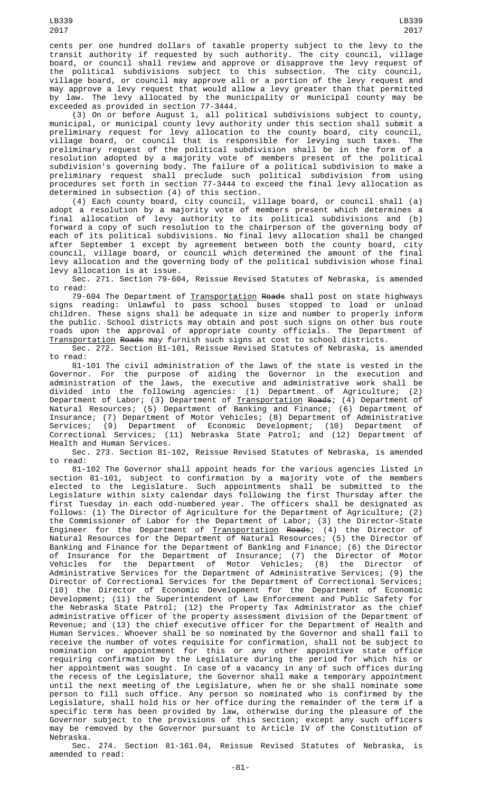cents per one hundred dollars of taxable property subject to the levy to the transit authority if requested by such authority. The city council, village board, or council shall review and approve or disapprove the levy request of board, or council shall review and approve or disapprove the levy request of the political subdivisions subject to this subsection. The city council, village board, or council may approve all or a portion of the levy request and may approve a levy request that would allow a levy greater than that permitted by law. The levy allocated by the municipality or municipal county may be exceeded as provided in section 77-3444.

(3) On or before August 1, all political subdivisions subject to county, municipal, or municipal county levy authority under this section shall submit a preliminary request for levy allocation to the county board, city council, village board, or council that is responsible for levying such taxes. The preliminary request of the political subdivision shall be in the form of a resolution adopted by a majority vote of members present of the political subdivision's governing body. The failure of a political subdivision to make a preliminary request shall preclude such political subdivision from using procedures set forth in section 77-3444 to exceed the final levy allocation as determined in subsection (4) of this section.

(4) Each county board, city council, village board, or council shall (a) adopt a resolution by a majority vote of members present which determines a final allocation of levy authority to its political subdivisions and (b) forward a copy of such resolution to the chairperson of the governing body of each of its political subdivisions. No final levy allocation shall be changed after September 1 except by agreement between both the county board, city council, village board, or council which determined the amount of the final levy allocation and the governing body of the political subdivision whose final levy allocation is at issue.

Sec. 271. Section 79-604, Reissue Revised Statutes of Nebraska, is amended to read:

79-604 The Department of <u>Transportation</u> <del>Roads</del> shall post on state highways signs reading: Unlawful to pass school buses stopped to load or unload children. These signs shall be adequate in size and number to properly inform the public. School districts may obtain and post such signs on other bus route roads upon the approval of appropriate county officials. The Department of Transportation Roads may furnish such signs at cost to school districts.

Sec. 272. Section 81-101, Reissue Revised Statutes of Nebraska, is amended to read:

81-101 The civil administration of the laws of the state is vested in the Governor. For the purpose of aiding the Governor in the execution and administration of the laws, the executive and administrative work shall be divided into the following agencies: (1) Department of Agriculture; (2) Department of Labor; (3) Department of <u>Transportation</u> <del>Roads</del>; (4) Department of Natural Resources; (5) Department of Banking and Finance; (6) Department of Insurance; (7) Department of Motor Vehicles; (8) Department of Administrative Services; (9) Department of Economic Development; (10) Department of Correctional Services; (11) Nebraska State Patrol; and (12) Department of Health and Human Services.

Sec. 273. Section 81-102, Reissue Revised Statutes of Nebraska, is amended to read:

81-102 The Governor shall appoint heads for the various agencies listed in section 81-101, subject to confirmation by a majority vote of the members elected to the Legislature. Such appointments shall be submitted to the Legislature within sixty calendar days following the first Thursday after the first Tuesday in each odd-numbered year. The officers shall be designated as follows: (1) The Director of Agriculture for the Department of Agriculture; (2) the Commissioner of Labor for the Department of Labor; (3) the Director-State Engineer for the Department of <u>Transportation</u> <del>Roads</del>; (4) the Director of Natural Resources for the Department of Natural Resources; (5) the Director of Banking and Finance for the Department of Banking and Finance; (6) the Director of Insurance for the Department of Insurance; (7) the Director of Motor Vehicles for the Department of Motor Vehicles; (8) the Director of Administrative Services for the Department of Administrative Services; (9) the Director of Correctional Services for the Department of Correctional Services; (10) the Director of Economic Development for the Department of Economic Development; (11) the Superintendent of Law Enforcement and Public Safety for the Nebraska State Patrol; (12) the Property Tax Administrator as the chief administrative officer of the property assessment division of the Department of Revenue; and (13) the chief executive officer for the Department of Health and Human Services. Whoever shall be so nominated by the Governor and shall fail to receive the number of votes requisite for confirmation, shall not be subject to nomination or appointment for this or any other appointive state office requiring confirmation by the Legislature during the period for which his or her appointment was sought. In case of a vacancy in any of such offices during the recess of the Legislature, the Governor shall make a temporary appointment until the next meeting of the Legislature, when he or she shall nominate some person to fill such office. Any person so nominated who is confirmed by the Legislature, shall hold his or her office during the remainder of the term if a specific term has been provided by law, otherwise during the pleasure of the Governor subject to the provisions of this section; except any such officers may be removed by the Governor pursuant to Article IV of the Constitution of Nebraska.

Sec. 274. Section 81-161.04, Reissue Revised Statutes of Nebraska, is amended to read: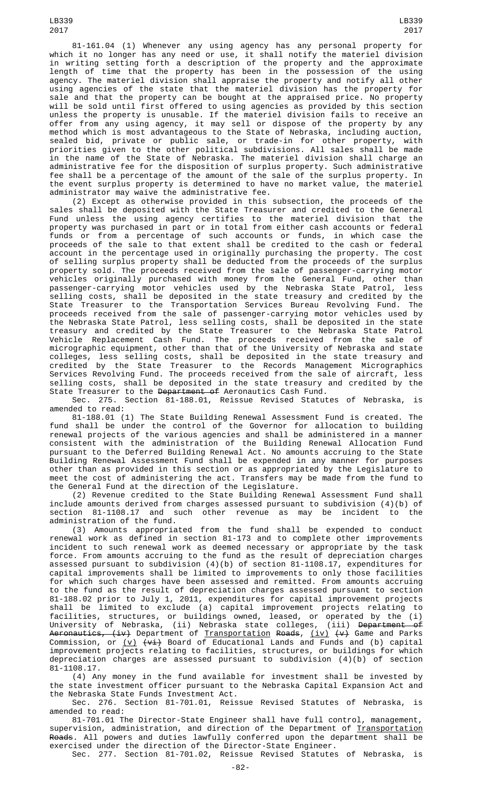method which is most advantageous to the State of Nebraska, including auction, sealed bid, private or public sale, or trade-in for other property, with priorities given to the other political subdivisions. All sales shall be made in the name of the State of Nebraska. The materiel division shall charge an administrative fee for the disposition of surplus property. Such administrative fee shall be a percentage of the amount of the sale of the surplus property. In the event surplus property is determined to have no market value, the materiel administrator may waive the administrative fee.

(2) Except as otherwise provided in this subsection, the proceeds of the sales shall be deposited with the State Treasurer and credited to the General Fund unless the using agency certifies to the materiel division that the property was purchased in part or in total from either cash accounts or federal funds or from a percentage of such accounts or funds, in which case the proceeds of the sale to that extent shall be credited to the cash or federal account in the percentage used in originally purchasing the property. The cost of selling surplus property shall be deducted from the proceeds of the surplus property sold. The proceeds received from the sale of passenger-carrying motor vehicles originally purchased with money from the General Fund, other than passenger-carrying motor vehicles used by the Nebraska State Patrol, less selling costs, shall be deposited in the state treasury and credited by the State Treasurer to the Transportation Services Bureau Revolving Fund. The proceeds received from the sale of passenger-carrying motor vehicles used by the Nebraska State Patrol, less selling costs, shall be deposited in the state treasury and credited by the State Treasurer to the Nebraska State Patrol Vehicle Replacement Cash Fund. The proceeds received from the sale of micrographic equipment, other than that of the University of Nebraska and state colleges, less selling costs, shall be deposited in the state treasury and credited by the State Treasurer to the Records Management Micrographics Services Revolving Fund. The proceeds received from the sale of aircraft, less selling costs, shall be deposited in the state treasury and credited by the State Treasurer to the <del>Department of</del> Aeronautics Cash Fund.

Sec. 275. Section 81-188.01, Reissue Revised Statutes of Nebraska, is amended to read:

81-188.01 (1) The State Building Renewal Assessment Fund is created. The fund shall be under the control of the Governor for allocation to building renewal projects of the various agencies and shall be administered in a manner consistent with the administration of the Building Renewal Allocation Fund pursuant to the Deferred Building Renewal Act. No amounts accruing to the State Building Renewal Assessment Fund shall be expended in any manner for purposes other than as provided in this section or as appropriated by the Legislature to meet the cost of administering the act. Transfers may be made from the fund to the General Fund at the direction of the Legislature.

(2) Revenue credited to the State Building Renewal Assessment Fund shall include amounts derived from charges assessed pursuant to subdivision (4)(b) of section 81-1108.17 and such other revenue as may be incident to administration of the fund.

(3) Amounts appropriated from the fund shall be expended to conduct renewal work as defined in section 81-173 and to complete other improvements incident to such renewal work as deemed necessary or appropriate by the task force. From amounts accruing to the fund as the result of depreciation charges assessed pursuant to subdivision (4)(b) of section 81-1108.17, expenditures for capital improvements shall be limited to improvements to only those facilities for which such charges have been assessed and remitted. From amounts accruing to the fund as the result of depreciation charges assessed pursuant to section 81-188.02 prior to July 1, 2011, expenditures for capital improvement projects shall be limited to exclude (a) capital improvement projects relating to facilities, structures, or buildings owned, leased, or operated by the (i) University of Nebraska, (ii) Nebraska state colleges, (iii) <del>Department of</del> A<del>eronautics, (iv)</del> Department of <u>Transportation</u> <del>Roads</del>, <u>(iv)</u> <del>(v)</del> Game and Parks Commission, or <u>(v)</u> <del>(vi)</del> Board of Educational Lands and Funds and (b) capital improvement projects relating to facilities, structures, or buildings for which depreciation charges are assessed pursuant to subdivision (4)(b) of section 81-1108.17.

(4) Any money in the fund available for investment shall be invested by the state investment officer pursuant to the Nebraska Capital Expansion Act and the Nebraska State Funds Investment Act.

Sec. 276. Section 81-701.01, Reissue Revised Statutes of Nebraska, is amended to read:

81-701.01 The Director-State Engineer shall have full control, management, supervision, administration, and direction of the Department of <u>Transportation</u> Roads. All powers and duties lawfully conferred upon the department shall be exercised under the direction of the Director-State Engineer. Sec. 277. Section 81-701.02, Reissue Revised Statutes of Nebraska, is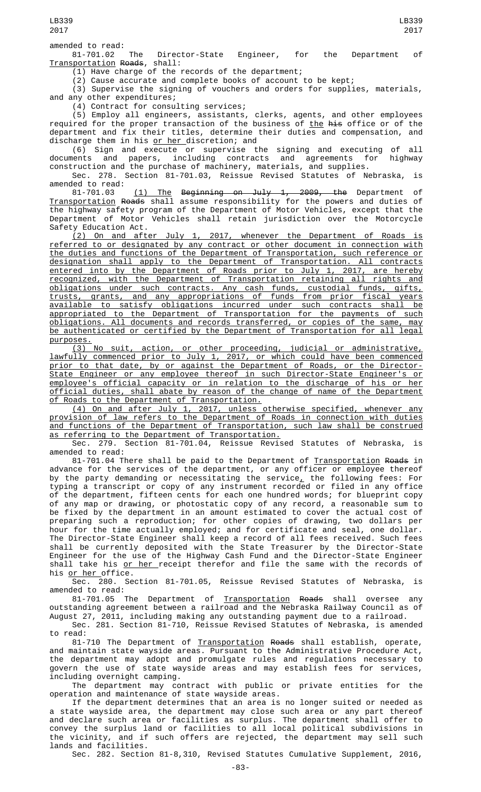LB339 2017

81-701.02 The Director-State Engineer, for the Department of Transportation Roads, shall:

 $(1)$  Have charge of the records of the department;

(2) Cause accurate and complete books of account to be kept;

(3) Supervise the signing of vouchers and orders for supplies, materials, and any other expenditures;

(4) Contract for consulting services;

(5) Employ all engineers, assistants, clerks, agents, and other employees required for the proper transaction of the business of <u>the</u> <del>his</del> office or of the department and fix their titles, determine their duties and compensation, and discharge them in his <u>or her </u>discretion; and

(6) Sign and execute or supervise the signing and executing of all documents and papers, including contracts and agreements for highway construction and the purchase of machinery, materials, and supplies.

Sec. 278. Section 81-701.03, Reissue Revised Statutes of Nebraska, is amended to read:

81-701.03 <u>(1) The</u> B<del>eginning on July 1, 2009, the</del> Department of Transportation Roads shall assume responsibility for the powers and duties of the highway safety program of the Department of Motor Vehicles, except that the Department of Motor Vehicles shall retain jurisdiction over the Motorcycle Safety Education Act.

(2) On and after July 1, 2017, whenever the Department of Roads referred to or designated by any contract or other document in connection with the duties and functions of the Department of Transportation, such reference or designation shall apply to the Department of Transportation. All contracts entered into by the Department of Roads prior to July 1, 2017, are hereby recognized, with the Department of Transportation retaining all rights and obligations under such contracts. Any cash funds, custodial funds, gifts, trusts, grants, and any appropriations of funds from prior fiscal years available to satisfy obligations incurred under such contracts shall be appropriated to the Department of Transportation for the payments of such obligations. All documents and records transferred, or copies of the same, may be authenticated or certified by the Department of Transportation for all legal purposes.

(3) No suit, action, or other proceeding, judicial or administrative, lawfully commenced prior to July 1, 2017, or which could have been commenced prior to that date, by or against the Department of Roads, or the Director-State Engineer or any employee thereof in such Director-State Engineer's or employee's official capacity or in relation to the discharge of his or her official duties, shall abate by reason of the change of name of the Department of Roads to the Department of Transportation.

(4) On and after July 1, 2017, unless otherwise specified, whenever any provision of law refers to the Department of Roads in connection with duties and functions of the Department of Transportation, such law shall be construed as referring to the Department of Transportation.

Sec. 279. Section 81-701.04, Reissue Revised Statutes of Nebraska, is amended to read:

81-701.04 There shall be paid to the Department of Transportation Roads in advance for the services of the department, or any officer or employee thereof by the party demanding or necessitating the service $_{\mathsf{\mathcal{L}}}$  the following fees: For typing a transcript or copy of any instrument recorded or filed in any office of the department, fifteen cents for each one hundred words; for blueprint copy of any map or drawing, or photostatic copy of any record, a reasonable sum to be fixed by the department in an amount estimated to cover the actual cost of preparing such a reproduction; for other copies of drawing, two dollars per hour for the time actually employed; and for certificate and seal, one dollar. The Director-State Engineer shall keep a record of all fees received. Such fees shall be currently deposited with the State Treasurer by the Director-State Engineer for the use of the Highway Cash Fund and the Director-State Engineer shall take his <u>or her receipt therefor and file the same with the records of</u> his <u>or her</u> office.

Sec. 280. Section 81-701.05, Reissue Revised Statutes of Nebraska, is amended to read:

81-701.05 The Department of Transportation Roads shall oversee any outstanding agreement between a railroad and the Nebraska Railway Council as of August  $27, 2011$ , including making any outstanding payment due to a railroad.

Sec. 281. Section 81-710, Reissue Revised Statutes of Nebraska, is amended to read:

81-710 The Department of Transportation Roads shall establish, operate, and maintain state wayside areas. Pursuant to the Administrative Procedure Act, the department may adopt and promulgate rules and regulations necessary to govern the use of state wayside areas and may establish fees for services, including overnight camping.

The department may contract with public or private entities for the operation and maintenance of state wayside areas.

If the department determines that an area is no longer suited or needed as a state wayside area, the department may close such area or any part thereof and declare such area or facilities as surplus. The department shall offer to convey the surplus land or facilities to all local political subdivisions in the vicinity, and if such offers are rejected, the department may sell such lands and facilities.

Sec. 282. Section 81-8,310, Revised Statutes Cumulative Supplement, 2016,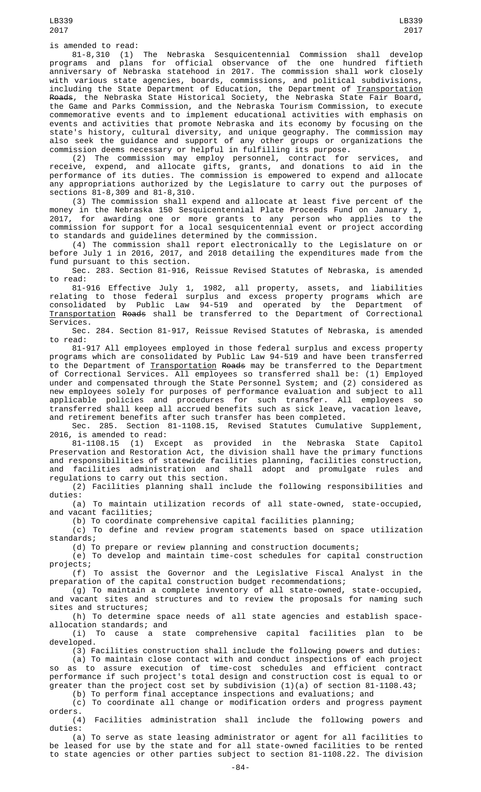is amended to read:

81-8,310 (1) The Nebraska Sesquicentennial Commission shall develop programs and plans for official observance of the one hundred fiftieth anniversary of Nebraska statehood in 2017. The commission shall work closely with various state agencies, boards, commissions, and political subdivisions, including the State Department of Education, the Department of Transportation Roads, the Nebraska State Historical Society, the Nebraska State Fair Board, the Game and Parks Commission, and the Nebraska Tourism Commission, to execute commemorative events and to implement educational activities with emphasis on events and activities that promote Nebraska and its economy by focusing on the state's history, cultural diversity, and unique geography. The commission may also seek the guidance and support of any other groups or organizations the commission deems necessary or helpful in fulfilling its purpose.

(2) The commission may employ personnel, contract for services, and receive, expend, and allocate gifts, grants, and donations to aid in the performance of its duties. The commission is empowered to expend and allocate any appropriations authorized by the Legislature to carry out the purposes of sections 81-8,309 and 81-8,310.

(3) The commission shall expend and allocate at least five percent of the money in the Nebraska 150 Sesquicentennial Plate Proceeds Fund on January 1, 2017, for awarding one or more grants to any person who applies to the commission for support for a local sesquicentennial event or project according to standards and guidelines determined by the commission.

(4) The commission shall report electronically to the Legislature on or before July 1 in 2016, 2017, and 2018 detailing the expenditures made from the fund pursuant to this section.

Sec. 283. Section 81-916, Reissue Revised Statutes of Nebraska, is amended to read:

81-916 Effective July 1, 1982, all property, assets, and liabilities relating to those federal surplus and excess property programs which are consolidated by Public Law 94-519 and operated by the Department of Transportation Roads shall be transferred to the Department of Correctional Services.

Sec. 284. Section 81-917, Reissue Revised Statutes of Nebraska, is amended to read:

81-917 All employees employed in those federal surplus and excess property programs which are consolidated by Public Law 94-519 and have been transferred to the Department of <u>Transportation</u> <del>Roads</del> may be transferred to the Department of Correctional Services. All employees so transferred shall be: (1) Employed under and compensated through the State Personnel System; and (2) considered as new employees solely for purposes of performance evaluation and subject to all applicable policies and procedures for such transfer. All employees so transferred shall keep all accrued benefits such as sick leave, vacation leave, and retirement benefits after such transfer has been completed.

Sec. 285. Section 81-1108.15, Revised Statutes Cumulative Supplement, 2016, is amended to read:

81-1108.15 (1) Except as provided in the Nebraska State Capitol Preservation and Restoration Act, the division shall have the primary functions and responsibilities of statewide facilities planning, facilities construction, and facilities administration and shall adopt and promulgate rules and regulations to carry out this section.

(2) Facilities planning shall include the following responsibilities and duties:

(a) To maintain utilization records of all state-owned, state-occupied, and vacant facilities;

(b) To coordinate comprehensive capital facilities planning;

(c) To define and review program statements based on space utilization standards;

(d) To prepare or review planning and construction documents;

(e) To develop and maintain time-cost schedules for capital construction projects;

(f) To assist the Governor and the Legislative Fiscal Analyst in the preparation of the capital construction budget recommendations; preparation of the capital construction budget recommendations;<br>(g) To maintain a complete inventory of all state-owned, state-occupied,

and vacant sites and structures and to review the proposals for naming such sites and structures;

(h) To determine space needs of all state agencies and establish spaceallocation standards; and<br>(i) To cause a s

cause a state comprehensive capital facilities plan to be developed.

(3) Facilities construction shall include the following powers and duties:

(a) To maintain close contact with and conduct inspections of each project so as to assure execution of time-cost schedules and efficient contract performance if such project's total design and construction cost is equal to or greater than the project cost set by subdivision (1)(a) of section 81-1108.43;

(b) To perform final acceptance inspections and evaluations; and

(c) To coordinate all change or modification orders and progress payment orders.

(4) Facilities administration shall include the following powers and duties:

(a) To serve as state leasing administrator or agent for all facilities to be leased for use by the state and for all state-owned facilities to be rented to state agencies or other parties subject to section 81-1108.22. The division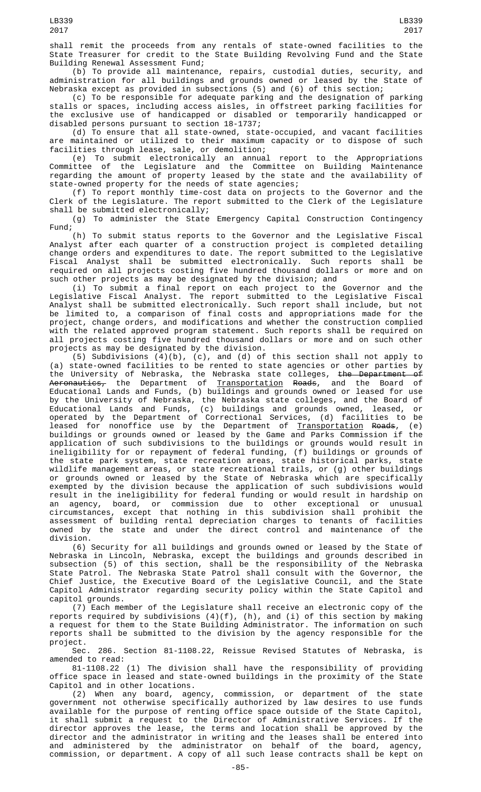2017

shall remit the proceeds from any rentals of state-owned facilities to the State Treasurer for credit to the State Building Revolving Fund and the State Building Renewal Assessment Fund;

(b) To provide all maintenance, repairs, custodial duties, security, and administration for all buildings and grounds owned or leased by the State of Nebraska except as provided in subsections (5) and (6) of this section;

(c) To be responsible for adequate parking and the designation of parking stalls or spaces, including access aisles, in offstreet parking facilities for the exclusive use of handicapped or disabled or temporarily handicapped or disabled persons pursuant to section 18-1737;

(d) To ensure that all state-owned, state-occupied, and vacant facilities are maintained or utilized to their maximum capacity or to dispose of such facilities through lease, sale, or demolition;

(e) To submit electronically an annual report to the Appropriations Committee of the Legislature and the Committee on Building Maintenance regarding the amount of property leased by the state and the availability of state-owned property for the needs of state agencies;

(f) To report monthly time-cost data on projects to the Governor and the Clerk of the Legislature. The report submitted to the Clerk of the Legislature shall be submitted electronically;

(g) To administer the State Emergency Capital Construction Contingency Fund;

(h) To submit status reports to the Governor and the Legislative Fiscal Analyst after each quarter of a construction project is completed detailing change orders and expenditures to date. The report submitted to the Legislative Fiscal Analyst shall be submitted electronically. Such reports shall be required on all projects costing five hundred thousand dollars or more and on such other projects as may be designated by the division; and

(i) To submit a final report on each project to the Governor and the Legislative Fiscal Analyst. The report submitted to the Legislative Fiscal Analyst shall be submitted electronically. Such report shall include, but not be limited to, a comparison of final costs and appropriations made for the project, change orders, and modifications and whether the construction complied with the related approved program statement. Such reports shall be required on all projects costing five hundred thousand dollars or more and on such other projects as may be designated by the division.

(5) Subdivisions (4)(b), (c), and (d) of this section shall not apply to (a) state-owned facilities to be rented to state agencies or other parties by the University of Nebraska, the Nebraska state colleges, the Department of A<del>eronautics,</del> the Department of <u>Transportation</u> <del>Roads</del>, and the Board of Educational Lands and Funds, (b) buildings and grounds owned or leased for use by the University of Nebraska, the Nebraska state colleges, and the Board of Educational Lands and Funds, (c) buildings and grounds owned, leased, or operated by the Department of Correctional Services, (d) facilities to be leased for nonoffice use by the Department of <u>Transportation</u> <del>Roads</del>, (e) buildings or grounds owned or leased by the Game and Parks Commission if the application of such subdivisions to the buildings or grounds would result in ineligibility for or repayment of federal funding, (f) buildings or grounds of the state park system, state recreation areas, state historical parks, state wildlife management areas, or state recreational trails, or (g) other buildings or grounds owned or leased by the State of Nebraska which are specifically exempted by the division because the application of such subdivisions would result in the ineligibility for federal funding or would result in hardship on an agency, board, or commission due to other exceptional or unusual circumstances, except that nothing in this subdivision shall prohibit the assessment of building rental depreciation charges to tenants of facilities owned by the state and under the direct control and maintenance of the division.

(6) Security for all buildings and grounds owned or leased by the State of Nebraska in Lincoln, Nebraska, except the buildings and grounds described in subsection (5) of this section, shall be the responsibility of the Nebraska State Patrol. The Nebraska State Patrol shall consult with the Governor, the Chief Justice, the Executive Board of the Legislative Council, and the State Capitol Administrator regarding security policy within the State Capitol and capitol grounds.

(7) Each member of the Legislature shall receive an electronic copy of the reports required by subdivisions (4)(f), (h), and (i) of this section by making a request for them to the State Building Administrator. The information on such reports shall be submitted to the division by the agency responsible for the project.

Sec. 286. Section 81-1108.22, Reissue Revised Statutes of Nebraska, is amended to read:

81-1108.22 (1) The division shall have the responsibility of providing office space in leased and state-owned buildings in the proximity of the State Capitol and in other locations.

(2) When any board, agency, commission, or department of the state government not otherwise specifically authorized by law desires to use funds available for the purpose of renting office space outside of the State Capitol, it shall submit a request to the Director of Administrative Services. If the director approves the lease, the terms and location shall be approved by the director and the administrator in writing and the leases shall be entered into and administered by the administrator on behalf of the board, agency, commission, or department. A copy of all such lease contracts shall be kept on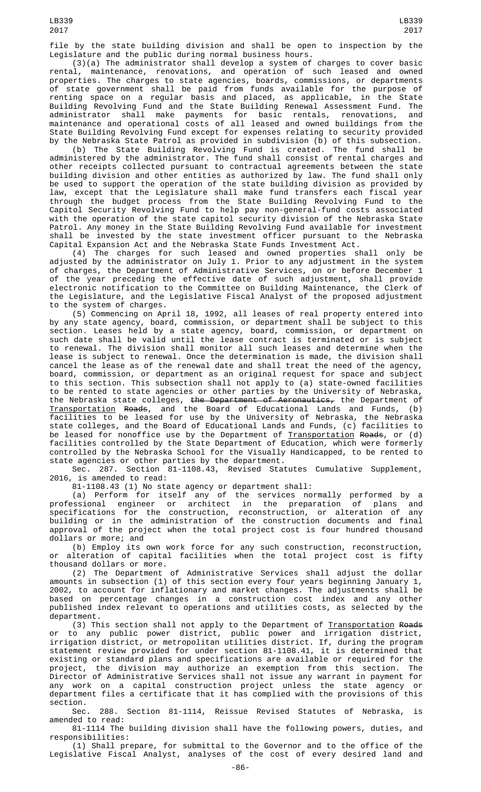file by the state building division and shall be open to inspection by the Legislature and the public during normal business hours.

(3)(a) The administrator shall develop a system of charges to cover basic rental, maintenance, renovations, and operation of such leased and owned properties. The charges to state agencies, boards, commissions, or departments of state government shall be paid from funds available for the purpose of renting space on a regular basis and placed, as applicable, in the State Building Revolving Fund and the State Building Renewal Assessment Fund. The administrator shall make payments for basic rentals, renovations, and maintenance and operational costs of all leased and owned buildings from the State Building Revolving Fund except for expenses relating to security provided by the Nebraska State Patrol as provided in subdivision (b) of this subsection.

(b) The State Building Revolving Fund is created. The fund shall be administered by the administrator. The fund shall consist of rental charges and other receipts collected pursuant to contractual agreements between the state building division and other entities as authorized by law. The fund shall only be used to support the operation of the state building division as provided by law, except that the Legislature shall make fund transfers each fiscal year through the budget process from the State Building Revolving Fund to the Capitol Security Revolving Fund to help pay non-general-fund costs associated with the operation of the state capitol security division of the Nebraska State Patrol. Any money in the State Building Revolving Fund available for investment shall be invested by the state investment officer pursuant to the Nebraska Capital Expansion Act and the Nebraska State Funds Investment Act.

(4) The charges for such leased and owned properties shall only be adjusted by the administrator on July 1. Prior to any adjustment in the system of charges, the Department of Administrative Services, on or before December 1 of the year preceding the effective date of such adjustment, shall provide electronic notification to the Committee on Building Maintenance, the Clerk of the Legislature, and the Legislative Fiscal Analyst of the proposed adjustment to the system of charges.

(5) Commencing on April 18, 1992, all leases of real property entered into by any state agency, board, commission, or department shall be subject to this section. Leases held by a state agency, board, commission, or department on such date shall be valid until the lease contract is terminated or is subject to renewal. The division shall monitor all such leases and determine when the lease is subject to renewal. Once the determination is made, the division shall cancel the lease as of the renewal date and shall treat the need of the agency, board, commission, or department as an original request for space and subject to this section. This subsection shall not apply to (a) state-owned facilities to be rented to state agencies or other parties by the University of Nebraska, the Nebraska state colleges, the Department of Aeronautics, the Department of Transportation Roads, and the Board of Educational Lands and Funds, (b) facilities to be leased for use by the University of Nebraska, the Nebraska state colleges, and the Board of Educational Lands and Funds, (c) facilities to be leased for nonoffice use by the Department of <u>Transportation</u> <del>Roads</del>, or (d) facilities controlled by the State Department of Education, which were formerly controlled by the Nebraska School for the Visually Handicapped, to be rented to state agencies or other parties by the department.

Sec. 287. Section 81-1108.43, Revised Statutes Cumulative Supplement, 2016, is amended to read:

81-1108.43 (1) No state agency or department shall:

(a) Perform for itself any of the services normally performed by a professional engineer or architect in the preparation of plans and specifications for the construction, reconstruction, or alteration of any building or in the administration of the construction documents and final approval of the project when the total project cost is four hundred thousand dollars or more; and

(b) Employ its own work force for any such construction, reconstruction, or alteration of capital facilities when the total project cost is fifty thousand dollars or more.

(2) The Department of Administrative Services shall adjust the dollar amounts in subsection (1) of this section every four years beginning January 1, 2002, to account for inflationary and market changes. The adjustments shall be based on percentage changes in a construction cost index and any other published index relevant to operations and utilities costs, as selected by the department.

(3) This section shall not apply to the Department of <u>Transportation</u> R<del>oads</del> or to any public power district, public power and irrigation district, irrigation district, or metropolitan utilities district. If, during the program statement review provided for under section 81-1108.41, it is determined that existing or standard plans and specifications are available or required for the project, the division may authorize an exemption from this section. The Director of Administrative Services shall not issue any warrant in payment for any work on a capital construction project unless the state agency or department files a certificate that it has complied with the provisions of this section.

Sec. 288. Section 81-1114, Reissue Revised Statutes of Nebraska, is amended to read:

81-1114 The building division shall have the following powers, duties, and responsibilities:

(1) Shall prepare, for submittal to the Governor and to the office of the Legislative Fiscal Analyst, analyses of the cost of every desired land and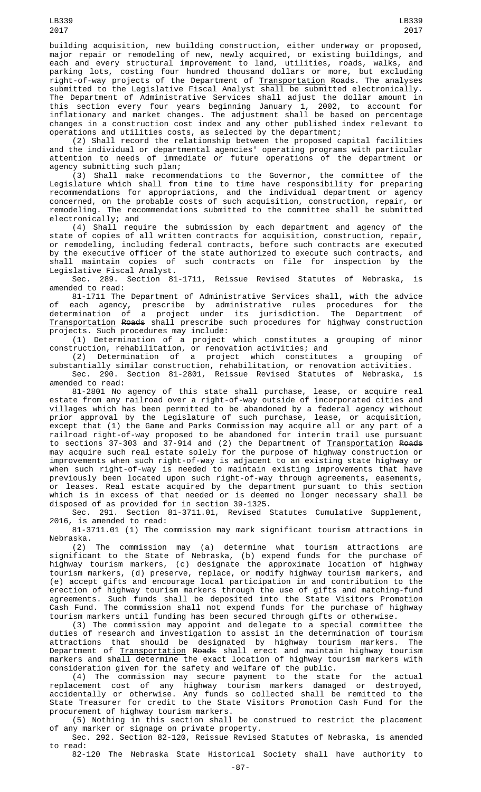building acquisition, new building construction, either underway or proposed, major repair or remodeling of new, newly acquired, or existing buildings, and each and every structural improvement to land, utilities, roads, walks, and parking lots, costing four hundred thousand dollars or more, but excluding right-of-way projects of the Department of <u>Transportation</u> <del>Roads</del>. The analyses submitted to the Legislative Fiscal Analyst shall be submitted electronically. The Department of Administrative Services shall adjust the dollar amount in this section every four years beginning January 1, 2002, to account for inflationary and market changes. The adjustment shall be based on percentage changes in a construction cost index and any other published index relevant to operations and utilities costs, as selected by the department;

(2) Shall record the relationship between the proposed capital facilities and the individual or departmental agencies' operating programs with particular attention to needs of immediate or future operations of the department or agency submitting such plan;

(3) Shall make recommendations to the Governor, the committee of the Legislature which shall from time to time have responsibility for preparing recommendations for appropriations, and the individual department or agency concerned, on the probable costs of such acquisition, construction, repair, or remodeling. The recommendations submitted to the committee shall be submitted electronically; and

(4) Shall require the submission by each department and agency of the state of copies of all written contracts for acquisition, construction, repair, or remodeling, including federal contracts, before such contracts are executed by the executive officer of the state authorized to execute such contracts, and shall maintain copies of such contracts on file for inspection by the Legislative Fiscal Analyst.

Sec. 289. Section 81-1711, Reissue Revised Statutes of Nebraska, is amended to read:

81-1711 The Department of Administrative Services shall, with the advice of each agency, prescribe by administrative rules procedures for the determination of a project under its jurisdiction. The Department of Transportation Roads shall prescribe such procedures for highway construction projects. Such procedures may include:

(1) Determination of a project which constitutes a grouping of minor construction, rehabilitation, or renovation activities; and

(2) Determination of a project which constitutes a grouping of substantially similar construction, rehabilitation, or renovation activities. Sec. 290. Section 81-2801, Reissue Revised Statutes of Nebraska, is

amended to read:

81-2801 No agency of this state shall purchase, lease, or acquire real estate from any railroad over a right-of-way outside of incorporated cities and villages which has been permitted to be abandoned by a federal agency without prior approval by the Legislature of such purchase, lease, or acquisition, except that (1) the Game and Parks Commission may acquire all or any part of a railroad right-of-way proposed to be abandoned for interim trail use pursuant to sections 37-303 and 37-914 and (2) the Department of <u>Transportation</u> <del>Roads</del> may acquire such real estate solely for the purpose of highway construction or improvements when such right-of-way is adjacent to an existing state highway or when such right-of-way is needed to maintain existing improvements that have previously been located upon such right-of-way through agreements, easements, or leases. Real estate acquired by the department pursuant to this section which is in excess of that needed or is deemed no longer necessary shall be disposed of as provided for in section 39-1325.

Sec. 291. Section 81-3711.01, Revised Statutes Cumulative Supplement, 2016, is amended to read:

81-3711.01 (1) The commission may mark significant tourism attractions in Nebraska.

(2) The commission may (a) determine what tourism attractions are significant to the State of Nebraska, (b) expend funds for the purchase of highway tourism markers, (c) designate the approximate location of highway tourism markers, (d) preserve, replace, or modify highway tourism markers, and (e) accept gifts and encourage local participation in and contribution to the erection of highway tourism markers through the use of gifts and matching-fund agreements. Such funds shall be deposited into the State Visitors Promotion Cash Fund. The commission shall not expend funds for the purchase of highway tourism markers until funding has been secured through gifts or otherwise.

(3) The commission may appoint and delegate to a special committee the duties of research and investigation to assist in the determination of tourism attractions that should be designated by highway tourism markers. The Department of <u>Transportation</u> <del>Roads</del> shall erect and maintain highway tourism markers and shall determine the exact location of highway tourism markers with consideration given for the safety and welfare of the public.

(4) The commission may secure payment to the state for the actual replacement cost of any highway tourism markers damaged or destroyed, accidentally or otherwise. Any funds so collected shall be remitted to the State Treasurer for credit to the State Visitors Promotion Cash Fund for the procurement of highway tourism markers.

(5) Nothing in this section shall be construed to restrict the placement of any marker or signage on private property.

Sec. 292. Section 82-120, Reissue Revised Statutes of Nebraska, is amended to read:

82-120 The Nebraska State Historical Society shall have authority to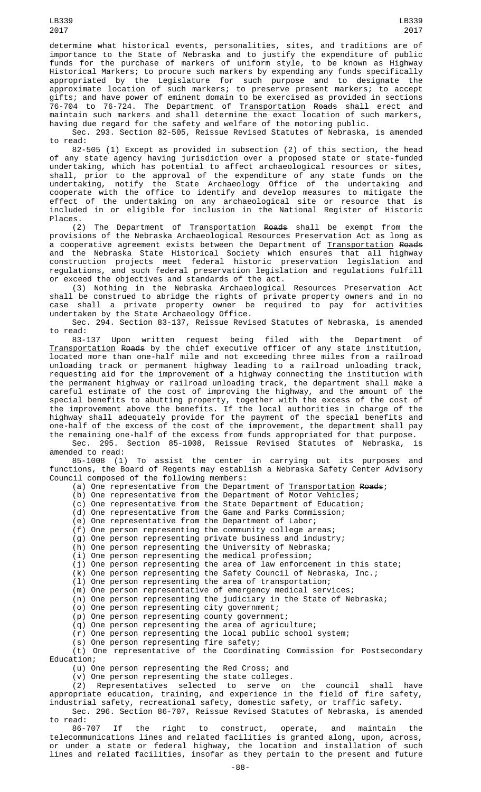determine what historical events, personalities, sites, and traditions are of importance to the State of Nebraska and to justify the expenditure of public funds for the purchase of markers of uniform style, to be known as Highway Historical Markers; to procure such markers by expending any funds specifically appropriated by the Legislature for such purpose and to designate the approximate location of such markers; to preserve present markers; to accept gifts; and have power of eminent domain to be exercised as provided in sections 76-704 to 76-724. The Department of <u>Transportation</u> <del>Roads</del> shall erect and maintain such markers and shall determine the exact location of such markers, having due regard for the safety and welfare of the motoring public.

Sec. 293. Section 82-505, Reissue Revised Statutes of Nebraska, is amended to read:

82-505 (1) Except as provided in subsection (2) of this section, the head of any state agency having jurisdiction over a proposed state or state-funded undertaking, which has potential to affect archaeological resources or sites, shall, prior to the approval of the expenditure of any state funds on the undertaking, notify the State Archaeology Office of the undertaking and cooperate with the office to identify and develop measures to mitigate the effect of the undertaking on any archaeological site or resource that is included in or eligible for inclusion in the National Register of Historic Places.

(2) The Department of Transportation Roads shall be exempt from the provisions of the Nebraska Archaeological Resources Preservation Act as long as a cooperative agreement exists between the Department of <u>Transportation</u> <del>Roads</del> and the Nebraska State Historical Society which ensures that all highway construction projects meet federal historic preservation legislation and regulations, and such federal preservation legislation and regulations fulfill or exceed the objectives and standards of the act.

(3) Nothing in the Nebraska Archaeological Resources Preservation Act shall be construed to abridge the rights of private property owners and in no case shall a private property owner be required to pay for activities undertaken by the State Archaeology Office.

Sec. 294. Section 83-137, Reissue Revised Statutes of Nebraska, is amended to read:

83-137 Upon written request being filed with the Department of Transportation Roads by the chief executive officer of any state institution, located more than one-half mile and not exceeding three miles from a railroad unloading track or permanent highway leading to a railroad unloading track, requesting aid for the improvement of a highway connecting the institution with the permanent highway or railroad unloading track, the department shall make a careful estimate of the cost of improving the highway, and the amount of the special benefits to abutting property, together with the excess of the cost of the improvement above the benefits. If the local authorities in charge of the highway shall adequately provide for the payment of the special benefits and one-half of the excess of the cost of the improvement, the department shall pay the remaining one-half of the excess from funds appropriated for that purpose. Sec. 295. Section 85-1008, Reissue Revised Statutes of Nebraska, is

amended to read: 85-1008 (1) To assist the center in carrying out its purposes and

functions, the Board of Regents may establish a Nebraska Safety Center Advisory Council composed of the following members:

(a) One representative from the Department of <u>Transportation</u> Roads;

(b) One representative from the Department of Motor Vehicles;

(c) One representative from the State Department of Education;

(d) One representative from the Game and Parks Commission;

(e) One representative from the Department of Labor;

(f) One person representing the community college areas;

(g) One person representing private business and industry;

(h) One person representing the University of Nebraska;

(i) One person representing the medical profession;

(j) One person representing the area of law enforcement in this state; (k) One person representing the Safety Council of Nebraska, Inc.;

(l) One person representing the area of transportation;

(m) One person representative of emergency medical services;

(n) One person representing the judiciary in the State of Nebraska;

(o) One person representing city government;

(p) One person representing county government;

(q) One person representing the area of agriculture;

(r) One person representing the local public school system;

(s) One person representing fire safety;

(t) One representative of the Coordinating Commission for Postsecondary Education;

(u) One person representing the Red Cross; and

(v) One person representing the state colleges.

(2) Representatives selected to serve on the council shall have appropriate education, training, and experience in the field of fire safety, industrial safety, recreational safety, domestic safety, or traffic safety.

Sec. 296. Section 86-707, Reissue Revised Statutes of Nebraska, is amended to read:<br>86-707

86-707 If the right to construct, operate, and maintain the telecommunications lines and related facilities is granted along, upon, across, or under a state or federal highway, the location and installation of such lines and related facilities, insofar as they pertain to the present and future